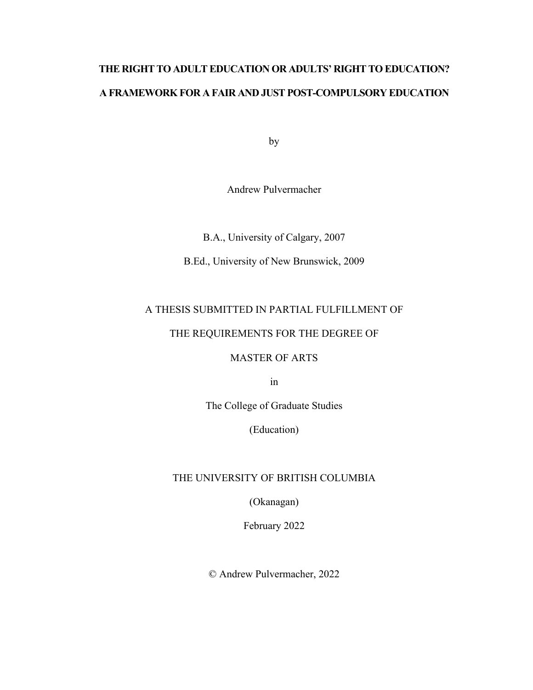# **THE RIGHT TO ADULT EDUCATION OR ADULTS' RIGHT TO EDUCATION? A FRAMEWORK FOR A FAIR AND JUST POST-COMPULSORY EDUCATION**

by

Andrew Pulvermacher

B.A., University of Calgary, 2007

B.Ed., University of New Brunswick, 2009

## A THESIS SUBMITTED IN PARTIAL FULFILLMENT OF

## THE REQUIREMENTS FOR THE DEGREE OF

MASTER OF ARTS

in

The College of Graduate Studies

(Education)

## THE UNIVERSITY OF BRITISH COLUMBIA

(Okanagan)

February 2022

© Andrew Pulvermacher, 2022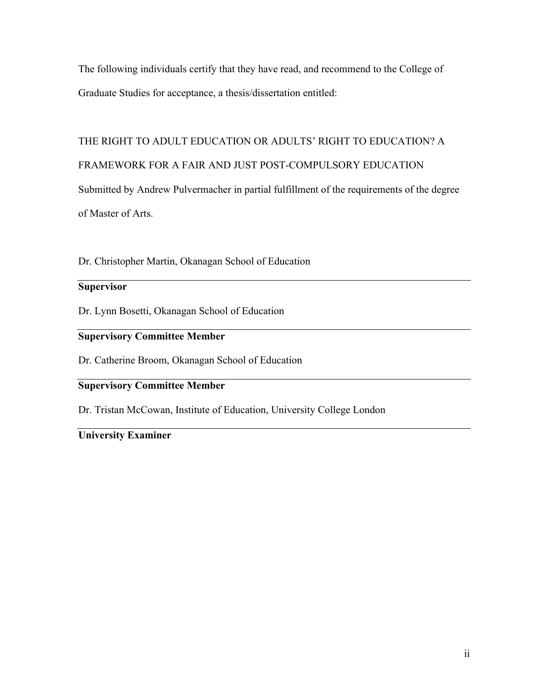The following individuals certify that they have read, and recommend to the College of Graduate Studies for acceptance, a thesis/dissertation entitled:

THE RIGHT TO ADULT EDUCATION OR ADULTS' RIGHT TO EDUCATION? A FRAMEWORK FOR A FAIR AND JUST POST-COMPULSORY EDUCATION Submitted by Andrew Pulvermacher in partial fulfillment of the requirements of the degree of Master of Arts.

Dr. Christopher Martin, Okanagan School of Education

## **Supervisor**

Dr. Lynn Bosetti, Okanagan School of Education

# **Supervisory Committee Member**

Dr. Catherine Broom, Okanagan School of Education

## **Supervisory Committee Member**

Dr. Tristan McCowan, Institute of Education, University College London

## **University Examiner**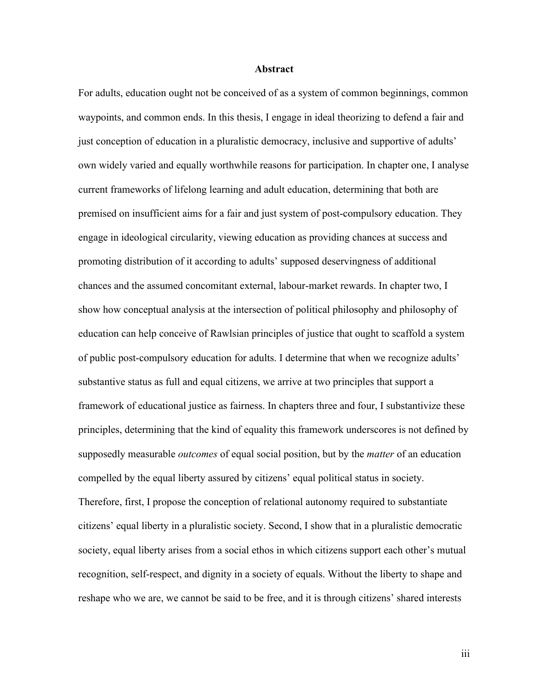#### **Abstract**

For adults, education ought not be conceived of as a system of common beginnings, common waypoints, and common ends. In this thesis, I engage in ideal theorizing to defend a fair and just conception of education in a pluralistic democracy, inclusive and supportive of adults' own widely varied and equally worthwhile reasons for participation. In chapter one, I analyse current frameworks of lifelong learning and adult education, determining that both are premised on insufficient aims for a fair and just system of post-compulsory education. They engage in ideological circularity, viewing education as providing chances at success and promoting distribution of it according to adults' supposed deservingness of additional chances and the assumed concomitant external, labour-market rewards. In chapter two, I show how conceptual analysis at the intersection of political philosophy and philosophy of education can help conceive of Rawlsian principles of justice that ought to scaffold a system of public post-compulsory education for adults. I determine that when we recognize adults' substantive status as full and equal citizens, we arrive at two principles that support a framework of educational justice as fairness. In chapters three and four, I substantivize these principles, determining that the kind of equality this framework underscores is not defined by supposedly measurable *outcomes* of equal social position, but by the *matter* of an education compelled by the equal liberty assured by citizens' equal political status in society. Therefore, first, I propose the conception of relational autonomy required to substantiate citizens' equal liberty in a pluralistic society. Second, I show that in a pluralistic democratic society, equal liberty arises from a social ethos in which citizens support each other's mutual recognition, self-respect, and dignity in a society of equals. Without the liberty to shape and reshape who we are, we cannot be said to be free, and it is through citizens' shared interests

iii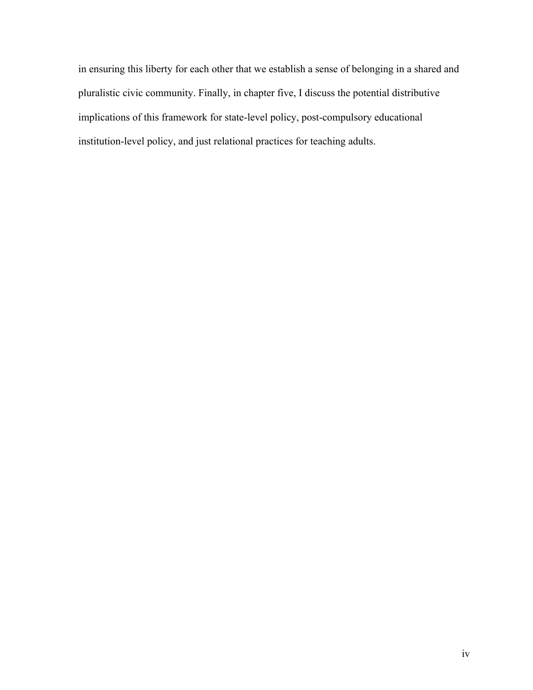in ensuring this liberty for each other that we establish a sense of belonging in a shared and pluralistic civic community. Finally, in chapter five, I discuss the potential distributive implications of this framework for state-level policy, post-compulsory educational institution-level policy, and just relational practices for teaching adults.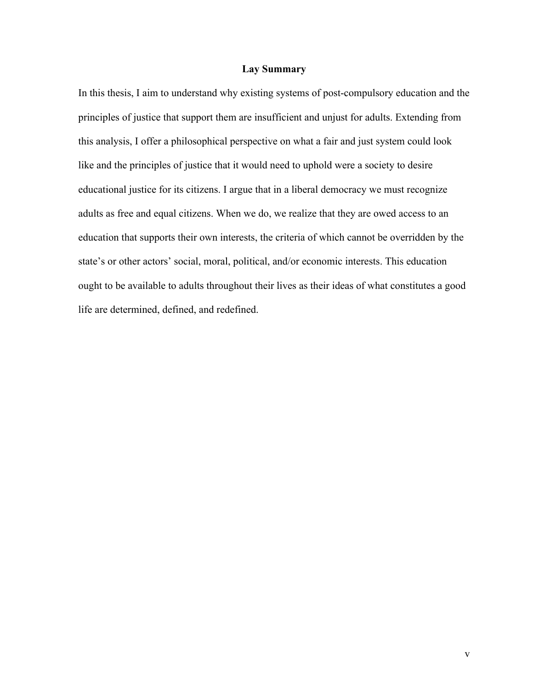#### **Lay Summary**

In this thesis, I aim to understand why existing systems of post-compulsory education and the principles of justice that support them are insufficient and unjust for adults. Extending from this analysis, I offer a philosophical perspective on what a fair and just system could look like and the principles of justice that it would need to uphold were a society to desire educational justice for its citizens. I argue that in a liberal democracy we must recognize adults as free and equal citizens. When we do, we realize that they are owed access to an education that supports their own interests, the criteria of which cannot be overridden by the state's or other actors' social, moral, political, and/or economic interests. This education ought to be available to adults throughout their lives as their ideas of what constitutes a good life are determined, defined, and redefined.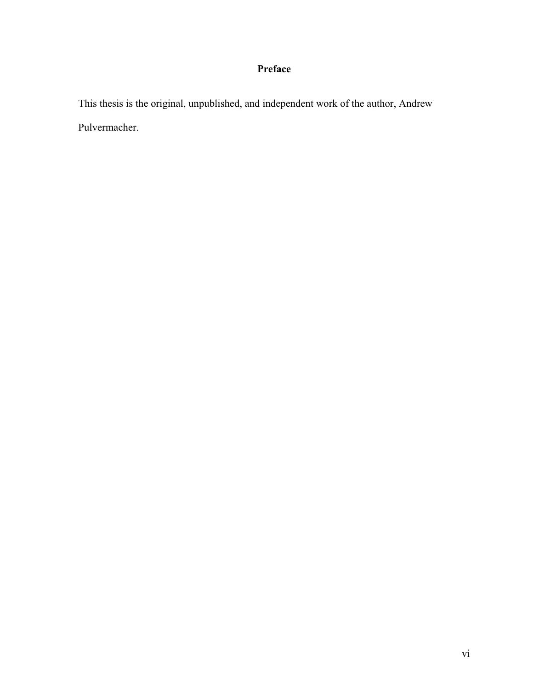# **Preface**

This thesis is the original, unpublished, and independent work of the author, Andrew Pulvermacher.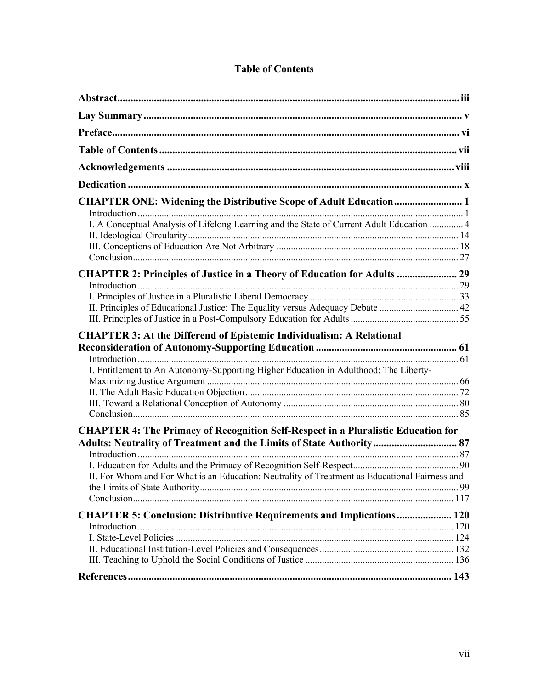| CHAPTER ONE: Widening the Distributive Scope of Adult Education 1                              |  |
|------------------------------------------------------------------------------------------------|--|
| I. A Conceptual Analysis of Lifelong Learning and the State of Current Adult Education  4      |  |
|                                                                                                |  |
| CHAPTER 2: Principles of Justice in a Theory of Education for Adults  29                       |  |
|                                                                                                |  |
|                                                                                                |  |
| II. Principles of Educational Justice: The Equality versus Adequacy Debate  42                 |  |
|                                                                                                |  |
| <b>CHAPTER 3: At the Differend of Epistemic Individualism: A Relational</b>                    |  |
|                                                                                                |  |
| I. Entitlement to An Autonomy-Supporting Higher Education in Adulthood: The Liberty-           |  |
|                                                                                                |  |
|                                                                                                |  |
|                                                                                                |  |
|                                                                                                |  |
| <b>CHAPTER 4: The Primacy of Recognition Self-Respect in a Pluralistic Education for</b>       |  |
| Adults: Neutrality of Treatment and the Limits of State Authority 87                           |  |
|                                                                                                |  |
|                                                                                                |  |
| II. For Whom and For What is an Education: Neutrality of Treatment as Educational Fairness and |  |
|                                                                                                |  |
|                                                                                                |  |
| <b>CHAPTER 5: Conclusion: Distributive Requirements and Implications 120</b>                   |  |
|                                                                                                |  |
|                                                                                                |  |
|                                                                                                |  |
|                                                                                                |  |
|                                                                                                |  |

# **Table of Contents**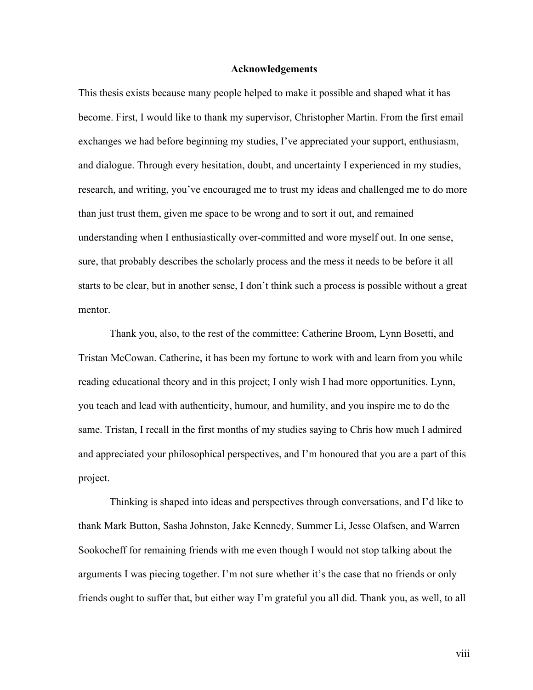### **Acknowledgements**

This thesis exists because many people helped to make it possible and shaped what it has become. First, I would like to thank my supervisor, Christopher Martin. From the first email exchanges we had before beginning my studies, I've appreciated your support, enthusiasm, and dialogue. Through every hesitation, doubt, and uncertainty I experienced in my studies, research, and writing, you've encouraged me to trust my ideas and challenged me to do more than just trust them, given me space to be wrong and to sort it out, and remained understanding when I enthusiastically over-committed and wore myself out. In one sense, sure, that probably describes the scholarly process and the mess it needs to be before it all starts to be clear, but in another sense, I don't think such a process is possible without a great mentor.

Thank you, also, to the rest of the committee: Catherine Broom, Lynn Bosetti, and Tristan McCowan. Catherine, it has been my fortune to work with and learn from you while reading educational theory and in this project; I only wish I had more opportunities. Lynn, you teach and lead with authenticity, humour, and humility, and you inspire me to do the same. Tristan, I recall in the first months of my studies saying to Chris how much I admired and appreciated your philosophical perspectives, and I'm honoured that you are a part of this project.

Thinking is shaped into ideas and perspectives through conversations, and I'd like to thank Mark Button, Sasha Johnston, Jake Kennedy, Summer Li, Jesse Olafsen, and Warren Sookocheff for remaining friends with me even though I would not stop talking about the arguments I was piecing together. I'm not sure whether it's the case that no friends or only friends ought to suffer that, but either way I'm grateful you all did. Thank you, as well, to all

viii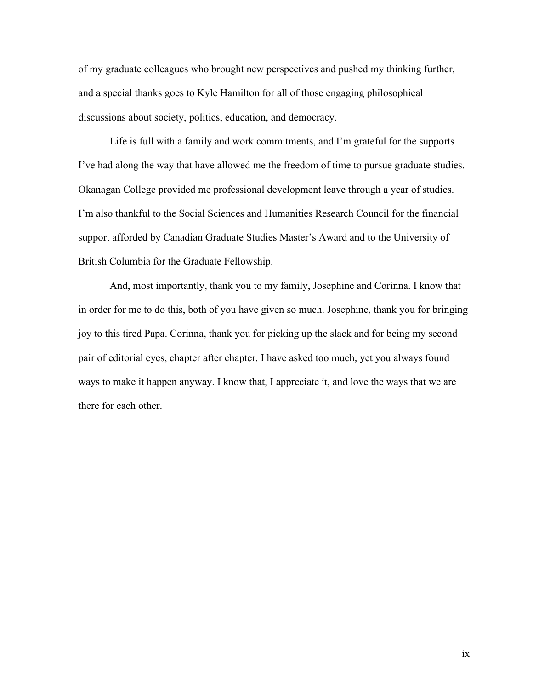of my graduate colleagues who brought new perspectives and pushed my thinking further, and a special thanks goes to Kyle Hamilton for all of those engaging philosophical discussions about society, politics, education, and democracy.

Life is full with a family and work commitments, and I'm grateful for the supports I've had along the way that have allowed me the freedom of time to pursue graduate studies. Okanagan College provided me professional development leave through a year of studies. I'm also thankful to the Social Sciences and Humanities Research Council for the financial support afforded by Canadian Graduate Studies Master's Award and to the University of British Columbia for the Graduate Fellowship.

And, most importantly, thank you to my family, Josephine and Corinna. I know that in order for me to do this, both of you have given so much. Josephine, thank you for bringing joy to this tired Papa. Corinna, thank you for picking up the slack and for being my second pair of editorial eyes, chapter after chapter. I have asked too much, yet you always found ways to make it happen anyway. I know that, I appreciate it, and love the ways that we are there for each other.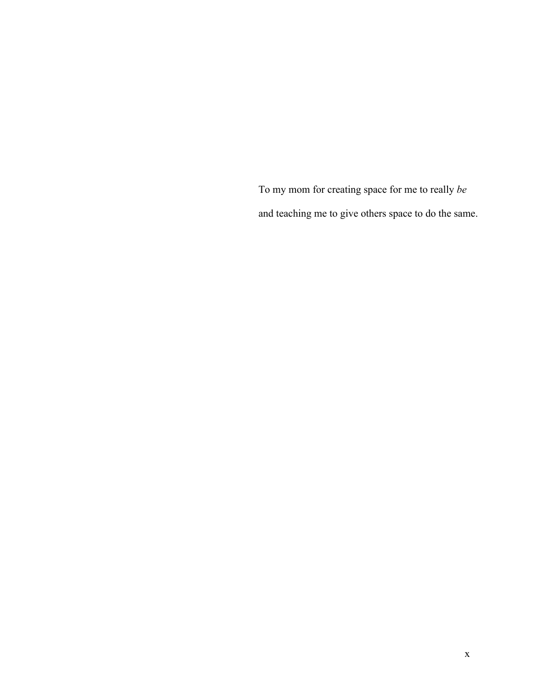To my mom for creating space for me to really *be* and teaching me to give others space to do the same.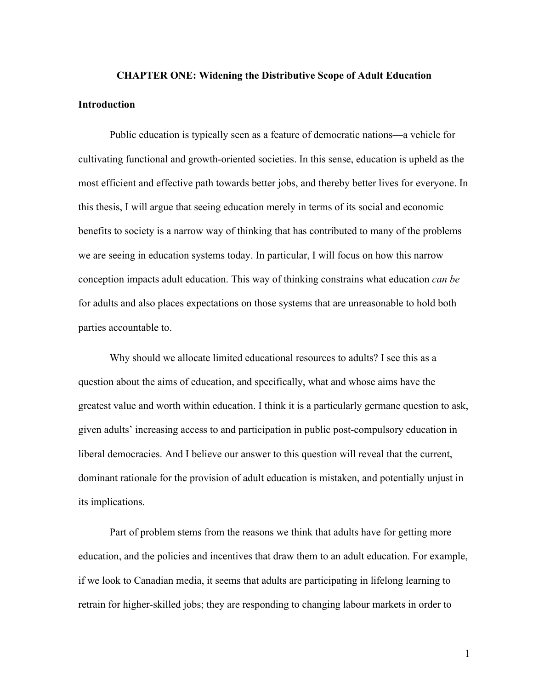# **CHAPTER ONE: Widening the Distributive Scope of Adult Education Introduction**

Public education is typically seen as a feature of democratic nations—a vehicle for cultivating functional and growth-oriented societies. In this sense, education is upheld as the most efficient and effective path towards better jobs, and thereby better lives for everyone. In this thesis, I will argue that seeing education merely in terms of its social and economic benefits to society is a narrow way of thinking that has contributed to many of the problems we are seeing in education systems today. In particular, I will focus on how this narrow conception impacts adult education. This way of thinking constrains what education *can be* for adults and also places expectations on those systems that are unreasonable to hold both parties accountable to.

Why should we allocate limited educational resources to adults? I see this as a question about the aims of education, and specifically, what and whose aims have the greatest value and worth within education. I think it is a particularly germane question to ask, given adults' increasing access to and participation in public post-compulsory education in liberal democracies. And I believe our answer to this question will reveal that the current, dominant rationale for the provision of adult education is mistaken, and potentially unjust in its implications.

Part of problem stems from the reasons we think that adults have for getting more education, and the policies and incentives that draw them to an adult education. For example, if we look to Canadian media, it seems that adults are participating in lifelong learning to retrain for higher-skilled jobs; they are responding to changing labour markets in order to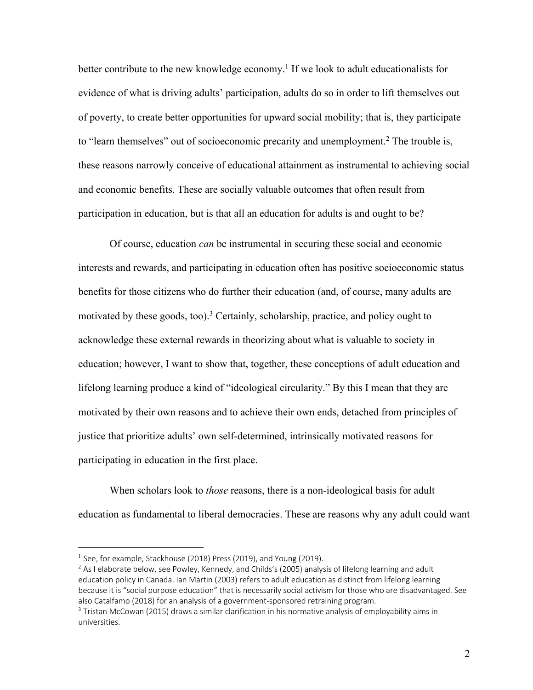better contribute to the new knowledge economy.<sup>1</sup> If we look to adult educationalists for evidence of what is driving adults' participation, adults do so in order to lift themselves out of poverty, to create better opportunities for upward social mobility; that is, they participate to "learn themselves" out of socioeconomic precarity and unemployment.<sup>2</sup> The trouble is, these reasons narrowly conceive of educational attainment as instrumental to achieving social and economic benefits. These are socially valuable outcomes that often result from participation in education, but is that all an education for adults is and ought to be?

Of course, education *can* be instrumental in securing these social and economic interests and rewards, and participating in education often has positive socioeconomic status benefits for those citizens who do further their education (and, of course, many adults are motivated by these goods, too). <sup>3</sup> Certainly, scholarship, practice, and policy ought to acknowledge these external rewards in theorizing about what is valuable to society in education; however, I want to show that, together, these conceptions of adult education and lifelong learning produce a kind of "ideological circularity." By this I mean that they are motivated by their own reasons and to achieve their own ends, detached from principles of justice that prioritize adults' own self-determined, intrinsically motivated reasons for participating in education in the first place.

When scholars look to *those* reasons, there is a non-ideological basis for adult education as fundamental to liberal democracies. These are reasons why any adult could want

<sup>&</sup>lt;sup>1</sup> See, for example, Stackhouse (2018) Press (2019), and Young (2019).

<sup>&</sup>lt;sup>2</sup> As I elaborate below, see Powley, Kennedy, and Childs's (2005) analysis of lifelong learning and adult education policy in Canada. Ian Martin (2003) refers to adult education as distinct from lifelong learning because it is "social purpose education" that is necessarily social activism for those who are disadvantaged. See also Catalfamo (2018) for an analysis of a government-sponsored retraining program.

 $3$  Tristan McCowan (2015) draws a similar clarification in his normative analysis of employability aims in universities.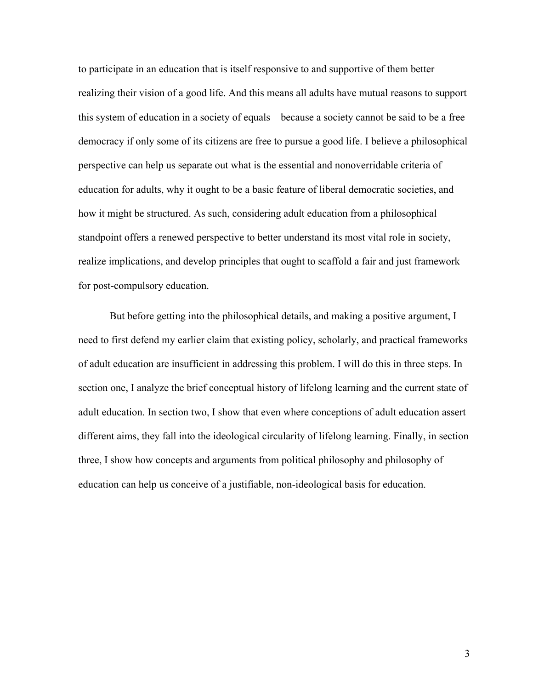to participate in an education that is itself responsive to and supportive of them better realizing their vision of a good life. And this means all adults have mutual reasons to support this system of education in a society of equals—because a society cannot be said to be a free democracy if only some of its citizens are free to pursue a good life. I believe a philosophical perspective can help us separate out what is the essential and nonoverridable criteria of education for adults, why it ought to be a basic feature of liberal democratic societies, and how it might be structured. As such, considering adult education from a philosophical standpoint offers a renewed perspective to better understand its most vital role in society, realize implications, and develop principles that ought to scaffold a fair and just framework for post-compulsory education.

But before getting into the philosophical details, and making a positive argument, I need to first defend my earlier claim that existing policy, scholarly, and practical frameworks of adult education are insufficient in addressing this problem. I will do this in three steps. In section one, I analyze the brief conceptual history of lifelong learning and the current state of adult education. In section two, I show that even where conceptions of adult education assert different aims, they fall into the ideological circularity of lifelong learning. Finally, in section three, I show how concepts and arguments from political philosophy and philosophy of education can help us conceive of a justifiable, non-ideological basis for education.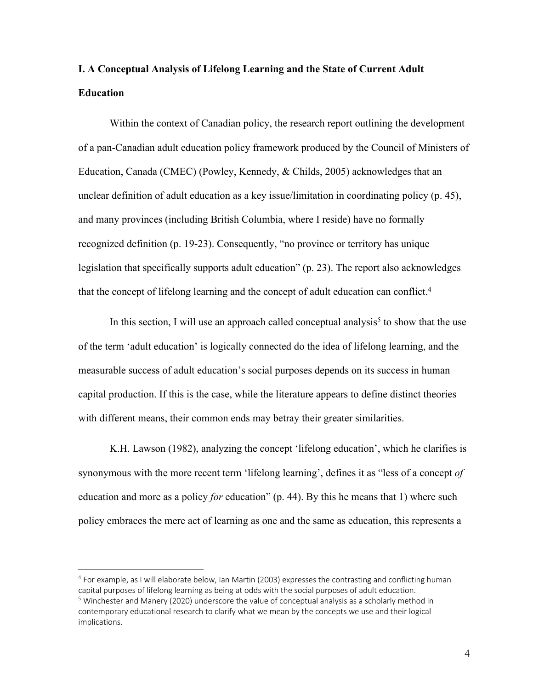# **I. A Conceptual Analysis of Lifelong Learning and the State of Current Adult Education**

Within the context of Canadian policy, the research report outlining the development of a pan-Canadian adult education policy framework produced by the Council of Ministers of Education, Canada (CMEC) (Powley, Kennedy, & Childs, 2005) acknowledges that an unclear definition of adult education as a key issue/limitation in coordinating policy (p. 45), and many provinces (including British Columbia, where I reside) have no formally recognized definition (p. 19-23). Consequently, "no province or territory has unique legislation that specifically supports adult education" (p. 23). The report also acknowledges that the concept of lifelong learning and the concept of adult education can conflict.<sup>4</sup>

In this section, I will use an approach called conceptual analysis<sup>5</sup> to show that the use of the term 'adult education' is logically connected do the idea of lifelong learning, and the measurable success of adult education's social purposes depends on its success in human capital production. If this is the case, while the literature appears to define distinct theories with different means, their common ends may betray their greater similarities.

K.H. Lawson (1982), analyzing the concept 'lifelong education', which he clarifies is synonymous with the more recent term 'lifelong learning', defines it as "less of a concept *of* education and more as a policy *for* education" (p. 44). By this he means that 1) where such policy embraces the mere act of learning as one and the same as education, this represents a

 $4$  For example, as I will elaborate below, Ian Martin (2003) expresses the contrasting and conflicting human capital purposes of lifelong learning as being at odds with the social purposes of adult education.  $5$  Winchester and Manery (2020) underscore the value of conceptual analysis as a scholarly method in contemporary educational research to clarify what we mean by the concepts we use and their logical implications.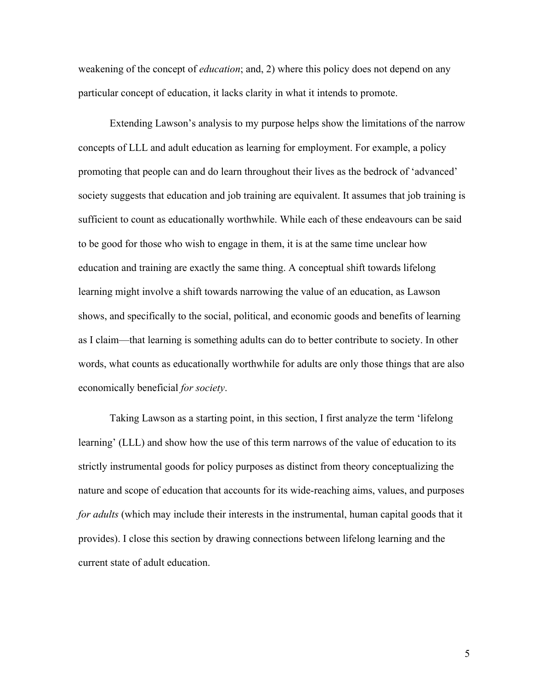weakening of the concept of *education*; and, 2) where this policy does not depend on any particular concept of education, it lacks clarity in what it intends to promote.

Extending Lawson's analysis to my purpose helps show the limitations of the narrow concepts of LLL and adult education as learning for employment. For example, a policy promoting that people can and do learn throughout their lives as the bedrock of 'advanced' society suggests that education and job training are equivalent. It assumes that job training is sufficient to count as educationally worthwhile. While each of these endeavours can be said to be good for those who wish to engage in them, it is at the same time unclear how education and training are exactly the same thing. A conceptual shift towards lifelong learning might involve a shift towards narrowing the value of an education, as Lawson shows, and specifically to the social, political, and economic goods and benefits of learning as I claim—that learning is something adults can do to better contribute to society. In other words, what counts as educationally worthwhile for adults are only those things that are also economically beneficial *for society*.

Taking Lawson as a starting point, in this section, I first analyze the term 'lifelong learning' (LLL) and show how the use of this term narrows of the value of education to its strictly instrumental goods for policy purposes as distinct from theory conceptualizing the nature and scope of education that accounts for its wide-reaching aims, values, and purposes *for adults* (which may include their interests in the instrumental, human capital goods that it provides). I close this section by drawing connections between lifelong learning and the current state of adult education.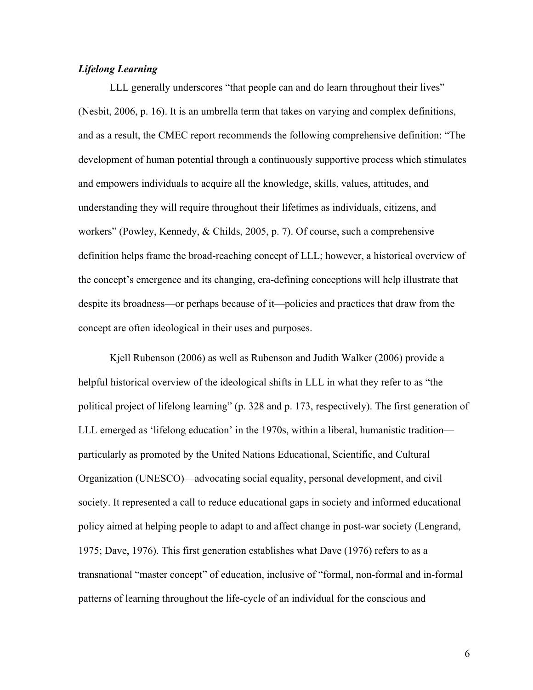## *Lifelong Learning*

LLL generally underscores "that people can and do learn throughout their lives" (Nesbit, 2006, p. 16). It is an umbrella term that takes on varying and complex definitions, and as a result, the CMEC report recommends the following comprehensive definition: "The development of human potential through a continuously supportive process which stimulates and empowers individuals to acquire all the knowledge, skills, values, attitudes, and understanding they will require throughout their lifetimes as individuals, citizens, and workers" (Powley, Kennedy, & Childs, 2005, p. 7). Of course, such a comprehensive definition helps frame the broad-reaching concept of LLL; however, a historical overview of the concept's emergence and its changing, era-defining conceptions will help illustrate that despite its broadness—or perhaps because of it—policies and practices that draw from the concept are often ideological in their uses and purposes.

Kjell Rubenson (2006) as well as Rubenson and Judith Walker (2006) provide a helpful historical overview of the ideological shifts in LLL in what they refer to as "the political project of lifelong learning" (p. 328 and p. 173, respectively). The first generation of LLL emerged as 'lifelong education' in the 1970s, within a liberal, humanistic tradition particularly as promoted by the United Nations Educational, Scientific, and Cultural Organization (UNESCO)—advocating social equality, personal development, and civil society. It represented a call to reduce educational gaps in society and informed educational policy aimed at helping people to adapt to and affect change in post-war society (Lengrand, 1975; Dave, 1976). This first generation establishes what Dave (1976) refers to as a transnational "master concept" of education, inclusive of "formal, non-formal and in-formal patterns of learning throughout the life-cycle of an individual for the conscious and

6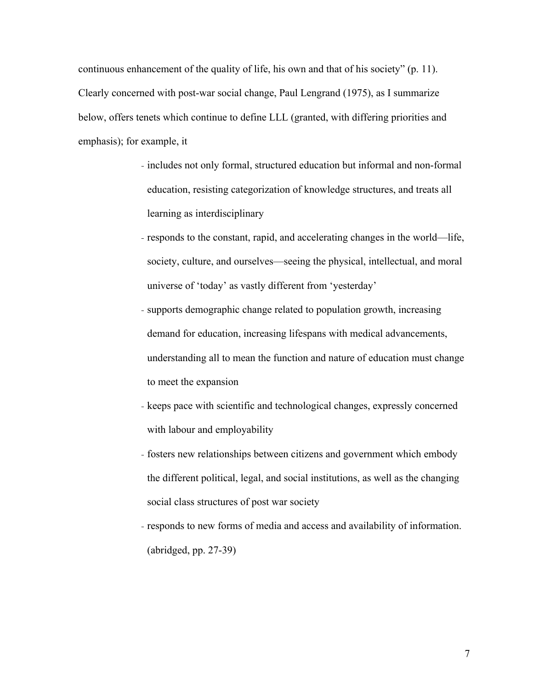continuous enhancement of the quality of life, his own and that of his society" (p. 11). Clearly concerned with post-war social change, Paul Lengrand (1975), as I summarize below, offers tenets which continue to define LLL (granted, with differing priorities and emphasis); for example, it

- includes not only formal, structured education but informal and non-formal education, resisting categorization of knowledge structures, and treats all learning as interdisciplinary
- responds to the constant, rapid, and accelerating changes in the world—life, society, culture, and ourselves—seeing the physical, intellectual, and moral universe of 'today' as vastly different from 'yesterday'
- supports demographic change related to population growth, increasing demand for education, increasing lifespans with medical advancements, understanding all to mean the function and nature of education must change to meet the expansion
- keeps pace with scientific and technological changes, expressly concerned with labour and employability
- fosters new relationships between citizens and government which embody the different political, legal, and social institutions, as well as the changing social class structures of post war society
- responds to new forms of media and access and availability of information. (abridged, pp. 27-39)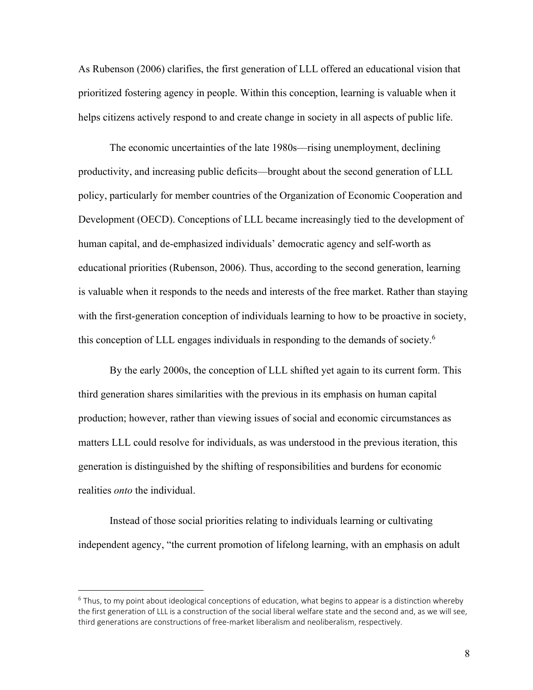As Rubenson (2006) clarifies, the first generation of LLL offered an educational vision that prioritized fostering agency in people. Within this conception, learning is valuable when it helps citizens actively respond to and create change in society in all aspects of public life.

The economic uncertainties of the late 1980s—rising unemployment, declining productivity, and increasing public deficits—brought about the second generation of LLL policy, particularly for member countries of the Organization of Economic Cooperation and Development (OECD). Conceptions of LLL became increasingly tied to the development of human capital, and de-emphasized individuals' democratic agency and self-worth as educational priorities (Rubenson, 2006). Thus, according to the second generation, learning is valuable when it responds to the needs and interests of the free market. Rather than staying with the first-generation conception of individuals learning to how to be proactive in society, this conception of LLL engages individuals in responding to the demands of society.6

By the early 2000s, the conception of LLL shifted yet again to its current form. This third generation shares similarities with the previous in its emphasis on human capital production; however, rather than viewing issues of social and economic circumstances as matters LLL could resolve for individuals, as was understood in the previous iteration, this generation is distinguished by the shifting of responsibilities and burdens for economic realities *onto* the individual.

Instead of those social priorities relating to individuals learning or cultivating independent agency, "the current promotion of lifelong learning, with an emphasis on adult

 $6$  Thus, to my point about ideological conceptions of education, what begins to appear is a distinction whereby the first generation of LLL is a construction of the social liberal welfare state and the second and, as we will see, third generations are constructions of free-market liberalism and neoliberalism, respectively.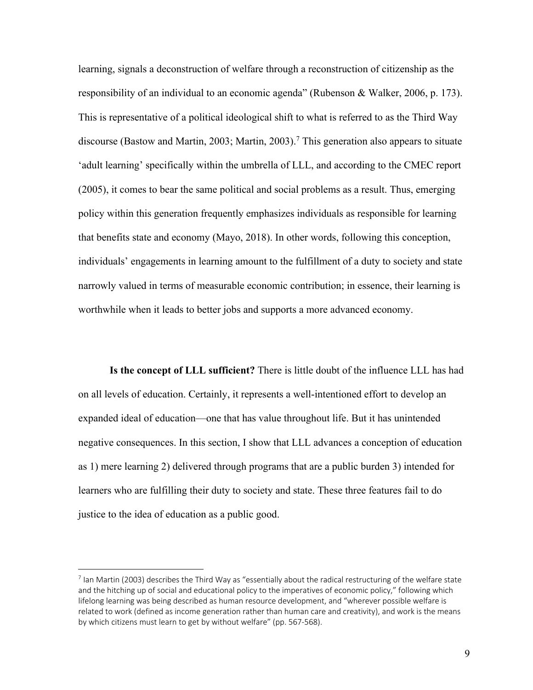learning, signals a deconstruction of welfare through a reconstruction of citizenship as the responsibility of an individual to an economic agenda" (Rubenson & Walker, 2006, p. 173). This is representative of a political ideological shift to what is referred to as the Third Way discourse (Bastow and Martin, 2003; Martin, 2003).<sup>7</sup> This generation also appears to situate 'adult learning' specifically within the umbrella of LLL, and according to the CMEC report (2005), it comes to bear the same political and social problems as a result. Thus, emerging policy within this generation frequently emphasizes individuals as responsible for learning that benefits state and economy (Mayo, 2018). In other words, following this conception, individuals' engagements in learning amount to the fulfillment of a duty to society and state narrowly valued in terms of measurable economic contribution; in essence, their learning is worthwhile when it leads to better jobs and supports a more advanced economy.

**Is the concept of LLL sufficient?** There is little doubt of the influence LLL has had on all levels of education. Certainly, it represents a well-intentioned effort to develop an expanded ideal of education—one that has value throughout life. But it has unintended negative consequences. In this section, I show that LLL advances a conception of education as 1) mere learning 2) delivered through programs that are a public burden 3) intended for learners who are fulfilling their duty to society and state. These three features fail to do justice to the idea of education as a public good.

 $<sup>7</sup>$  Ian Martin (2003) describes the Third Way as "essentially about the radical restructuring of the welfare state</sup> and the hitching up of social and educational policy to the imperatives of economic policy," following which lifelong learning was being described as human resource development, and "wherever possible welfare is related to work (defined as income generation rather than human care and creativity), and work is the means by which citizens must learn to get by without welfare" (pp. 567-568).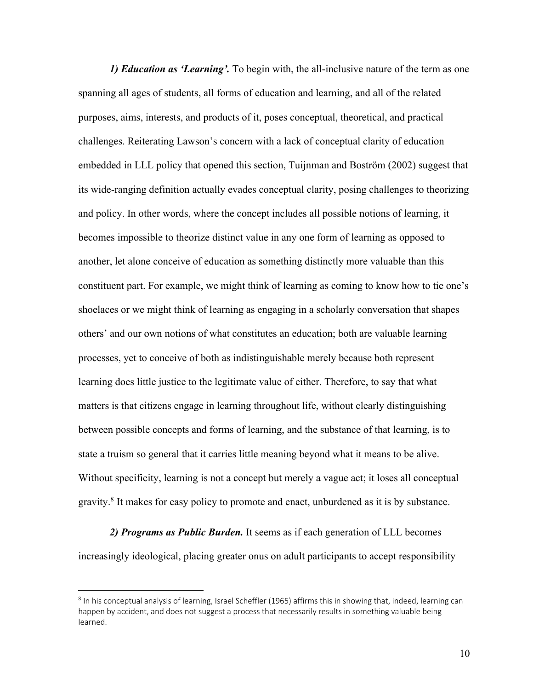*1) Education as 'Learning'.* To begin with, the all-inclusive nature of the term as one spanning all ages of students, all forms of education and learning, and all of the related purposes, aims, interests, and products of it, poses conceptual, theoretical, and practical challenges. Reiterating Lawson's concern with a lack of conceptual clarity of education embedded in LLL policy that opened this section, Tuijnman and Boström (2002) suggest that its wide-ranging definition actually evades conceptual clarity, posing challenges to theorizing and policy. In other words, where the concept includes all possible notions of learning, it becomes impossible to theorize distinct value in any one form of learning as opposed to another, let alone conceive of education as something distinctly more valuable than this constituent part. For example, we might think of learning as coming to know how to tie one's shoelaces or we might think of learning as engaging in a scholarly conversation that shapes others' and our own notions of what constitutes an education; both are valuable learning processes, yet to conceive of both as indistinguishable merely because both represent learning does little justice to the legitimate value of either. Therefore, to say that what matters is that citizens engage in learning throughout life, without clearly distinguishing between possible concepts and forms of learning, and the substance of that learning, is to state a truism so general that it carries little meaning beyond what it means to be alive. Without specificity, learning is not a concept but merely a vague act; it loses all conceptual gravity.8 It makes for easy policy to promote and enact, unburdened as it is by substance.

*2) Programs as Public Burden.* It seems as if each generation of LLL becomes increasingly ideological, placing greater onus on adult participants to accept responsibility

 $8$  In his conceptual analysis of learning, Israel Scheffler (1965) affirms this in showing that, indeed, learning can happen by accident, and does not suggest a process that necessarily results in something valuable being learned.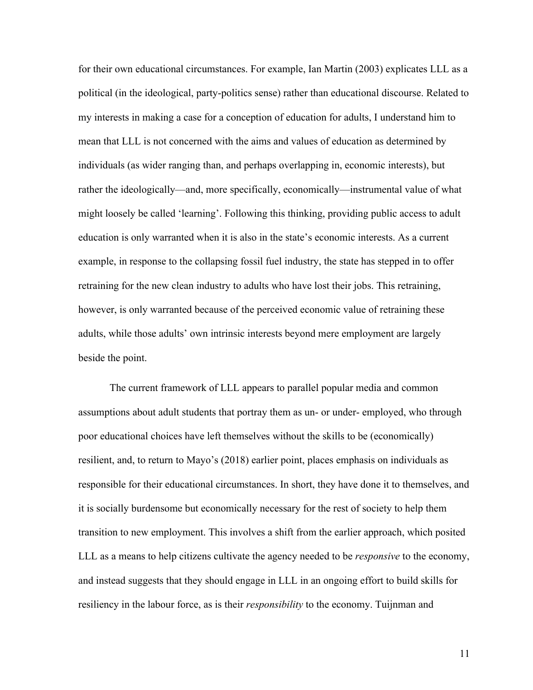for their own educational circumstances. For example, Ian Martin (2003) explicates LLL as a political (in the ideological, party-politics sense) rather than educational discourse. Related to my interests in making a case for a conception of education for adults, I understand him to mean that LLL is not concerned with the aims and values of education as determined by individuals (as wider ranging than, and perhaps overlapping in, economic interests), but rather the ideologically—and, more specifically, economically—instrumental value of what might loosely be called 'learning'. Following this thinking, providing public access to adult education is only warranted when it is also in the state's economic interests. As a current example, in response to the collapsing fossil fuel industry, the state has stepped in to offer retraining for the new clean industry to adults who have lost their jobs. This retraining, however, is only warranted because of the perceived economic value of retraining these adults, while those adults' own intrinsic interests beyond mere employment are largely beside the point.

The current framework of LLL appears to parallel popular media and common assumptions about adult students that portray them as un- or under- employed, who through poor educational choices have left themselves without the skills to be (economically) resilient, and, to return to Mayo's (2018) earlier point, places emphasis on individuals as responsible for their educational circumstances. In short, they have done it to themselves, and it is socially burdensome but economically necessary for the rest of society to help them transition to new employment. This involves a shift from the earlier approach, which posited LLL as a means to help citizens cultivate the agency needed to be *responsive* to the economy, and instead suggests that they should engage in LLL in an ongoing effort to build skills for resiliency in the labour force, as is their *responsibility* to the economy. Tuijnman and

11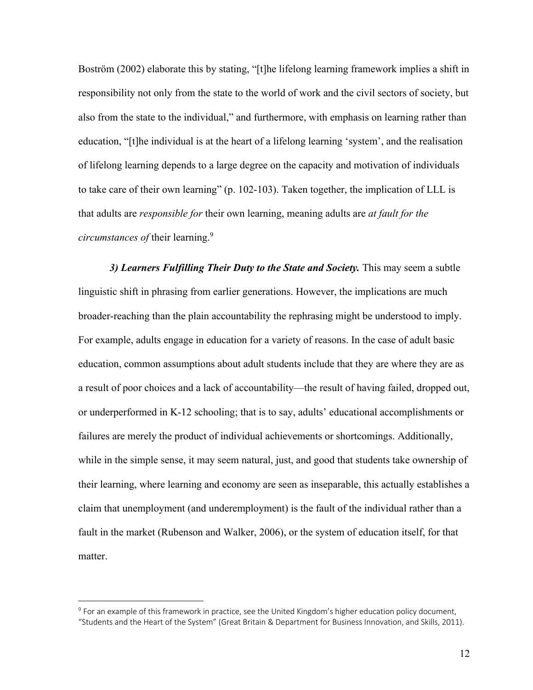Boström (2002) elaborate this by stating, "[t]he lifelong learning framework implies a shift in responsibility not only from the state to the world of work and the civil sectors of society, but also from the state to the individual," and furthermore, with emphasis on learning rather than education, "[t]he individual is at the heart of a lifelong learning 'system', and the realisation of lifelong learning depends to a large degree on the capacity and motivation of individuals to take care of their own learning" (p. 102-103). Taken together, the implication of LLL is that adults are *responsible for* their own learning, meaning adults are *at fault for the circumstances of* their learning.9

*3) Learners Fulfilling Their Duty to the State and Society.* This may seem a subtle linguistic shift in phrasing from earlier generations. However, the implications are much broader-reaching than the plain accountability the rephrasing might be understood to imply. For example, adults engage in education for a variety of reasons. In the case of adult basic education, common assumptions about adult students include that they are where they are as a result of poor choices and a lack of accountability—the result of having failed, dropped out, or underperformed in K-12 schooling; that is to say, adults' educational accomplishments or failures are merely the product of individual achievements or shortcomings. Additionally, while in the simple sense, it may seem natural, just, and good that students take ownership of their learning, where learning and economy are seen as inseparable, this actually establishes a claim that unemployment (and underemployment) is the fault of the individual rather than a fault in the market (Rubenson and Walker, 2006), or the system of education itself, for that matter.

<sup>&</sup>lt;sup>9</sup> For an example of this framework in practice, see the United Kingdom's higher education policy document, "Students and the Heart of the System" (Great Britain & Department for Business Innovation, and Skills, 2011).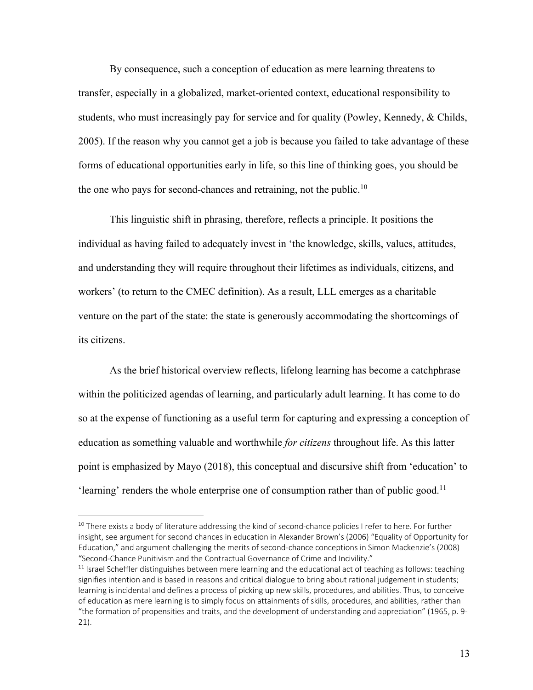By consequence, such a conception of education as mere learning threatens to transfer, especially in a globalized, market-oriented context, educational responsibility to students, who must increasingly pay for service and for quality (Powley, Kennedy, & Childs, 2005). If the reason why you cannot get a job is because you failed to take advantage of these forms of educational opportunities early in life, so this line of thinking goes, you should be the one who pays for second-chances and retraining, not the public.<sup>10</sup>

This linguistic shift in phrasing, therefore, reflects a principle. It positions the individual as having failed to adequately invest in 'the knowledge, skills, values, attitudes, and understanding they will require throughout their lifetimes as individuals, citizens, and workers' (to return to the CMEC definition). As a result, LLL emerges as a charitable venture on the part of the state: the state is generously accommodating the shortcomings of its citizens.

As the brief historical overview reflects, lifelong learning has become a catchphrase within the politicized agendas of learning, and particularly adult learning. It has come to do so at the expense of functioning as a useful term for capturing and expressing a conception of education as something valuable and worthwhile *for citizens* throughout life. As this latter point is emphasized by Mayo (2018), this conceptual and discursive shift from 'education' to 'learning' renders the whole enterprise one of consumption rather than of public good.<sup>11</sup>

<sup>&</sup>lt;sup>10</sup> There exists a body of literature addressing the kind of second-chance policies I refer to here. For further insight, see argument for second chances in education in Alexander Brown's (2006) "Equality of Opportunity for Education," and argument challenging the merits of second-chance conceptions in Simon Mackenzie's (2008) "Second-Chance Punitivism and the Contractual Governance of Crime and Incivility."

 $11$  Israel Scheffler distinguishes between mere learning and the educational act of teaching as follows: teaching signifies intention and is based in reasons and critical dialogue to bring about rational judgement in students; learning is incidental and defines a process of picking up new skills, procedures, and abilities. Thus, to conceive of education as mere learning is to simply focus on attainments of skills, procedures, and abilities, rather than "the formation of propensities and traits, and the development of understanding and appreciation" (1965, p. 9- 21).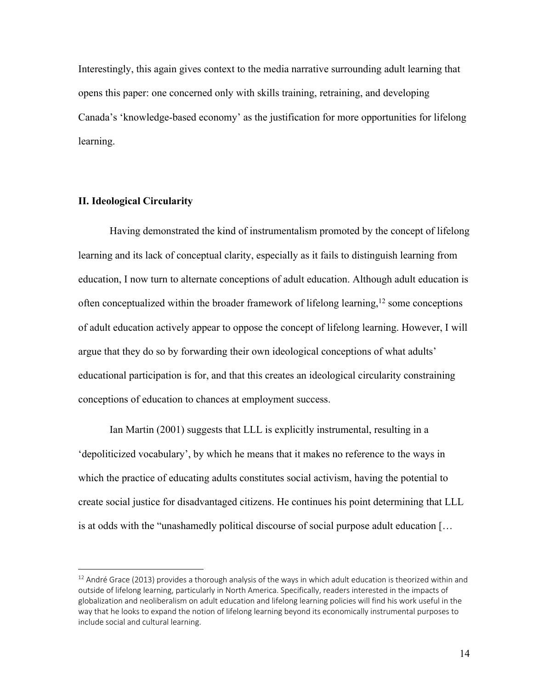Interestingly, this again gives context to the media narrative surrounding adult learning that opens this paper: one concerned only with skills training, retraining, and developing Canada's 'knowledge-based economy' as the justification for more opportunities for lifelong learning.

### **II. Ideological Circularity**

Having demonstrated the kind of instrumentalism promoted by the concept of lifelong learning and its lack of conceptual clarity, especially as it fails to distinguish learning from education, I now turn to alternate conceptions of adult education. Although adult education is often conceptualized within the broader framework of lifelong learning,<sup>12</sup> some conceptions of adult education actively appear to oppose the concept of lifelong learning. However, I will argue that they do so by forwarding their own ideological conceptions of what adults' educational participation is for, and that this creates an ideological circularity constraining conceptions of education to chances at employment success.

Ian Martin (2001) suggests that LLL is explicitly instrumental, resulting in a 'depoliticized vocabulary', by which he means that it makes no reference to the ways in which the practice of educating adults constitutes social activism, having the potential to create social justice for disadvantaged citizens. He continues his point determining that LLL is at odds with the "unashamedly political discourse of social purpose adult education […

 $12$  André Grace (2013) provides a thorough analysis of the ways in which adult education is theorized within and outside of lifelong learning, particularly in North America. Specifically, readers interested in the impacts of globalization and neoliberalism on adult education and lifelong learning policies will find his work useful in the way that he looks to expand the notion of lifelong learning beyond its economically instrumental purposes to include social and cultural learning.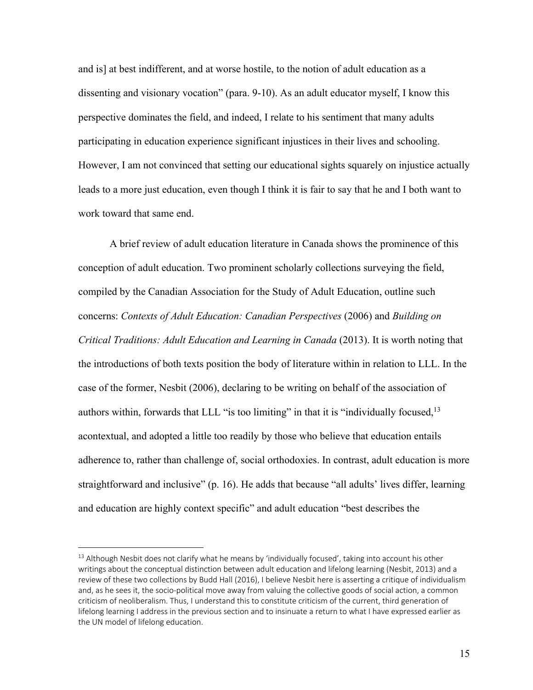and is] at best indifferent, and at worse hostile, to the notion of adult education as a dissenting and visionary vocation" (para. 9-10). As an adult educator myself, I know this perspective dominates the field, and indeed, I relate to his sentiment that many adults participating in education experience significant injustices in their lives and schooling. However, I am not convinced that setting our educational sights squarely on injustice actually leads to a more just education, even though I think it is fair to say that he and I both want to work toward that same end.

A brief review of adult education literature in Canada shows the prominence of this conception of adult education. Two prominent scholarly collections surveying the field, compiled by the Canadian Association for the Study of Adult Education, outline such concerns: *Contexts of Adult Education: Canadian Perspectives* (2006) and *Building on Critical Traditions: Adult Education and Learning in Canada* (2013). It is worth noting that the introductions of both texts position the body of literature within in relation to LLL. In the case of the former, Nesbit (2006), declaring to be writing on behalf of the association of authors within, forwards that LLL "is too limiting" in that it is "individually focused,<sup>13</sup> acontextual, and adopted a little too readily by those who believe that education entails adherence to, rather than challenge of, social orthodoxies. In contrast, adult education is more straightforward and inclusive" (p. 16). He adds that because "all adults' lives differ, learning and education are highly context specific" and adult education "best describes the

 $13$  Although Nesbit does not clarify what he means by 'individually focused', taking into account his other writings about the conceptual distinction between adult education and lifelong learning (Nesbit, 2013) and a review of these two collections by Budd Hall (2016), I believe Nesbit here is asserting a critique of individualism and, as he sees it, the socio-political move away from valuing the collective goods of social action, a common criticism of neoliberalism. Thus, I understand this to constitute criticism of the current, third generation of lifelong learning I address in the previous section and to insinuate a return to what I have expressed earlier as the UN model of lifelong education.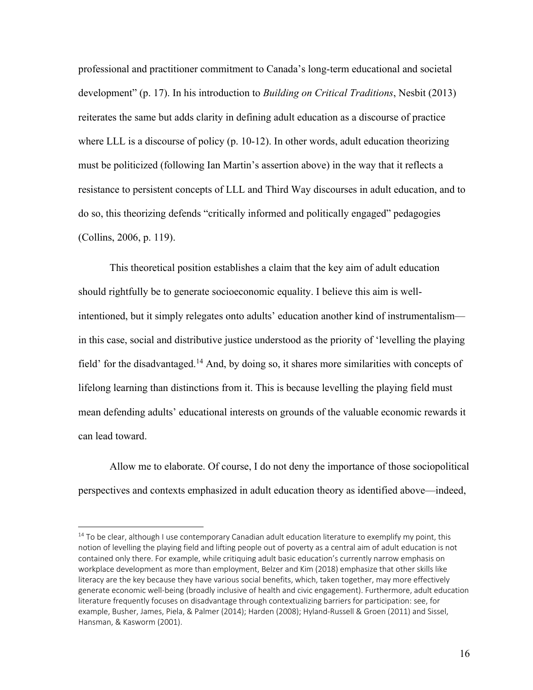professional and practitioner commitment to Canada's long-term educational and societal development" (p. 17). In his introduction to *Building on Critical Traditions*, Nesbit (2013) reiterates the same but adds clarity in defining adult education as a discourse of practice where LLL is a discourse of policy (p. 10-12). In other words, adult education theorizing must be politicized (following Ian Martin's assertion above) in the way that it reflects a resistance to persistent concepts of LLL and Third Way discourses in adult education, and to do so, this theorizing defends "critically informed and politically engaged" pedagogies (Collins, 2006, p. 119).

This theoretical position establishes a claim that the key aim of adult education should rightfully be to generate socioeconomic equality. I believe this aim is wellintentioned, but it simply relegates onto adults' education another kind of instrumentalism in this case, social and distributive justice understood as the priority of 'levelling the playing field' for the disadvantaged.<sup>14</sup> And, by doing so, it shares more similarities with concepts of lifelong learning than distinctions from it. This is because levelling the playing field must mean defending adults' educational interests on grounds of the valuable economic rewards it can lead toward.

Allow me to elaborate. Of course, I do not deny the importance of those sociopolitical perspectives and contexts emphasized in adult education theory as identified above—indeed,

<sup>&</sup>lt;sup>14</sup> To be clear, although I use contemporary Canadian adult education literature to exemplify my point, this notion of levelling the playing field and lifting people out of poverty as a central aim of adult education is not contained only there. For example, while critiquing adult basic education's currently narrow emphasis on workplace development as more than employment, Belzer and Kim (2018) emphasize that other skills like literacy are the key because they have various social benefits, which, taken together, may more effectively generate economic well-being (broadly inclusive of health and civic engagement). Furthermore, adult education literature frequently focuses on disadvantage through contextualizing barriers for participation: see, for example, Busher, James, Piela, & Palmer (2014); Harden (2008); Hyland-Russell & Groen (2011) and Sissel, Hansman, & Kasworm (2001).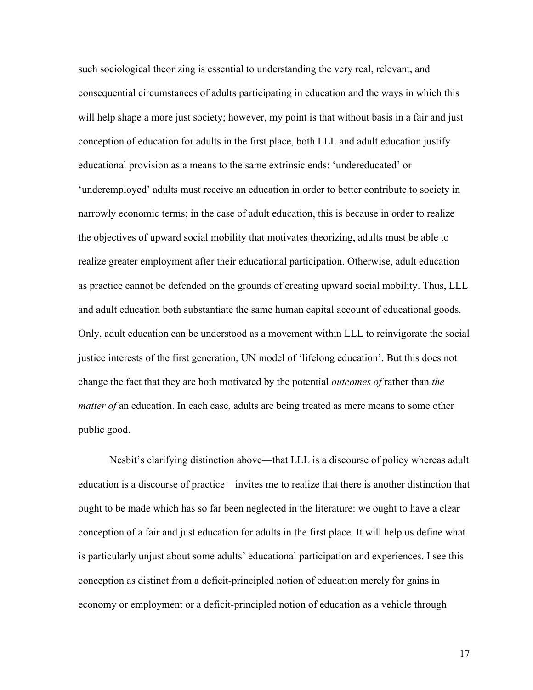such sociological theorizing is essential to understanding the very real, relevant, and consequential circumstances of adults participating in education and the ways in which this will help shape a more just society; however, my point is that without basis in a fair and just conception of education for adults in the first place, both LLL and adult education justify educational provision as a means to the same extrinsic ends: 'undereducated' or 'underemployed' adults must receive an education in order to better contribute to society in narrowly economic terms; in the case of adult education, this is because in order to realize the objectives of upward social mobility that motivates theorizing, adults must be able to realize greater employment after their educational participation. Otherwise, adult education as practice cannot be defended on the grounds of creating upward social mobility. Thus, LLL and adult education both substantiate the same human capital account of educational goods. Only, adult education can be understood as a movement within LLL to reinvigorate the social justice interests of the first generation, UN model of 'lifelong education'. But this does not change the fact that they are both motivated by the potential *outcomes of* rather than *the matter of* an education. In each case, adults are being treated as mere means to some other public good.

Nesbit's clarifying distinction above—that LLL is a discourse of policy whereas adult education is a discourse of practice—invites me to realize that there is another distinction that ought to be made which has so far been neglected in the literature: we ought to have a clear conception of a fair and just education for adults in the first place. It will help us define what is particularly unjust about some adults' educational participation and experiences. I see this conception as distinct from a deficit-principled notion of education merely for gains in economy or employment or a deficit-principled notion of education as a vehicle through

17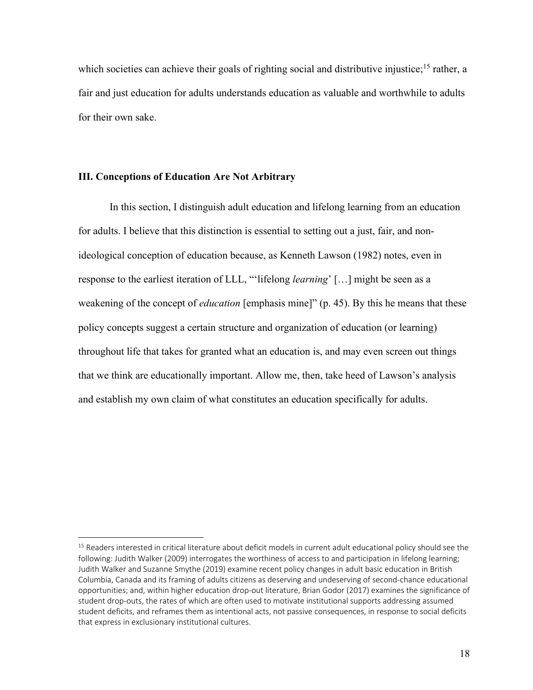which societies can achieve their goals of righting social and distributive injustice;<sup>15</sup> rather, a fair and just education for adults understands education as valuable and worthwhile to adults for their own sake.

#### **III. Conceptions of Education Are Not Arbitrary**

In this section, I distinguish adult education and lifelong learning from an education for adults. I believe that this distinction is essential to setting out a just, fair, and nonideological conception of education because, as Kenneth Lawson (1982) notes, even in response to the earliest iteration of LLL, "'lifelong *learning*' […] might be seen as a weakening of the concept of *education* [emphasis mine]" (p. 45). By this he means that these policy concepts suggest a certain structure and organization of education (or learning) throughout life that takes for granted what an education is, and may even screen out things that we think are educationally important. Allow me, then, take heed of Lawson's analysis and establish my own claim of what constitutes an education specifically for adults.

<sup>&</sup>lt;sup>15</sup> Readers interested in critical literature about deficit models in current adult educational policy should see the following: Judith Walker (2009) interrogates the worthiness of access to and participation in lifelong learning; Judith Walker and Suzanne Smythe (2019) examine recent policy changes in adult basic education in British Columbia, Canada and its framing of adults citizens as deserving and undeserving of second-chance educational opportunities; and, within higher education drop-out literature, Brian Godor (2017) examines the significance of student drop-outs, the rates of which are often used to motivate institutional supports addressing assumed student deficits, and reframes them as intentional acts, not passive consequences, in response to social deficits that express in exclusionary institutional cultures.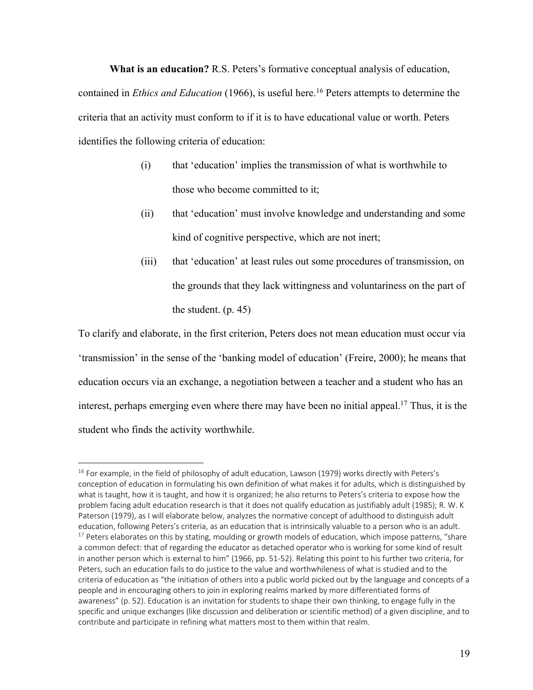**What is an education?** R.S. Peters's formative conceptual analysis of education,

contained in *Ethics and Education* (1966), is useful here. <sup>16</sup> Peters attempts to determine the criteria that an activity must conform to if it is to have educational value or worth. Peters identifies the following criteria of education:

- (i) that 'education' implies the transmission of what is worthwhile to those who become committed to it;
- (ii) that 'education' must involve knowledge and understanding and some kind of cognitive perspective, which are not inert;
- (iii) that 'education' at least rules out some procedures of transmission, on the grounds that they lack wittingness and voluntariness on the part of the student. (p. 45)

To clarify and elaborate, in the first criterion, Peters does not mean education must occur via 'transmission' in the sense of the 'banking model of education' (Freire, 2000); he means that education occurs via an exchange, a negotiation between a teacher and a student who has an interest, perhaps emerging even where there may have been no initial appeal.<sup>17</sup> Thus, it is the student who finds the activity worthwhile.

 $16$  For example, in the field of philosophy of adult education, Lawson (1979) works directly with Peters's conception of education in formulating his own definition of what makes it for adults, which is distinguished by what is taught, how it is taught, and how it is organized; he also returns to Peters's criteria to expose how the problem facing adult education research is that it does not qualify education as justifiably adult (1985); R. W. K Paterson (1979), as I will elaborate below, analyzes the normative concept of adulthood to distinguish adult education, following Peters's criteria, as an education that is intrinsically valuable to a person who is an adult. <sup>17</sup> Peters elaborates on this by stating, moulding or growth models of education, which impose patterns, "share a common defect: that of regarding the educator as detached operator who is working for some kind of result in another person which is external to him" (1966, pp. 51-52). Relating this point to his further two criteria, for Peters, such an education fails to do justice to the value and worthwhileness of what is studied and to the criteria of education as "the initiation of others into a public world picked out by the language and concepts of a people and in encouraging others to join in exploring realms marked by more differentiated forms of awareness" (p. 52). Education is an invitation for students to shape their own thinking, to engage fully in the specific and unique exchanges (like discussion and deliberation or scientific method) of a given discipline, and to contribute and participate in refining what matters most to them within that realm.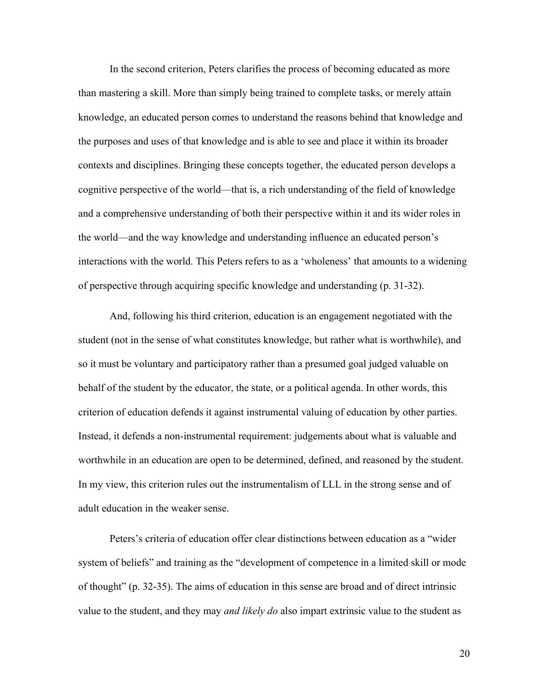In the second criterion, Peters clarifies the process of becoming educated as more than mastering a skill. More than simply being trained to complete tasks, or merely attain knowledge, an educated person comes to understand the reasons behind that knowledge and the purposes and uses of that knowledge and is able to see and place it within its broader contexts and disciplines. Bringing these concepts together, the educated person develops a cognitive perspective of the world—that is, a rich understanding of the field of knowledge and a comprehensive understanding of both their perspective within it and its wider roles in the world—and the way knowledge and understanding influence an educated person's interactions with the world. This Peters refers to as a 'wholeness' that amounts to a widening of perspective through acquiring specific knowledge and understanding (p. 31-32).

And, following his third criterion, education is an engagement negotiated with the student (not in the sense of what constitutes knowledge, but rather what is worthwhile), and so it must be voluntary and participatory rather than a presumed goal judged valuable on behalf of the student by the educator, the state, or a political agenda. In other words, this criterion of education defends it against instrumental valuing of education by other parties. Instead, it defends a non-instrumental requirement: judgements about what is valuable and worthwhile in an education are open to be determined, defined, and reasoned by the student. In my view, this criterion rules out the instrumentalism of LLL in the strong sense and of adult education in the weaker sense.

Peters's criteria of education offer clear distinctions between education as a "wider system of beliefs" and training as the "development of competence in a limited skill or mode of thought" (p. 32-35). The aims of education in this sense are broad and of direct intrinsic value to the student, and they may *and likely do* also impart extrinsic value to the student as

20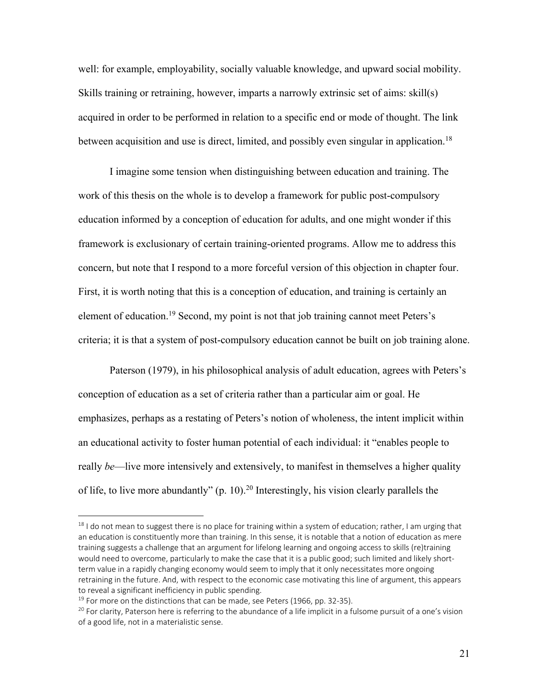well: for example, employability, socially valuable knowledge, and upward social mobility. Skills training or retraining, however, imparts a narrowly extrinsic set of aims: skill(s) acquired in order to be performed in relation to a specific end or mode of thought. The link between acquisition and use is direct, limited, and possibly even singular in application.<sup>18</sup>

I imagine some tension when distinguishing between education and training. The work of this thesis on the whole is to develop a framework for public post-compulsory education informed by a conception of education for adults, and one might wonder if this framework is exclusionary of certain training-oriented programs. Allow me to address this concern, but note that I respond to a more forceful version of this objection in chapter four. First, it is worth noting that this is a conception of education, and training is certainly an element of education.<sup>19</sup> Second, my point is not that job training cannot meet Peters's criteria; it is that a system of post-compulsory education cannot be built on job training alone.

Paterson (1979), in his philosophical analysis of adult education, agrees with Peters's conception of education as a set of criteria rather than a particular aim or goal. He emphasizes, perhaps as a restating of Peters's notion of wholeness, the intent implicit within an educational activity to foster human potential of each individual: it "enables people to really *be*—live more intensively and extensively, to manifest in themselves a higher quality of life, to live more abundantly" (p. 10).<sup>20</sup> Interestingly, his vision clearly parallels the

 $18$  I do not mean to suggest there is no place for training within a system of education; rather, I am urging that an education is constituently more than training. In this sense, it is notable that a notion of education as mere training suggests a challenge that an argument for lifelong learning and ongoing access to skills (re)training would need to overcome, particularly to make the case that it is a public good; such limited and likely shortterm value in a rapidly changing economy would seem to imply that it only necessitates more ongoing retraining in the future. And, with respect to the economic case motivating this line of argument, this appears to reveal a significant inefficiency in public spending.

 $19$  For more on the distinctions that can be made, see Peters (1966, pp. 32-35).

 $20$  For clarity, Paterson here is referring to the abundance of a life implicit in a fulsome pursuit of a one's vision of a good life, not in a materialistic sense.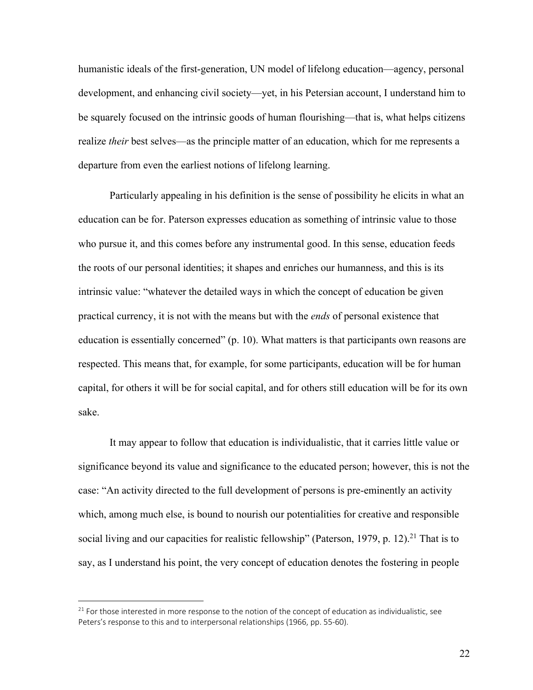humanistic ideals of the first-generation, UN model of lifelong education—agency, personal development, and enhancing civil society—yet, in his Petersian account, I understand him to be squarely focused on the intrinsic goods of human flourishing—that is, what helps citizens realize *their* best selves—as the principle matter of an education, which for me represents a departure from even the earliest notions of lifelong learning.

Particularly appealing in his definition is the sense of possibility he elicits in what an education can be for. Paterson expresses education as something of intrinsic value to those who pursue it, and this comes before any instrumental good. In this sense, education feeds the roots of our personal identities; it shapes and enriches our humanness, and this is its intrinsic value: "whatever the detailed ways in which the concept of education be given practical currency, it is not with the means but with the *ends* of personal existence that education is essentially concerned" (p. 10). What matters is that participants own reasons are respected. This means that, for example, for some participants, education will be for human capital, for others it will be for social capital, and for others still education will be for its own sake.

It may appear to follow that education is individualistic, that it carries little value or significance beyond its value and significance to the educated person; however, this is not the case: "An activity directed to the full development of persons is pre-eminently an activity which, among much else, is bound to nourish our potentialities for creative and responsible social living and our capacities for realistic fellowship" (Paterson, 1979, p. 12).<sup>21</sup> That is to say, as I understand his point, the very concept of education denotes the fostering in people

 $21$  For those interested in more response to the notion of the concept of education as individualistic, see Peters's response to this and to interpersonal relationships (1966, pp. 55-60).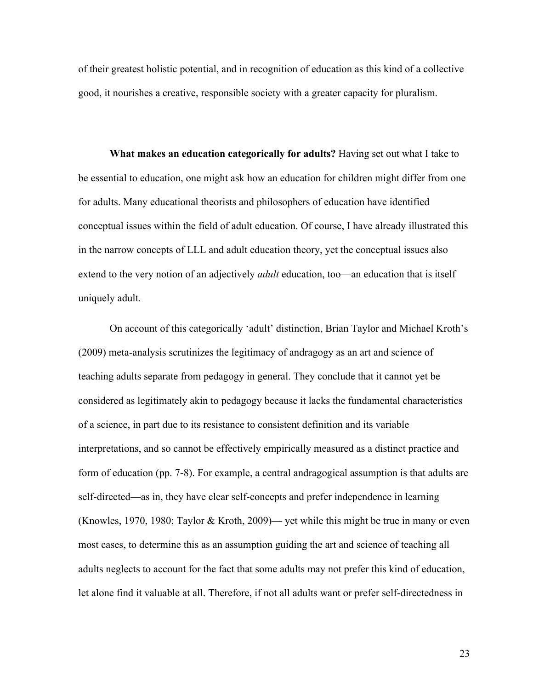of their greatest holistic potential, and in recognition of education as this kind of a collective good, it nourishes a creative, responsible society with a greater capacity for pluralism.

**What makes an education categorically for adults?** Having set out what I take to be essential to education, one might ask how an education for children might differ from one for adults. Many educational theorists and philosophers of education have identified conceptual issues within the field of adult education. Of course, I have already illustrated this in the narrow concepts of LLL and adult education theory, yet the conceptual issues also extend to the very notion of an adjectively *adult* education, too—an education that is itself uniquely adult.

On account of this categorically 'adult' distinction, Brian Taylor and Michael Kroth's (2009) meta-analysis scrutinizes the legitimacy of andragogy as an art and science of teaching adults separate from pedagogy in general. They conclude that it cannot yet be considered as legitimately akin to pedagogy because it lacks the fundamental characteristics of a science, in part due to its resistance to consistent definition and its variable interpretations, and so cannot be effectively empirically measured as a distinct practice and form of education (pp. 7-8). For example, a central andragogical assumption is that adults are self-directed—as in, they have clear self-concepts and prefer independence in learning (Knowles, 1970, 1980; Taylor & Kroth, 2009)— yet while this might be true in many or even most cases, to determine this as an assumption guiding the art and science of teaching all adults neglects to account for the fact that some adults may not prefer this kind of education, let alone find it valuable at all. Therefore, if not all adults want or prefer self-directedness in

23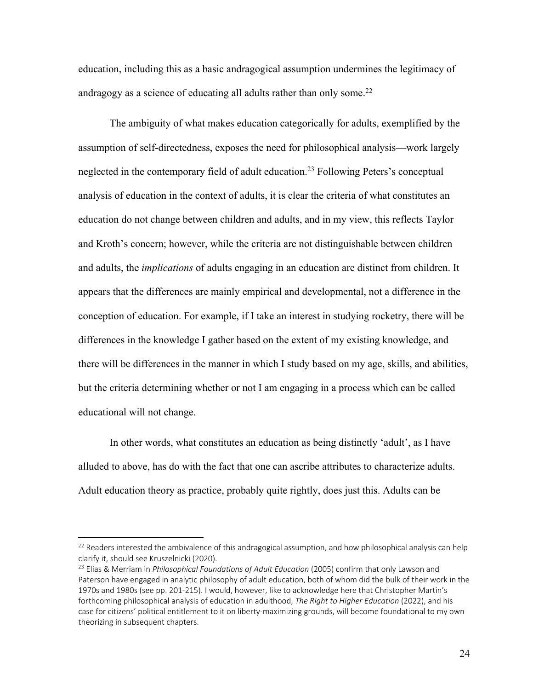education, including this as a basic andragogical assumption undermines the legitimacy of andragogy as a science of educating all adults rather than only some.<sup>22</sup>

The ambiguity of what makes education categorically for adults, exemplified by the assumption of self-directedness, exposes the need for philosophical analysis—work largely neglected in the contemporary field of adult education.<sup>23</sup> Following Peters's conceptual analysis of education in the context of adults, it is clear the criteria of what constitutes an education do not change between children and adults, and in my view, this reflects Taylor and Kroth's concern; however, while the criteria are not distinguishable between children and adults, the *implications* of adults engaging in an education are distinct from children. It appears that the differences are mainly empirical and developmental, not a difference in the conception of education. For example, if I take an interest in studying rocketry, there will be differences in the knowledge I gather based on the extent of my existing knowledge, and there will be differences in the manner in which I study based on my age, skills, and abilities, but the criteria determining whether or not I am engaging in a process which can be called educational will not change.

In other words, what constitutes an education as being distinctly 'adult', as I have alluded to above, has do with the fact that one can ascribe attributes to characterize adults. Adult education theory as practice, probably quite rightly, does just this. Adults can be

<sup>&</sup>lt;sup>22</sup> Readers interested the ambivalence of this andragogical assumption, and how philosophical analysis can help clarify it, should see Kruszelnicki (2020).

<sup>23</sup> Elias & Merriam in *Philosophical Foundations of Adult Education* (2005) confirm that only Lawson and Paterson have engaged in analytic philosophy of adult education, both of whom did the bulk of their work in the 1970s and 1980s (see pp. 201-215). I would, however, like to acknowledge here that Christopher Martin's forthcoming philosophical analysis of education in adulthood, *The Right to Higher Education* (2022), and his case for citizens' political entitlement to it on liberty-maximizing grounds, will become foundational to my own theorizing in subsequent chapters.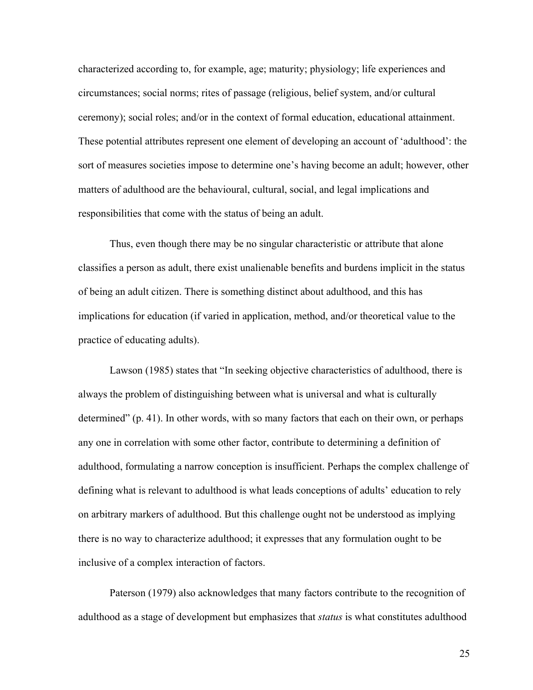characterized according to, for example, age; maturity; physiology; life experiences and circumstances; social norms; rites of passage (religious, belief system, and/or cultural ceremony); social roles; and/or in the context of formal education, educational attainment. These potential attributes represent one element of developing an account of 'adulthood': the sort of measures societies impose to determine one's having become an adult; however, other matters of adulthood are the behavioural, cultural, social, and legal implications and responsibilities that come with the status of being an adult.

Thus, even though there may be no singular characteristic or attribute that alone classifies a person as adult, there exist unalienable benefits and burdens implicit in the status of being an adult citizen. There is something distinct about adulthood, and this has implications for education (if varied in application, method, and/or theoretical value to the practice of educating adults).

Lawson (1985) states that "In seeking objective characteristics of adulthood, there is always the problem of distinguishing between what is universal and what is culturally determined" (p. 41). In other words, with so many factors that each on their own, or perhaps any one in correlation with some other factor, contribute to determining a definition of adulthood, formulating a narrow conception is insufficient. Perhaps the complex challenge of defining what is relevant to adulthood is what leads conceptions of adults' education to rely on arbitrary markers of adulthood. But this challenge ought not be understood as implying there is no way to characterize adulthood; it expresses that any formulation ought to be inclusive of a complex interaction of factors.

Paterson (1979) also acknowledges that many factors contribute to the recognition of adulthood as a stage of development but emphasizes that *status* is what constitutes adulthood

25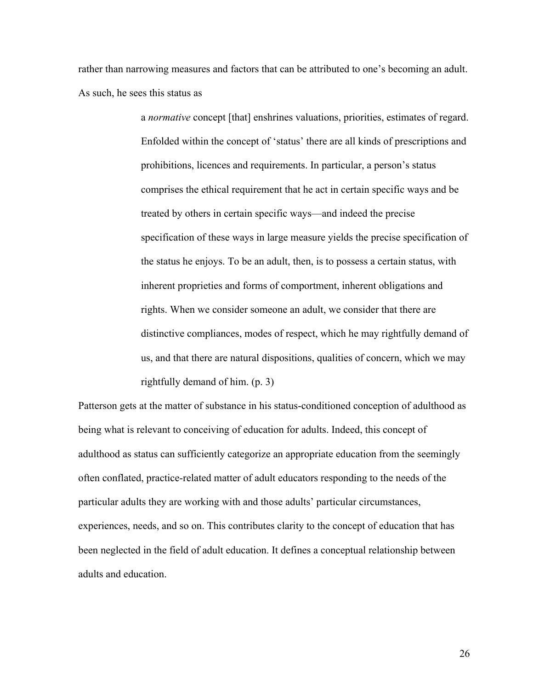rather than narrowing measures and factors that can be attributed to one's becoming an adult. As such, he sees this status as

> a *normative* concept [that] enshrines valuations, priorities, estimates of regard. Enfolded within the concept of 'status' there are all kinds of prescriptions and prohibitions, licences and requirements. In particular, a person's status comprises the ethical requirement that he act in certain specific ways and be treated by others in certain specific ways—and indeed the precise specification of these ways in large measure yields the precise specification of the status he enjoys. To be an adult, then, is to possess a certain status, with inherent proprieties and forms of comportment, inherent obligations and rights. When we consider someone an adult, we consider that there are distinctive compliances, modes of respect, which he may rightfully demand of us, and that there are natural dispositions, qualities of concern, which we may rightfully demand of him. (p. 3)

Patterson gets at the matter of substance in his status-conditioned conception of adulthood as being what is relevant to conceiving of education for adults. Indeed, this concept of adulthood as status can sufficiently categorize an appropriate education from the seemingly often conflated, practice-related matter of adult educators responding to the needs of the particular adults they are working with and those adults' particular circumstances, experiences, needs, and so on. This contributes clarity to the concept of education that has been neglected in the field of adult education. It defines a conceptual relationship between adults and education.

26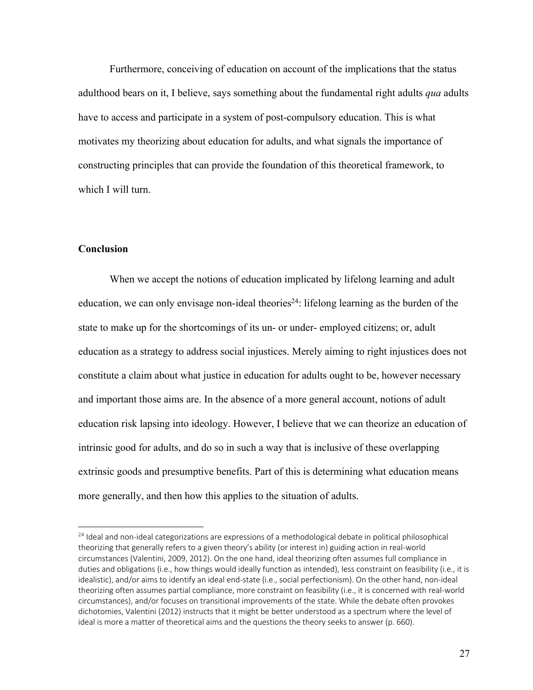Furthermore, conceiving of education on account of the implications that the status adulthood bears on it, I believe, says something about the fundamental right adults *qua* adults have to access and participate in a system of post-compulsory education. This is what motivates my theorizing about education for adults, and what signals the importance of constructing principles that can provide the foundation of this theoretical framework, to which I will turn.

#### **Conclusion**

When we accept the notions of education implicated by lifelong learning and adult education, we can only envisage non-ideal theories<sup>24</sup>: lifelong learning as the burden of the state to make up for the shortcomings of its un- or under- employed citizens; or, adult education as a strategy to address social injustices. Merely aiming to right injustices does not constitute a claim about what justice in education for adults ought to be, however necessary and important those aims are. In the absence of a more general account, notions of adult education risk lapsing into ideology. However, I believe that we can theorize an education of intrinsic good for adults, and do so in such a way that is inclusive of these overlapping extrinsic goods and presumptive benefits. Part of this is determining what education means more generally, and then how this applies to the situation of adults.

<sup>&</sup>lt;sup>24</sup> Ideal and non-ideal categorizations are expressions of a methodological debate in political philosophical theorizing that generally refers to a given theory's ability (or interest in) guiding action in real-world circumstances (Valentini, 2009, 2012). On the one hand, ideal theorizing often assumes full compliance in duties and obligations (i.e., how things would ideally function as intended), less constraint on feasibility (i.e., it is idealistic), and/or aims to identify an ideal end-state (i.e., social perfectionism). On the other hand, non-ideal theorizing often assumes partial compliance, more constraint on feasibility (i.e., it is concerned with real-world circumstances), and/or focuses on transitional improvements of the state. While the debate often provokes dichotomies, Valentini (2012) instructs that it might be better understood as a spectrum where the level of ideal is more a matter of theoretical aims and the questions the theory seeks to answer (p. 660).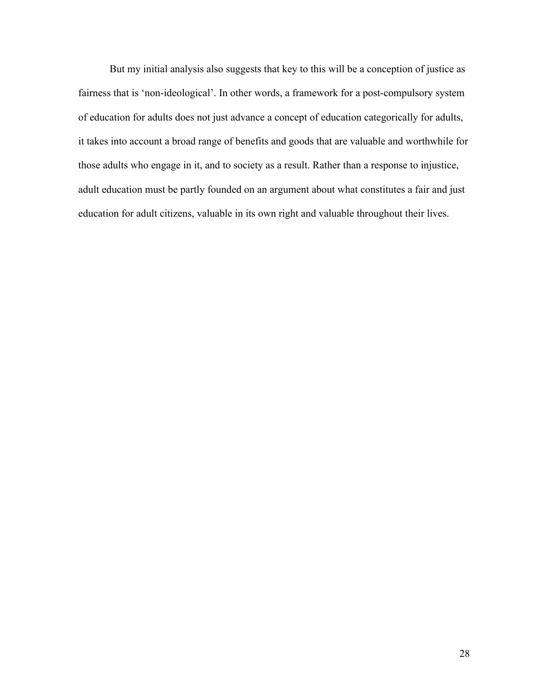But my initial analysis also suggests that key to this will be a conception of justice as fairness that is 'non-ideological'. In other words, a framework for a post-compulsory system of education for adults does not just advance a concept of education categorically for adults, it takes into account a broad range of benefits and goods that are valuable and worthwhile for those adults who engage in it, and to society as a result. Rather than a response to injustice, adult education must be partly founded on an argument about what constitutes a fair and just education for adult citizens, valuable in its own right and valuable throughout their lives.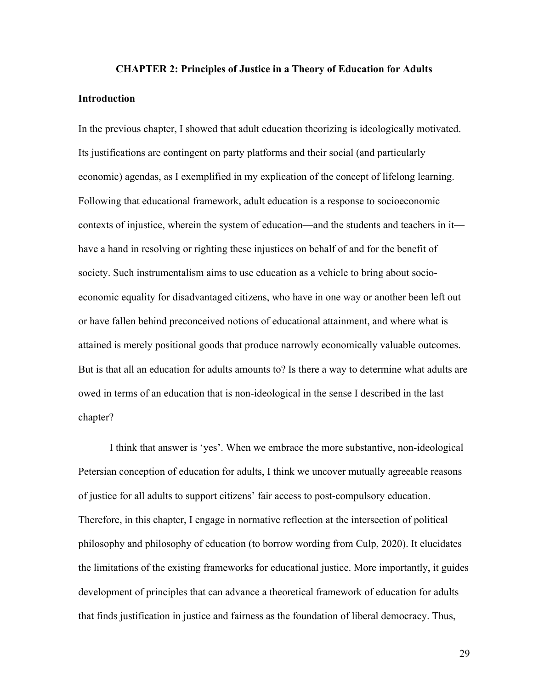# **CHAPTER 2: Principles of Justice in a Theory of Education for Adults Introduction**

In the previous chapter, I showed that adult education theorizing is ideologically motivated. Its justifications are contingent on party platforms and their social (and particularly economic) agendas, as I exemplified in my explication of the concept of lifelong learning. Following that educational framework, adult education is a response to socioeconomic contexts of injustice, wherein the system of education—and the students and teachers in it have a hand in resolving or righting these injustices on behalf of and for the benefit of society. Such instrumentalism aims to use education as a vehicle to bring about socioeconomic equality for disadvantaged citizens, who have in one way or another been left out or have fallen behind preconceived notions of educational attainment, and where what is attained is merely positional goods that produce narrowly economically valuable outcomes. But is that all an education for adults amounts to? Is there a way to determine what adults are owed in terms of an education that is non-ideological in the sense I described in the last chapter?

I think that answer is 'yes'. When we embrace the more substantive, non-ideological Petersian conception of education for adults, I think we uncover mutually agreeable reasons of justice for all adults to support citizens' fair access to post-compulsory education. Therefore, in this chapter, I engage in normative reflection at the intersection of political philosophy and philosophy of education (to borrow wording from Culp, 2020). It elucidates the limitations of the existing frameworks for educational justice. More importantly, it guides development of principles that can advance a theoretical framework of education for adults that finds justification in justice and fairness as the foundation of liberal democracy. Thus,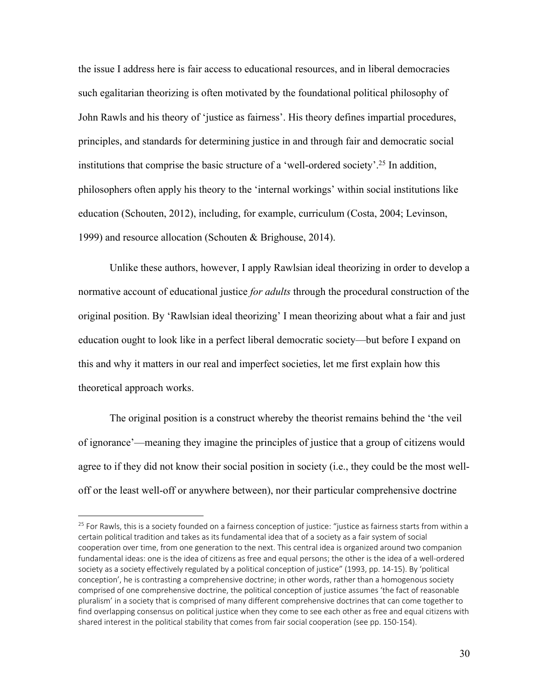the issue I address here is fair access to educational resources, and in liberal democracies such egalitarian theorizing is often motivated by the foundational political philosophy of John Rawls and his theory of 'justice as fairness'. His theory defines impartial procedures, principles, and standards for determining justice in and through fair and democratic social institutions that comprise the basic structure of a 'well-ordered society'. <sup>25</sup> In addition, philosophers often apply his theory to the 'internal workings' within social institutions like education (Schouten, 2012), including, for example, curriculum (Costa, 2004; Levinson, 1999) and resource allocation (Schouten & Brighouse, 2014).

Unlike these authors, however, I apply Rawlsian ideal theorizing in order to develop a normative account of educational justice *for adults* through the procedural construction of the original position. By 'Rawlsian ideal theorizing' I mean theorizing about what a fair and just education ought to look like in a perfect liberal democratic society—but before I expand on this and why it matters in our real and imperfect societies, let me first explain how this theoretical approach works.

The original position is a construct whereby the theorist remains behind the 'the veil of ignorance'—meaning they imagine the principles of justice that a group of citizens would agree to if they did not know their social position in society (i.e., they could be the most welloff or the least well-off or anywhere between), nor their particular comprehensive doctrine

<sup>&</sup>lt;sup>25</sup> For Rawls, this is a society founded on a fairness conception of justice: "justice as fairness starts from within a certain political tradition and takes as its fundamental idea that of a society as a fair system of social cooperation over time, from one generation to the next. This central idea is organized around two companion fundamental ideas: one is the idea of citizens as free and equal persons; the other is the idea of a well-ordered society as a society effectively regulated by a political conception of justice" (1993, pp. 14-15). By 'political conception', he is contrasting a comprehensive doctrine; in other words, rather than a homogenous society comprised of one comprehensive doctrine, the political conception of justice assumes 'the fact of reasonable pluralism' in a society that is comprised of many different comprehensive doctrines that can come together to find overlapping consensus on political justice when they come to see each other as free and equal citizens with shared interest in the political stability that comes from fair social cooperation (see pp. 150-154).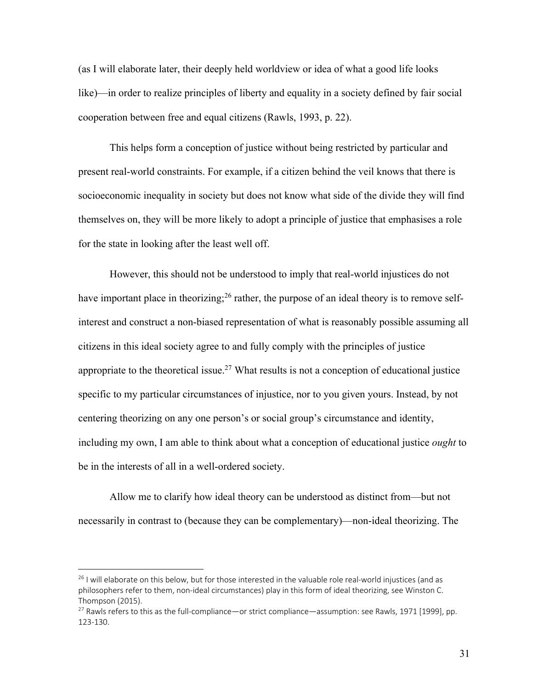(as I will elaborate later, their deeply held worldview or idea of what a good life looks like)—in order to realize principles of liberty and equality in a society defined by fair social cooperation between free and equal citizens (Rawls, 1993, p. 22).

This helps form a conception of justice without being restricted by particular and present real-world constraints. For example, if a citizen behind the veil knows that there is socioeconomic inequality in society but does not know what side of the divide they will find themselves on, they will be more likely to adopt a principle of justice that emphasises a role for the state in looking after the least well off.

However, this should not be understood to imply that real-world injustices do not have important place in theorizing;  $^{26}$  rather, the purpose of an ideal theory is to remove selfinterest and construct a non-biased representation of what is reasonably possible assuming all citizens in this ideal society agree to and fully comply with the principles of justice appropriate to the theoretical issue.<sup>27</sup> What results is not a conception of educational justice specific to my particular circumstances of injustice, nor to you given yours. Instead, by not centering theorizing on any one person's or social group's circumstance and identity, including my own, I am able to think about what a conception of educational justice *ought* to be in the interests of all in a well-ordered society.

Allow me to clarify how ideal theory can be understood as distinct from—but not necessarily in contrast to (because they can be complementary)—non-ideal theorizing. The

<sup>&</sup>lt;sup>26</sup> I will elaborate on this below, but for those interested in the valuable role real-world injustices (and as philosophers refer to them, non-ideal circumstances) play in this form of ideal theorizing, see Winston C. Thompson (2015).

<sup>&</sup>lt;sup>27</sup> Rawls refers to this as the full-compliance—or strict compliance—assumption: see Rawls, 1971 [1999], pp. 123-130.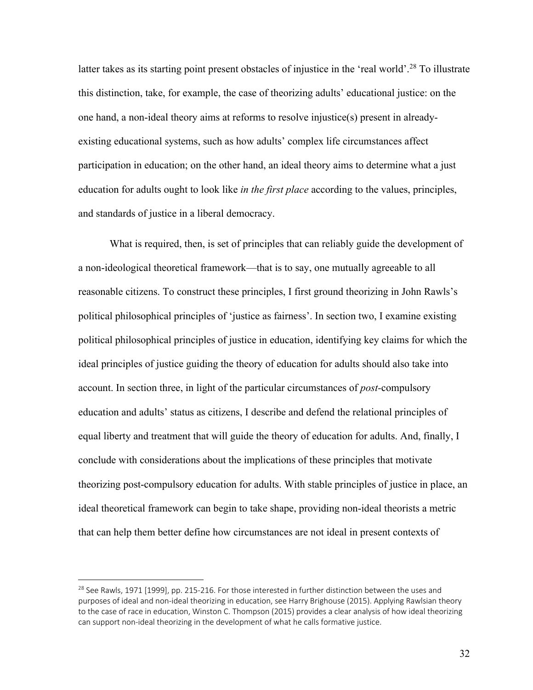latter takes as its starting point present obstacles of injustice in the 'real world'.<sup>28</sup> To illustrate this distinction, take, for example, the case of theorizing adults' educational justice: on the one hand, a non-ideal theory aims at reforms to resolve injustice(s) present in alreadyexisting educational systems, such as how adults' complex life circumstances affect participation in education; on the other hand, an ideal theory aims to determine what a just education for adults ought to look like *in the first place* according to the values, principles, and standards of justice in a liberal democracy.

What is required, then, is set of principles that can reliably guide the development of a non-ideological theoretical framework—that is to say, one mutually agreeable to all reasonable citizens. To construct these principles, I first ground theorizing in John Rawls's political philosophical principles of 'justice as fairness'. In section two, I examine existing political philosophical principles of justice in education, identifying key claims for which the ideal principles of justice guiding the theory of education for adults should also take into account. In section three, in light of the particular circumstances of *post-*compulsory education and adults' status as citizens, I describe and defend the relational principles of equal liberty and treatment that will guide the theory of education for adults. And, finally, I conclude with considerations about the implications of these principles that motivate theorizing post-compulsory education for adults. With stable principles of justice in place, an ideal theoretical framework can begin to take shape, providing non-ideal theorists a metric that can help them better define how circumstances are not ideal in present contexts of

 $^{28}$  See Rawls, 1971 [1999], pp. 215-216. For those interested in further distinction between the uses and purposes of ideal and non-ideal theorizing in education, see Harry Brighouse (2015). Applying Rawlsian theory to the case of race in education, Winston C. Thompson (2015) provides a clear analysis of how ideal theorizing can support non-ideal theorizing in the development of what he calls formative justice.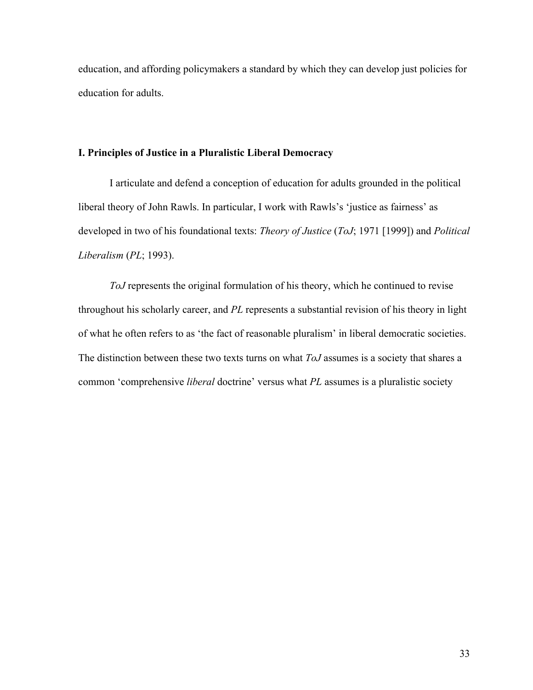education, and affording policymakers a standard by which they can develop just policies for education for adults.

#### **I. Principles of Justice in a Pluralistic Liberal Democracy**

I articulate and defend a conception of education for adults grounded in the political liberal theory of John Rawls. In particular, I work with Rawls's 'justice as fairness' as developed in two of his foundational texts: *Theory of Justice* (*ToJ*; 1971 [1999]) and *Political Liberalism* (*PL*; 1993).

*ToJ* represents the original formulation of his theory, which he continued to revise throughout his scholarly career, and *PL* represents a substantial revision of his theory in light of what he often refers to as 'the fact of reasonable pluralism' in liberal democratic societies. The distinction between these two texts turns on what *ToJ* assumes is a society that shares a common 'comprehensive *liberal* doctrine' versus what *PL* assumes is a pluralistic society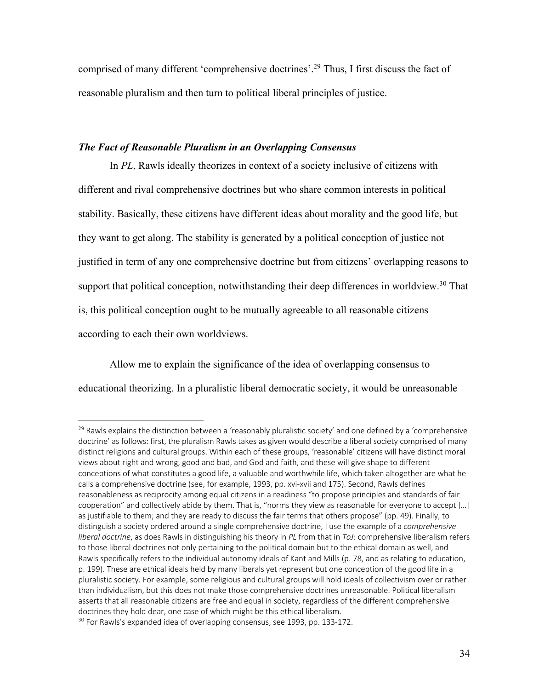comprised of many different 'comprehensive doctrines'. <sup>29</sup> Thus, I first discuss the fact of reasonable pluralism and then turn to political liberal principles of justice.

#### *The Fact of Reasonable Pluralism in an Overlapping Consensus*

In *PL*, Rawls ideally theorizes in context of a society inclusive of citizens with different and rival comprehensive doctrines but who share common interests in political stability. Basically, these citizens have different ideas about morality and the good life, but they want to get along. The stability is generated by a political conception of justice not justified in term of any one comprehensive doctrine but from citizens' overlapping reasons to support that political conception, notwithstanding their deep differences in worldview.<sup>30</sup> That is, this political conception ought to be mutually agreeable to all reasonable citizens according to each their own worldviews.

Allow me to explain the significance of the idea of overlapping consensus to educational theorizing. In a pluralistic liberal democratic society, it would be unreasonable

 $^{29}$  Rawls explains the distinction between a 'reasonably pluralistic society' and one defined by a 'comprehensive doctrine' as follows: first, the pluralism Rawls takes as given would describe a liberal society comprised of many distinct religions and cultural groups. Within each of these groups, 'reasonable' citizens will have distinct moral views about right and wrong, good and bad, and God and faith, and these will give shape to different conceptions of what constitutes a good life, a valuable and worthwhile life, which taken altogether are what he calls a comprehensive doctrine (see, for example, 1993, pp. xvi-xvii and 175). Second, Rawls defines reasonableness as reciprocity among equal citizens in a readiness "to propose principles and standards of fair cooperation" and collectively abide by them. That is, "norms they view as reasonable for everyone to accept […] as justifiable to them; and they are ready to discuss the fair terms that others propose" (pp. 49). Finally, to distinguish a society ordered around a single comprehensive doctrine, I use the example of a *comprehensive liberal doctrine*, as does Rawls in distinguishing his theory in *PL* from that in *ToJ*: comprehensive liberalism refers to those liberal doctrines not only pertaining to the political domain but to the ethical domain as well, and Rawls specifically refers to the individual autonomy ideals of Kant and Mills (p. 78, and as relating to education, p. 199). These are ethical ideals held by many liberals yet represent but one conception of the good life in a pluralistic society. For example, some religious and cultural groups will hold ideals of collectivism over or rather than individualism, but this does not make those comprehensive doctrines unreasonable. Political liberalism asserts that all reasonable citizens are free and equal in society, regardless of the different comprehensive doctrines they hold dear, one case of which might be this ethical liberalism.

<sup>&</sup>lt;sup>30</sup> For Rawls's expanded idea of overlapping consensus, see 1993, pp. 133-172.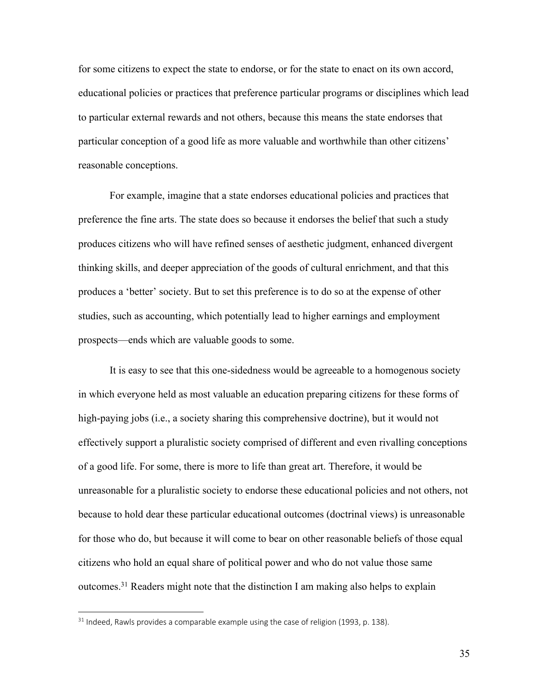for some citizens to expect the state to endorse, or for the state to enact on its own accord, educational policies or practices that preference particular programs or disciplines which lead to particular external rewards and not others, because this means the state endorses that particular conception of a good life as more valuable and worthwhile than other citizens' reasonable conceptions.

For example, imagine that a state endorses educational policies and practices that preference the fine arts. The state does so because it endorses the belief that such a study produces citizens who will have refined senses of aesthetic judgment, enhanced divergent thinking skills, and deeper appreciation of the goods of cultural enrichment, and that this produces a 'better' society. But to set this preference is to do so at the expense of other studies, such as accounting, which potentially lead to higher earnings and employment prospects—ends which are valuable goods to some.

It is easy to see that this one-sidedness would be agreeable to a homogenous society in which everyone held as most valuable an education preparing citizens for these forms of high-paying jobs (i.e., a society sharing this comprehensive doctrine), but it would not effectively support a pluralistic society comprised of different and even rivalling conceptions of a good life. For some, there is more to life than great art. Therefore, it would be unreasonable for a pluralistic society to endorse these educational policies and not others, not because to hold dear these particular educational outcomes (doctrinal views) is unreasonable for those who do, but because it will come to bear on other reasonable beliefs of those equal citizens who hold an equal share of political power and who do not value those same outcomes.<sup>31</sup> Readers might note that the distinction I am making also helps to explain

35

 $31$  Indeed, Rawls provides a comparable example using the case of religion (1993, p. 138).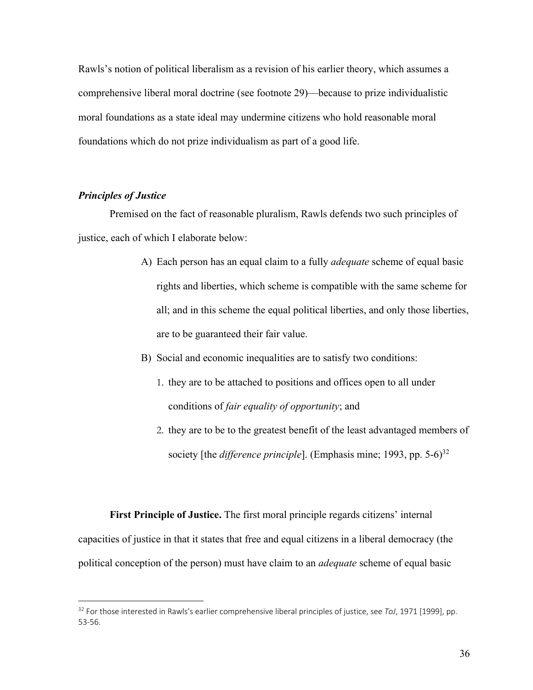Rawls's notion of political liberalism as a revision of his earlier theory, which assumes a comprehensive liberal moral doctrine (see footnote 29)—because to prize individualistic moral foundations as a state ideal may undermine citizens who hold reasonable moral foundations which do not prize individualism as part of a good life.

#### *Principles of Justice*

Premised on the fact of reasonable pluralism, Rawls defends two such principles of justice, each of which I elaborate below:

- A) Each person has an equal claim to a fully *adequate* scheme of equal basic rights and liberties, which scheme is compatible with the same scheme for all; and in this scheme the equal political liberties, and only those liberties, are to be guaranteed their fair value.
- B) Social and economic inequalities are to satisfy two conditions:
	- 1. they are to be attached to positions and offices open to all under conditions of *fair equality of opportunity*; and
	- 2. they are to be to the greatest benefit of the least advantaged members of society [the *difference principle*]. (Emphasis mine; 1993, pp. 5-6)<sup>32</sup>

**First Principle of Justice.** The first moral principle regards citizens' internal capacities of justice in that it states that free and equal citizens in a liberal democracy (the political conception of the person) must have claim to an *adequate* scheme of equal basic

<sup>32</sup> For those interested in Rawls's earlier comprehensive liberal principles of justice, see *ToJ*, 1971 [1999], pp. 53-56.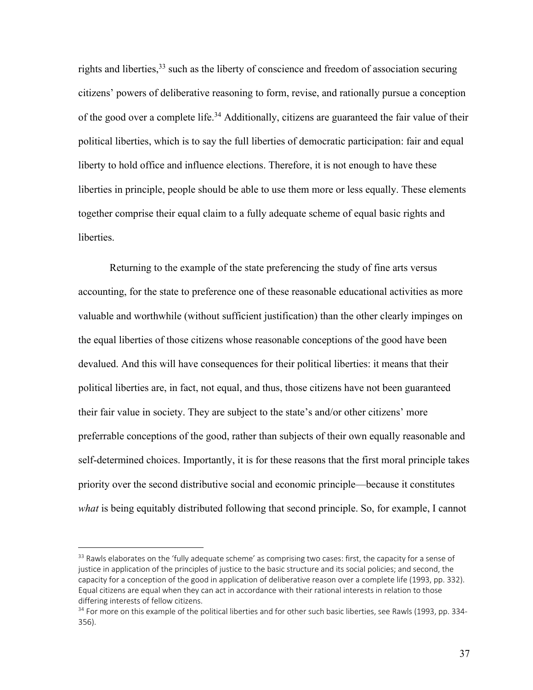rights and liberties,  $33$  such as the liberty of conscience and freedom of association securing citizens' powers of deliberative reasoning to form, revise, and rationally pursue a conception of the good over a complete life.<sup>34</sup> Additionally, citizens are guaranteed the fair value of their political liberties, which is to say the full liberties of democratic participation: fair and equal liberty to hold office and influence elections. Therefore, it is not enough to have these liberties in principle, people should be able to use them more or less equally. These elements together comprise their equal claim to a fully adequate scheme of equal basic rights and liberties.

Returning to the example of the state preferencing the study of fine arts versus accounting, for the state to preference one of these reasonable educational activities as more valuable and worthwhile (without sufficient justification) than the other clearly impinges on the equal liberties of those citizens whose reasonable conceptions of the good have been devalued. And this will have consequences for their political liberties: it means that their political liberties are, in fact, not equal, and thus, those citizens have not been guaranteed their fair value in society. They are subject to the state's and/or other citizens' more preferrable conceptions of the good, rather than subjects of their own equally reasonable and self-determined choices. Importantly, it is for these reasons that the first moral principle takes priority over the second distributive social and economic principle—because it constitutes *what* is being equitably distributed following that second principle. So, for example, I cannot

 $33$  Rawls elaborates on the 'fully adequate scheme' as comprising two cases: first, the capacity for a sense of justice in application of the principles of justice to the basic structure and its social policies; and second, the capacity for a conception of the good in application of deliberative reason over a complete life (1993, pp. 332). Equal citizens are equal when they can act in accordance with their rational interests in relation to those differing interests of fellow citizens.

<sup>&</sup>lt;sup>34</sup> For more on this example of the political liberties and for other such basic liberties, see Rawls (1993, pp. 334-356).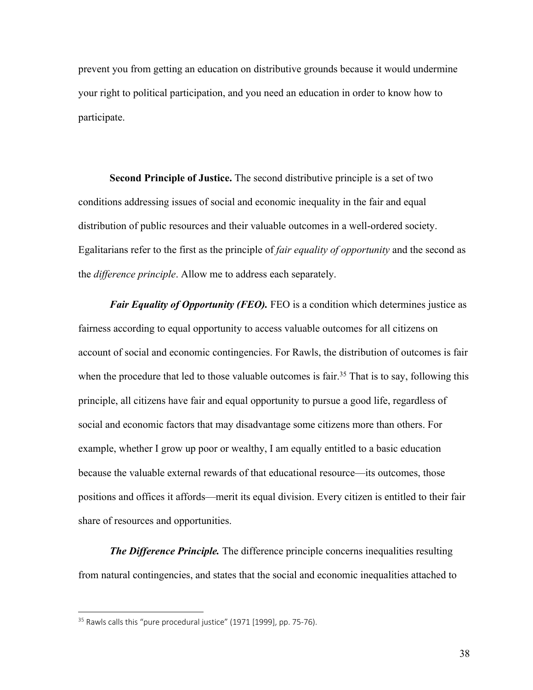prevent you from getting an education on distributive grounds because it would undermine your right to political participation, and you need an education in order to know how to participate.

**Second Principle of Justice.** The second distributive principle is a set of two conditions addressing issues of social and economic inequality in the fair and equal distribution of public resources and their valuable outcomes in a well-ordered society. Egalitarians refer to the first as the principle of *fair equality of opportunity* and the second as the *difference principle*. Allow me to address each separately.

*Fair Equality of Opportunity (FEO).* FEO is a condition which determines justice as fairness according to equal opportunity to access valuable outcomes for all citizens on account of social and economic contingencies. For Rawls, the distribution of outcomes is fair when the procedure that led to those valuable outcomes is fair.<sup>35</sup> That is to say, following this principle, all citizens have fair and equal opportunity to pursue a good life, regardless of social and economic factors that may disadvantage some citizens more than others. For example, whether I grow up poor or wealthy, I am equally entitled to a basic education because the valuable external rewards of that educational resource—its outcomes, those positions and offices it affords—merit its equal division. Every citizen is entitled to their fair share of resources and opportunities.

*The Difference Principle.* The difference principle concerns inequalities resulting from natural contingencies, and states that the social and economic inequalities attached to

<sup>&</sup>lt;sup>35</sup> Rawls calls this "pure procedural justice" (1971 [1999], pp. 75-76).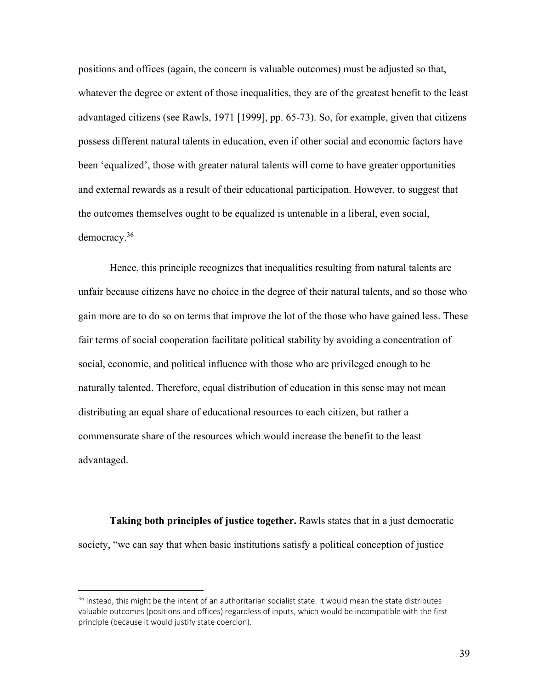positions and offices (again, the concern is valuable outcomes) must be adjusted so that, whatever the degree or extent of those inequalities, they are of the greatest benefit to the least advantaged citizens (see Rawls, 1971 [1999], pp. 65-73). So, for example, given that citizens possess different natural talents in education, even if other social and economic factors have been 'equalized', those with greater natural talents will come to have greater opportunities and external rewards as a result of their educational participation. However, to suggest that the outcomes themselves ought to be equalized is untenable in a liberal, even social, democracy.36

Hence, this principle recognizes that inequalities resulting from natural talents are unfair because citizens have no choice in the degree of their natural talents, and so those who gain more are to do so on terms that improve the lot of the those who have gained less. These fair terms of social cooperation facilitate political stability by avoiding a concentration of social, economic, and political influence with those who are privileged enough to be naturally talented. Therefore, equal distribution of education in this sense may not mean distributing an equal share of educational resources to each citizen, but rather a commensurate share of the resources which would increase the benefit to the least advantaged.

**Taking both principles of justice together.** Rawls states that in a just democratic society, "we can say that when basic institutions satisfy a political conception of justice

 $36$  Instead, this might be the intent of an authoritarian socialist state. It would mean the state distributes valuable outcomes (positions and offices) regardless of inputs, which would be incompatible with the first principle (because it would justify state coercion).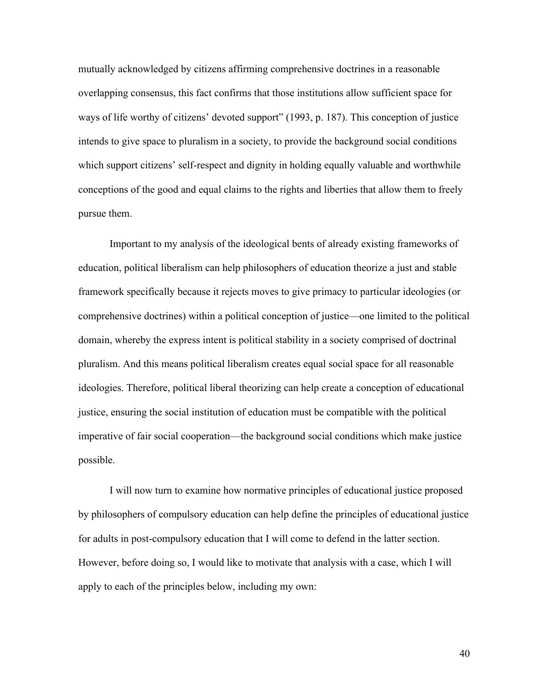mutually acknowledged by citizens affirming comprehensive doctrines in a reasonable overlapping consensus, this fact confirms that those institutions allow sufficient space for ways of life worthy of citizens' devoted support" (1993, p. 187). This conception of justice intends to give space to pluralism in a society, to provide the background social conditions which support citizens' self-respect and dignity in holding equally valuable and worthwhile conceptions of the good and equal claims to the rights and liberties that allow them to freely pursue them.

Important to my analysis of the ideological bents of already existing frameworks of education, political liberalism can help philosophers of education theorize a just and stable framework specifically because it rejects moves to give primacy to particular ideologies (or comprehensive doctrines) within a political conception of justice—one limited to the political domain, whereby the express intent is political stability in a society comprised of doctrinal pluralism. And this means political liberalism creates equal social space for all reasonable ideologies. Therefore, political liberal theorizing can help create a conception of educational justice, ensuring the social institution of education must be compatible with the political imperative of fair social cooperation—the background social conditions which make justice possible.

I will now turn to examine how normative principles of educational justice proposed by philosophers of compulsory education can help define the principles of educational justice for adults in post-compulsory education that I will come to defend in the latter section. However, before doing so, I would like to motivate that analysis with a case, which I will apply to each of the principles below, including my own:

40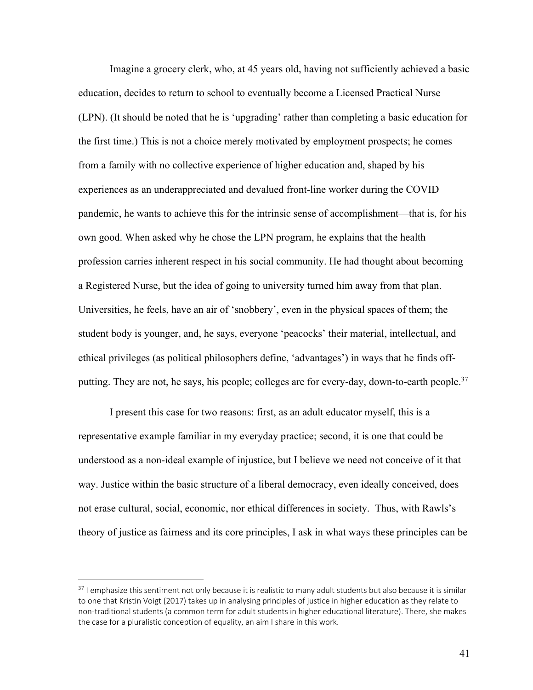Imagine a grocery clerk, who, at 45 years old, having not sufficiently achieved a basic education, decides to return to school to eventually become a Licensed Practical Nurse (LPN). (It should be noted that he is 'upgrading' rather than completing a basic education for the first time.) This is not a choice merely motivated by employment prospects; he comes from a family with no collective experience of higher education and, shaped by his experiences as an underappreciated and devalued front-line worker during the COVID pandemic, he wants to achieve this for the intrinsic sense of accomplishment—that is, for his own good. When asked why he chose the LPN program, he explains that the health profession carries inherent respect in his social community. He had thought about becoming a Registered Nurse, but the idea of going to university turned him away from that plan. Universities, he feels, have an air of 'snobbery', even in the physical spaces of them; the student body is younger, and, he says, everyone 'peacocks' their material, intellectual, and ethical privileges (as political philosophers define, 'advantages') in ways that he finds offputting. They are not, he says, his people; colleges are for every-day, down-to-earth people.<sup>37</sup>

I present this case for two reasons: first, as an adult educator myself, this is a representative example familiar in my everyday practice; second, it is one that could be understood as a non-ideal example of injustice, but I believe we need not conceive of it that way. Justice within the basic structure of a liberal democracy, even ideally conceived, does not erase cultural, social, economic, nor ethical differences in society. Thus, with Rawls's theory of justice as fairness and its core principles, I ask in what ways these principles can be

 $37$  I emphasize this sentiment not only because it is realistic to many adult students but also because it is similar to one that Kristin Voigt (2017) takes up in analysing principles of justice in higher education as they relate to non-traditional students (a common term for adult students in higher educational literature). There, she makes the case for a pluralistic conception of equality, an aim I share in this work.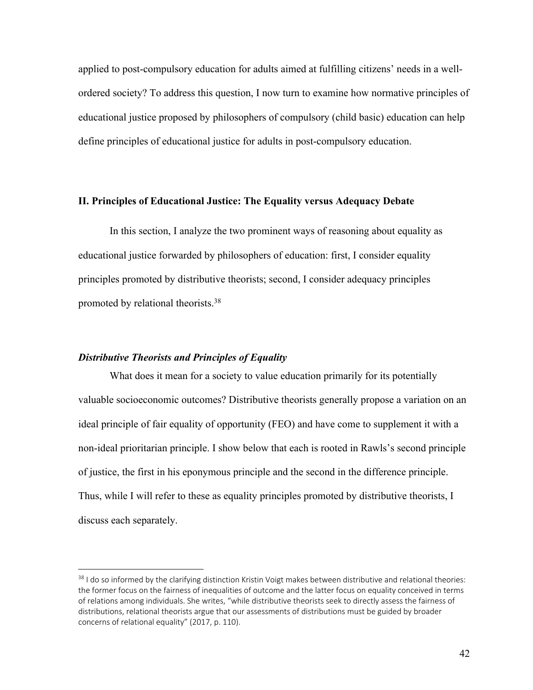applied to post-compulsory education for adults aimed at fulfilling citizens' needs in a wellordered society? To address this question, I now turn to examine how normative principles of educational justice proposed by philosophers of compulsory (child basic) education can help define principles of educational justice for adults in post-compulsory education.

### **II. Principles of Educational Justice: The Equality versus Adequacy Debate**

In this section, I analyze the two prominent ways of reasoning about equality as educational justice forwarded by philosophers of education: first, I consider equality principles promoted by distributive theorists; second, I consider adequacy principles promoted by relational theorists.38

#### *Distributive Theorists and Principles of Equality*

What does it mean for a society to value education primarily for its potentially valuable socioeconomic outcomes? Distributive theorists generally propose a variation on an ideal principle of fair equality of opportunity (FEO) and have come to supplement it with a non-ideal prioritarian principle. I show below that each is rooted in Rawls's second principle of justice, the first in his eponymous principle and the second in the difference principle. Thus, while I will refer to these as equality principles promoted by distributive theorists, I discuss each separately.

 $38$  I do so informed by the clarifying distinction Kristin Voigt makes between distributive and relational theories: the former focus on the fairness of inequalities of outcome and the latter focus on equality conceived in terms of relations among individuals. She writes, "while distributive theorists seek to directly assess the fairness of distributions, relational theorists argue that our assessments of distributions must be guided by broader concerns of relational equality" (2017, p. 110).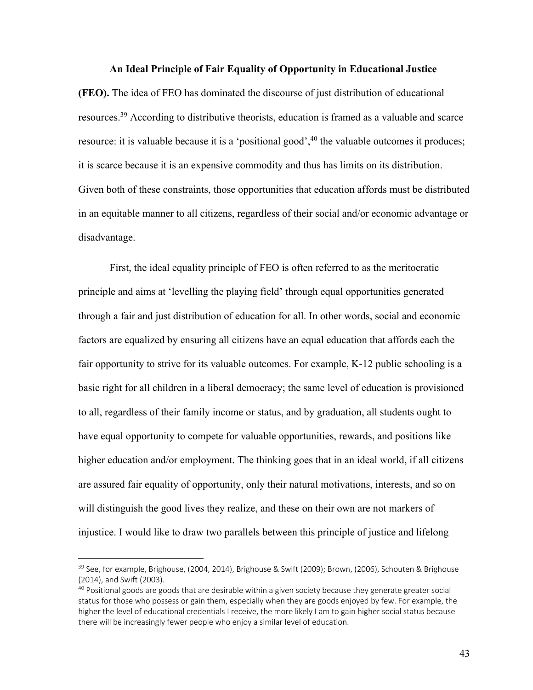#### **An Ideal Principle of Fair Equality of Opportunity in Educational Justice**

**(FEO).** The idea of FEO has dominated the discourse of just distribution of educational resources.39 According to distributive theorists, education is framed as a valuable and scarce resource: it is valuable because it is a 'positional good', $40$  the valuable outcomes it produces; it is scarce because it is an expensive commodity and thus has limits on its distribution. Given both of these constraints, those opportunities that education affords must be distributed in an equitable manner to all citizens, regardless of their social and/or economic advantage or disadvantage.

First, the ideal equality principle of FEO is often referred to as the meritocratic principle and aims at 'levelling the playing field' through equal opportunities generated through a fair and just distribution of education for all. In other words, social and economic factors are equalized by ensuring all citizens have an equal education that affords each the fair opportunity to strive for its valuable outcomes. For example, K-12 public schooling is a basic right for all children in a liberal democracy; the same level of education is provisioned to all, regardless of their family income or status, and by graduation, all students ought to have equal opportunity to compete for valuable opportunities, rewards, and positions like higher education and/or employment. The thinking goes that in an ideal world, if all citizens are assured fair equality of opportunity, only their natural motivations, interests, and so on will distinguish the good lives they realize, and these on their own are not markers of injustice. I would like to draw two parallels between this principle of justice and lifelong

 $39$  See, for example, Brighouse, (2004, 2014), Brighouse & Swift (2009); Brown, (2006), Schouten & Brighouse (2014), and Swift (2003).

 $40$  Positional goods are goods that are desirable within a given society because they generate greater social status for those who possess or gain them, especially when they are goods enjoyed by few. For example, the higher the level of educational credentials I receive, the more likely I am to gain higher social status because there will be increasingly fewer people who enjoy a similar level of education.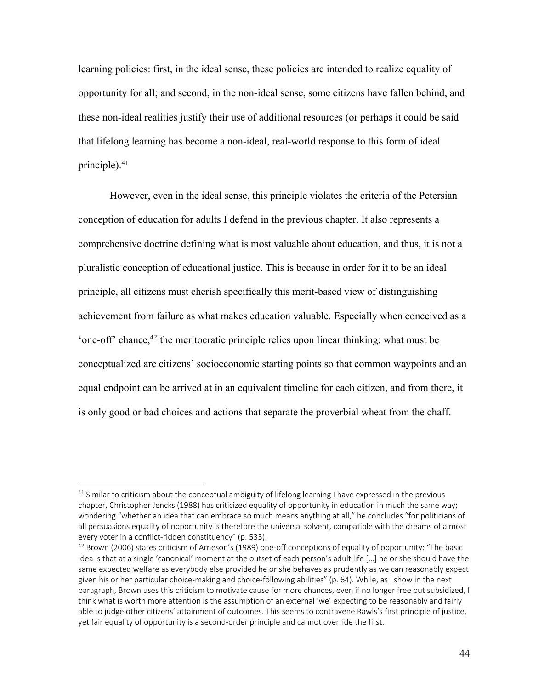learning policies: first, in the ideal sense, these policies are intended to realize equality of opportunity for all; and second, in the non-ideal sense, some citizens have fallen behind, and these non-ideal realities justify their use of additional resources (or perhaps it could be said that lifelong learning has become a non-ideal, real-world response to this form of ideal principle).41

However, even in the ideal sense, this principle violates the criteria of the Petersian conception of education for adults I defend in the previous chapter. It also represents a comprehensive doctrine defining what is most valuable about education, and thus, it is not a pluralistic conception of educational justice. This is because in order for it to be an ideal principle, all citizens must cherish specifically this merit-based view of distinguishing achievement from failure as what makes education valuable. Especially when conceived as a 'one-off' chance, $42$  the meritocratic principle relies upon linear thinking: what must be conceptualized are citizens' socioeconomic starting points so that common waypoints and an equal endpoint can be arrived at in an equivalent timeline for each citizen, and from there, it is only good or bad choices and actions that separate the proverbial wheat from the chaff.

<sup>&</sup>lt;sup>41</sup> Similar to criticism about the conceptual ambiguity of lifelong learning I have expressed in the previous chapter, Christopher Jencks (1988) has criticized equality of opportunity in education in much the same way; wondering "whether an idea that can embrace so much means anything at all," he concludes "for politicians of all persuasions equality of opportunity is therefore the universal solvent, compatible with the dreams of almost every voter in a conflict-ridden constituency" (p. 533).

 $42$  Brown (2006) states criticism of Arneson's (1989) one-off conceptions of equality of opportunity: "The basic idea is that at a single 'canonical' moment at the outset of each person's adult life […] he or she should have the same expected welfare as everybody else provided he or she behaves as prudently as we can reasonably expect given his or her particular choice-making and choice-following abilities" (p. 64). While, as I show in the next paragraph, Brown uses this criticism to motivate cause for more chances, even if no longer free but subsidized, I think what is worth more attention is the assumption of an external 'we' expecting to be reasonably and fairly able to judge other citizens' attainment of outcomes. This seems to contravene Rawls's first principle of justice, yet fair equality of opportunity is a second-order principle and cannot override the first.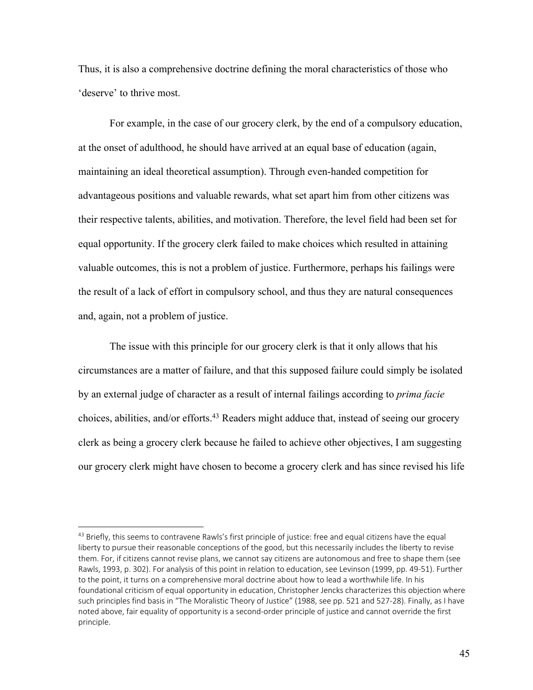Thus, it is also a comprehensive doctrine defining the moral characteristics of those who 'deserve' to thrive most.

For example, in the case of our grocery clerk, by the end of a compulsory education, at the onset of adulthood, he should have arrived at an equal base of education (again, maintaining an ideal theoretical assumption). Through even-handed competition for advantageous positions and valuable rewards, what set apart him from other citizens was their respective talents, abilities, and motivation. Therefore, the level field had been set for equal opportunity. If the grocery clerk failed to make choices which resulted in attaining valuable outcomes, this is not a problem of justice. Furthermore, perhaps his failings were the result of a lack of effort in compulsory school, and thus they are natural consequences and, again, not a problem of justice.

The issue with this principle for our grocery clerk is that it only allows that his circumstances are a matter of failure, and that this supposed failure could simply be isolated by an external judge of character as a result of internal failings according to *prima facie* choices, abilities, and/or efforts.<sup>43</sup> Readers might adduce that, instead of seeing our grocery clerk as being a grocery clerk because he failed to achieve other objectives, I am suggesting our grocery clerk might have chosen to become a grocery clerk and has since revised his life

<sup>43</sup> Briefly, this seems to contravene Rawls's first principle of justice: free and equal citizens have the equal liberty to pursue their reasonable conceptions of the good, but this necessarily includes the liberty to revise them. For, if citizens cannot revise plans, we cannot say citizens are autonomous and free to shape them (see Rawls, 1993, p. 302). For analysis of this point in relation to education, see Levinson (1999, pp. 49-51). Further to the point, it turns on a comprehensive moral doctrine about how to lead a worthwhile life. In his foundational criticism of equal opportunity in education, Christopher Jencks characterizes this objection where such principles find basis in "The Moralistic Theory of Justice" (1988, see pp. 521 and 527-28). Finally, as I have noted above, fair equality of opportunity is a second-order principle of justice and cannot override the first principle.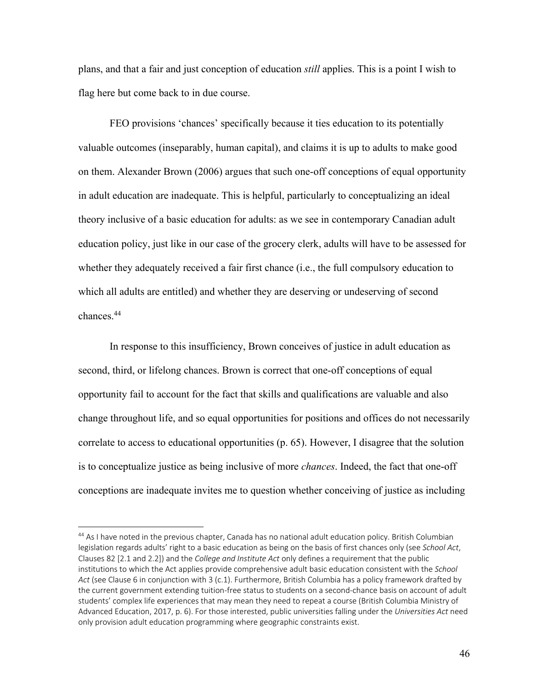plans, and that a fair and just conception of education *still* applies. This is a point I wish to flag here but come back to in due course.

FEO provisions 'chances' specifically because it ties education to its potentially valuable outcomes (inseparably, human capital), and claims it is up to adults to make good on them. Alexander Brown (2006) argues that such one-off conceptions of equal opportunity in adult education are inadequate. This is helpful, particularly to conceptualizing an ideal theory inclusive of a basic education for adults: as we see in contemporary Canadian adult education policy, just like in our case of the grocery clerk, adults will have to be assessed for whether they adequately received a fair first chance (i.e., the full compulsory education to which all adults are entitled) and whether they are deserving or undeserving of second chances.44

In response to this insufficiency, Brown conceives of justice in adult education as second, third, or lifelong chances. Brown is correct that one-off conceptions of equal opportunity fail to account for the fact that skills and qualifications are valuable and also change throughout life, and so equal opportunities for positions and offices do not necessarily correlate to access to educational opportunities (p. 65). However, I disagree that the solution is to conceptualize justice as being inclusive of more *chances*. Indeed, the fact that one-off conceptions are inadequate invites me to question whether conceiving of justice as including

<sup>44</sup> As I have noted in the previous chapter, Canada has no national adult education policy. British Columbian legislation regards adults' right to a basic education as being on the basis of first chances only (see *School Act*, Clauses 82 [2.1 and 2.2]) and the *College and Institute Act* only defines a requirement that the public institutions to which the Act applies provide comprehensive adult basic education consistent with the *School Act* (see Clause 6 in conjunction with 3 (c.1). Furthermore, British Columbia has a policy framework drafted by the current government extending tuition-free status to students on a second-chance basis on account of adult students' complex life experiences that may mean they need to repeat a course (British Columbia Ministry of Advanced Education, 2017, p. 6). For those interested, public universities falling under the *Universities Act* need only provision adult education programming where geographic constraints exist.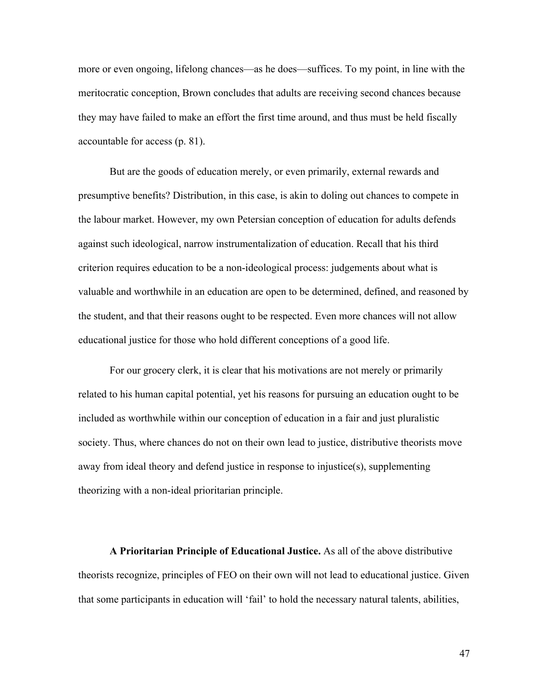more or even ongoing, lifelong chances—as he does—suffices. To my point, in line with the meritocratic conception, Brown concludes that adults are receiving second chances because they may have failed to make an effort the first time around, and thus must be held fiscally accountable for access (p. 81).

But are the goods of education merely, or even primarily, external rewards and presumptive benefits? Distribution, in this case, is akin to doling out chances to compete in the labour market. However, my own Petersian conception of education for adults defends against such ideological, narrow instrumentalization of education. Recall that his third criterion requires education to be a non-ideological process: judgements about what is valuable and worthwhile in an education are open to be determined, defined, and reasoned by the student, and that their reasons ought to be respected. Even more chances will not allow educational justice for those who hold different conceptions of a good life.

For our grocery clerk, it is clear that his motivations are not merely or primarily related to his human capital potential, yet his reasons for pursuing an education ought to be included as worthwhile within our conception of education in a fair and just pluralistic society. Thus, where chances do not on their own lead to justice, distributive theorists move away from ideal theory and defend justice in response to injustice(s), supplementing theorizing with a non-ideal prioritarian principle.

**A Prioritarian Principle of Educational Justice.** As all of the above distributive theorists recognize, principles of FEO on their own will not lead to educational justice. Given that some participants in education will 'fail' to hold the necessary natural talents, abilities,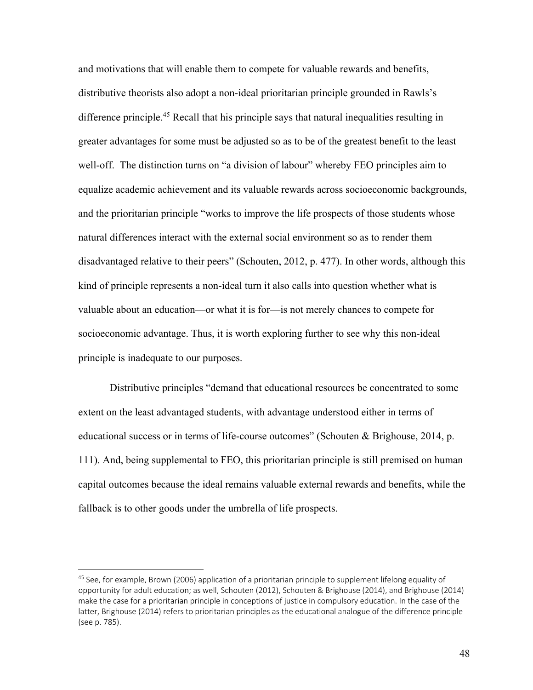and motivations that will enable them to compete for valuable rewards and benefits, distributive theorists also adopt a non-ideal prioritarian principle grounded in Rawls's difference principle.45 Recall that his principle says that natural inequalities resulting in greater advantages for some must be adjusted so as to be of the greatest benefit to the least well-off. The distinction turns on "a division of labour" whereby FEO principles aim to equalize academic achievement and its valuable rewards across socioeconomic backgrounds, and the prioritarian principle "works to improve the life prospects of those students whose natural differences interact with the external social environment so as to render them disadvantaged relative to their peers" (Schouten, 2012, p. 477). In other words, although this kind of principle represents a non-ideal turn it also calls into question whether what is valuable about an education—or what it is for—is not merely chances to compete for socioeconomic advantage. Thus, it is worth exploring further to see why this non-ideal principle is inadequate to our purposes.

Distributive principles "demand that educational resources be concentrated to some extent on the least advantaged students, with advantage understood either in terms of educational success or in terms of life-course outcomes" (Schouten & Brighouse, 2014, p. 111). And, being supplemental to FEO, this prioritarian principle is still premised on human capital outcomes because the ideal remains valuable external rewards and benefits, while the fallback is to other goods under the umbrella of life prospects.

<sup>&</sup>lt;sup>45</sup> See, for example, Brown (2006) application of a prioritarian principle to supplement lifelong equality of opportunity for adult education; as well, Schouten (2012), Schouten & Brighouse (2014), and Brighouse (2014) make the case for a prioritarian principle in conceptions of justice in compulsory education. In the case of the latter, Brighouse (2014) refers to prioritarian principles as the educational analogue of the difference principle (see p. 785).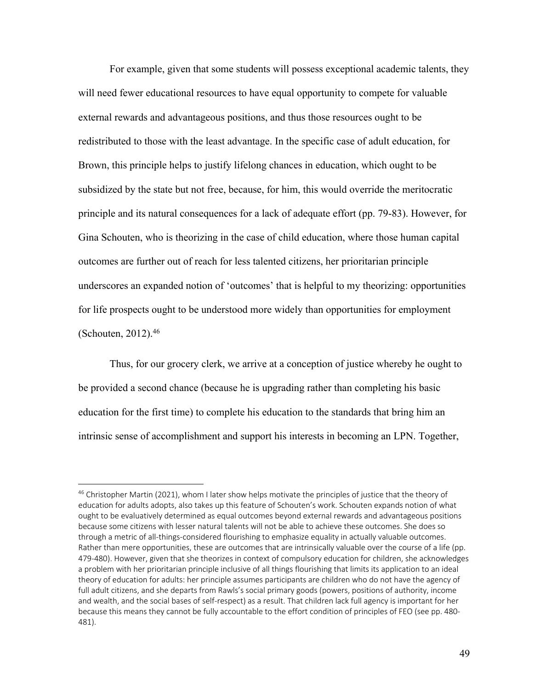For example, given that some students will possess exceptional academic talents, they will need fewer educational resources to have equal opportunity to compete for valuable external rewards and advantageous positions, and thus those resources ought to be redistributed to those with the least advantage. In the specific case of adult education, for Brown, this principle helps to justify lifelong chances in education, which ought to be subsidized by the state but not free, because, for him, this would override the meritocratic principle and its natural consequences for a lack of adequate effort (pp. 79-83). However, for Gina Schouten, who is theorizing in the case of child education, where those human capital outcomes are further out of reach for less talented citizens, her prioritarian principle underscores an expanded notion of 'outcomes' that is helpful to my theorizing: opportunities for life prospects ought to be understood more widely than opportunities for employment (Schouten, 2012).46

Thus, for our grocery clerk, we arrive at a conception of justice whereby he ought to be provided a second chance (because he is upgrading rather than completing his basic education for the first time) to complete his education to the standards that bring him an intrinsic sense of accomplishment and support his interests in becoming an LPN. Together,

<sup>&</sup>lt;sup>46</sup> Christopher Martin (2021), whom I later show helps motivate the principles of justice that the theory of education for adults adopts, also takes up this feature of Schouten's work. Schouten expands notion of what ought to be evaluatively determined as equal outcomes beyond external rewards and advantageous positions because some citizens with lesser natural talents will not be able to achieve these outcomes. She does so through a metric of all-things-considered flourishing to emphasize equality in actually valuable outcomes. Rather than mere opportunities, these are outcomes that are intrinsically valuable over the course of a life (pp. 479-480). However, given that she theorizes in context of compulsory education for children, she acknowledges a problem with her prioritarian principle inclusive of all things flourishing that limits its application to an ideal theory of education for adults: her principle assumes participants are children who do not have the agency of full adult citizens, and she departs from Rawls's social primary goods (powers, positions of authority, income and wealth, and the social bases of self-respect) as a result. That children lack full agency is important for her because this means they cannot be fully accountable to the effort condition of principles of FEO (see pp. 480- 481).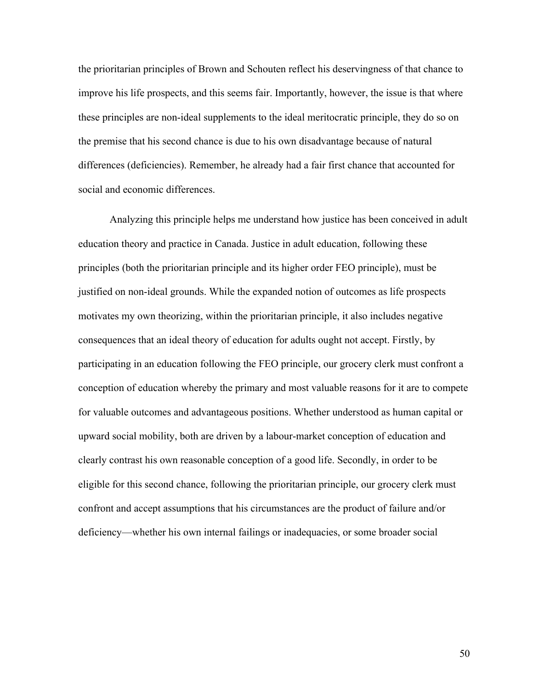the prioritarian principles of Brown and Schouten reflect his deservingness of that chance to improve his life prospects, and this seems fair. Importantly, however, the issue is that where these principles are non-ideal supplements to the ideal meritocratic principle, they do so on the premise that his second chance is due to his own disadvantage because of natural differences (deficiencies). Remember, he already had a fair first chance that accounted for social and economic differences.

Analyzing this principle helps me understand how justice has been conceived in adult education theory and practice in Canada. Justice in adult education, following these principles (both the prioritarian principle and its higher order FEO principle), must be justified on non-ideal grounds. While the expanded notion of outcomes as life prospects motivates my own theorizing, within the prioritarian principle, it also includes negative consequences that an ideal theory of education for adults ought not accept. Firstly, by participating in an education following the FEO principle, our grocery clerk must confront a conception of education whereby the primary and most valuable reasons for it are to compete for valuable outcomes and advantageous positions. Whether understood as human capital or upward social mobility, both are driven by a labour-market conception of education and clearly contrast his own reasonable conception of a good life. Secondly, in order to be eligible for this second chance, following the prioritarian principle, our grocery clerk must confront and accept assumptions that his circumstances are the product of failure and/or deficiency—whether his own internal failings or inadequacies, or some broader social

50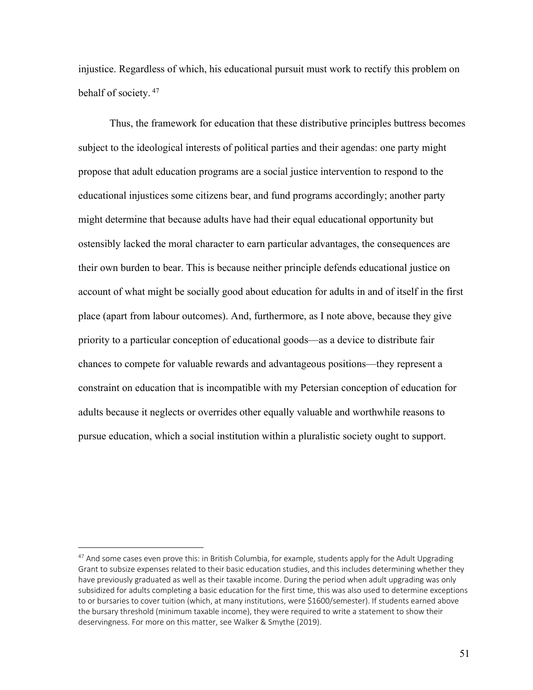injustice. Regardless of which, his educational pursuit must work to rectify this problem on behalf of society.  $47$ 

Thus, the framework for education that these distributive principles buttress becomes subject to the ideological interests of political parties and their agendas: one party might propose that adult education programs are a social justice intervention to respond to the educational injustices some citizens bear, and fund programs accordingly; another party might determine that because adults have had their equal educational opportunity but ostensibly lacked the moral character to earn particular advantages, the consequences are their own burden to bear. This is because neither principle defends educational justice on account of what might be socially good about education for adults in and of itself in the first place (apart from labour outcomes). And, furthermore, as I note above, because they give priority to a particular conception of educational goods—as a device to distribute fair chances to compete for valuable rewards and advantageous positions—they represent a constraint on education that is incompatible with my Petersian conception of education for adults because it neglects or overrides other equally valuable and worthwhile reasons to pursue education, which a social institution within a pluralistic society ought to support.

 $47$  And some cases even prove this: in British Columbia, for example, students apply for the Adult Upgrading Grant to subsize expenses related to their basic education studies, and this includes determining whether they have previously graduated as well as their taxable income. During the period when adult upgrading was only subsidized for adults completing a basic education for the first time, this was also used to determine exceptions to or bursaries to cover tuition (which, at many institutions, were \$1600/semester). If students earned above the bursary threshold (minimum taxable income), they were required to write a statement to show their deservingness. For more on this matter, see Walker & Smythe (2019).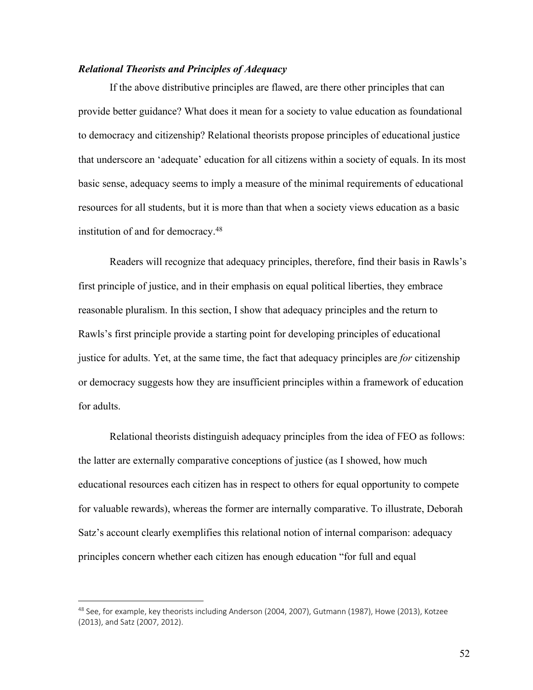#### *Relational Theorists and Principles of Adequacy*

If the above distributive principles are flawed, are there other principles that can provide better guidance? What does it mean for a society to value education as foundational to democracy and citizenship? Relational theorists propose principles of educational justice that underscore an 'adequate' education for all citizens within a society of equals. In its most basic sense, adequacy seems to imply a measure of the minimal requirements of educational resources for all students, but it is more than that when a society views education as a basic institution of and for democracy.48

Readers will recognize that adequacy principles, therefore, find their basis in Rawls's first principle of justice, and in their emphasis on equal political liberties, they embrace reasonable pluralism. In this section, I show that adequacy principles and the return to Rawls's first principle provide a starting point for developing principles of educational justice for adults. Yet, at the same time, the fact that adequacy principles are *for* citizenship or democracy suggests how they are insufficient principles within a framework of education for adults.

Relational theorists distinguish adequacy principles from the idea of FEO as follows: the latter are externally comparative conceptions of justice (as I showed, how much educational resources each citizen has in respect to others for equal opportunity to compete for valuable rewards), whereas the former are internally comparative. To illustrate, Deborah Satz's account clearly exemplifies this relational notion of internal comparison: adequacy principles concern whether each citizen has enough education "for full and equal

52

<sup>&</sup>lt;sup>48</sup> See, for example, key theorists including Anderson (2004, 2007), Gutmann (1987), Howe (2013), Kotzee (2013), and Satz (2007, 2012).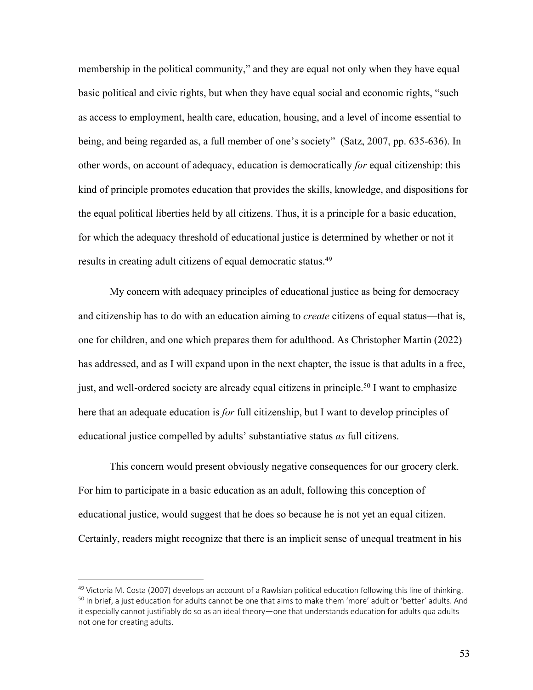membership in the political community," and they are equal not only when they have equal basic political and civic rights, but when they have equal social and economic rights, "such as access to employment, health care, education, housing, and a level of income essential to being, and being regarded as, a full member of one's society" (Satz, 2007, pp. 635-636). In other words, on account of adequacy, education is democratically *for* equal citizenship: this kind of principle promotes education that provides the skills, knowledge, and dispositions for the equal political liberties held by all citizens. Thus, it is a principle for a basic education, for which the adequacy threshold of educational justice is determined by whether or not it results in creating adult citizens of equal democratic status.49

My concern with adequacy principles of educational justice as being for democracy and citizenship has to do with an education aiming to *create* citizens of equal status—that is, one for children, and one which prepares them for adulthood. As Christopher Martin (2022) has addressed, and as I will expand upon in the next chapter, the issue is that adults in a free, just, and well-ordered society are already equal citizens in principle.<sup>50</sup> I want to emphasize here that an adequate education is *for* full citizenship, but I want to develop principles of educational justice compelled by adults' substantiative status *as* full citizens.

This concern would present obviously negative consequences for our grocery clerk. For him to participate in a basic education as an adult, following this conception of educational justice, would suggest that he does so because he is not yet an equal citizen. Certainly, readers might recognize that there is an implicit sense of unequal treatment in his

 $49$  Victoria M. Costa (2007) develops an account of a Rawlsian political education following this line of thinking. <sup>50</sup> In brief, a just education for adults cannot be one that aims to make them 'more' adult or 'better' adults. And it especially cannot justifiably do so as an ideal theory—one that understands education for adults qua adults not one for creating adults.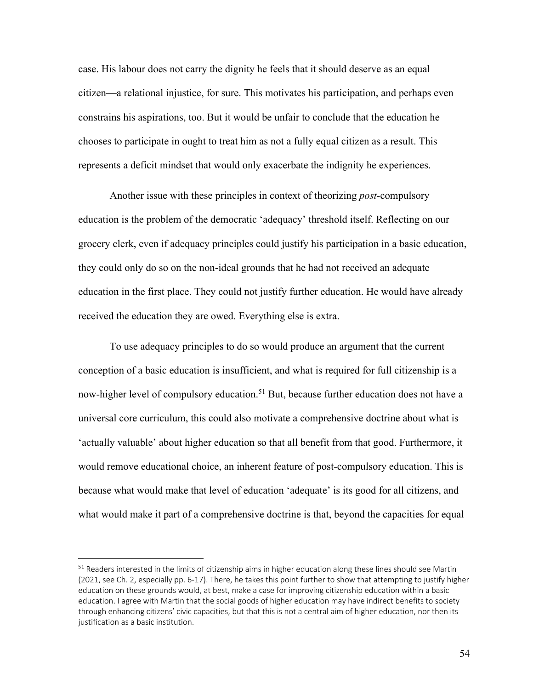case. His labour does not carry the dignity he feels that it should deserve as an equal citizen—a relational injustice, for sure. This motivates his participation, and perhaps even constrains his aspirations, too. But it would be unfair to conclude that the education he chooses to participate in ought to treat him as not a fully equal citizen as a result. This represents a deficit mindset that would only exacerbate the indignity he experiences.

Another issue with these principles in context of theorizing *post*-compulsory education is the problem of the democratic 'adequacy' threshold itself. Reflecting on our grocery clerk, even if adequacy principles could justify his participation in a basic education, they could only do so on the non-ideal grounds that he had not received an adequate education in the first place. They could not justify further education. He would have already received the education they are owed. Everything else is extra.

To use adequacy principles to do so would produce an argument that the current conception of a basic education is insufficient, and what is required for full citizenship is a now-higher level of compulsory education.<sup>51</sup> But, because further education does not have a universal core curriculum, this could also motivate a comprehensive doctrine about what is 'actually valuable' about higher education so that all benefit from that good. Furthermore, it would remove educational choice, an inherent feature of post-compulsory education. This is because what would make that level of education 'adequate' is its good for all citizens, and what would make it part of a comprehensive doctrine is that, beyond the capacities for equal

<sup>&</sup>lt;sup>51</sup> Readers interested in the limits of citizenship aims in higher education along these lines should see Martin (2021, see Ch. 2, especially pp. 6-17). There, he takes this point further to show that attempting to justify higher education on these grounds would, at best, make a case for improving citizenship education within a basic education. I agree with Martin that the social goods of higher education may have indirect benefits to society through enhancing citizens' civic capacities, but that this is not a central aim of higher education, nor then its justification as a basic institution.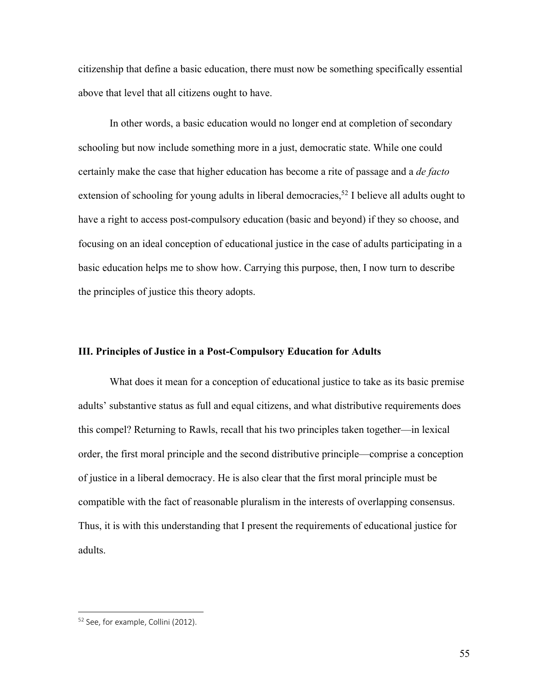citizenship that define a basic education, there must now be something specifically essential above that level that all citizens ought to have.

In other words, a basic education would no longer end at completion of secondary schooling but now include something more in a just, democratic state. While one could certainly make the case that higher education has become a rite of passage and a *de facto* extension of schooling for young adults in liberal democracies,<sup>52</sup> I believe all adults ought to have a right to access post-compulsory education (basic and beyond) if they so choose, and focusing on an ideal conception of educational justice in the case of adults participating in a basic education helps me to show how. Carrying this purpose, then, I now turn to describe the principles of justice this theory adopts.

#### **III. Principles of Justice in a Post-Compulsory Education for Adults**

What does it mean for a conception of educational justice to take as its basic premise adults' substantive status as full and equal citizens, and what distributive requirements does this compel? Returning to Rawls, recall that his two principles taken together—in lexical order, the first moral principle and the second distributive principle—comprise a conception of justice in a liberal democracy. He is also clear that the first moral principle must be compatible with the fact of reasonable pluralism in the interests of overlapping consensus. Thus, it is with this understanding that I present the requirements of educational justice for adults.

<sup>&</sup>lt;sup>52</sup> See, for example, Collini (2012).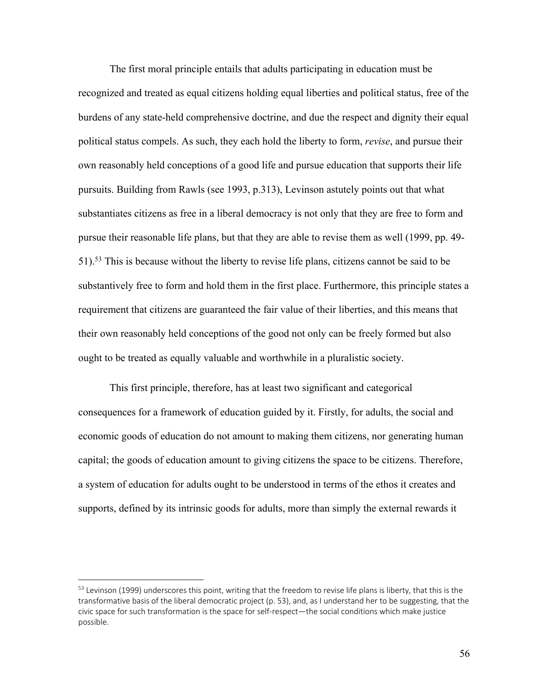The first moral principle entails that adults participating in education must be recognized and treated as equal citizens holding equal liberties and political status, free of the burdens of any state-held comprehensive doctrine, and due the respect and dignity their equal political status compels. As such, they each hold the liberty to form, *revise*, and pursue their own reasonably held conceptions of a good life and pursue education that supports their life pursuits. Building from Rawls (see 1993, p.313), Levinson astutely points out that what substantiates citizens as free in a liberal democracy is not only that they are free to form and pursue their reasonable life plans, but that they are able to revise them as well (1999, pp. 49- 51).53 This is because without the liberty to revise life plans, citizens cannot be said to be substantively free to form and hold them in the first place. Furthermore, this principle states a requirement that citizens are guaranteed the fair value of their liberties, and this means that their own reasonably held conceptions of the good not only can be freely formed but also ought to be treated as equally valuable and worthwhile in a pluralistic society.

This first principle, therefore, has at least two significant and categorical consequences for a framework of education guided by it. Firstly, for adults, the social and economic goods of education do not amount to making them citizens, nor generating human capital; the goods of education amount to giving citizens the space to be citizens. Therefore, a system of education for adults ought to be understood in terms of the ethos it creates and supports, defined by its intrinsic goods for adults, more than simply the external rewards it

 $53$  Levinson (1999) underscores this point, writing that the freedom to revise life plans is liberty, that this is the transformative basis of the liberal democratic project (p. 53), and, as I understand her to be suggesting, that the civic space for such transformation is the space for self-respect—the social conditions which make justice possible.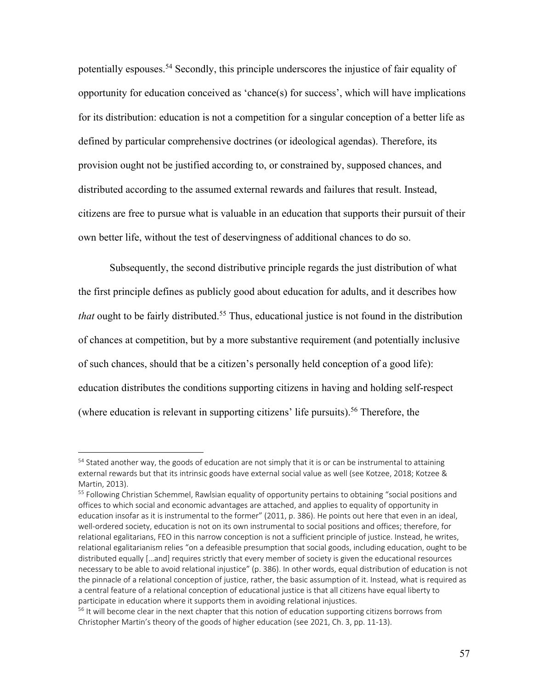potentially espouses.<sup>54</sup> Secondly, this principle underscores the injustice of fair equality of opportunity for education conceived as 'chance(s) for success', which will have implications for its distribution: education is not a competition for a singular conception of a better life as defined by particular comprehensive doctrines (or ideological agendas). Therefore, its provision ought not be justified according to, or constrained by, supposed chances, and distributed according to the assumed external rewards and failures that result. Instead, citizens are free to pursue what is valuable in an education that supports their pursuit of their own better life, without the test of deservingness of additional chances to do so.

Subsequently, the second distributive principle regards the just distribution of what the first principle defines as publicly good about education for adults, and it describes how *that* ought to be fairly distributed.<sup>55</sup> Thus, educational justice is not found in the distribution of chances at competition, but by a more substantive requirement (and potentially inclusive of such chances, should that be a citizen's personally held conception of a good life): education distributes the conditions supporting citizens in having and holding self-respect (where education is relevant in supporting citizens' life pursuits).<sup>56</sup> Therefore, the

<sup>&</sup>lt;sup>54</sup> Stated another way, the goods of education are not simply that it is or can be instrumental to attaining external rewards but that its intrinsic goods have external social value as well (see Kotzee, 2018; Kotzee & Martin, 2013).

<sup>&</sup>lt;sup>55</sup> Following Christian Schemmel, Rawlsian equality of opportunity pertains to obtaining "social positions and offices to which social and economic advantages are attached, and applies to equality of opportunity in education insofar as it is instrumental to the former" (2011, p. 386). He points out here that even in an ideal, well-ordered society, education is not on its own instrumental to social positions and offices; therefore, for relational egalitarians, FEO in this narrow conception is not a sufficient principle of justice. Instead, he writes, relational egalitarianism relies "on a defeasible presumption that social goods, including education, ought to be distributed equally […and] requires strictly that every member of society is given the educational resources necessary to be able to avoid relational injustice" (p. 386). In other words, equal distribution of education is not the pinnacle of a relational conception of justice, rather, the basic assumption of it. Instead, what is required as a central feature of a relational conception of educational justice is that all citizens have equal liberty to participate in education where it supports them in avoiding relational injustices.

<sup>&</sup>lt;sup>56</sup> It will become clear in the next chapter that this notion of education supporting citizens borrows from Christopher Martin's theory of the goods of higher education (see 2021, Ch. 3, pp. 11-13).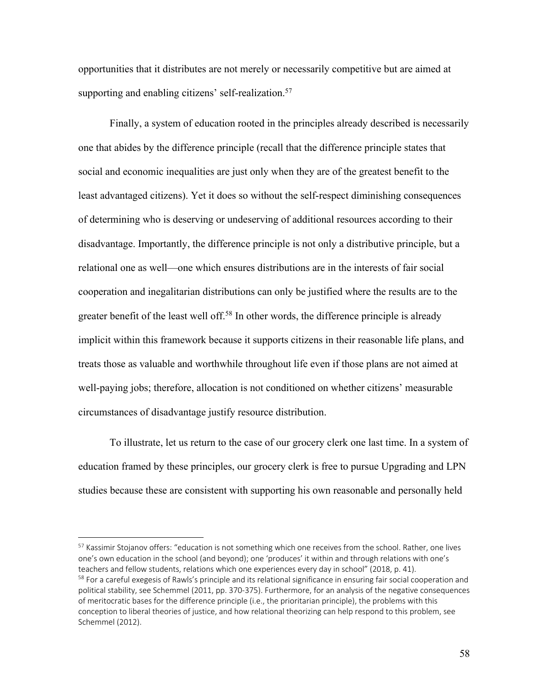opportunities that it distributes are not merely or necessarily competitive but are aimed at supporting and enabling citizens' self-realization.<sup>57</sup>

Finally, a system of education rooted in the principles already described is necessarily one that abides by the difference principle (recall that the difference principle states that social and economic inequalities are just only when they are of the greatest benefit to the least advantaged citizens). Yet it does so without the self-respect diminishing consequences of determining who is deserving or undeserving of additional resources according to their disadvantage. Importantly, the difference principle is not only a distributive principle, but a relational one as well—one which ensures distributions are in the interests of fair social cooperation and inegalitarian distributions can only be justified where the results are to the greater benefit of the least well off.<sup>58</sup> In other words, the difference principle is already implicit within this framework because it supports citizens in their reasonable life plans, and treats those as valuable and worthwhile throughout life even if those plans are not aimed at well-paying jobs; therefore, allocation is not conditioned on whether citizens' measurable circumstances of disadvantage justify resource distribution.

To illustrate, let us return to the case of our grocery clerk one last time. In a system of education framed by these principles, our grocery clerk is free to pursue Upgrading and LPN studies because these are consistent with supporting his own reasonable and personally held

<sup>&</sup>lt;sup>57</sup> Kassimir Stojanov offers: "education is not something which one receives from the school. Rather, one lives one's own education in the school (and beyond); one 'produces' it within and through relations with one's teachers and fellow students, relations which one experiences every day in school" (2018, p. 41).

<sup>&</sup>lt;sup>58</sup> For a careful exegesis of Rawls's principle and its relational significance in ensuring fair social cooperation and political stability, see Schemmel (2011, pp. 370-375). Furthermore, for an analysis of the negative consequences of meritocratic bases for the difference principle (i.e., the prioritarian principle), the problems with this conception to liberal theories of justice, and how relational theorizing can help respond to this problem, see Schemmel (2012).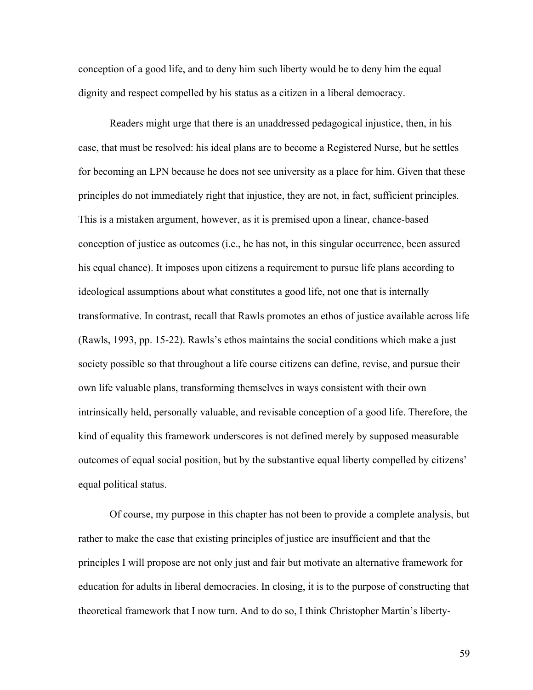conception of a good life, and to deny him such liberty would be to deny him the equal dignity and respect compelled by his status as a citizen in a liberal democracy.

Readers might urge that there is an unaddressed pedagogical injustice, then, in his case, that must be resolved: his ideal plans are to become a Registered Nurse, but he settles for becoming an LPN because he does not see university as a place for him. Given that these principles do not immediately right that injustice, they are not, in fact, sufficient principles. This is a mistaken argument, however, as it is premised upon a linear, chance-based conception of justice as outcomes (i.e., he has not, in this singular occurrence, been assured his equal chance). It imposes upon citizens a requirement to pursue life plans according to ideological assumptions about what constitutes a good life, not one that is internally transformative. In contrast, recall that Rawls promotes an ethos of justice available across life (Rawls, 1993, pp. 15-22). Rawls's ethos maintains the social conditions which make a just society possible so that throughout a life course citizens can define, revise, and pursue their own life valuable plans, transforming themselves in ways consistent with their own intrinsically held, personally valuable, and revisable conception of a good life. Therefore, the kind of equality this framework underscores is not defined merely by supposed measurable outcomes of equal social position, but by the substantive equal liberty compelled by citizens' equal political status.

Of course, my purpose in this chapter has not been to provide a complete analysis, but rather to make the case that existing principles of justice are insufficient and that the principles I will propose are not only just and fair but motivate an alternative framework for education for adults in liberal democracies. In closing, it is to the purpose of constructing that theoretical framework that I now turn. And to do so, I think Christopher Martin's liberty-

59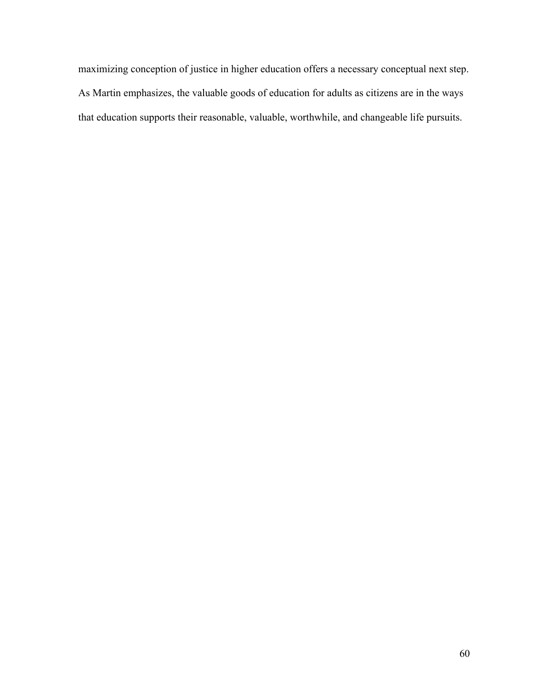maximizing conception of justice in higher education offers a necessary conceptual next step. As Martin emphasizes, the valuable goods of education for adults as citizens are in the ways that education supports their reasonable, valuable, worthwhile, and changeable life pursuits.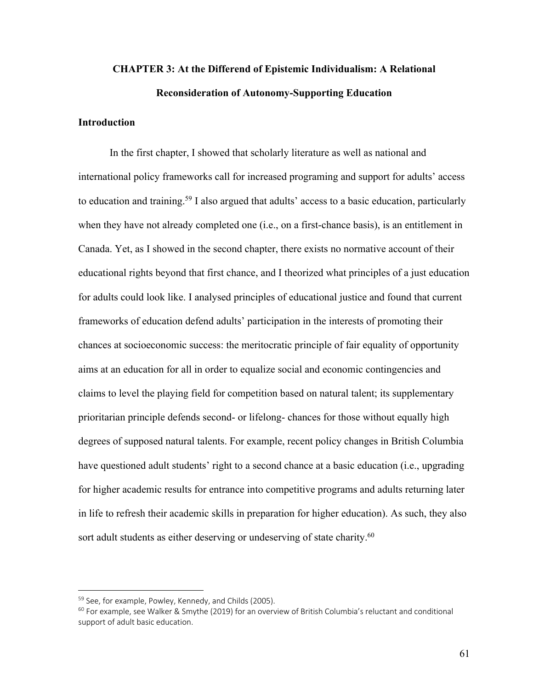## **CHAPTER 3: At the Differend of Epistemic Individualism: A Relational Reconsideration of Autonomy-Supporting Education**

#### **Introduction**

In the first chapter, I showed that scholarly literature as well as national and international policy frameworks call for increased programing and support for adults' access to education and training.<sup>59</sup> I also argued that adults' access to a basic education, particularly when they have not already completed one (i.e., on a first-chance basis), is an entitlement in Canada. Yet, as I showed in the second chapter, there exists no normative account of their educational rights beyond that first chance, and I theorized what principles of a just education for adults could look like. I analysed principles of educational justice and found that current frameworks of education defend adults' participation in the interests of promoting their chances at socioeconomic success: the meritocratic principle of fair equality of opportunity aims at an education for all in order to equalize social and economic contingencies and claims to level the playing field for competition based on natural talent; its supplementary prioritarian principle defends second- or lifelong- chances for those without equally high degrees of supposed natural talents. For example, recent policy changes in British Columbia have questioned adult students' right to a second chance at a basic education (i.e., upgrading for higher academic results for entrance into competitive programs and adults returning later in life to refresh their academic skills in preparation for higher education). As such, they also sort adult students as either deserving or undeserving of state charity.<sup>60</sup>

<sup>&</sup>lt;sup>59</sup> See, for example, Powley, Kennedy, and Childs (2005).

 $60$  For example, see Walker & Smythe (2019) for an overview of British Columbia's reluctant and conditional support of adult basic education.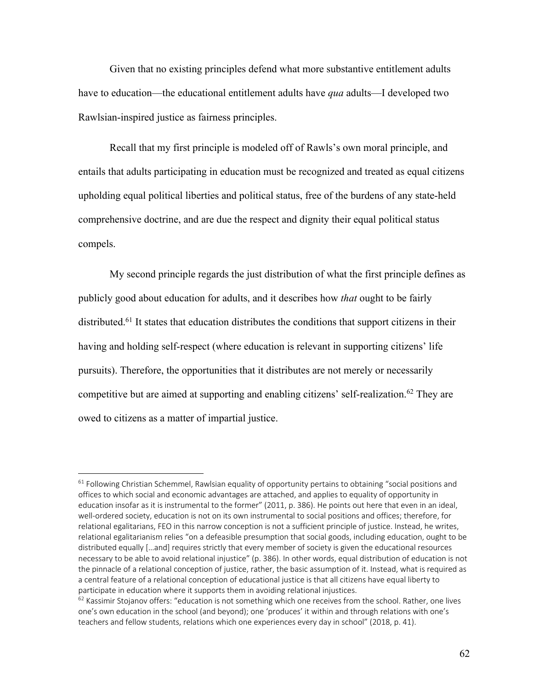Given that no existing principles defend what more substantive entitlement adults have to education—the educational entitlement adults have *qua* adults—I developed two Rawlsian-inspired justice as fairness principles.

Recall that my first principle is modeled off of Rawls's own moral principle, and entails that adults participating in education must be recognized and treated as equal citizens upholding equal political liberties and political status, free of the burdens of any state-held comprehensive doctrine, and are due the respect and dignity their equal political status compels.

My second principle regards the just distribution of what the first principle defines as publicly good about education for adults, and it describes how *that* ought to be fairly distributed.<sup>61</sup> It states that education distributes the conditions that support citizens in their having and holding self-respect (where education is relevant in supporting citizens' life pursuits). Therefore, the opportunities that it distributes are not merely or necessarily competitive but are aimed at supporting and enabling citizens' self-realization.<sup>62</sup> They are owed to citizens as a matter of impartial justice.

<sup>&</sup>lt;sup>61</sup> Following Christian Schemmel, Rawlsian equality of opportunity pertains to obtaining "social positions and offices to which social and economic advantages are attached, and applies to equality of opportunity in education insofar as it is instrumental to the former" (2011, p. 386). He points out here that even in an ideal, well-ordered society, education is not on its own instrumental to social positions and offices; therefore, for relational egalitarians, FEO in this narrow conception is not a sufficient principle of justice. Instead, he writes, relational egalitarianism relies "on a defeasible presumption that social goods, including education, ought to be distributed equally […and] requires strictly that every member of society is given the educational resources necessary to be able to avoid relational injustice" (p. 386). In other words, equal distribution of education is not the pinnacle of a relational conception of justice, rather, the basic assumption of it. Instead, what is required as a central feature of a relational conception of educational justice is that all citizens have equal liberty to participate in education where it supports them in avoiding relational injustices.

 $62$  Kassimir Stojanov offers: "education is not something which one receives from the school. Rather, one lives one's own education in the school (and beyond); one 'produces' it within and through relations with one's teachers and fellow students, relations which one experiences every day in school" (2018, p. 41).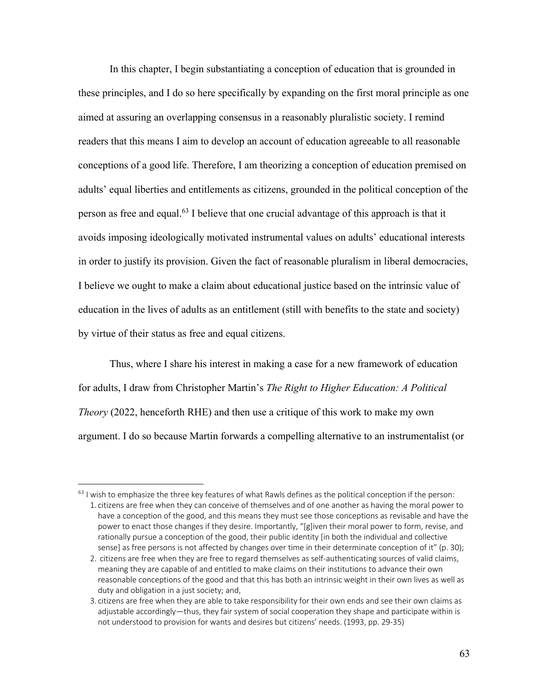In this chapter, I begin substantiating a conception of education that is grounded in these principles, and I do so here specifically by expanding on the first moral principle as one aimed at assuring an overlapping consensus in a reasonably pluralistic society. I remind readers that this means I aim to develop an account of education agreeable to all reasonable conceptions of a good life. Therefore, I am theorizing a conception of education premised on adults' equal liberties and entitlements as citizens, grounded in the political conception of the person as free and equal.<sup>63</sup> I believe that one crucial advantage of this approach is that it avoids imposing ideologically motivated instrumental values on adults' educational interests in order to justify its provision. Given the fact of reasonable pluralism in liberal democracies, I believe we ought to make a claim about educational justice based on the intrinsic value of education in the lives of adults as an entitlement (still with benefits to the state and society) by virtue of their status as free and equal citizens.

Thus, where I share his interest in making a case for a new framework of education for adults, I draw from Christopher Martin's *The Right to Higher Education: A Political Theory* (2022, henceforth RHE) and then use a critique of this work to make my own argument. I do so because Martin forwards a compelling alternative to an instrumentalist (or

 $63$  I wish to emphasize the three key features of what Rawls defines as the political conception if the person: 1. citizens are free when they can conceive of themselves and of one another as having the moral power to have a conception of the good, and this means they must see those conceptions as revisable and have the power to enact those changes if they desire. Importantly, "[g]iven their moral power to form, revise, and rationally pursue a conception of the good, their public identity [in both the individual and collective sense] as free persons is not affected by changes over time in their determinate conception of it" (p. 30);

<sup>2.</sup> citizens are free when they are free to regard themselves as self-authenticating sources of valid claims, meaning they are capable of and entitled to make claims on their institutions to advance their own reasonable conceptions of the good and that this has both an intrinsic weight in their own lives as well as duty and obligation in a just society; and,

<sup>3.</sup> citizens are free when they are able to take responsibility for their own ends and see their own claims as adjustable accordingly—thus, they fair system of social cooperation they shape and participate within is not understood to provision for wants and desires but citizens' needs. (1993, pp. 29-35)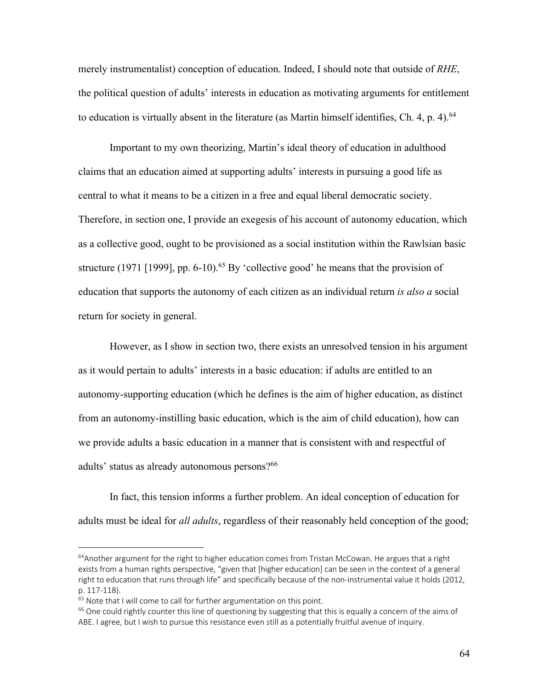merely instrumentalist) conception of education. Indeed, I should note that outside of *RHE*, the political question of adults' interests in education as motivating arguments for entitlement to education is virtually absent in the literature (as Martin himself identifies, Ch. 4, p. 4).<sup>64</sup>

Important to my own theorizing, Martin's ideal theory of education in adulthood claims that an education aimed at supporting adults' interests in pursuing a good life as central to what it means to be a citizen in a free and equal liberal democratic society. Therefore, in section one, I provide an exegesis of his account of autonomy education, which as a collective good, ought to be provisioned as a social institution within the Rawlsian basic structure (1971 [1999], pp. 6-10).<sup>65</sup> By 'collective good' he means that the provision of education that supports the autonomy of each citizen as an individual return *is also a* social return for society in general.

However, as I show in section two, there exists an unresolved tension in his argument as it would pertain to adults' interests in a basic education: if adults are entitled to an autonomy-supporting education (which he defines is the aim of higher education, as distinct from an autonomy-instilling basic education, which is the aim of child education), how can we provide adults a basic education in a manner that is consistent with and respectful of adults' status as already autonomous persons?<sup>66</sup>

In fact, this tension informs a further problem. An ideal conception of education for adults must be ideal for *all adults*, regardless of their reasonably held conception of the good;

<sup>&</sup>lt;sup>64</sup> Another argument for the right to higher education comes from Tristan McCowan. He argues that a right exists from a human rights perspective, "given that [higher education] can be seen in the context of a general right to education that runs through life" and specifically because of the non-instrumental value it holds (2012, p. 117-118).

 $65$  Note that I will come to call for further argumentation on this point.

 $66$  One could rightly counter this line of questioning by suggesting that this is equally a concern of the aims of ABE. I agree, but I wish to pursue this resistance even still as a potentially fruitful avenue of inquiry.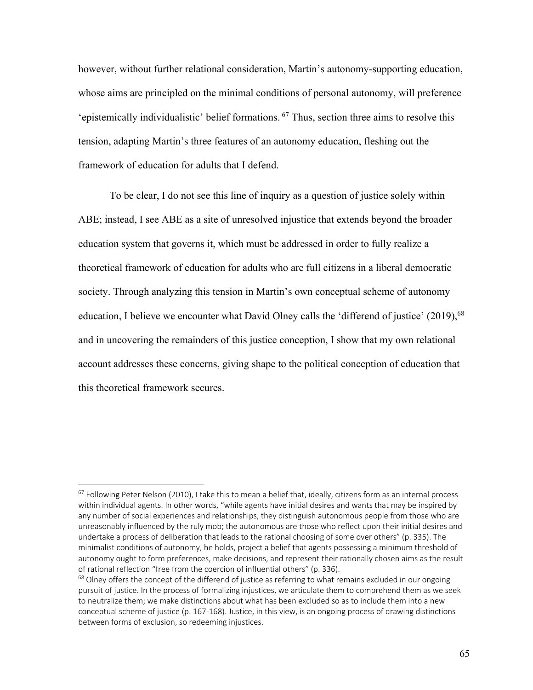however, without further relational consideration, Martin's autonomy-supporting education, whose aims are principled on the minimal conditions of personal autonomy, will preference 'epistemically individualistic' belief formations. <sup>67</sup> Thus, section three aims to resolve this tension, adapting Martin's three features of an autonomy education, fleshing out the framework of education for adults that I defend.

To be clear, I do not see this line of inquiry as a question of justice solely within ABE; instead, I see ABE as a site of unresolved injustice that extends beyond the broader education system that governs it, which must be addressed in order to fully realize a theoretical framework of education for adults who are full citizens in a liberal democratic society. Through analyzing this tension in Martin's own conceptual scheme of autonomy education, I believe we encounter what David Olney calls the 'differend of justice' (2019),<sup>68</sup> and in uncovering the remainders of this justice conception, I show that my own relational account addresses these concerns, giving shape to the political conception of education that this theoretical framework secures.

 $67$  Following Peter Nelson (2010), I take this to mean a belief that, ideally, citizens form as an internal process within individual agents. In other words, "while agents have initial desires and wants that may be inspired by any number of social experiences and relationships, they distinguish autonomous people from those who are unreasonably influenced by the ruly mob; the autonomous are those who reflect upon their initial desires and undertake a process of deliberation that leads to the rational choosing of some over others" (p. 335). The minimalist conditions of autonomy, he holds, project a belief that agents possessing a minimum threshold of autonomy ought to form preferences, make decisions, and represent their rationally chosen aims as the result of rational reflection "free from the coercion of influential others" (p. 336).

 $68$  Olney offers the concept of the differend of justice as referring to what remains excluded in our ongoing pursuit of justice. In the process of formalizing injustices, we articulate them to comprehend them as we seek to neutralize them; we make distinctions about what has been excluded so as to include them into a new conceptual scheme of justice (p. 167-168). Justice, in this view, is an ongoing process of drawing distinctions between forms of exclusion, so redeeming injustices.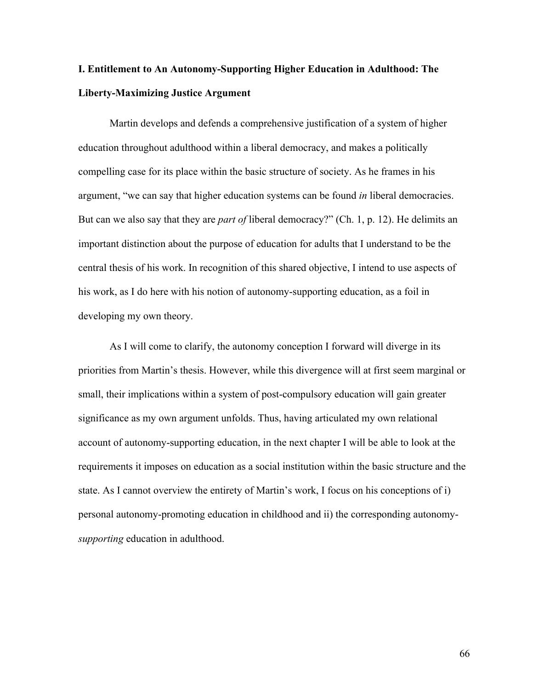# **I. Entitlement to An Autonomy-Supporting Higher Education in Adulthood: The Liberty-Maximizing Justice Argument**

Martin develops and defends a comprehensive justification of a system of higher education throughout adulthood within a liberal democracy, and makes a politically compelling case for its place within the basic structure of society. As he frames in his argument, "we can say that higher education systems can be found *in* liberal democracies. But can we also say that they are *part of* liberal democracy?" (Ch. 1, p. 12). He delimits an important distinction about the purpose of education for adults that I understand to be the central thesis of his work. In recognition of this shared objective, I intend to use aspects of his work, as I do here with his notion of autonomy-supporting education, as a foil in developing my own theory.

As I will come to clarify, the autonomy conception I forward will diverge in its priorities from Martin's thesis. However, while this divergence will at first seem marginal or small, their implications within a system of post-compulsory education will gain greater significance as my own argument unfolds. Thus, having articulated my own relational account of autonomy-supporting education, in the next chapter I will be able to look at the requirements it imposes on education as a social institution within the basic structure and the state. As I cannot overview the entirety of Martin's work, I focus on his conceptions of i) personal autonomy-promoting education in childhood and ii) the corresponding autonomy*supporting* education in adulthood.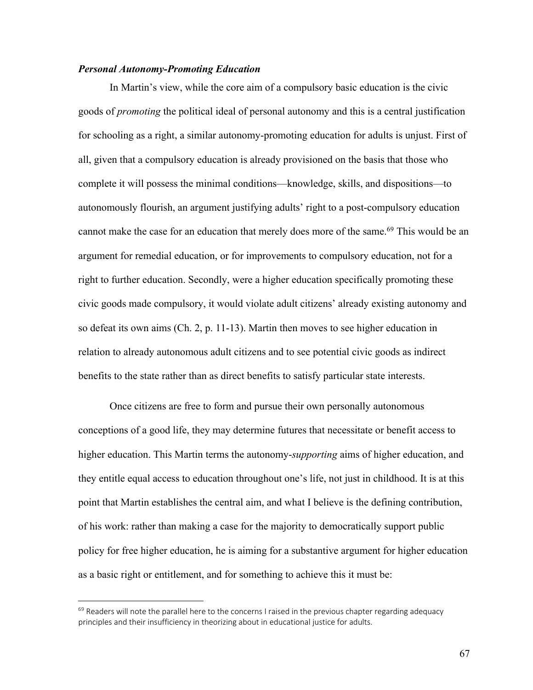# *Personal Autonomy-Promoting Education*

In Martin's view, while the core aim of a compulsory basic education is the civic goods of *promoting* the political ideal of personal autonomy and this is a central justification for schooling as a right, a similar autonomy-promoting education for adults is unjust. First of all, given that a compulsory education is already provisioned on the basis that those who complete it will possess the minimal conditions—knowledge, skills, and dispositions—to autonomously flourish, an argument justifying adults' right to a post-compulsory education cannot make the case for an education that merely does more of the same. <sup>69</sup> This would be an argument for remedial education, or for improvements to compulsory education, not for a right to further education. Secondly, were a higher education specifically promoting these civic goods made compulsory, it would violate adult citizens' already existing autonomy and so defeat its own aims (Ch. 2, p. 11-13). Martin then moves to see higher education in relation to already autonomous adult citizens and to see potential civic goods as indirect benefits to the state rather than as direct benefits to satisfy particular state interests.

Once citizens are free to form and pursue their own personally autonomous conceptions of a good life, they may determine futures that necessitate or benefit access to higher education. This Martin terms the autonomy-*supporting* aims of higher education, and they entitle equal access to education throughout one's life, not just in childhood. It is at this point that Martin establishes the central aim, and what I believe is the defining contribution, of his work: rather than making a case for the majority to democratically support public policy for free higher education, he is aiming for a substantive argument for higher education as a basic right or entitlement, and for something to achieve this it must be:

 $69$  Readers will note the parallel here to the concerns I raised in the previous chapter regarding adequacy principles and their insufficiency in theorizing about in educational justice for adults.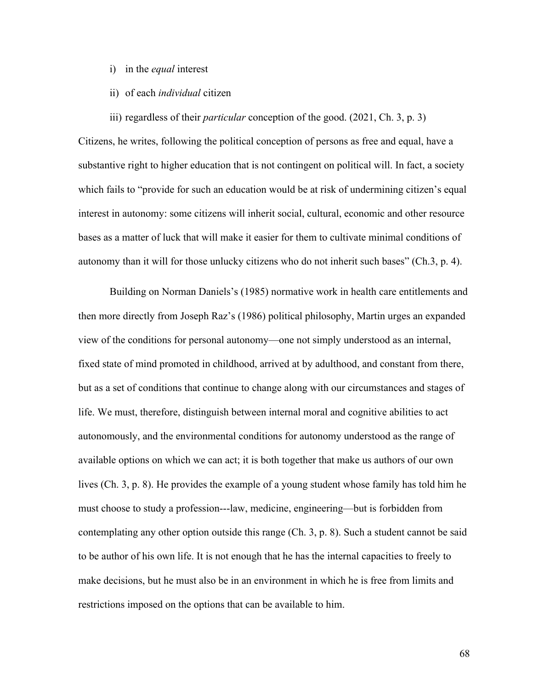- i) in the *equal* interest
- ii) of each *individual* citizen
- iii) regardless of their *particular* conception of the good. (2021, Ch. 3, p. 3)

Citizens, he writes, following the political conception of persons as free and equal, have a substantive right to higher education that is not contingent on political will. In fact, a society which fails to "provide for such an education would be at risk of undermining citizen's equal interest in autonomy: some citizens will inherit social, cultural, economic and other resource bases as a matter of luck that will make it easier for them to cultivate minimal conditions of autonomy than it will for those unlucky citizens who do not inherit such bases" (Ch.3, p. 4).

Building on Norman Daniels's (1985) normative work in health care entitlements and then more directly from Joseph Raz's (1986) political philosophy, Martin urges an expanded view of the conditions for personal autonomy—one not simply understood as an internal, fixed state of mind promoted in childhood, arrived at by adulthood, and constant from there, but as a set of conditions that continue to change along with our circumstances and stages of life. We must, therefore, distinguish between internal moral and cognitive abilities to act autonomously, and the environmental conditions for autonomy understood as the range of available options on which we can act; it is both together that make us authors of our own lives (Ch. 3, p. 8). He provides the example of a young student whose family has told him he must choose to study a profession---law, medicine, engineering—but is forbidden from contemplating any other option outside this range (Ch. 3, p. 8). Such a student cannot be said to be author of his own life. It is not enough that he has the internal capacities to freely to make decisions, but he must also be in an environment in which he is free from limits and restrictions imposed on the options that can be available to him.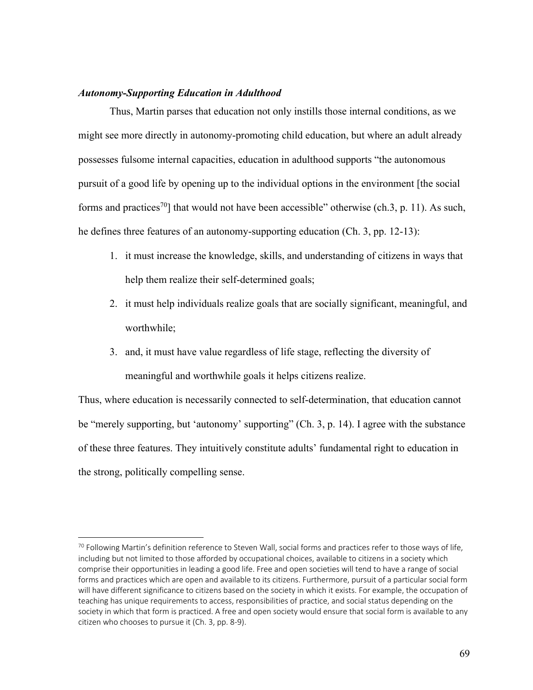#### *Autonomy-Supporting Education in Adulthood*

Thus, Martin parses that education not only instills those internal conditions, as we might see more directly in autonomy-promoting child education, but where an adult already possesses fulsome internal capacities, education in adulthood supports "the autonomous pursuit of a good life by opening up to the individual options in the environment [the social forms and practices<sup>70</sup>] that would not have been accessible" otherwise (ch.3, p. 11). As such, he defines three features of an autonomy-supporting education (Ch. 3, pp. 12-13):

- 1. it must increase the knowledge, skills, and understanding of citizens in ways that help them realize their self-determined goals;
- 2. it must help individuals realize goals that are socially significant, meaningful, and worthwhile;
- 3. and, it must have value regardless of life stage, reflecting the diversity of meaningful and worthwhile goals it helps citizens realize.

Thus, where education is necessarily connected to self-determination, that education cannot be "merely supporting, but 'autonomy' supporting" (Ch. 3, p. 14). I agree with the substance of these three features. They intuitively constitute adults' fundamental right to education in the strong, politically compelling sense.

<sup>&</sup>lt;sup>70</sup> Following Martin's definition reference to Steven Wall, social forms and practices refer to those ways of life, including but not limited to those afforded by occupational choices, available to citizens in a society which comprise their opportunities in leading a good life. Free and open societies will tend to have a range of social forms and practices which are open and available to its citizens. Furthermore, pursuit of a particular social form will have different significance to citizens based on the society in which it exists. For example, the occupation of teaching has unique requirements to access, responsibilities of practice, and social status depending on the society in which that form is practiced. A free and open society would ensure that social form is available to any citizen who chooses to pursue it (Ch. 3, pp. 8-9).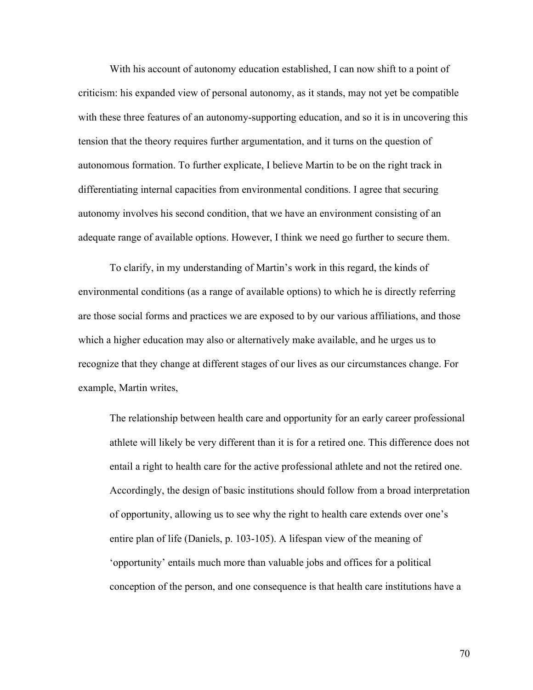With his account of autonomy education established, I can now shift to a point of criticism: his expanded view of personal autonomy, as it stands, may not yet be compatible with these three features of an autonomy-supporting education, and so it is in uncovering this tension that the theory requires further argumentation, and it turns on the question of autonomous formation. To further explicate, I believe Martin to be on the right track in differentiating internal capacities from environmental conditions. I agree that securing autonomy involves his second condition, that we have an environment consisting of an adequate range of available options. However, I think we need go further to secure them.

To clarify, in my understanding of Martin's work in this regard, the kinds of environmental conditions (as a range of available options) to which he is directly referring are those social forms and practices we are exposed to by our various affiliations, and those which a higher education may also or alternatively make available, and he urges us to recognize that they change at different stages of our lives as our circumstances change. For example, Martin writes,

The relationship between health care and opportunity for an early career professional athlete will likely be very different than it is for a retired one. This difference does not entail a right to health care for the active professional athlete and not the retired one. Accordingly, the design of basic institutions should follow from a broad interpretation of opportunity, allowing us to see why the right to health care extends over one's entire plan of life (Daniels, p. 103-105). A lifespan view of the meaning of 'opportunity' entails much more than valuable jobs and offices for a political conception of the person, and one consequence is that health care institutions have a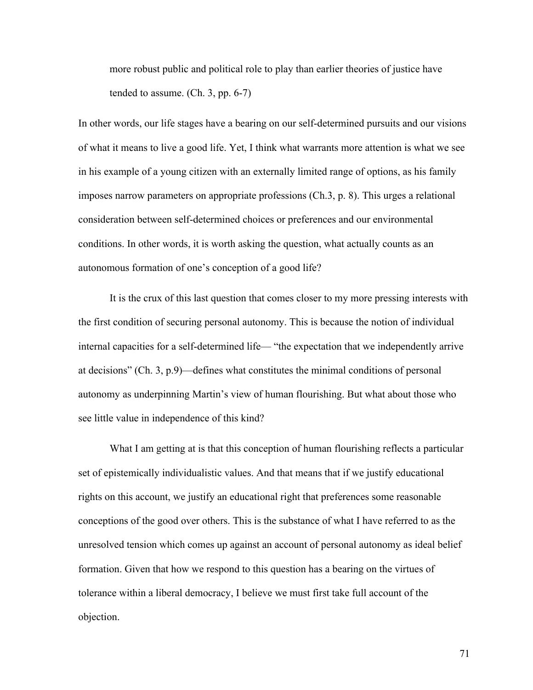more robust public and political role to play than earlier theories of justice have tended to assume. (Ch. 3, pp. 6-7)

In other words, our life stages have a bearing on our self-determined pursuits and our visions of what it means to live a good life. Yet, I think what warrants more attention is what we see in his example of a young citizen with an externally limited range of options, as his family imposes narrow parameters on appropriate professions (Ch.3, p. 8). This urges a relational consideration between self-determined choices or preferences and our environmental conditions. In other words, it is worth asking the question, what actually counts as an autonomous formation of one's conception of a good life?

It is the crux of this last question that comes closer to my more pressing interests with the first condition of securing personal autonomy. This is because the notion of individual internal capacities for a self-determined life— "the expectation that we independently arrive at decisions" (Ch. 3, p.9)—defines what constitutes the minimal conditions of personal autonomy as underpinning Martin's view of human flourishing. But what about those who see little value in independence of this kind?

What I am getting at is that this conception of human flourishing reflects a particular set of epistemically individualistic values. And that means that if we justify educational rights on this account, we justify an educational right that preferences some reasonable conceptions of the good over others. This is the substance of what I have referred to as the unresolved tension which comes up against an account of personal autonomy as ideal belief formation. Given that how we respond to this question has a bearing on the virtues of tolerance within a liberal democracy, I believe we must first take full account of the objection.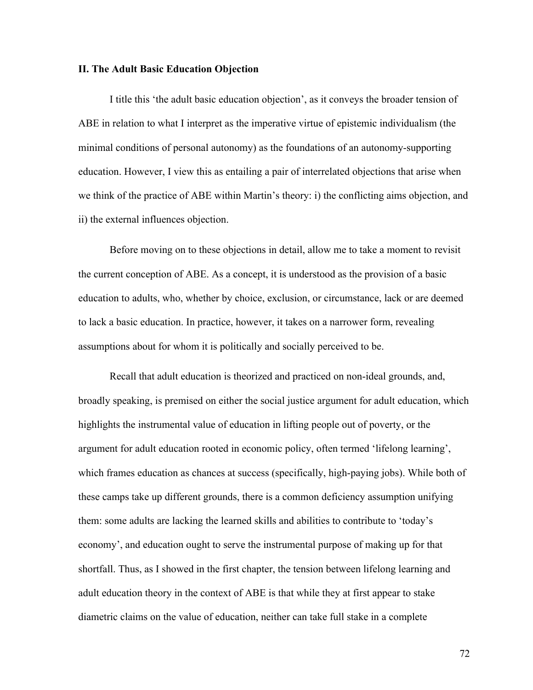### **II. The Adult Basic Education Objection**

I title this 'the adult basic education objection', as it conveys the broader tension of ABE in relation to what I interpret as the imperative virtue of epistemic individualism (the minimal conditions of personal autonomy) as the foundations of an autonomy-supporting education. However, I view this as entailing a pair of interrelated objections that arise when we think of the practice of ABE within Martin's theory: i) the conflicting aims objection, and ii) the external influences objection.

Before moving on to these objections in detail, allow me to take a moment to revisit the current conception of ABE. As a concept, it is understood as the provision of a basic education to adults, who, whether by choice, exclusion, or circumstance, lack or are deemed to lack a basic education. In practice, however, it takes on a narrower form, revealing assumptions about for whom it is politically and socially perceived to be.

Recall that adult education is theorized and practiced on non-ideal grounds, and, broadly speaking, is premised on either the social justice argument for adult education, which highlights the instrumental value of education in lifting people out of poverty, or the argument for adult education rooted in economic policy, often termed 'lifelong learning', which frames education as chances at success (specifically, high-paying jobs). While both of these camps take up different grounds, there is a common deficiency assumption unifying them: some adults are lacking the learned skills and abilities to contribute to 'today's economy', and education ought to serve the instrumental purpose of making up for that shortfall. Thus, as I showed in the first chapter, the tension between lifelong learning and adult education theory in the context of ABE is that while they at first appear to stake diametric claims on the value of education, neither can take full stake in a complete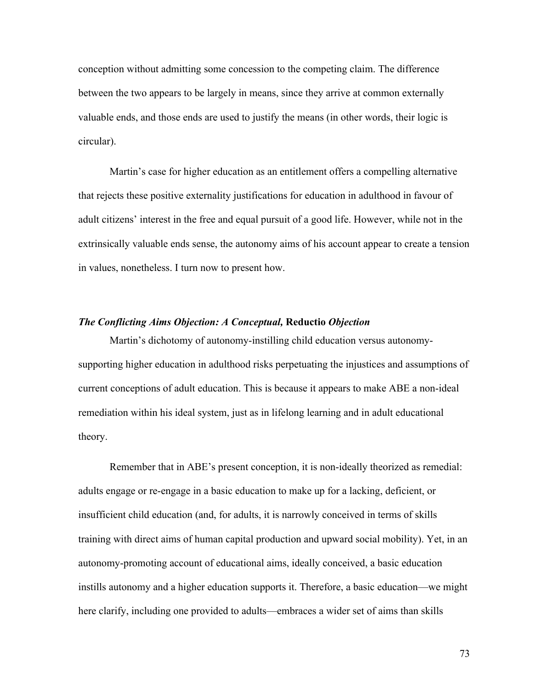conception without admitting some concession to the competing claim. The difference between the two appears to be largely in means, since they arrive at common externally valuable ends, and those ends are used to justify the means (in other words, their logic is circular).

Martin's case for higher education as an entitlement offers a compelling alternative that rejects these positive externality justifications for education in adulthood in favour of adult citizens' interest in the free and equal pursuit of a good life. However, while not in the extrinsically valuable ends sense, the autonomy aims of his account appear to create a tension in values, nonetheless. I turn now to present how.

# *The Conflicting Aims Objection: A Conceptual,* **Reductio** *Objection*

Martin's dichotomy of autonomy-instilling child education versus autonomysupporting higher education in adulthood risks perpetuating the injustices and assumptions of current conceptions of adult education. This is because it appears to make ABE a non-ideal remediation within his ideal system, just as in lifelong learning and in adult educational theory.

Remember that in ABE's present conception, it is non-ideally theorized as remedial: adults engage or re-engage in a basic education to make up for a lacking, deficient, or insufficient child education (and, for adults, it is narrowly conceived in terms of skills training with direct aims of human capital production and upward social mobility). Yet, in an autonomy-promoting account of educational aims, ideally conceived, a basic education instills autonomy and a higher education supports it. Therefore, a basic education—we might here clarify, including one provided to adults—embraces a wider set of aims than skills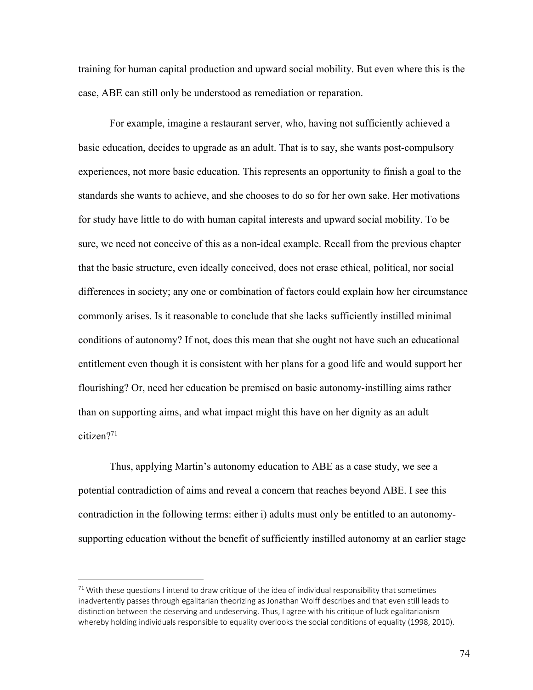training for human capital production and upward social mobility. But even where this is the case, ABE can still only be understood as remediation or reparation.

For example, imagine a restaurant server, who, having not sufficiently achieved a basic education, decides to upgrade as an adult. That is to say, she wants post-compulsory experiences, not more basic education. This represents an opportunity to finish a goal to the standards she wants to achieve, and she chooses to do so for her own sake. Her motivations for study have little to do with human capital interests and upward social mobility. To be sure, we need not conceive of this as a non-ideal example. Recall from the previous chapter that the basic structure, even ideally conceived, does not erase ethical, political, nor social differences in society; any one or combination of factors could explain how her circumstance commonly arises. Is it reasonable to conclude that she lacks sufficiently instilled minimal conditions of autonomy? If not, does this mean that she ought not have such an educational entitlement even though it is consistent with her plans for a good life and would support her flourishing? Or, need her education be premised on basic autonomy-instilling aims rather than on supporting aims, and what impact might this have on her dignity as an adult citizen?71

Thus, applying Martin's autonomy education to ABE as a case study, we see a potential contradiction of aims and reveal a concern that reaches beyond ABE. I see this contradiction in the following terms: either i) adults must only be entitled to an autonomysupporting education without the benefit of sufficiently instilled autonomy at an earlier stage

 $71$  With these questions I intend to draw critique of the idea of individual responsibility that sometimes inadvertently passes through egalitarian theorizing as Jonathan Wolff describes and that even still leads to distinction between the deserving and undeserving. Thus, I agree with his critique of luck egalitarianism whereby holding individuals responsible to equality overlooks the social conditions of equality (1998, 2010).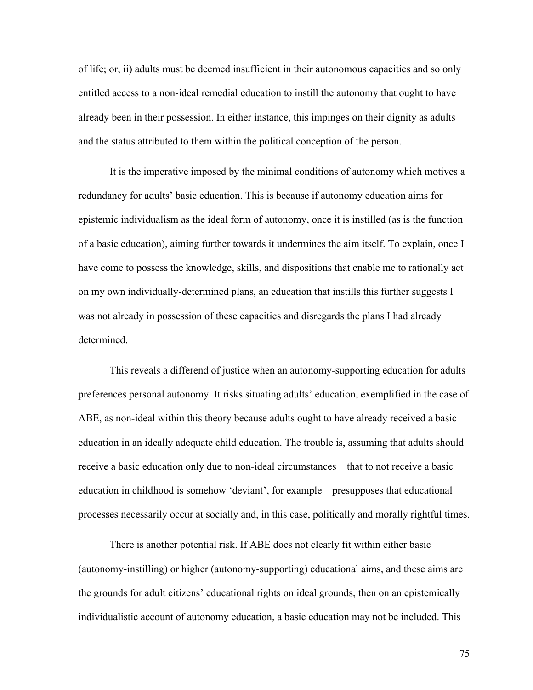of life; or, ii) adults must be deemed insufficient in their autonomous capacities and so only entitled access to a non-ideal remedial education to instill the autonomy that ought to have already been in their possession. In either instance, this impinges on their dignity as adults and the status attributed to them within the political conception of the person.

It is the imperative imposed by the minimal conditions of autonomy which motives a redundancy for adults' basic education. This is because if autonomy education aims for epistemic individualism as the ideal form of autonomy, once it is instilled (as is the function of a basic education), aiming further towards it undermines the aim itself. To explain, once I have come to possess the knowledge, skills, and dispositions that enable me to rationally act on my own individually-determined plans, an education that instills this further suggests I was not already in possession of these capacities and disregards the plans I had already determined.

This reveals a differend of justice when an autonomy-supporting education for adults preferences personal autonomy. It risks situating adults' education, exemplified in the case of ABE, as non-ideal within this theory because adults ought to have already received a basic education in an ideally adequate child education. The trouble is, assuming that adults should receive a basic education only due to non-ideal circumstances – that to not receive a basic education in childhood is somehow 'deviant', for example – presupposes that educational processes necessarily occur at socially and, in this case, politically and morally rightful times.

There is another potential risk. If ABE does not clearly fit within either basic (autonomy-instilling) or higher (autonomy-supporting) educational aims, and these aims are the grounds for adult citizens' educational rights on ideal grounds, then on an epistemically individualistic account of autonomy education, a basic education may not be included. This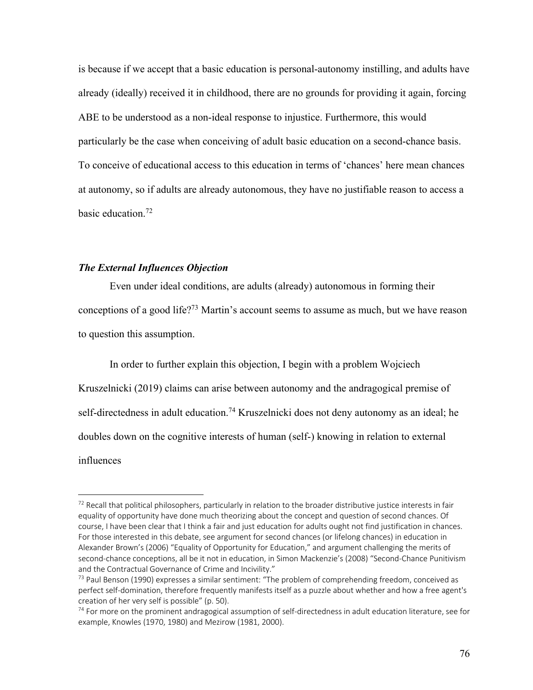is because if we accept that a basic education is personal-autonomy instilling, and adults have already (ideally) received it in childhood, there are no grounds for providing it again, forcing ABE to be understood as a non-ideal response to injustice. Furthermore, this would particularly be the case when conceiving of adult basic education on a second-chance basis. To conceive of educational access to this education in terms of 'chances' here mean chances at autonomy, so if adults are already autonomous, they have no justifiable reason to access a basic education. 72

# *The External Influences Objection*

Even under ideal conditions, are adults (already) autonomous in forming their conceptions of a good life?73 Martin's account seems to assume as much, but we have reason to question this assumption.

In order to further explain this objection, I begin with a problem Wojciech Kruszelnicki (2019) claims can arise between autonomy and the andragogical premise of self-directedness in adult education.<sup>74</sup> Kruszelnicki does not deny autonomy as an ideal; he doubles down on the cognitive interests of human (self-) knowing in relation to external influences

 $72$  Recall that political philosophers, particularly in relation to the broader distributive justice interests in fair equality of opportunity have done much theorizing about the concept and question of second chances. Of course, I have been clear that I think a fair and just education for adults ought not find justification in chances. For those interested in this debate, see argument for second chances (or lifelong chances) in education in Alexander Brown's (2006) "Equality of Opportunity for Education," and argument challenging the merits of second-chance conceptions, all be it not in education, in Simon Mackenzie's (2008) "Second-Chance Punitivism and the Contractual Governance of Crime and Incivility."

<sup>&</sup>lt;sup>73</sup> Paul Benson (1990) expresses a similar sentiment: "The problem of comprehending freedom, conceived as perfect self-domination, therefore frequently manifests itself as a puzzle about whether and how a free agent's creation of her very self is possible" (p. 50).

 $74$  For more on the prominent andragogical assumption of self-directedness in adult education literature, see for example, Knowles (1970, 1980) and Mezirow (1981, 2000).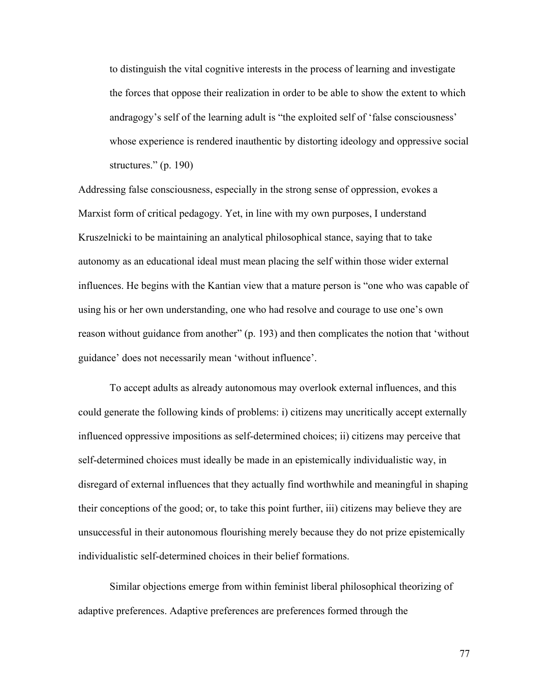to distinguish the vital cognitive interests in the process of learning and investigate the forces that oppose their realization in order to be able to show the extent to which andragogy's self of the learning adult is "the exploited self of 'false consciousness' whose experience is rendered inauthentic by distorting ideology and oppressive social structures." (p. 190)

Addressing false consciousness, especially in the strong sense of oppression, evokes a Marxist form of critical pedagogy. Yet, in line with my own purposes, I understand Kruszelnicki to be maintaining an analytical philosophical stance, saying that to take autonomy as an educational ideal must mean placing the self within those wider external influences. He begins with the Kantian view that a mature person is "one who was capable of using his or her own understanding, one who had resolve and courage to use one's own reason without guidance from another" (p. 193) and then complicates the notion that 'without guidance' does not necessarily mean 'without influence'.

To accept adults as already autonomous may overlook external influences, and this could generate the following kinds of problems: i) citizens may uncritically accept externally influenced oppressive impositions as self-determined choices; ii) citizens may perceive that self-determined choices must ideally be made in an epistemically individualistic way, in disregard of external influences that they actually find worthwhile and meaningful in shaping their conceptions of the good; or, to take this point further, iii) citizens may believe they are unsuccessful in their autonomous flourishing merely because they do not prize epistemically individualistic self-determined choices in their belief formations.

Similar objections emerge from within feminist liberal philosophical theorizing of adaptive preferences. Adaptive preferences are preferences formed through the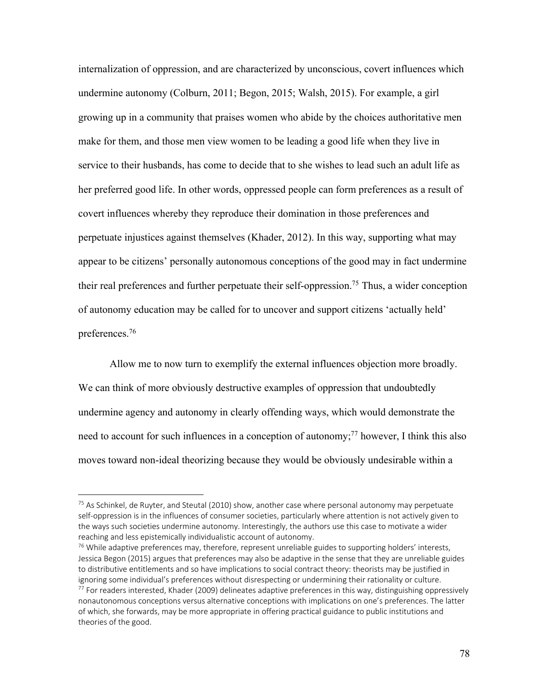internalization of oppression, and are characterized by unconscious, covert influences which undermine autonomy (Colburn, 2011; Begon, 2015; Walsh, 2015). For example, a girl growing up in a community that praises women who abide by the choices authoritative men make for them, and those men view women to be leading a good life when they live in service to their husbands, has come to decide that to she wishes to lead such an adult life as her preferred good life. In other words, oppressed people can form preferences as a result of covert influences whereby they reproduce their domination in those preferences and perpetuate injustices against themselves (Khader, 2012). In this way, supporting what may appear to be citizens' personally autonomous conceptions of the good may in fact undermine their real preferences and further perpetuate their self-oppression.75 Thus, a wider conception of autonomy education may be called for to uncover and support citizens 'actually held' preferences.76

Allow me to now turn to exemplify the external influences objection more broadly. We can think of more obviously destructive examples of oppression that undoubtedly undermine agency and autonomy in clearly offending ways, which would demonstrate the need to account for such influences in a conception of autonomy;<sup>77</sup> however, I think this also moves toward non-ideal theorizing because they would be obviously undesirable within a

<sup>&</sup>lt;sup>75</sup> As Schinkel, de Ruyter, and Steutal (2010) show, another case where personal autonomy may perpetuate self-oppression is in the influences of consumer societies, particularly where attention is not actively given to the ways such societies undermine autonomy. Interestingly, the authors use this case to motivate a wider reaching and less epistemically individualistic account of autonomy.

 $76$  While adaptive preferences may, therefore, represent unreliable guides to supporting holders' interests, Jessica Begon (2015) argues that preferences may also be adaptive in the sense that they are unreliable guides to distributive entitlements and so have implications to social contract theory: theorists may be justified in ignoring some individual's preferences without disrespecting or undermining their rationality or culture. 77 For readers interested, Khader (2009) delineates adaptive preferences in this way, distinguishing oppressively nonautonomous conceptions versus alternative conceptions with implications on one's preferences. The latter of which, she forwards, may be more appropriate in offering practical guidance to public institutions and theories of the good.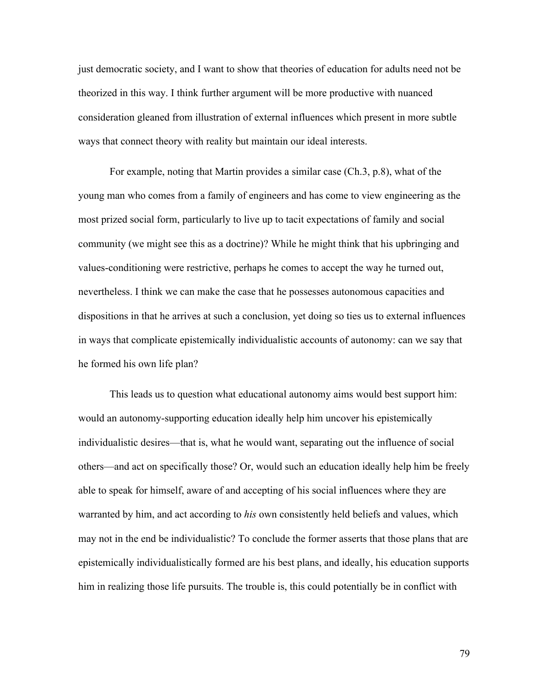just democratic society, and I want to show that theories of education for adults need not be theorized in this way. I think further argument will be more productive with nuanced consideration gleaned from illustration of external influences which present in more subtle ways that connect theory with reality but maintain our ideal interests.

For example, noting that Martin provides a similar case (Ch.3, p.8), what of the young man who comes from a family of engineers and has come to view engineering as the most prized social form, particularly to live up to tacit expectations of family and social community (we might see this as a doctrine)? While he might think that his upbringing and values-conditioning were restrictive, perhaps he comes to accept the way he turned out, nevertheless. I think we can make the case that he possesses autonomous capacities and dispositions in that he arrives at such a conclusion, yet doing so ties us to external influences in ways that complicate epistemically individualistic accounts of autonomy: can we say that he formed his own life plan?

This leads us to question what educational autonomy aims would best support him: would an autonomy-supporting education ideally help him uncover his epistemically individualistic desires—that is, what he would want, separating out the influence of social others—and act on specifically those? Or, would such an education ideally help him be freely able to speak for himself, aware of and accepting of his social influences where they are warranted by him, and act according to *his* own consistently held beliefs and values, which may not in the end be individualistic? To conclude the former asserts that those plans that are epistemically individualistically formed are his best plans, and ideally, his education supports him in realizing those life pursuits. The trouble is, this could potentially be in conflict with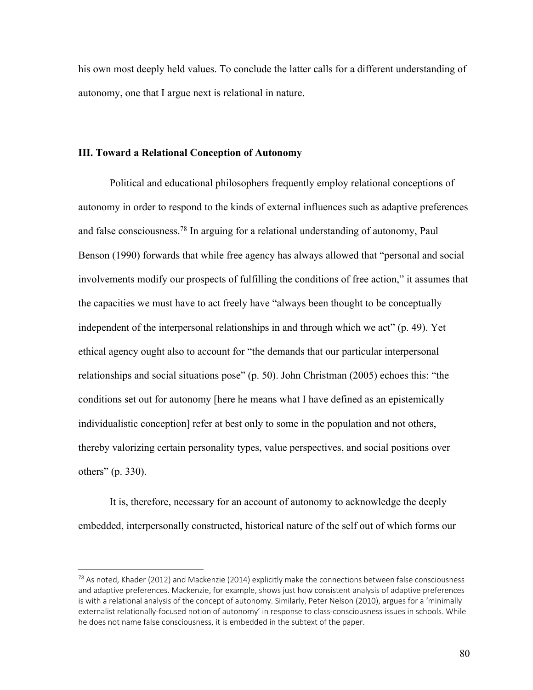his own most deeply held values. To conclude the latter calls for a different understanding of autonomy, one that I argue next is relational in nature.

# **III. Toward a Relational Conception of Autonomy**

Political and educational philosophers frequently employ relational conceptions of autonomy in order to respond to the kinds of external influences such as adaptive preferences and false consciousness.78 In arguing for a relational understanding of autonomy, Paul Benson (1990) forwards that while free agency has always allowed that "personal and social involvements modify our prospects of fulfilling the conditions of free action," it assumes that the capacities we must have to act freely have "always been thought to be conceptually independent of the interpersonal relationships in and through which we act" (p. 49). Yet ethical agency ought also to account for "the demands that our particular interpersonal relationships and social situations pose" (p. 50). John Christman (2005) echoes this: "the conditions set out for autonomy [here he means what I have defined as an epistemically individualistic conception] refer at best only to some in the population and not others, thereby valorizing certain personality types, value perspectives, and social positions over others" (p. 330).

It is, therefore, necessary for an account of autonomy to acknowledge the deeply embedded, interpersonally constructed, historical nature of the self out of which forms our

 $^{78}$  As noted, Khader (2012) and Mackenzie (2014) explicitly make the connections between false consciousness and adaptive preferences. Mackenzie, for example, shows just how consistent analysis of adaptive preferences is with a relational analysis of the concept of autonomy. Similarly, Peter Nelson (2010), argues for a 'minimally externalist relationally-focused notion of autonomy' in response to class-consciousness issues in schools. While he does not name false consciousness, it is embedded in the subtext of the paper.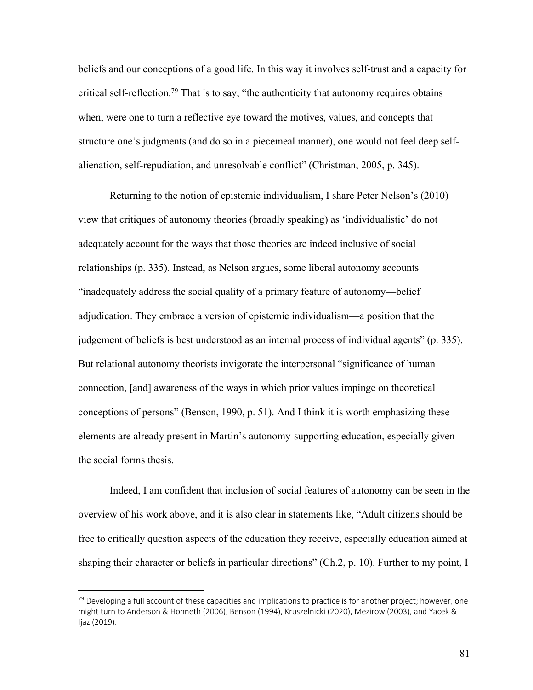beliefs and our conceptions of a good life. In this way it involves self-trust and a capacity for critical self-reflection.<sup>79</sup> That is to say, "the authenticity that autonomy requires obtains when, were one to turn a reflective eye toward the motives, values, and concepts that structure one's judgments (and do so in a piecemeal manner), one would not feel deep selfalienation, self-repudiation, and unresolvable conflict" (Christman, 2005, p. 345).

Returning to the notion of epistemic individualism, I share Peter Nelson's (2010) view that critiques of autonomy theories (broadly speaking) as 'individualistic' do not adequately account for the ways that those theories are indeed inclusive of social relationships (p. 335). Instead, as Nelson argues, some liberal autonomy accounts "inadequately address the social quality of a primary feature of autonomy—belief adjudication. They embrace a version of epistemic individualism—a position that the judgement of beliefs is best understood as an internal process of individual agents" (p. 335). But relational autonomy theorists invigorate the interpersonal "significance of human connection, [and] awareness of the ways in which prior values impinge on theoretical conceptions of persons" (Benson, 1990, p. 51). And I think it is worth emphasizing these elements are already present in Martin's autonomy-supporting education, especially given the social forms thesis.

Indeed, I am confident that inclusion of social features of autonomy can be seen in the overview of his work above, and it is also clear in statements like, "Adult citizens should be free to critically question aspects of the education they receive, especially education aimed at shaping their character or beliefs in particular directions" (Ch.2, p. 10). Further to my point, I

<sup>&</sup>lt;sup>79</sup> Developing a full account of these capacities and implications to practice is for another project; however, one might turn to Anderson & Honneth (2006), Benson (1994), Kruszelnicki (2020), Mezirow (2003), and Yacek & Ijaz (2019).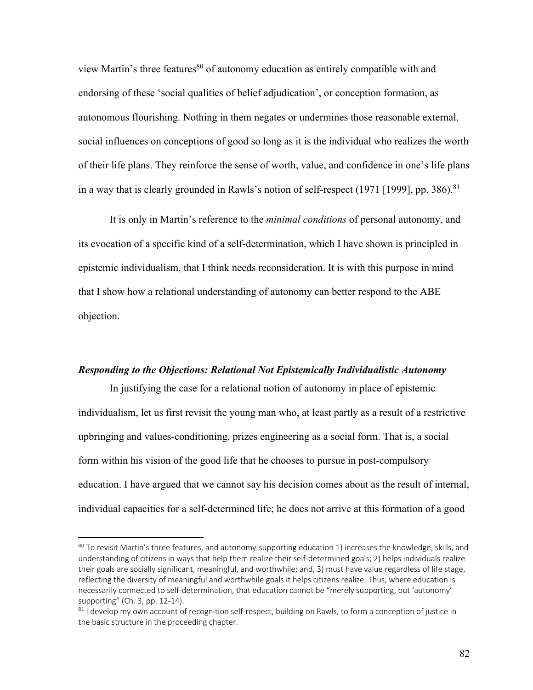view Martin's three features $80$  of autonomy education as entirely compatible with and endorsing of these 'social qualities of belief adjudication', or conception formation, as autonomous flourishing. Nothing in them negates or undermines those reasonable external, social influences on conceptions of good so long as it is the individual who realizes the worth of their life plans. They reinforce the sense of worth, value, and confidence in one's life plans in a way that is clearly grounded in Rawls's notion of self-respect  $(1971)$  [1999], pp. 386).<sup>81</sup>

It is only in Martin's reference to the *minimal conditions* of personal autonomy, and its evocation of a specific kind of a self-determination, which I have shown is principled in epistemic individualism, that I think needs reconsideration. It is with this purpose in mind that I show how a relational understanding of autonomy can better respond to the ABE objection.

# *Responding to the Objections: Relational Not Epistemically Individualistic Autonomy*

In justifying the case for a relational notion of autonomy in place of epistemic individualism, let us first revisit the young man who, at least partly as a result of a restrictive upbringing and values-conditioning, prizes engineering as a social form. That is, a social form within his vision of the good life that he chooses to pursue in post-compulsory education. I have argued that we cannot say his decision comes about as the result of internal, individual capacities for a self-determined life; he does not arrive at this formation of a good

 $80$  To revisit Martin's three features, and autonomy-supporting education 1) increases the knowledge, skills, and understanding of citizens in ways that help them realize their self-determined goals; 2) helps individuals realize their goals are socially significant, meaningful, and worthwhile; and, 3) must have value regardless of life stage, reflecting the diversity of meaningful and worthwhile goals it helps citizens realize. Thus, where education is necessarily connected to self-determination, that education cannot be "merely supporting, but 'autonomy' supporting" (Ch. 3, pp. 12-14).

 $81$  I develop my own account of recognition self-respect, building on Rawls, to form a conception of justice in the basic structure in the proceeding chapter.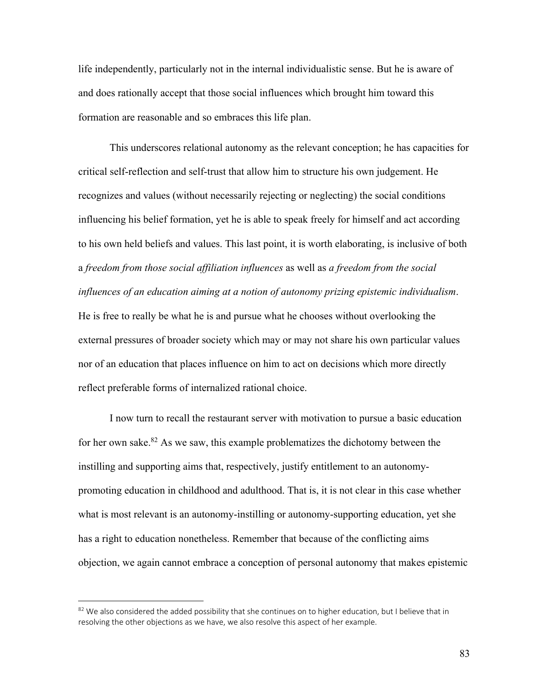life independently, particularly not in the internal individualistic sense. But he is aware of and does rationally accept that those social influences which brought him toward this formation are reasonable and so embraces this life plan.

This underscores relational autonomy as the relevant conception; he has capacities for critical self-reflection and self-trust that allow him to structure his own judgement. He recognizes and values (without necessarily rejecting or neglecting) the social conditions influencing his belief formation, yet he is able to speak freely for himself and act according to his own held beliefs and values. This last point, it is worth elaborating, is inclusive of both a *freedom from those social affiliation influences* as well as *a freedom from the social influences of an education aiming at a notion of autonomy prizing epistemic individualism*. He is free to really be what he is and pursue what he chooses without overlooking the external pressures of broader society which may or may not share his own particular values nor of an education that places influence on him to act on decisions which more directly reflect preferable forms of internalized rational choice.

I now turn to recall the restaurant server with motivation to pursue a basic education for her own sake.<sup>82</sup> As we saw, this example problematizes the dichotomy between the instilling and supporting aims that, respectively, justify entitlement to an autonomypromoting education in childhood and adulthood. That is, it is not clear in this case whether what is most relevant is an autonomy-instilling or autonomy-supporting education, yet she has a right to education nonetheless. Remember that because of the conflicting aims objection, we again cannot embrace a conception of personal autonomy that makes epistemic

 $82$  We also considered the added possibility that she continues on to higher education, but I believe that in resolving the other objections as we have, we also resolve this aspect of her example.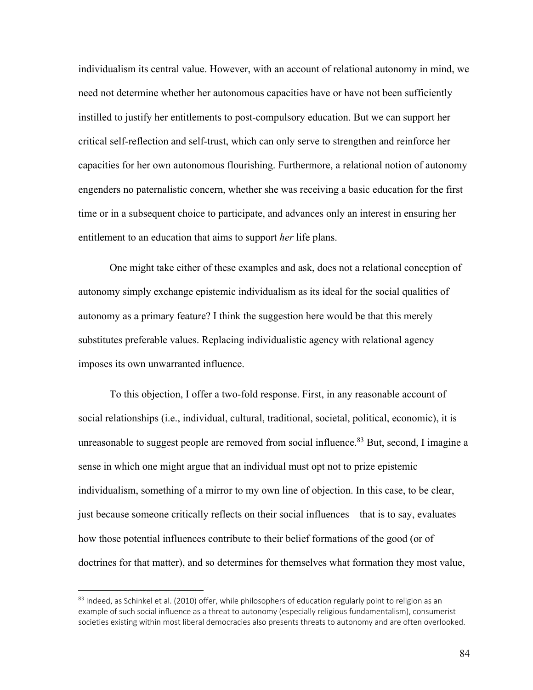individualism its central value. However, with an account of relational autonomy in mind, we need not determine whether her autonomous capacities have or have not been sufficiently instilled to justify her entitlements to post-compulsory education. But we can support her critical self-reflection and self-trust, which can only serve to strengthen and reinforce her capacities for her own autonomous flourishing. Furthermore, a relational notion of autonomy engenders no paternalistic concern, whether she was receiving a basic education for the first time or in a subsequent choice to participate, and advances only an interest in ensuring her entitlement to an education that aims to support *her* life plans.

One might take either of these examples and ask, does not a relational conception of autonomy simply exchange epistemic individualism as its ideal for the social qualities of autonomy as a primary feature? I think the suggestion here would be that this merely substitutes preferable values. Replacing individualistic agency with relational agency imposes its own unwarranted influence.

To this objection, I offer a two-fold response. First, in any reasonable account of social relationships (i.e., individual, cultural, traditional, societal, political, economic), it is unreasonable to suggest people are removed from social influence.<sup>83</sup> But, second, I imagine a sense in which one might argue that an individual must opt not to prize epistemic individualism, something of a mirror to my own line of objection. In this case, to be clear, just because someone critically reflects on their social influences—that is to say, evaluates how those potential influences contribute to their belief formations of the good (or of doctrines for that matter), and so determines for themselves what formation they most value,

<sup>83</sup> Indeed, as Schinkel et al. (2010) offer, while philosophers of education regularly point to religion as an example of such social influence as a threat to autonomy (especially religious fundamentalism), consumerist societies existing within most liberal democracies also presents threats to autonomy and are often overlooked.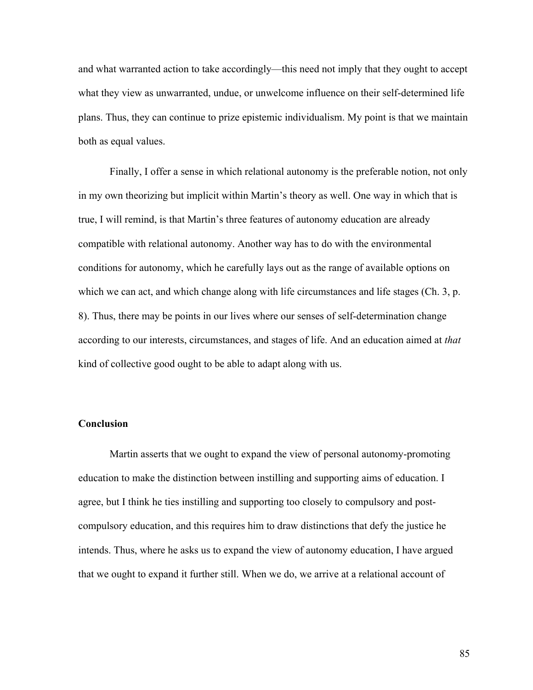and what warranted action to take accordingly—this need not imply that they ought to accept what they view as unwarranted, undue, or unwelcome influence on their self-determined life plans. Thus, they can continue to prize epistemic individualism. My point is that we maintain both as equal values.

Finally, I offer a sense in which relational autonomy is the preferable notion, not only in my own theorizing but implicit within Martin's theory as well. One way in which that is true, I will remind, is that Martin's three features of autonomy education are already compatible with relational autonomy. Another way has to do with the environmental conditions for autonomy, which he carefully lays out as the range of available options on which we can act, and which change along with life circumstances and life stages (Ch. 3, p. 8). Thus, there may be points in our lives where our senses of self-determination change according to our interests, circumstances, and stages of life. And an education aimed at *that* kind of collective good ought to be able to adapt along with us.

### **Conclusion**

Martin asserts that we ought to expand the view of personal autonomy-promoting education to make the distinction between instilling and supporting aims of education. I agree, but I think he ties instilling and supporting too closely to compulsory and postcompulsory education, and this requires him to draw distinctions that defy the justice he intends. Thus, where he asks us to expand the view of autonomy education, I have argued that we ought to expand it further still. When we do, we arrive at a relational account of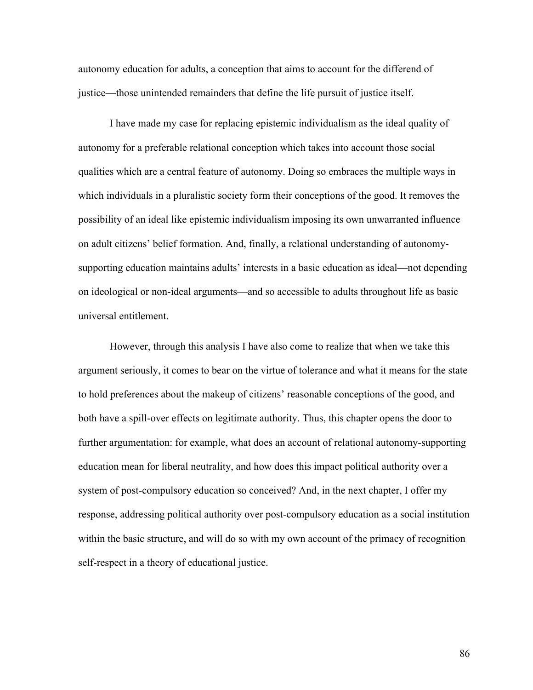autonomy education for adults, a conception that aims to account for the differend of justice—those unintended remainders that define the life pursuit of justice itself.

I have made my case for replacing epistemic individualism as the ideal quality of autonomy for a preferable relational conception which takes into account those social qualities which are a central feature of autonomy. Doing so embraces the multiple ways in which individuals in a pluralistic society form their conceptions of the good. It removes the possibility of an ideal like epistemic individualism imposing its own unwarranted influence on adult citizens' belief formation. And, finally, a relational understanding of autonomysupporting education maintains adults' interests in a basic education as ideal—not depending on ideological or non-ideal arguments—and so accessible to adults throughout life as basic universal entitlement.

However, through this analysis I have also come to realize that when we take this argument seriously, it comes to bear on the virtue of tolerance and what it means for the state to hold preferences about the makeup of citizens' reasonable conceptions of the good, and both have a spill-over effects on legitimate authority. Thus, this chapter opens the door to further argumentation: for example, what does an account of relational autonomy-supporting education mean for liberal neutrality, and how does this impact political authority over a system of post-compulsory education so conceived? And, in the next chapter, I offer my response, addressing political authority over post-compulsory education as a social institution within the basic structure, and will do so with my own account of the primacy of recognition self-respect in a theory of educational justice.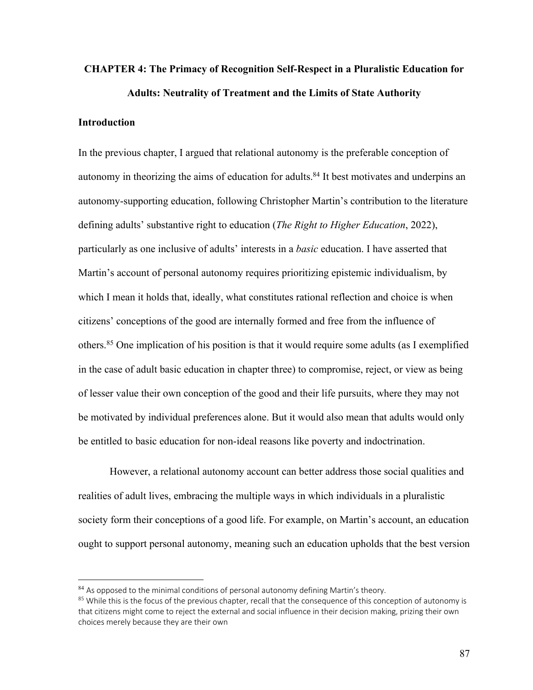# **CHAPTER 4: The Primacy of Recognition Self-Respect in a Pluralistic Education for Adults: Neutrality of Treatment and the Limits of State Authority**

# **Introduction**

In the previous chapter, I argued that relational autonomy is the preferable conception of autonomy in theorizing the aims of education for adults.<sup>84</sup> It best motivates and underpins an autonomy-supporting education, following Christopher Martin's contribution to the literature defining adults' substantive right to education (*The Right to Higher Education*, 2022), particularly as one inclusive of adults' interests in a *basic* education. I have asserted that Martin's account of personal autonomy requires prioritizing epistemic individualism, by which I mean it holds that, ideally, what constitutes rational reflection and choice is when citizens' conceptions of the good are internally formed and free from the influence of others.85 One implication of his position is that it would require some adults (as I exemplified in the case of adult basic education in chapter three) to compromise, reject, or view as being of lesser value their own conception of the good and their life pursuits, where they may not be motivated by individual preferences alone. But it would also mean that adults would only be entitled to basic education for non-ideal reasons like poverty and indoctrination.

However, a relational autonomy account can better address those social qualities and realities of adult lives, embracing the multiple ways in which individuals in a pluralistic society form their conceptions of a good life. For example, on Martin's account, an education ought to support personal autonomy, meaning such an education upholds that the best version

 $84$  As opposed to the minimal conditions of personal autonomy defining Martin's theory.

<sup>&</sup>lt;sup>85</sup> While this is the focus of the previous chapter, recall that the consequence of this conception of autonomy is that citizens might come to reject the external and social influence in their decision making, prizing their own choices merely because they are their own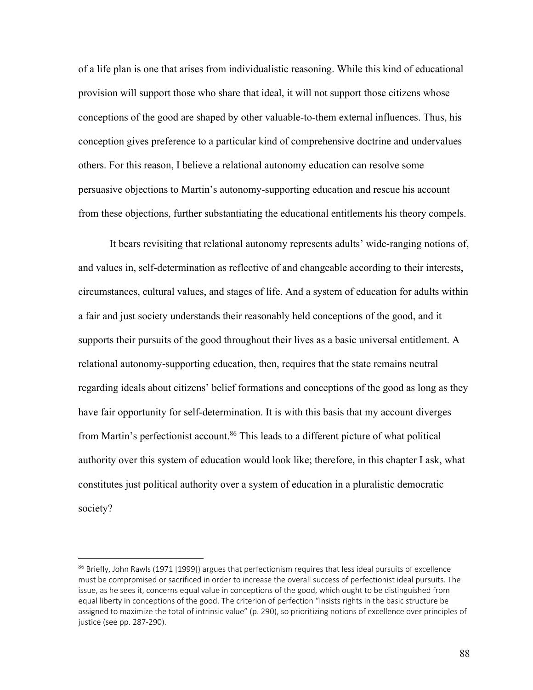of a life plan is one that arises from individualistic reasoning. While this kind of educational provision will support those who share that ideal, it will not support those citizens whose conceptions of the good are shaped by other valuable-to-them external influences. Thus, his conception gives preference to a particular kind of comprehensive doctrine and undervalues others. For this reason, I believe a relational autonomy education can resolve some persuasive objections to Martin's autonomy-supporting education and rescue his account from these objections, further substantiating the educational entitlements his theory compels.

It bears revisiting that relational autonomy represents adults' wide-ranging notions of, and values in, self-determination as reflective of and changeable according to their interests, circumstances, cultural values, and stages of life. And a system of education for adults within a fair and just society understands their reasonably held conceptions of the good, and it supports their pursuits of the good throughout their lives as a basic universal entitlement. A relational autonomy-supporting education, then, requires that the state remains neutral regarding ideals about citizens' belief formations and conceptions of the good as long as they have fair opportunity for self-determination. It is with this basis that my account diverges from Martin's perfectionist account.<sup>86</sup> This leads to a different picture of what political authority over this system of education would look like; therefore, in this chapter I ask, what constitutes just political authority over a system of education in a pluralistic democratic society?

<sup>86</sup> Briefly, John Rawls (1971 [1999]) argues that perfectionism requires that less ideal pursuits of excellence must be compromised or sacrificed in order to increase the overall success of perfectionist ideal pursuits. The issue, as he sees it, concerns equal value in conceptions of the good, which ought to be distinguished from equal liberty in conceptions of the good. The criterion of perfection "Insists rights in the basic structure be assigned to maximize the total of intrinsic value" (p. 290), so prioritizing notions of excellence over principles of justice (see pp. 287-290).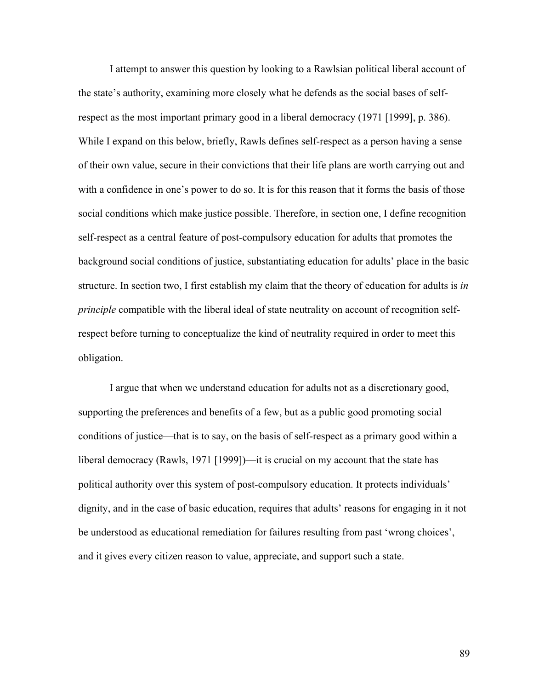I attempt to answer this question by looking to a Rawlsian political liberal account of the state's authority, examining more closely what he defends as the social bases of selfrespect as the most important primary good in a liberal democracy (1971 [1999], p. 386). While I expand on this below, briefly, Rawls defines self-respect as a person having a sense of their own value, secure in their convictions that their life plans are worth carrying out and with a confidence in one's power to do so. It is for this reason that it forms the basis of those social conditions which make justice possible. Therefore, in section one, I define recognition self-respect as a central feature of post-compulsory education for adults that promotes the background social conditions of justice, substantiating education for adults' place in the basic structure. In section two, I first establish my claim that the theory of education for adults is *in principle* compatible with the liberal ideal of state neutrality on account of recognition selfrespect before turning to conceptualize the kind of neutrality required in order to meet this obligation.

I argue that when we understand education for adults not as a discretionary good, supporting the preferences and benefits of a few, but as a public good promoting social conditions of justice—that is to say, on the basis of self-respect as a primary good within a liberal democracy (Rawls, 1971 [1999])—it is crucial on my account that the state has political authority over this system of post-compulsory education. It protects individuals' dignity, and in the case of basic education, requires that adults' reasons for engaging in it not be understood as educational remediation for failures resulting from past 'wrong choices', and it gives every citizen reason to value, appreciate, and support such a state.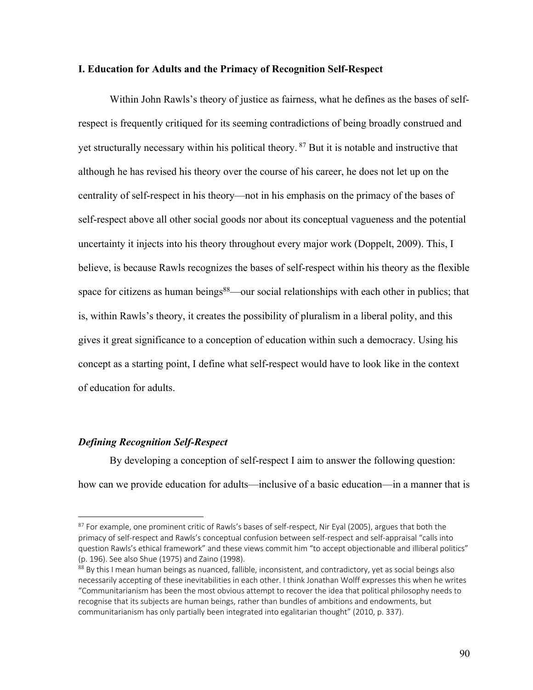#### **I. Education for Adults and the Primacy of Recognition Self-Respect**

Within John Rawls's theory of justice as fairness, what he defines as the bases of selfrespect is frequently critiqued for its seeming contradictions of being broadly construed and yet structurally necessary within his political theory. <sup>87</sup> But it is notable and instructive that although he has revised his theory over the course of his career, he does not let up on the centrality of self-respect in his theory—not in his emphasis on the primacy of the bases of self-respect above all other social goods nor about its conceptual vagueness and the potential uncertainty it injects into his theory throughout every major work (Doppelt, 2009). This, I believe, is because Rawls recognizes the bases of self-respect within his theory as the flexible space for citizens as human beings<sup>88</sup>—our social relationships with each other in publics; that is, within Rawls's theory, it creates the possibility of pluralism in a liberal polity, and this gives it great significance to a conception of education within such a democracy. Using his concept as a starting point, I define what self-respect would have to look like in the context of education for adults.

# *Defining Recognition Self-Respect*

By developing a conception of self-respect I aim to answer the following question: how can we provide education for adults—inclusive of a basic education—in a manner that is

<sup>&</sup>lt;sup>87</sup> For example, one prominent critic of Rawls's bases of self-respect, Nir Eyal (2005), argues that both the primacy of self-respect and Rawls's conceptual confusion between self-respect and self-appraisal "calls into question Rawls's ethical framework" and these views commit him "to accept objectionable and illiberal politics" (p. 196). See also Shue (1975) and Zaino (1998).

<sup>&</sup>lt;sup>88</sup> By this I mean human beings as nuanced, fallible, inconsistent, and contradictory, yet as social beings also necessarily accepting of these inevitabilities in each other. I think Jonathan Wolff expresses this when he writes "Communitarianism has been the most obvious attempt to recover the idea that political philosophy needs to recognise that its subjects are human beings, rather than bundles of ambitions and endowments, but communitarianism has only partially been integrated into egalitarian thought" (2010, p. 337).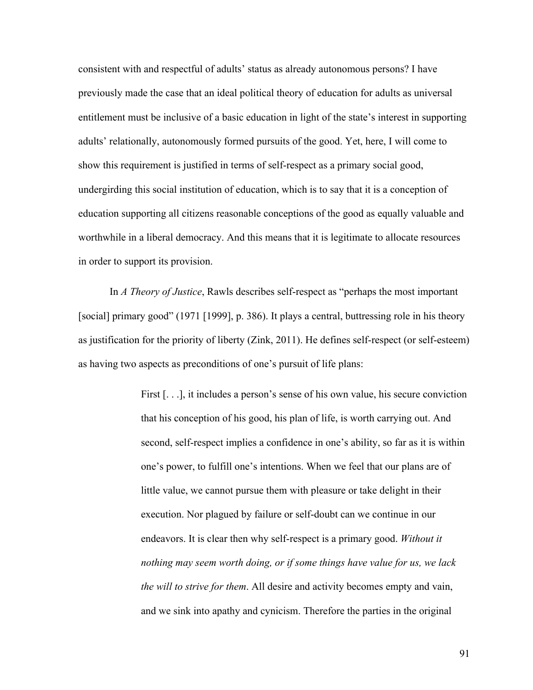consistent with and respectful of adults' status as already autonomous persons? I have previously made the case that an ideal political theory of education for adults as universal entitlement must be inclusive of a basic education in light of the state's interest in supporting adults' relationally, autonomously formed pursuits of the good. Yet, here, I will come to show this requirement is justified in terms of self-respect as a primary social good, undergirding this social institution of education, which is to say that it is a conception of education supporting all citizens reasonable conceptions of the good as equally valuable and worthwhile in a liberal democracy. And this means that it is legitimate to allocate resources in order to support its provision.

In *A Theory of Justice*, Rawls describes self-respect as "perhaps the most important [social] primary good" (1971 [1999], p. 386). It plays a central, buttressing role in his theory as justification for the priority of liberty (Zink, 2011). He defines self-respect (or self-esteem) as having two aspects as preconditions of one's pursuit of life plans:

> First [. . .], it includes a person's sense of his own value, his secure conviction that his conception of his good, his plan of life, is worth carrying out. And second, self-respect implies a confidence in one's ability, so far as it is within one's power, to fulfill one's intentions. When we feel that our plans are of little value, we cannot pursue them with pleasure or take delight in their execution. Nor plagued by failure or self-doubt can we continue in our endeavors. It is clear then why self-respect is a primary good. *Without it nothing may seem worth doing, or if some things have value for us, we lack the will to strive for them*. All desire and activity becomes empty and vain, and we sink into apathy and cynicism. Therefore the parties in the original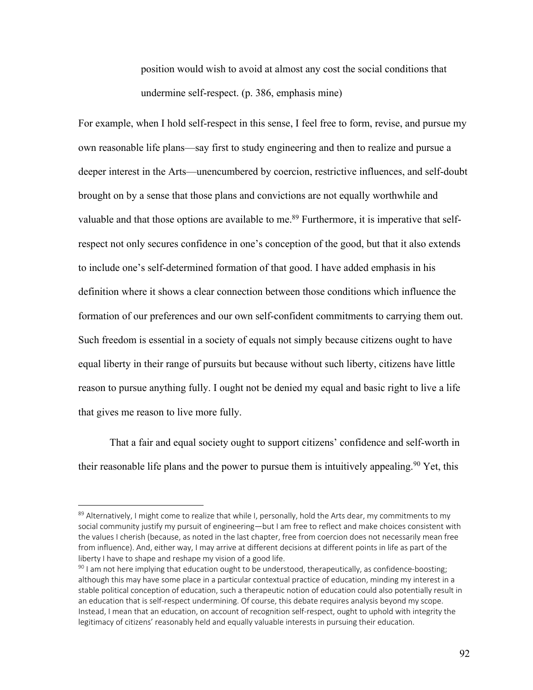position would wish to avoid at almost any cost the social conditions that undermine self-respect. (p. 386, emphasis mine)

For example, when I hold self-respect in this sense, I feel free to form, revise, and pursue my own reasonable life plans—say first to study engineering and then to realize and pursue a deeper interest in the Arts—unencumbered by coercion, restrictive influences, and self-doubt brought on by a sense that those plans and convictions are not equally worthwhile and valuable and that those options are available to me.<sup>89</sup> Furthermore, it is imperative that selfrespect not only secures confidence in one's conception of the good, but that it also extends to include one's self-determined formation of that good. I have added emphasis in his definition where it shows a clear connection between those conditions which influence the formation of our preferences and our own self-confident commitments to carrying them out. Such freedom is essential in a society of equals not simply because citizens ought to have equal liberty in their range of pursuits but because without such liberty, citizens have little reason to pursue anything fully. I ought not be denied my equal and basic right to live a life that gives me reason to live more fully.

That a fair and equal society ought to support citizens' confidence and self-worth in their reasonable life plans and the power to pursue them is intuitively appealing.<sup>90</sup> Yet, this

<sup>&</sup>lt;sup>89</sup> Alternatively, I might come to realize that while I, personally, hold the Arts dear, my commitments to my social community justify my pursuit of engineering—but I am free to reflect and make choices consistent with the values I cherish (because, as noted in the last chapter, free from coercion does not necessarily mean free from influence). And, either way, I may arrive at different decisions at different points in life as part of the liberty I have to shape and reshape my vision of a good life.

 $90$  I am not here implying that education ought to be understood, therapeutically, as confidence-boosting; although this may have some place in a particular contextual practice of education, minding my interest in a stable political conception of education, such a therapeutic notion of education could also potentially result in an education that is self-respect undermining. Of course, this debate requires analysis beyond my scope. Instead, I mean that an education, on account of recognition self-respect, ought to uphold with integrity the legitimacy of citizens' reasonably held and equally valuable interests in pursuing their education.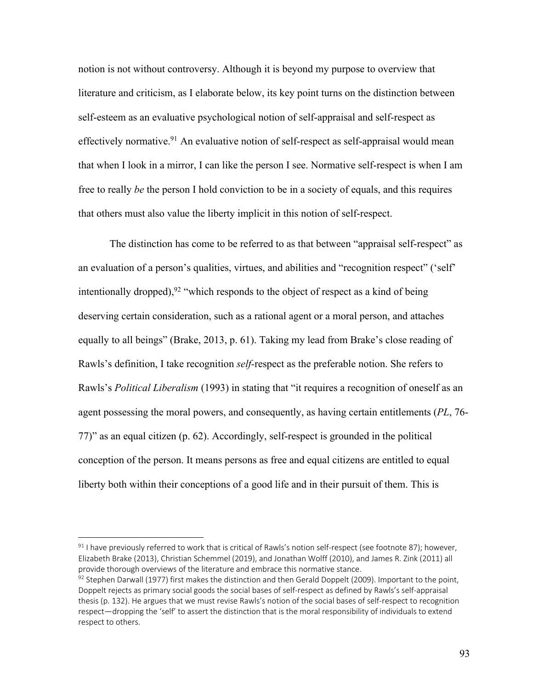notion is not without controversy. Although it is beyond my purpose to overview that literature and criticism, as I elaborate below, its key point turns on the distinction between self-esteem as an evaluative psychological notion of self-appraisal and self-respect as effectively normative.<sup>91</sup> An evaluative notion of self-respect as self-appraisal would mean that when I look in a mirror, I can like the person I see. Normative self-respect is when I am free to really *be* the person I hold conviction to be in a society of equals, and this requires that others must also value the liberty implicit in this notion of self-respect.

The distinction has come to be referred to as that between "appraisal self-respect" as an evaluation of a person's qualities, virtues, and abilities and "recognition respect" ('self' intentionally dropped),  $92$  "which responds to the object of respect as a kind of being deserving certain consideration, such as a rational agent or a moral person, and attaches equally to all beings" (Brake, 2013, p. 61). Taking my lead from Brake's close reading of Rawls's definition, I take recognition *self-*respect as the preferable notion. She refers to Rawls's *Political Liberalism* (1993) in stating that "it requires a recognition of oneself as an agent possessing the moral powers, and consequently, as having certain entitlements (*PL*, 76- 77)" as an equal citizen (p. 62). Accordingly, self-respect is grounded in the political conception of the person. It means persons as free and equal citizens are entitled to equal liberty both within their conceptions of a good life and in their pursuit of them. This is

<sup>91</sup> I have previously referred to work that is critical of Rawls's notion self-respect (see footnote 87); however, Elizabeth Brake (2013), Christian Schemmel (2019), and Jonathan Wolff (2010), and James R. Zink (2011) all provide thorough overviews of the literature and embrace this normative stance.

 $92$  Stephen Darwall (1977) first makes the distinction and then Gerald Doppelt (2009). Important to the point, Doppelt rejects as primary social goods the social bases of self-respect as defined by Rawls's self-appraisal thesis (p. 132). He argues that we must revise Rawls's notion of the social bases of self-respect to recognition respect—dropping the 'self' to assert the distinction that is the moral responsibility of individuals to extend respect to others.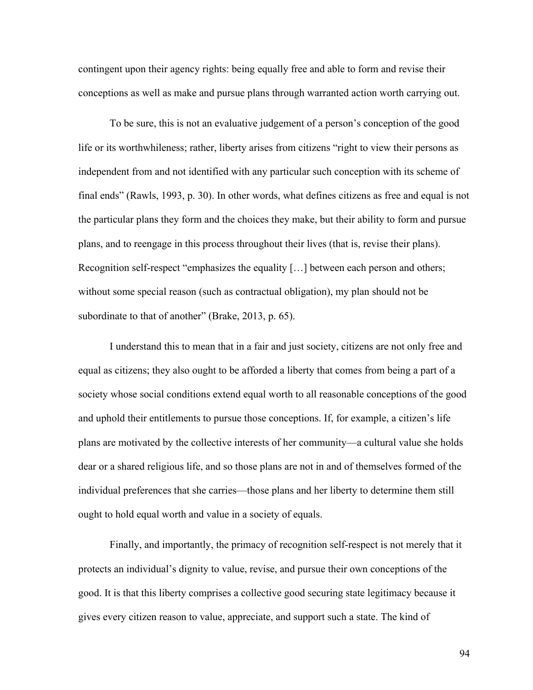contingent upon their agency rights: being equally free and able to form and revise their conceptions as well as make and pursue plans through warranted action worth carrying out.

To be sure, this is not an evaluative judgement of a person's conception of the good life or its worthwhileness; rather, liberty arises from citizens "right to view their persons as independent from and not identified with any particular such conception with its scheme of final ends" (Rawls, 1993, p. 30). In other words, what defines citizens as free and equal is not the particular plans they form and the choices they make, but their ability to form and pursue plans, and to reengage in this process throughout their lives (that is, revise their plans). Recognition self-respect "emphasizes the equality […] between each person and others; without some special reason (such as contractual obligation), my plan should not be subordinate to that of another" (Brake, 2013, p. 65).

I understand this to mean that in a fair and just society, citizens are not only free and equal as citizens; they also ought to be afforded a liberty that comes from being a part of a society whose social conditions extend equal worth to all reasonable conceptions of the good and uphold their entitlements to pursue those conceptions. If, for example, a citizen's life plans are motivated by the collective interests of her community—a cultural value she holds dear or a shared religious life, and so those plans are not in and of themselves formed of the individual preferences that she carries—those plans and her liberty to determine them still ought to hold equal worth and value in a society of equals.

Finally, and importantly, the primacy of recognition self-respect is not merely that it protects an individual's dignity to value, revise, and pursue their own conceptions of the good. It is that this liberty comprises a collective good securing state legitimacy because it gives every citizen reason to value, appreciate, and support such a state. The kind of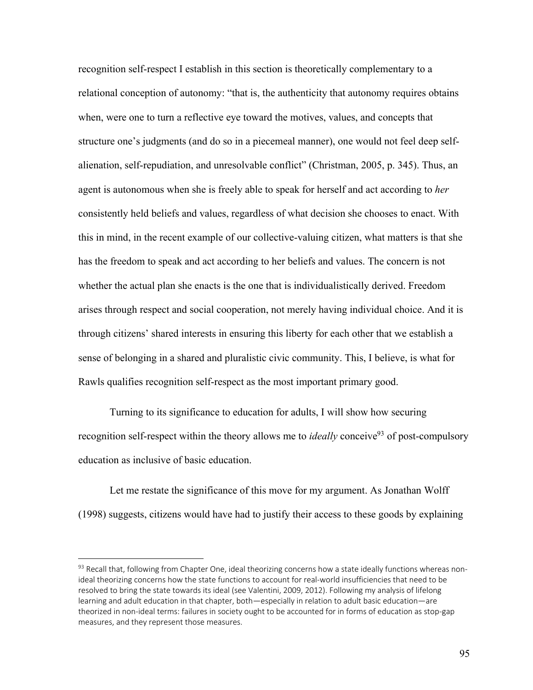recognition self-respect I establish in this section is theoretically complementary to a relational conception of autonomy: "that is, the authenticity that autonomy requires obtains when, were one to turn a reflective eye toward the motives, values, and concepts that structure one's judgments (and do so in a piecemeal manner), one would not feel deep selfalienation, self-repudiation, and unresolvable conflict" (Christman, 2005, p. 345). Thus, an agent is autonomous when she is freely able to speak for herself and act according to *her* consistently held beliefs and values, regardless of what decision she chooses to enact. With this in mind, in the recent example of our collective-valuing citizen, what matters is that she has the freedom to speak and act according to her beliefs and values. The concern is not whether the actual plan she enacts is the one that is individualistically derived. Freedom arises through respect and social cooperation, not merely having individual choice. And it is through citizens' shared interests in ensuring this liberty for each other that we establish a sense of belonging in a shared and pluralistic civic community. This, I believe, is what for Rawls qualifies recognition self-respect as the most important primary good.

Turning to its significance to education for adults, I will show how securing recognition self-respect within the theory allows me to *ideally* conceive<sup>93</sup> of post-compulsory education as inclusive of basic education.

Let me restate the significance of this move for my argument. As Jonathan Wolff (1998) suggests, citizens would have had to justify their access to these goods by explaining

<sup>93</sup> Recall that, following from Chapter One, ideal theorizing concerns how a state ideally functions whereas nonideal theorizing concerns how the state functions to account for real-world insufficiencies that need to be resolved to bring the state towards its ideal (see Valentini, 2009, 2012). Following my analysis of lifelong learning and adult education in that chapter, both—especially in relation to adult basic education—are theorized in non-ideal terms: failures in society ought to be accounted for in forms of education as stop-gap measures, and they represent those measures.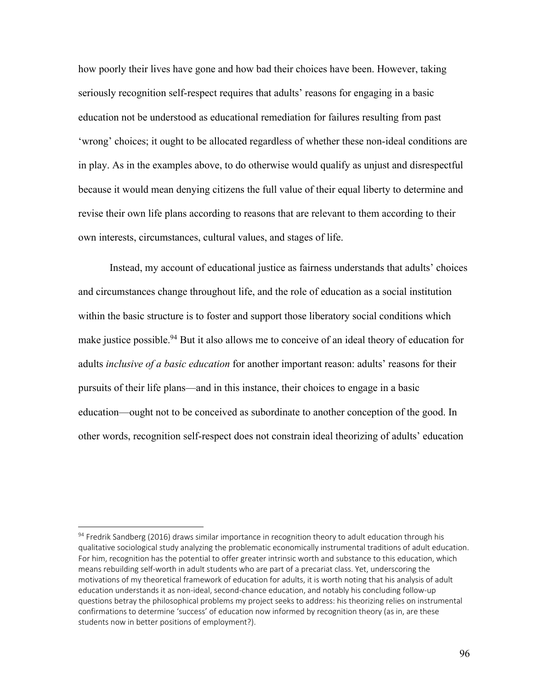how poorly their lives have gone and how bad their choices have been. However, taking seriously recognition self-respect requires that adults' reasons for engaging in a basic education not be understood as educational remediation for failures resulting from past 'wrong' choices; it ought to be allocated regardless of whether these non-ideal conditions are in play. As in the examples above, to do otherwise would qualify as unjust and disrespectful because it would mean denying citizens the full value of their equal liberty to determine and revise their own life plans according to reasons that are relevant to them according to their own interests, circumstances, cultural values, and stages of life.

Instead, my account of educational justice as fairness understands that adults' choices and circumstances change throughout life, and the role of education as a social institution within the basic structure is to foster and support those liberatory social conditions which make justice possible.<sup>94</sup> But it also allows me to conceive of an ideal theory of education for adults *inclusive of a basic education* for another important reason: adults' reasons for their pursuits of their life plans—and in this instance, their choices to engage in a basic education—ought not to be conceived as subordinate to another conception of the good. In other words, recognition self-respect does not constrain ideal theorizing of adults' education

<sup>&</sup>lt;sup>94</sup> Fredrik Sandberg (2016) draws similar importance in recognition theory to adult education through his qualitative sociological study analyzing the problematic economically instrumental traditions of adult education. For him, recognition has the potential to offer greater intrinsic worth and substance to this education, which means rebuilding self-worth in adult students who are part of a precariat class. Yet, underscoring the motivations of my theoretical framework of education for adults, it is worth noting that his analysis of adult education understands it as non-ideal, second-chance education, and notably his concluding follow-up questions betray the philosophical problems my project seeks to address: his theorizing relies on instrumental confirmations to determine 'success' of education now informed by recognition theory (as in, are these students now in better positions of employment?).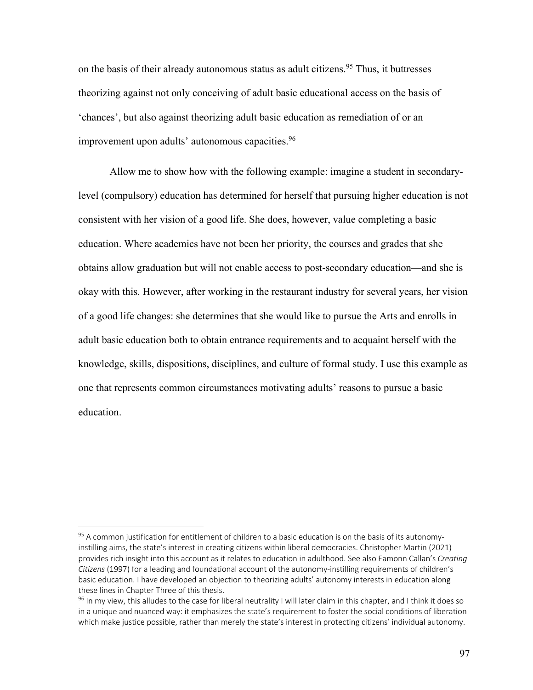on the basis of their already autonomous status as adult citizens.<sup>95</sup> Thus, it buttresses theorizing against not only conceiving of adult basic educational access on the basis of 'chances', but also against theorizing adult basic education as remediation of or an improvement upon adults' autonomous capacities.<sup>96</sup>

Allow me to show how with the following example: imagine a student in secondarylevel (compulsory) education has determined for herself that pursuing higher education is not consistent with her vision of a good life. She does, however, value completing a basic education. Where academics have not been her priority, the courses and grades that she obtains allow graduation but will not enable access to post-secondary education—and she is okay with this. However, after working in the restaurant industry for several years, her vision of a good life changes: she determines that she would like to pursue the Arts and enrolls in adult basic education both to obtain entrance requirements and to acquaint herself with the knowledge, skills, dispositions, disciplines, and culture of formal study. I use this example as one that represents common circumstances motivating adults' reasons to pursue a basic education.

<sup>&</sup>lt;sup>95</sup> A common justification for entitlement of children to a basic education is on the basis of its autonomyinstilling aims, the state's interest in creating citizens within liberal democracies. Christopher Martin (2021) provides rich insight into this account as it relates to education in adulthood. See also Eamonn Callan's *Creating Citizens* (1997) for a leading and foundational account of the autonomy-instilling requirements of children's basic education. I have developed an objection to theorizing adults' autonomy interests in education along these lines in Chapter Three of this thesis.

<sup>96</sup> In my view, this alludes to the case for liberal neutrality I will later claim in this chapter, and I think it does so in a unique and nuanced way: it emphasizes the state's requirement to foster the social conditions of liberation which make justice possible, rather than merely the state's interest in protecting citizens' individual autonomy.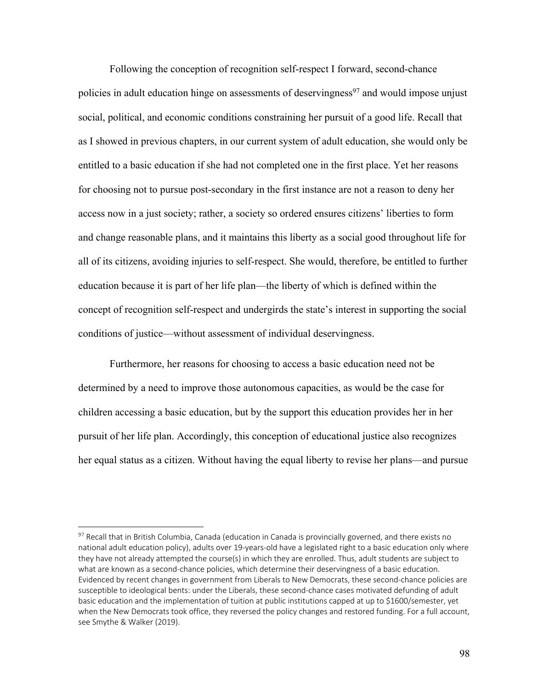Following the conception of recognition self-respect I forward, second-chance policies in adult education hinge on assessments of deservingness<sup>97</sup> and would impose unjust social, political, and economic conditions constraining her pursuit of a good life. Recall that as I showed in previous chapters, in our current system of adult education, she would only be entitled to a basic education if she had not completed one in the first place. Yet her reasons for choosing not to pursue post-secondary in the first instance are not a reason to deny her access now in a just society; rather, a society so ordered ensures citizens' liberties to form and change reasonable plans, and it maintains this liberty as a social good throughout life for all of its citizens, avoiding injuries to self-respect. She would, therefore, be entitled to further education because it is part of her life plan—the liberty of which is defined within the concept of recognition self-respect and undergirds the state's interest in supporting the social conditions of justice—without assessment of individual deservingness.

Furthermore, her reasons for choosing to access a basic education need not be determined by a need to improve those autonomous capacities, as would be the case for children accessing a basic education, but by the support this education provides her in her pursuit of her life plan. Accordingly, this conception of educational justice also recognizes her equal status as a citizen. Without having the equal liberty to revise her plans—and pursue

<sup>97</sup> Recall that in British Columbia, Canada (education in Canada is provincially governed, and there exists no national adult education policy), adults over 19-years-old have a legislated right to a basic education only where they have not already attempted the course(s) in which they are enrolled. Thus, adult students are subject to what are known as a second-chance policies, which determine their deservingness of a basic education. Evidenced by recent changes in government from Liberals to New Democrats, these second-chance policies are susceptible to ideological bents: under the Liberals, these second-chance cases motivated defunding of adult basic education and the implementation of tuition at public institutions capped at up to \$1600/semester, yet when the New Democrats took office, they reversed the policy changes and restored funding. For a full account, see Smythe & Walker (2019).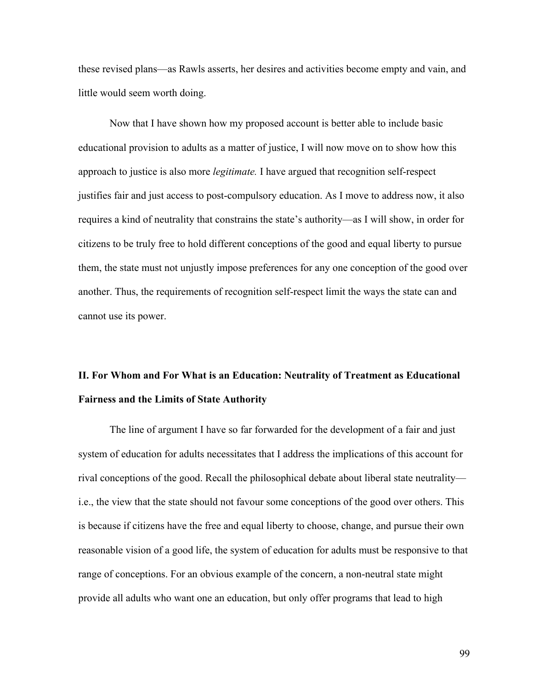these revised plans—as Rawls asserts, her desires and activities become empty and vain, and little would seem worth doing.

Now that I have shown how my proposed account is better able to include basic educational provision to adults as a matter of justice, I will now move on to show how this approach to justice is also more *legitimate.* I have argued that recognition self-respect justifies fair and just access to post-compulsory education. As I move to address now, it also requires a kind of neutrality that constrains the state's authority—as I will show, in order for citizens to be truly free to hold different conceptions of the good and equal liberty to pursue them, the state must not unjustly impose preferences for any one conception of the good over another. Thus, the requirements of recognition self-respect limit the ways the state can and cannot use its power.

# **II. For Whom and For What is an Education: Neutrality of Treatment as Educational Fairness and the Limits of State Authority**

The line of argument I have so far forwarded for the development of a fair and just system of education for adults necessitates that I address the implications of this account for rival conceptions of the good. Recall the philosophical debate about liberal state neutrality i.e., the view that the state should not favour some conceptions of the good over others. This is because if citizens have the free and equal liberty to choose, change, and pursue their own reasonable vision of a good life, the system of education for adults must be responsive to that range of conceptions. For an obvious example of the concern, a non-neutral state might provide all adults who want one an education, but only offer programs that lead to high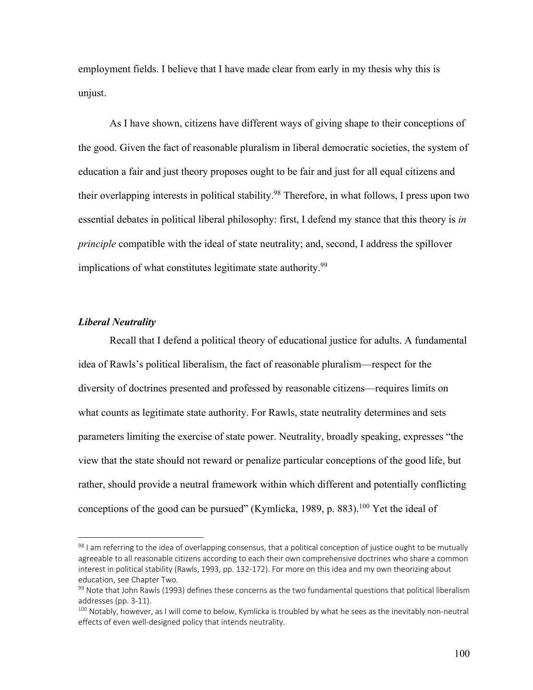employment fields. I believe that I have made clear from early in my thesis why this is unjust.

As I have shown, citizens have different ways of giving shape to their conceptions of the good. Given the fact of reasonable pluralism in liberal democratic societies, the system of education a fair and just theory proposes ought to be fair and just for all equal citizens and their overlapping interests in political stability.<sup>98</sup> Therefore, in what follows, I press upon two essential debates in political liberal philosophy: first, I defend my stance that this theory is *in principle* compatible with the ideal of state neutrality; and, second, I address the spillover implications of what constitutes legitimate state authority.<sup>99</sup>

## *Liberal Neutrality*

Recall that I defend a political theory of educational justice for adults. A fundamental idea of Rawls's political liberalism, the fact of reasonable pluralism—respect for the diversity of doctrines presented and professed by reasonable citizens—requires limits on what counts as legitimate state authority. For Rawls, state neutrality determines and sets parameters limiting the exercise of state power. Neutrality, broadly speaking, expresses "the view that the state should not reward or penalize particular conceptions of the good life, but rather, should provide a neutral framework within which different and potentially conflicting conceptions of the good can be pursued" (Kymlicka, 1989, p. 883).<sup>100</sup> Yet the ideal of

 $98$  I am referring to the idea of overlapping consensus, that a political conception of justice ought to be mutually agreeable to all reasonable citizens according to each their own comprehensive doctrines who share a common interest in political stability (Rawls, 1993, pp. 132-172). For more on this idea and my own theorizing about education, see Chapter Two.

<sup>99</sup> Note that John Rawls (1993) defines these concerns as the two fundamental questions that political liberalism addresses (pp. 3-11).

<sup>&</sup>lt;sup>100</sup> Notably, however, as I will come to below, Kymlicka is troubled by what he sees as the inevitably non-neutral effects of even well-designed policy that intends neutrality.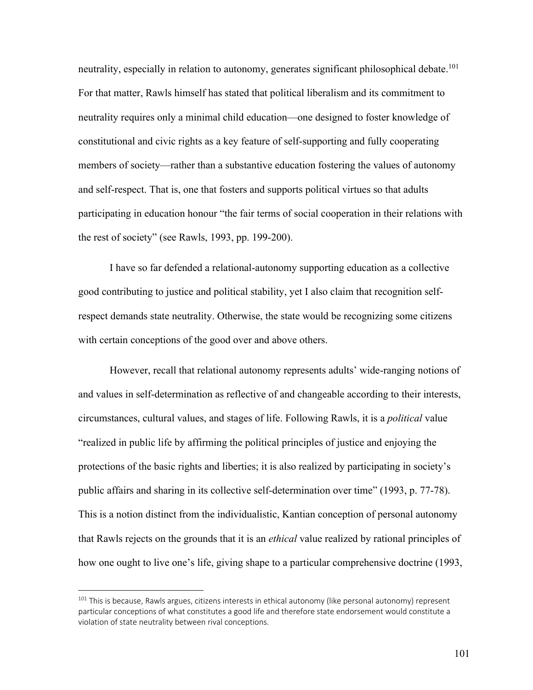neutrality, especially in relation to autonomy, generates significant philosophical debate.<sup>101</sup> For that matter, Rawls himself has stated that political liberalism and its commitment to neutrality requires only a minimal child education—one designed to foster knowledge of constitutional and civic rights as a key feature of self-supporting and fully cooperating members of society—rather than a substantive education fostering the values of autonomy and self-respect. That is, one that fosters and supports political virtues so that adults participating in education honour "the fair terms of social cooperation in their relations with the rest of society" (see Rawls, 1993, pp. 199-200).

I have so far defended a relational-autonomy supporting education as a collective good contributing to justice and political stability, yet I also claim that recognition selfrespect demands state neutrality. Otherwise, the state would be recognizing some citizens with certain conceptions of the good over and above others.

However, recall that relational autonomy represents adults' wide-ranging notions of and values in self-determination as reflective of and changeable according to their interests, circumstances, cultural values, and stages of life. Following Rawls, it is a *political* value "realized in public life by affirming the political principles of justice and enjoying the protections of the basic rights and liberties; it is also realized by participating in society's public affairs and sharing in its collective self-determination over time" (1993, p. 77-78). This is a notion distinct from the individualistic, Kantian conception of personal autonomy that Rawls rejects on the grounds that it is an *ethical* value realized by rational principles of how one ought to live one's life, giving shape to a particular comprehensive doctrine (1993,

<sup>&</sup>lt;sup>101</sup> This is because, Rawls argues, citizens interests in ethical autonomy (like personal autonomy) represent particular conceptions of what constitutes a good life and therefore state endorsement would constitute a violation of state neutrality between rival conceptions.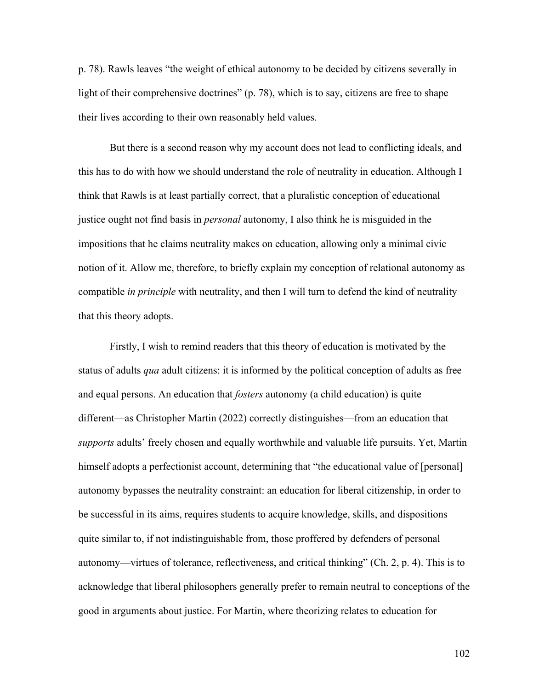p. 78). Rawls leaves "the weight of ethical autonomy to be decided by citizens severally in light of their comprehensive doctrines" (p. 78), which is to say, citizens are free to shape their lives according to their own reasonably held values.

But there is a second reason why my account does not lead to conflicting ideals, and this has to do with how we should understand the role of neutrality in education. Although I think that Rawls is at least partially correct, that a pluralistic conception of educational justice ought not find basis in *personal* autonomy, I also think he is misguided in the impositions that he claims neutrality makes on education, allowing only a minimal civic notion of it. Allow me, therefore, to briefly explain my conception of relational autonomy as compatible *in principle* with neutrality, and then I will turn to defend the kind of neutrality that this theory adopts.

Firstly, I wish to remind readers that this theory of education is motivated by the status of adults *qua* adult citizens: it is informed by the political conception of adults as free and equal persons. An education that *fosters* autonomy (a child education) is quite different—as Christopher Martin (2022) correctly distinguishes—from an education that *supports* adults' freely chosen and equally worthwhile and valuable life pursuits. Yet, Martin himself adopts a perfectionist account, determining that "the educational value of [personal] autonomy bypasses the neutrality constraint: an education for liberal citizenship, in order to be successful in its aims, requires students to acquire knowledge, skills, and dispositions quite similar to, if not indistinguishable from, those proffered by defenders of personal autonomy—virtues of tolerance, reflectiveness, and critical thinking" (Ch. 2, p. 4). This is to acknowledge that liberal philosophers generally prefer to remain neutral to conceptions of the good in arguments about justice. For Martin, where theorizing relates to education for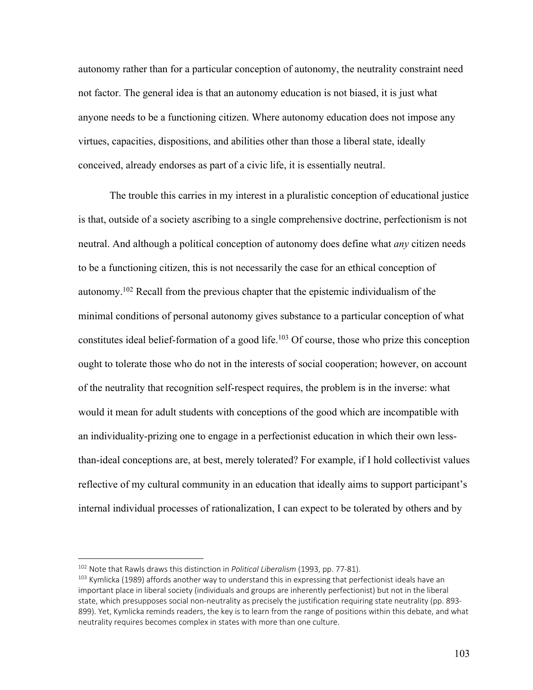autonomy rather than for a particular conception of autonomy, the neutrality constraint need not factor. The general idea is that an autonomy education is not biased, it is just what anyone needs to be a functioning citizen. Where autonomy education does not impose any virtues, capacities, dispositions, and abilities other than those a liberal state, ideally conceived, already endorses as part of a civic life, it is essentially neutral.

The trouble this carries in my interest in a pluralistic conception of educational justice is that, outside of a society ascribing to a single comprehensive doctrine, perfectionism is not neutral. And although a political conception of autonomy does define what *any* citizen needs to be a functioning citizen, this is not necessarily the case for an ethical conception of autonomy.102 Recall from the previous chapter that the epistemic individualism of the minimal conditions of personal autonomy gives substance to a particular conception of what constitutes ideal belief-formation of a good life.<sup>103</sup> Of course, those who prize this conception ought to tolerate those who do not in the interests of social cooperation; however, on account of the neutrality that recognition self-respect requires, the problem is in the inverse: what would it mean for adult students with conceptions of the good which are incompatible with an individuality-prizing one to engage in a perfectionist education in which their own lessthan-ideal conceptions are, at best, merely tolerated? For example, if I hold collectivist values reflective of my cultural community in an education that ideally aims to support participant's internal individual processes of rationalization, I can expect to be tolerated by others and by

<sup>102</sup> Note that Rawls draws this distinction in *Political Liberalism* (1993, pp. 77-81).

<sup>&</sup>lt;sup>103</sup> Kymlicka (1989) affords another way to understand this in expressing that perfectionist ideals have an important place in liberal society (individuals and groups are inherently perfectionist) but not in the liberal state, which presupposes social non-neutrality as precisely the justification requiring state neutrality (pp. 893- 899). Yet, Kymlicka reminds readers, the key is to learn from the range of positions within this debate, and what neutrality requires becomes complex in states with more than one culture.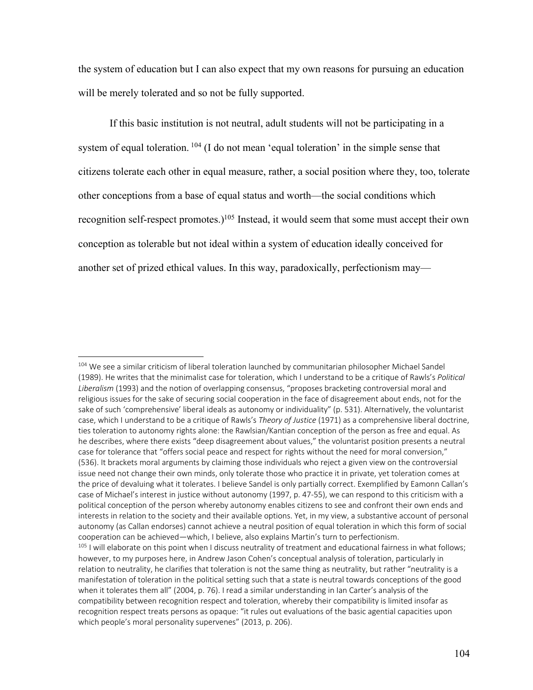the system of education but I can also expect that my own reasons for pursuing an education will be merely tolerated and so not be fully supported.

If this basic institution is not neutral, adult students will not be participating in a system of equal toleration.  $104$  (I do not mean 'equal toleration' in the simple sense that citizens tolerate each other in equal measure, rather, a social position where they, too, tolerate other conceptions from a base of equal status and worth—the social conditions which recognition self-respect promotes.)<sup>105</sup> Instead, it would seem that some must accept their own conception as tolerable but not ideal within a system of education ideally conceived for another set of prized ethical values. In this way, paradoxically, perfectionism may—

<sup>&</sup>lt;sup>104</sup> We see a similar criticism of liberal toleration launched by communitarian philosopher Michael Sandel (1989). He writes that the minimalist case for toleration, which I understand to be a critique of Rawls's *Political Liberalism* (1993) and the notion of overlapping consensus, "proposes bracketing controversial moral and religious issues for the sake of securing social cooperation in the face of disagreement about ends, not for the sake of such 'comprehensive' liberal ideals as autonomy or individuality" (p. 531). Alternatively, the voluntarist case, which I understand to be a critique of Rawls's *Theory of Justice* (1971) as a comprehensive liberal doctrine, ties toleration to autonomy rights alone: the Rawlsian/Kantian conception of the person as free and equal. As he describes, where there exists "deep disagreement about values," the voluntarist position presents a neutral case for tolerance that "offers social peace and respect for rights without the need for moral conversion," (536). It brackets moral arguments by claiming those individuals who reject a given view on the controversial issue need not change their own minds, only tolerate those who practice it in private, yet toleration comes at the price of devaluing what it tolerates. I believe Sandel is only partially correct. Exemplified by Eamonn Callan's case of Michael's interest in justice without autonomy (1997, p. 47-55), we can respond to this criticism with a political conception of the person whereby autonomy enables citizens to see and confront their own ends and interests in relation to the society and their available options. Yet, in my view, a substantive account of personal autonomy (as Callan endorses) cannot achieve a neutral position of equal toleration in which this form of social cooperation can be achieved—which, I believe, also explains Martin's turn to perfectionism.  $105$  I will elaborate on this point when I discuss neutrality of treatment and educational fairness in what follows; however, to my purposes here, in Andrew Jason Cohen's conceptual analysis of toleration, particularly in relation to neutrality, he clarifies that toleration is not the same thing as neutrality, but rather "neutrality is a manifestation of toleration in the political setting such that a state is neutral towards conceptions of the good

when it tolerates them all" (2004, p. 76). I read a similar understanding in Ian Carter's analysis of the compatibility between recognition respect and toleration, whereby their compatibility is limited insofar as recognition respect treats persons as opaque: "it rules out evaluations of the basic agential capacities upon which people's moral personality supervenes" (2013, p. 206).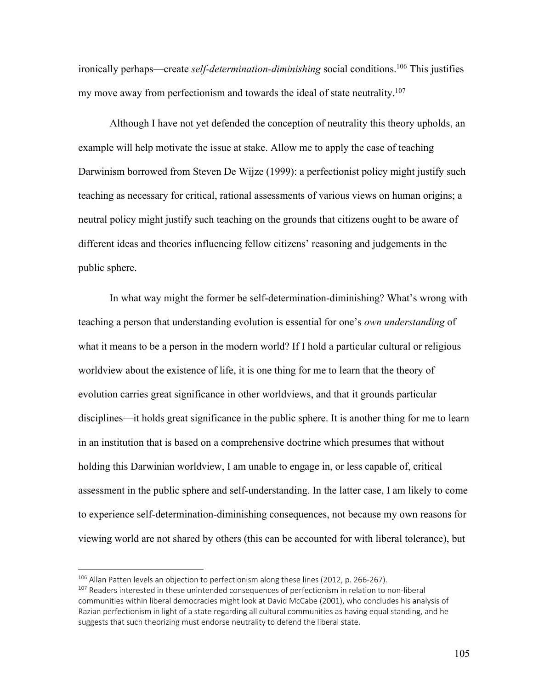ironically perhaps—create *self-determination-diminishing* social conditions.<sup>106</sup> This justifies my move away from perfectionism and towards the ideal of state neutrality.<sup>107</sup>

Although I have not yet defended the conception of neutrality this theory upholds, an example will help motivate the issue at stake. Allow me to apply the case of teaching Darwinism borrowed from Steven De Wijze (1999): a perfectionist policy might justify such teaching as necessary for critical, rational assessments of various views on human origins; a neutral policy might justify such teaching on the grounds that citizens ought to be aware of different ideas and theories influencing fellow citizens' reasoning and judgements in the public sphere.

In what way might the former be self-determination-diminishing? What's wrong with teaching a person that understanding evolution is essential for one's *own understanding* of what it means to be a person in the modern world? If I hold a particular cultural or religious worldview about the existence of life, it is one thing for me to learn that the theory of evolution carries great significance in other worldviews, and that it grounds particular disciplines—it holds great significance in the public sphere. It is another thing for me to learn in an institution that is based on a comprehensive doctrine which presumes that without holding this Darwinian worldview, I am unable to engage in, or less capable of, critical assessment in the public sphere and self-understanding. In the latter case, I am likely to come to experience self-determination-diminishing consequences, not because my own reasons for viewing world are not shared by others (this can be accounted for with liberal tolerance), but

<sup>&</sup>lt;sup>106</sup> Allan Patten levels an objection to perfectionism along these lines (2012, p. 266-267).

<sup>&</sup>lt;sup>107</sup> Readers interested in these unintended consequences of perfectionism in relation to non-liberal communities within liberal democracies might look at David McCabe (2001), who concludes his analysis of Razian perfectionism in light of a state regarding all cultural communities as having equal standing, and he suggests that such theorizing must endorse neutrality to defend the liberal state.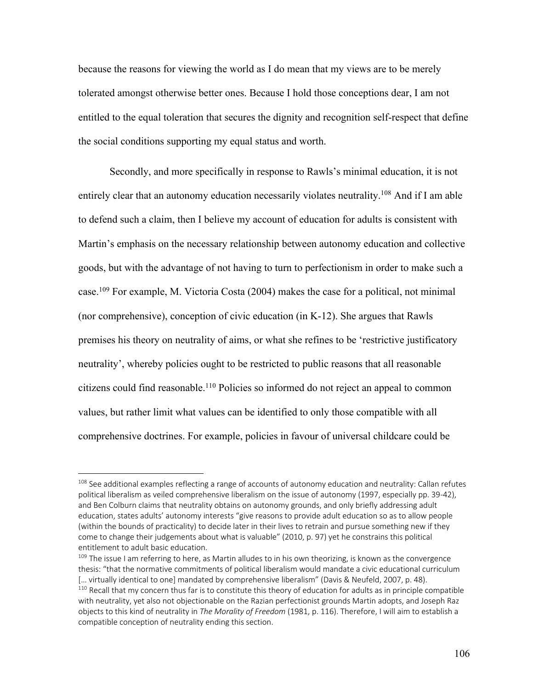because the reasons for viewing the world as I do mean that my views are to be merely tolerated amongst otherwise better ones. Because I hold those conceptions dear, I am not entitled to the equal toleration that secures the dignity and recognition self-respect that define the social conditions supporting my equal status and worth.

Secondly, and more specifically in response to Rawls's minimal education, it is not entirely clear that an autonomy education necessarily violates neutrality.<sup>108</sup> And if I am able to defend such a claim, then I believe my account of education for adults is consistent with Martin's emphasis on the necessary relationship between autonomy education and collective goods, but with the advantage of not having to turn to perfectionism in order to make such a case.109 For example, M. Victoria Costa (2004) makes the case for a political, not minimal (nor comprehensive), conception of civic education (in K-12). She argues that Rawls premises his theory on neutrality of aims, or what she refines to be 'restrictive justificatory neutrality', whereby policies ought to be restricted to public reasons that all reasonable citizens could find reasonable.<sup>110</sup> Policies so informed do not reject an appeal to common values, but rather limit what values can be identified to only those compatible with all comprehensive doctrines. For example, policies in favour of universal childcare could be

<sup>&</sup>lt;sup>108</sup> See additional examples reflecting a range of accounts of autonomy education and neutrality: Callan refutes political liberalism as veiled comprehensive liberalism on the issue of autonomy (1997, especially pp. 39-42), and Ben Colburn claims that neutrality obtains on autonomy grounds, and only briefly addressing adult education, states adults' autonomy interests "give reasons to provide adult education so as to allow people (within the bounds of practicality) to decide later in their lives to retrain and pursue something new if they come to change their judgements about what is valuable" (2010, p. 97) yet he constrains this political entitlement to adult basic education.

<sup>&</sup>lt;sup>109</sup> The issue I am referring to here, as Martin alludes to in his own theorizing, is known as the convergence thesis: "that the normative commitments of political liberalism would mandate a civic educational curriculum [... virtually identical to one] mandated by comprehensive liberalism" (Davis & Neufeld, 2007, p. 48).

 $110$  Recall that my concern thus far is to constitute this theory of education for adults as in principle compatible with neutrality, yet also not objectionable on the Razian perfectionist grounds Martin adopts, and Joseph Raz objects to this kind of neutrality in *The Morality of Freedom* (1981, p. 116). Therefore, I will aim to establish a compatible conception of neutrality ending this section.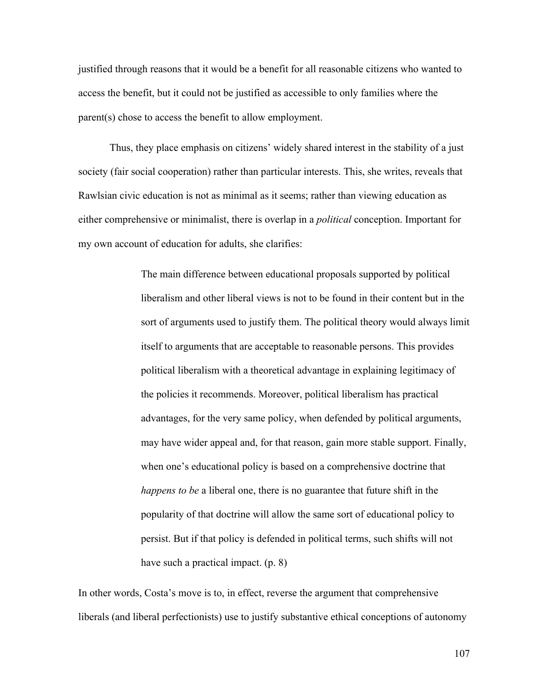justified through reasons that it would be a benefit for all reasonable citizens who wanted to access the benefit, but it could not be justified as accessible to only families where the parent(s) chose to access the benefit to allow employment.

Thus, they place emphasis on citizens' widely shared interest in the stability of a just society (fair social cooperation) rather than particular interests. This, she writes, reveals that Rawlsian civic education is not as minimal as it seems; rather than viewing education as either comprehensive or minimalist, there is overlap in a *political* conception. Important for my own account of education for adults, she clarifies:

> The main difference between educational proposals supported by political liberalism and other liberal views is not to be found in their content but in the sort of arguments used to justify them. The political theory would always limit itself to arguments that are acceptable to reasonable persons. This provides political liberalism with a theoretical advantage in explaining legitimacy of the policies it recommends. Moreover, political liberalism has practical advantages, for the very same policy, when defended by political arguments, may have wider appeal and, for that reason, gain more stable support. Finally, when one's educational policy is based on a comprehensive doctrine that *happens to be* a liberal one, there is no guarantee that future shift in the popularity of that doctrine will allow the same sort of educational policy to persist. But if that policy is defended in political terms, such shifts will not have such a practical impact. (p. 8)

In other words, Costa's move is to, in effect, reverse the argument that comprehensive liberals (and liberal perfectionists) use to justify substantive ethical conceptions of autonomy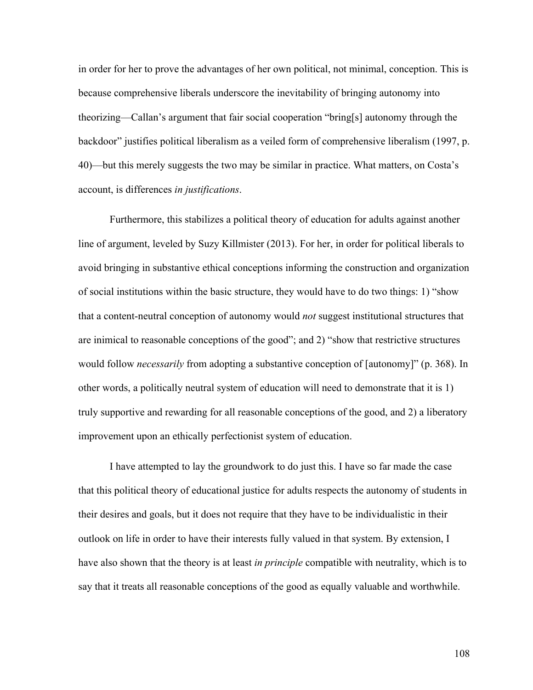in order for her to prove the advantages of her own political, not minimal, conception. This is because comprehensive liberals underscore the inevitability of bringing autonomy into theorizing—Callan's argument that fair social cooperation "bring[s] autonomy through the backdoor" justifies political liberalism as a veiled form of comprehensive liberalism (1997, p. 40)—but this merely suggests the two may be similar in practice. What matters, on Costa's account, is differences *in justifications*.

Furthermore, this stabilizes a political theory of education for adults against another line of argument, leveled by Suzy Killmister (2013). For her, in order for political liberals to avoid bringing in substantive ethical conceptions informing the construction and organization of social institutions within the basic structure, they would have to do two things: 1) "show that a content-neutral conception of autonomy would *not* suggest institutional structures that are inimical to reasonable conceptions of the good"; and 2) "show that restrictive structures would follow *necessarily* from adopting a substantive conception of [autonomy]" (p. 368). In other words, a politically neutral system of education will need to demonstrate that it is 1) truly supportive and rewarding for all reasonable conceptions of the good, and 2) a liberatory improvement upon an ethically perfectionist system of education.

I have attempted to lay the groundwork to do just this. I have so far made the case that this political theory of educational justice for adults respects the autonomy of students in their desires and goals, but it does not require that they have to be individualistic in their outlook on life in order to have their interests fully valued in that system. By extension, I have also shown that the theory is at least *in principle* compatible with neutrality, which is to say that it treats all reasonable conceptions of the good as equally valuable and worthwhile.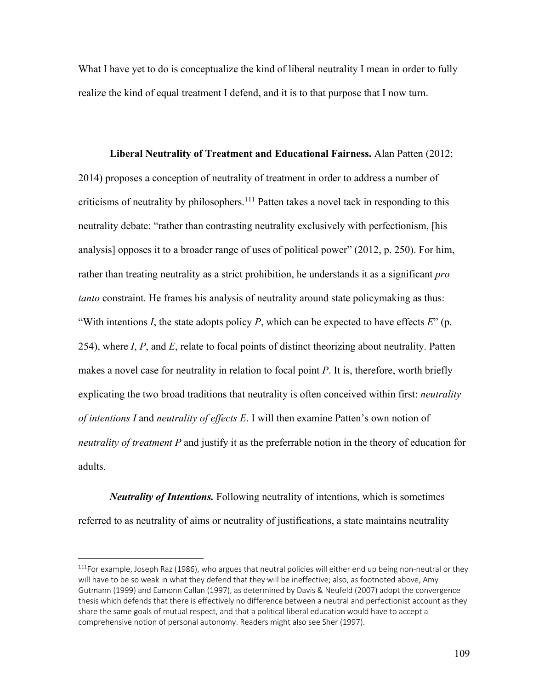What I have yet to do is conceptualize the kind of liberal neutrality I mean in order to fully realize the kind of equal treatment I defend, and it is to that purpose that I now turn.

**Liberal Neutrality of Treatment and Educational Fairness.** Alan Patten (2012; 2014) proposes a conception of neutrality of treatment in order to address a number of criticisms of neutrality by philosophers.<sup>111</sup> Patten takes a novel tack in responding to this neutrality debate: "rather than contrasting neutrality exclusively with perfectionism, [his analysis] opposes it to a broader range of uses of political power" (2012, p. 250). For him, rather than treating neutrality as a strict prohibition, he understands it as a significant *pro tanto* constraint. He frames his analysis of neutrality around state policymaking as thus: "With intentions *I*, the state adopts policy *P*, which can be expected to have effects  $E$ " (p. 254), where *I*, *P*, and *E*, relate to focal points of distinct theorizing about neutrality. Patten makes a novel case for neutrality in relation to focal point *P*. It is, therefore, worth briefly explicating the two broad traditions that neutrality is often conceived within first: *neutrality of intentions I* and *neutrality of effects E*. I will then examine Patten's own notion of *neutrality of treatment P* and justify it as the preferrable notion in the theory of education for adults.

*Neutrality of Intentions.* Following neutrality of intentions, which is sometimes referred to as neutrality of aims or neutrality of justifications, a state maintains neutrality

 $111$ For example, Joseph Raz (1986), who argues that neutral policies will either end up being non-neutral or they will have to be so weak in what they defend that they will be ineffective; also, as footnoted above, Amy Gutmann (1999) and Eamonn Callan (1997), as determined by Davis & Neufeld (2007) adopt the convergence thesis which defends that there is effectively no difference between a neutral and perfectionist account as they share the same goals of mutual respect, and that a political liberal education would have to accept a comprehensive notion of personal autonomy. Readers might also see Sher (1997).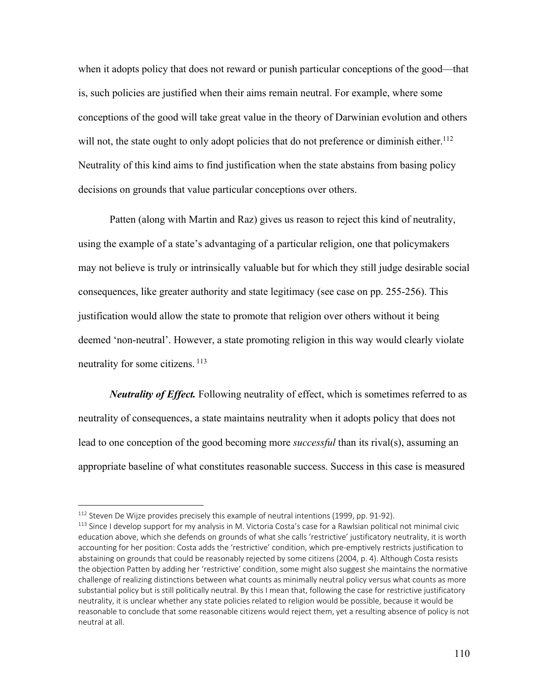when it adopts policy that does not reward or punish particular conceptions of the good—that is, such policies are justified when their aims remain neutral. For example, where some conceptions of the good will take great value in the theory of Darwinian evolution and others will not, the state ought to only adopt policies that do not preference or diminish either.<sup>112</sup> Neutrality of this kind aims to find justification when the state abstains from basing policy decisions on grounds that value particular conceptions over others.

Patten (along with Martin and Raz) gives us reason to reject this kind of neutrality, using the example of a state's advantaging of a particular religion, one that policymakers may not believe is truly or intrinsically valuable but for which they still judge desirable social consequences, like greater authority and state legitimacy (see case on pp. 255-256). This justification would allow the state to promote that religion over others without it being deemed 'non-neutral'. However, a state promoting religion in this way would clearly violate neutrality for some citizens. <sup>113</sup>

*Neutrality of Effect.* Following neutrality of effect, which is sometimes referred to as neutrality of consequences, a state maintains neutrality when it adopts policy that does not lead to one conception of the good becoming more *successful* than its rival(s), assuming an appropriate baseline of what constitutes reasonable success. Success in this case is measured

 $112$  Steven De Wijze provides precisely this example of neutral intentions (1999, pp. 91-92).

<sup>&</sup>lt;sup>113</sup> Since I develop support for my analysis in M. Victoria Costa's case for a Rawlsian political not minimal civic education above, which she defends on grounds of what she calls 'restrictive' justificatory neutrality, it is worth accounting for her position: Costa adds the 'restrictive' condition, which pre-emptively restricts justification to abstaining on grounds that could be reasonably rejected by some citizens (2004, p. 4). Although Costa resists the objection Patten by adding her 'restrictive' condition, some might also suggest she maintains the normative challenge of realizing distinctions between what counts as minimally neutral policy versus what counts as more substantial policy but is still politically neutral. By this I mean that, following the case for restrictive justificatory neutrality, it is unclear whether any state policies related to religion would be possible, because it would be reasonable to conclude that some reasonable citizens would reject them, yet a resulting absence of policy is not neutral at all.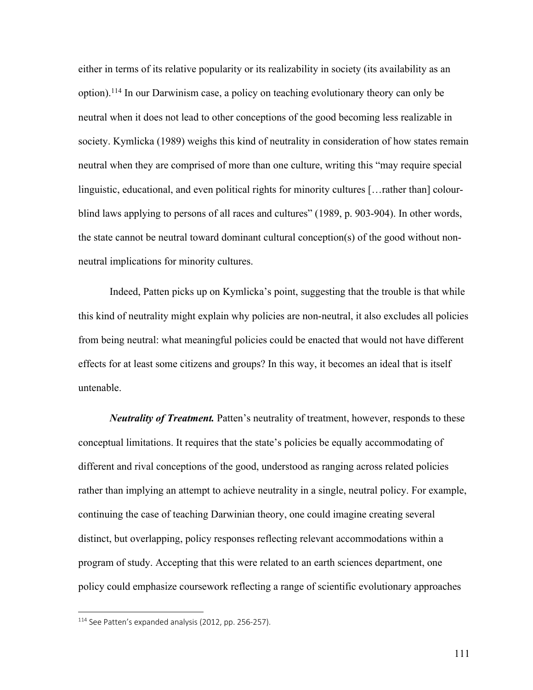either in terms of its relative popularity or its realizability in society (its availability as an option).114 In our Darwinism case, a policy on teaching evolutionary theory can only be neutral when it does not lead to other conceptions of the good becoming less realizable in society. Kymlicka (1989) weighs this kind of neutrality in consideration of how states remain neutral when they are comprised of more than one culture, writing this "may require special linguistic, educational, and even political rights for minority cultures [...rather than] colourblind laws applying to persons of all races and cultures" (1989, p. 903-904). In other words, the state cannot be neutral toward dominant cultural conception(s) of the good without nonneutral implications for minority cultures.

Indeed, Patten picks up on Kymlicka's point, suggesting that the trouble is that while this kind of neutrality might explain why policies are non-neutral, it also excludes all policies from being neutral: what meaningful policies could be enacted that would not have different effects for at least some citizens and groups? In this way, it becomes an ideal that is itself untenable.

*Neutrality of Treatment.* Patten's neutrality of treatment, however, responds to these conceptual limitations. It requires that the state's policies be equally accommodating of different and rival conceptions of the good, understood as ranging across related policies rather than implying an attempt to achieve neutrality in a single, neutral policy. For example, continuing the case of teaching Darwinian theory, one could imagine creating several distinct, but overlapping, policy responses reflecting relevant accommodations within a program of study. Accepting that this were related to an earth sciences department, one policy could emphasize coursework reflecting a range of scientific evolutionary approaches

<sup>&</sup>lt;sup>114</sup> See Patten's expanded analysis (2012, pp. 256-257).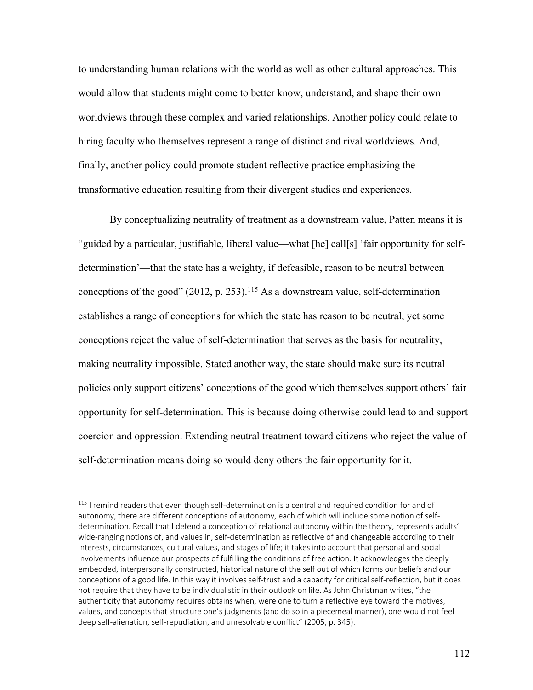to understanding human relations with the world as well as other cultural approaches. This would allow that students might come to better know, understand, and shape their own worldviews through these complex and varied relationships. Another policy could relate to hiring faculty who themselves represent a range of distinct and rival worldviews. And, finally, another policy could promote student reflective practice emphasizing the transformative education resulting from their divergent studies and experiences.

By conceptualizing neutrality of treatment as a downstream value, Patten means it is "guided by a particular, justifiable, liberal value—what [he] call[s] 'fair opportunity for selfdetermination'—that the state has a weighty, if defeasible, reason to be neutral between conceptions of the good" (2012, p. 253).<sup>115</sup> As a downstream value, self-determination establishes a range of conceptions for which the state has reason to be neutral, yet some conceptions reject the value of self-determination that serves as the basis for neutrality, making neutrality impossible. Stated another way, the state should make sure its neutral policies only support citizens' conceptions of the good which themselves support others' fair opportunity for self-determination. This is because doing otherwise could lead to and support coercion and oppression. Extending neutral treatment toward citizens who reject the value of self-determination means doing so would deny others the fair opportunity for it.

<sup>&</sup>lt;sup>115</sup> I remind readers that even though self-determination is a central and required condition for and of autonomy, there are different conceptions of autonomy, each of which will include some notion of selfdetermination. Recall that I defend a conception of relational autonomy within the theory, represents adults' wide-ranging notions of, and values in, self-determination as reflective of and changeable according to their interests, circumstances, cultural values, and stages of life; it takes into account that personal and social involvements influence our prospects of fulfilling the conditions of free action. It acknowledges the deeply embedded, interpersonally constructed, historical nature of the self out of which forms our beliefs and our conceptions of a good life. In this way it involves self-trust and a capacity for critical self-reflection, but it does not require that they have to be individualistic in their outlook on life. As John Christman writes, "the authenticity that autonomy requires obtains when, were one to turn a reflective eye toward the motives, values, and concepts that structure one's judgments (and do so in a piecemeal manner), one would not feel deep self-alienation, self-repudiation, and unresolvable conflict" (2005, p. 345).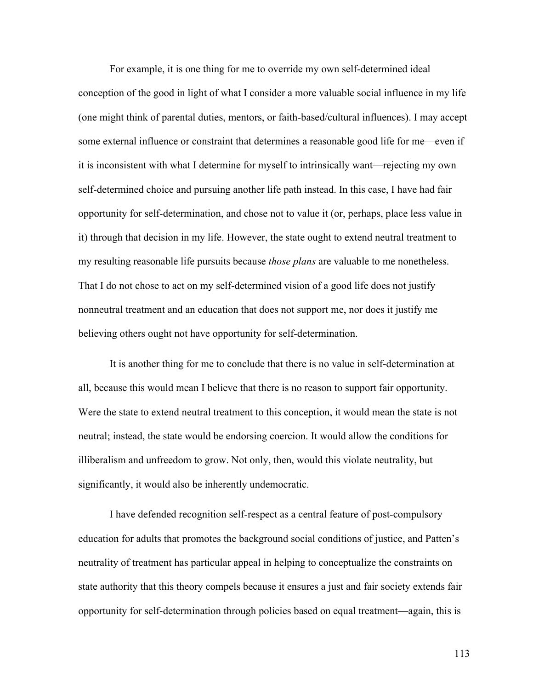For example, it is one thing for me to override my own self-determined ideal conception of the good in light of what I consider a more valuable social influence in my life (one might think of parental duties, mentors, or faith-based/cultural influences). I may accept some external influence or constraint that determines a reasonable good life for me—even if it is inconsistent with what I determine for myself to intrinsically want—rejecting my own self-determined choice and pursuing another life path instead. In this case, I have had fair opportunity for self-determination, and chose not to value it (or, perhaps, place less value in it) through that decision in my life. However, the state ought to extend neutral treatment to my resulting reasonable life pursuits because *those plans* are valuable to me nonetheless. That I do not chose to act on my self-determined vision of a good life does not justify nonneutral treatment and an education that does not support me, nor does it justify me believing others ought not have opportunity for self-determination.

It is another thing for me to conclude that there is no value in self-determination at all, because this would mean I believe that there is no reason to support fair opportunity. Were the state to extend neutral treatment to this conception, it would mean the state is not neutral; instead, the state would be endorsing coercion. It would allow the conditions for illiberalism and unfreedom to grow. Not only, then, would this violate neutrality, but significantly, it would also be inherently undemocratic.

I have defended recognition self-respect as a central feature of post-compulsory education for adults that promotes the background social conditions of justice, and Patten's neutrality of treatment has particular appeal in helping to conceptualize the constraints on state authority that this theory compels because it ensures a just and fair society extends fair opportunity for self-determination through policies based on equal treatment—again, this is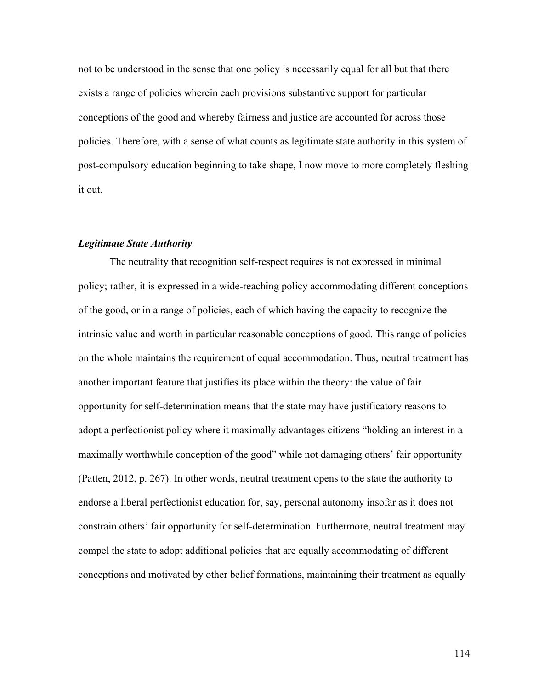not to be understood in the sense that one policy is necessarily equal for all but that there exists a range of policies wherein each provisions substantive support for particular conceptions of the good and whereby fairness and justice are accounted for across those policies. Therefore, with a sense of what counts as legitimate state authority in this system of post-compulsory education beginning to take shape, I now move to more completely fleshing it out.

## *Legitimate State Authority*

The neutrality that recognition self-respect requires is not expressed in minimal policy; rather, it is expressed in a wide-reaching policy accommodating different conceptions of the good, or in a range of policies, each of which having the capacity to recognize the intrinsic value and worth in particular reasonable conceptions of good. This range of policies on the whole maintains the requirement of equal accommodation. Thus, neutral treatment has another important feature that justifies its place within the theory: the value of fair opportunity for self-determination means that the state may have justificatory reasons to adopt a perfectionist policy where it maximally advantages citizens "holding an interest in a maximally worthwhile conception of the good" while not damaging others' fair opportunity (Patten, 2012, p. 267). In other words, neutral treatment opens to the state the authority to endorse a liberal perfectionist education for, say, personal autonomy insofar as it does not constrain others' fair opportunity for self-determination. Furthermore, neutral treatment may compel the state to adopt additional policies that are equally accommodating of different conceptions and motivated by other belief formations, maintaining their treatment as equally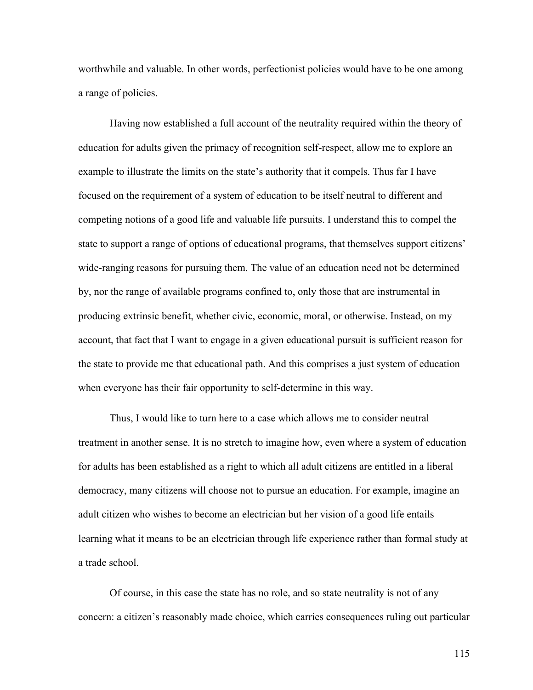worthwhile and valuable. In other words, perfectionist policies would have to be one among a range of policies.

Having now established a full account of the neutrality required within the theory of education for adults given the primacy of recognition self-respect, allow me to explore an example to illustrate the limits on the state's authority that it compels. Thus far I have focused on the requirement of a system of education to be itself neutral to different and competing notions of a good life and valuable life pursuits. I understand this to compel the state to support a range of options of educational programs, that themselves support citizens' wide-ranging reasons for pursuing them. The value of an education need not be determined by, nor the range of available programs confined to, only those that are instrumental in producing extrinsic benefit, whether civic, economic, moral, or otherwise. Instead, on my account, that fact that I want to engage in a given educational pursuit is sufficient reason for the state to provide me that educational path. And this comprises a just system of education when everyone has their fair opportunity to self-determine in this way.

Thus, I would like to turn here to a case which allows me to consider neutral treatment in another sense. It is no stretch to imagine how, even where a system of education for adults has been established as a right to which all adult citizens are entitled in a liberal democracy, many citizens will choose not to pursue an education. For example, imagine an adult citizen who wishes to become an electrician but her vision of a good life entails learning what it means to be an electrician through life experience rather than formal study at a trade school.

Of course, in this case the state has no role, and so state neutrality is not of any concern: a citizen's reasonably made choice, which carries consequences ruling out particular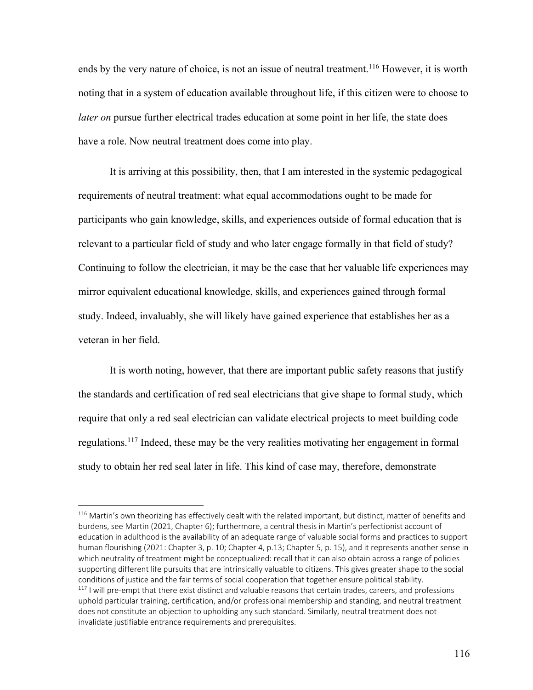ends by the very nature of choice, is not an issue of neutral treatment.<sup>116</sup> However, it is worth noting that in a system of education available throughout life, if this citizen were to choose to *later on* pursue further electrical trades education at some point in her life, the state does have a role. Now neutral treatment does come into play.

It is arriving at this possibility, then, that I am interested in the systemic pedagogical requirements of neutral treatment: what equal accommodations ought to be made for participants who gain knowledge, skills, and experiences outside of formal education that is relevant to a particular field of study and who later engage formally in that field of study? Continuing to follow the electrician, it may be the case that her valuable life experiences may mirror equivalent educational knowledge, skills, and experiences gained through formal study. Indeed, invaluably, she will likely have gained experience that establishes her as a veteran in her field.

It is worth noting, however, that there are important public safety reasons that justify the standards and certification of red seal electricians that give shape to formal study, which require that only a red seal electrician can validate electrical projects to meet building code regulations.117 Indeed, these may be the very realities motivating her engagement in formal study to obtain her red seal later in life. This kind of case may, therefore, demonstrate

<sup>&</sup>lt;sup>116</sup> Martin's own theorizing has effectively dealt with the related important, but distinct, matter of benefits and burdens, see Martin (2021, Chapter 6); furthermore, a central thesis in Martin's perfectionist account of education in adulthood is the availability of an adequate range of valuable social forms and practices to support human flourishing (2021: Chapter 3, p. 10; Chapter 4, p.13; Chapter 5, p. 15), and it represents another sense in which neutrality of treatment might be conceptualized: recall that it can also obtain across a range of policies supporting different life pursuits that are intrinsically valuable to citizens. This gives greater shape to the social conditions of justice and the fair terms of social cooperation that together ensure political stability.  $117$  I will pre-empt that there exist distinct and valuable reasons that certain trades, careers, and professions uphold particular training, certification, and/or professional membership and standing, and neutral treatment does not constitute an objection to upholding any such standard. Similarly, neutral treatment does not invalidate justifiable entrance requirements and prerequisites.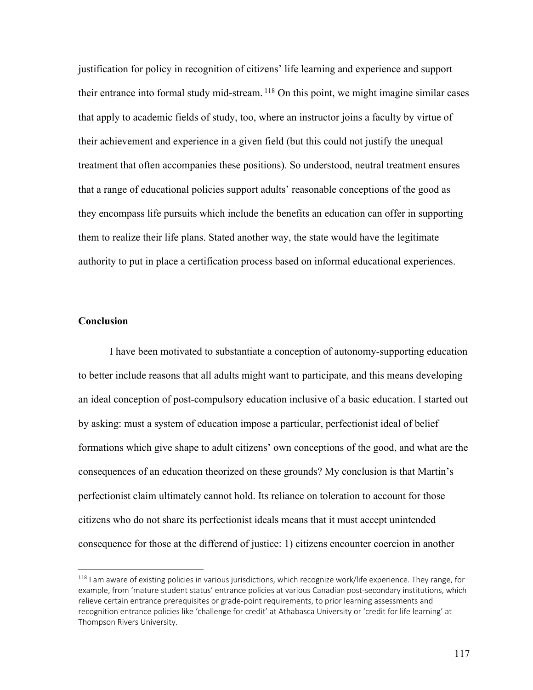justification for policy in recognition of citizens' life learning and experience and support their entrance into formal study mid-stream. <sup>118</sup> On this point, we might imagine similar cases that apply to academic fields of study, too, where an instructor joins a faculty by virtue of their achievement and experience in a given field (but this could not justify the unequal treatment that often accompanies these positions). So understood, neutral treatment ensures that a range of educational policies support adults' reasonable conceptions of the good as they encompass life pursuits which include the benefits an education can offer in supporting them to realize their life plans. Stated another way, the state would have the legitimate authority to put in place a certification process based on informal educational experiences.

# **Conclusion**

I have been motivated to substantiate a conception of autonomy-supporting education to better include reasons that all adults might want to participate, and this means developing an ideal conception of post-compulsory education inclusive of a basic education. I started out by asking: must a system of education impose a particular, perfectionist ideal of belief formations which give shape to adult citizens' own conceptions of the good, and what are the consequences of an education theorized on these grounds? My conclusion is that Martin's perfectionist claim ultimately cannot hold. Its reliance on toleration to account for those citizens who do not share its perfectionist ideals means that it must accept unintended consequence for those at the differend of justice: 1) citizens encounter coercion in another

<sup>&</sup>lt;sup>118</sup> I am aware of existing policies in various jurisdictions, which recognize work/life experience. They range, for example, from 'mature student status' entrance policies at various Canadian post-secondary institutions, which relieve certain entrance prerequisites or grade-point requirements, to prior learning assessments and recognition entrance policies like 'challenge for credit' at Athabasca University or 'credit for life learning' at Thompson Rivers University.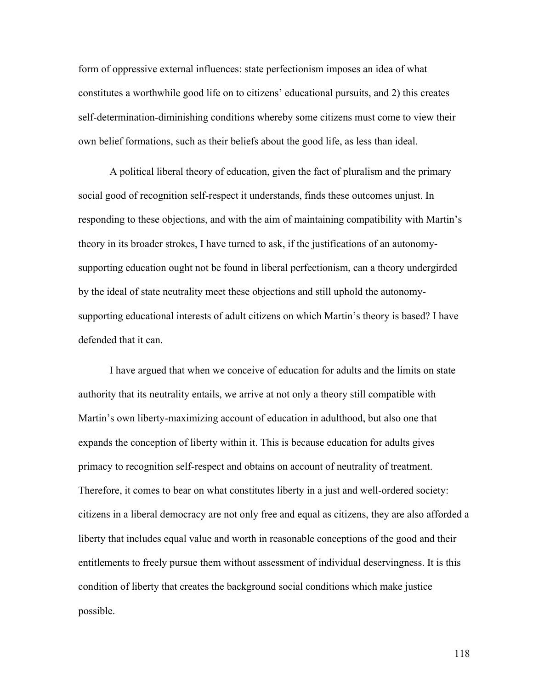form of oppressive external influences: state perfectionism imposes an idea of what constitutes a worthwhile good life on to citizens' educational pursuits, and 2) this creates self-determination-diminishing conditions whereby some citizens must come to view their own belief formations, such as their beliefs about the good life, as less than ideal.

A political liberal theory of education, given the fact of pluralism and the primary social good of recognition self-respect it understands, finds these outcomes unjust. In responding to these objections, and with the aim of maintaining compatibility with Martin's theory in its broader strokes, I have turned to ask, if the justifications of an autonomysupporting education ought not be found in liberal perfectionism, can a theory undergirded by the ideal of state neutrality meet these objections and still uphold the autonomysupporting educational interests of adult citizens on which Martin's theory is based? I have defended that it can.

I have argued that when we conceive of education for adults and the limits on state authority that its neutrality entails, we arrive at not only a theory still compatible with Martin's own liberty-maximizing account of education in adulthood, but also one that expands the conception of liberty within it. This is because education for adults gives primacy to recognition self-respect and obtains on account of neutrality of treatment. Therefore, it comes to bear on what constitutes liberty in a just and well-ordered society: citizens in a liberal democracy are not only free and equal as citizens, they are also afforded a liberty that includes equal value and worth in reasonable conceptions of the good and their entitlements to freely pursue them without assessment of individual deservingness. It is this condition of liberty that creates the background social conditions which make justice possible.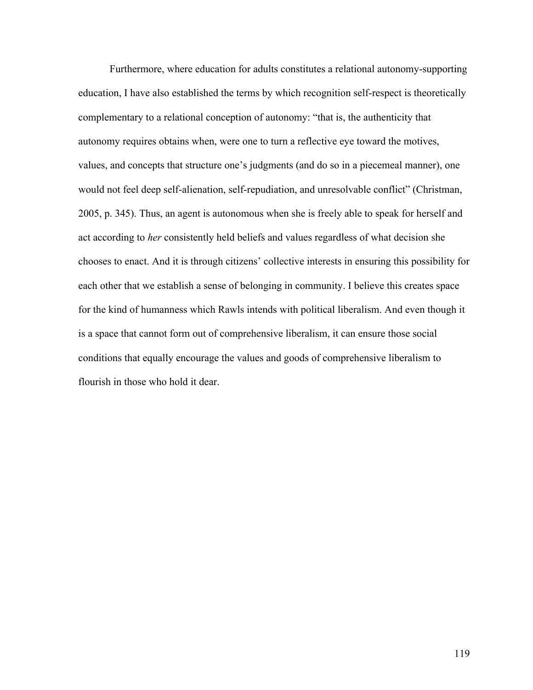Furthermore, where education for adults constitutes a relational autonomy-supporting education, I have also established the terms by which recognition self-respect is theoretically complementary to a relational conception of autonomy: "that is, the authenticity that autonomy requires obtains when, were one to turn a reflective eye toward the motives, values, and concepts that structure one's judgments (and do so in a piecemeal manner), one would not feel deep self-alienation, self-repudiation, and unresolvable conflict" (Christman, 2005, p. 345). Thus, an agent is autonomous when she is freely able to speak for herself and act according to *her* consistently held beliefs and values regardless of what decision she chooses to enact. And it is through citizens' collective interests in ensuring this possibility for each other that we establish a sense of belonging in community. I believe this creates space for the kind of humanness which Rawls intends with political liberalism. And even though it is a space that cannot form out of comprehensive liberalism, it can ensure those social conditions that equally encourage the values and goods of comprehensive liberalism to flourish in those who hold it dear.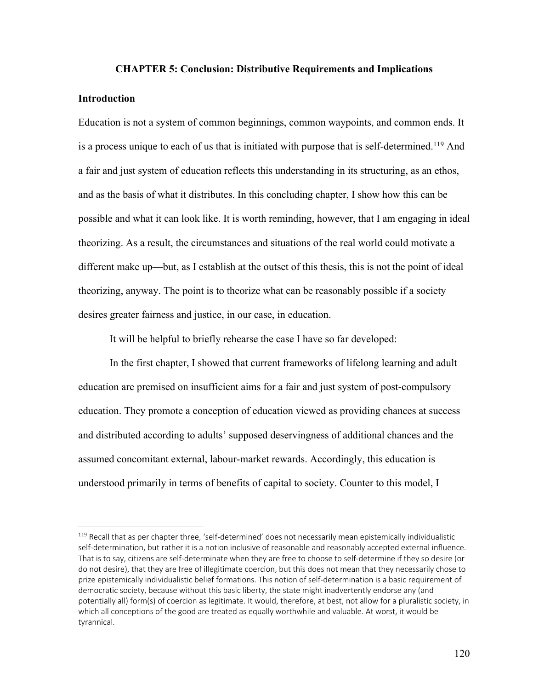#### **CHAPTER 5: Conclusion: Distributive Requirements and Implications**

## **Introduction**

Education is not a system of common beginnings, common waypoints, and common ends. It is a process unique to each of us that is initiated with purpose that is self-determined.<sup>119</sup> And a fair and just system of education reflects this understanding in its structuring, as an ethos, and as the basis of what it distributes. In this concluding chapter, I show how this can be possible and what it can look like. It is worth reminding, however, that I am engaging in ideal theorizing. As a result, the circumstances and situations of the real world could motivate a different make up—but, as I establish at the outset of this thesis, this is not the point of ideal theorizing, anyway. The point is to theorize what can be reasonably possible if a society desires greater fairness and justice, in our case, in education.

It will be helpful to briefly rehearse the case I have so far developed:

In the first chapter, I showed that current frameworks of lifelong learning and adult education are premised on insufficient aims for a fair and just system of post-compulsory education. They promote a conception of education viewed as providing chances at success and distributed according to adults' supposed deservingness of additional chances and the assumed concomitant external, labour-market rewards. Accordingly, this education is understood primarily in terms of benefits of capital to society. Counter to this model, I

<sup>&</sup>lt;sup>119</sup> Recall that as per chapter three, 'self-determined' does not necessarily mean epistemically individualistic self-determination, but rather it is a notion inclusive of reasonable and reasonably accepted external influence. That is to say, citizens are self-determinate when they are free to choose to self-determine if they so desire (or do not desire), that they are free of illegitimate coercion, but this does not mean that they necessarily chose to prize epistemically individualistic belief formations. This notion of self-determination is a basic requirement of democratic society, because without this basic liberty, the state might inadvertently endorse any (and potentially all) form(s) of coercion as legitimate. It would, therefore, at best, not allow for a pluralistic society, in which all conceptions of the good are treated as equally worthwhile and valuable. At worst, it would be tyrannical.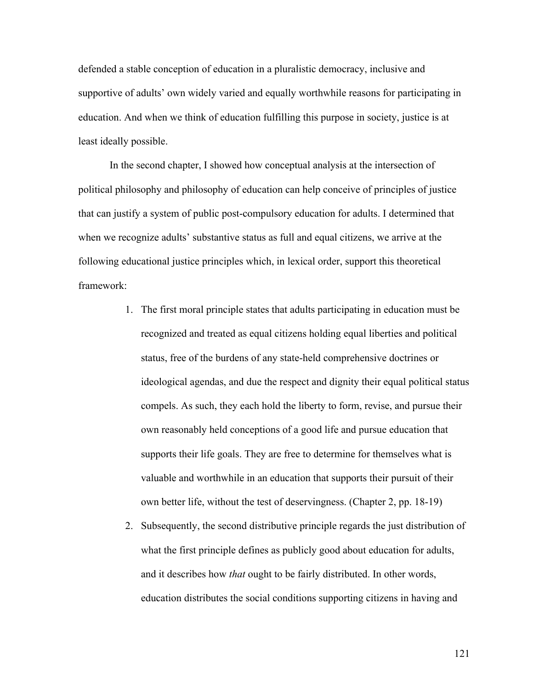defended a stable conception of education in a pluralistic democracy, inclusive and supportive of adults' own widely varied and equally worthwhile reasons for participating in education. And when we think of education fulfilling this purpose in society, justice is at least ideally possible.

In the second chapter, I showed how conceptual analysis at the intersection of political philosophy and philosophy of education can help conceive of principles of justice that can justify a system of public post-compulsory education for adults. I determined that when we recognize adults' substantive status as full and equal citizens, we arrive at the following educational justice principles which, in lexical order, support this theoretical framework:

- 1. The first moral principle states that adults participating in education must be recognized and treated as equal citizens holding equal liberties and political status, free of the burdens of any state-held comprehensive doctrines or ideological agendas, and due the respect and dignity their equal political status compels. As such, they each hold the liberty to form, revise, and pursue their own reasonably held conceptions of a good life and pursue education that supports their life goals. They are free to determine for themselves what is valuable and worthwhile in an education that supports their pursuit of their own better life, without the test of deservingness. (Chapter 2, pp. 18-19)
- 2. Subsequently, the second distributive principle regards the just distribution of what the first principle defines as publicly good about education for adults, and it describes how *that* ought to be fairly distributed. In other words, education distributes the social conditions supporting citizens in having and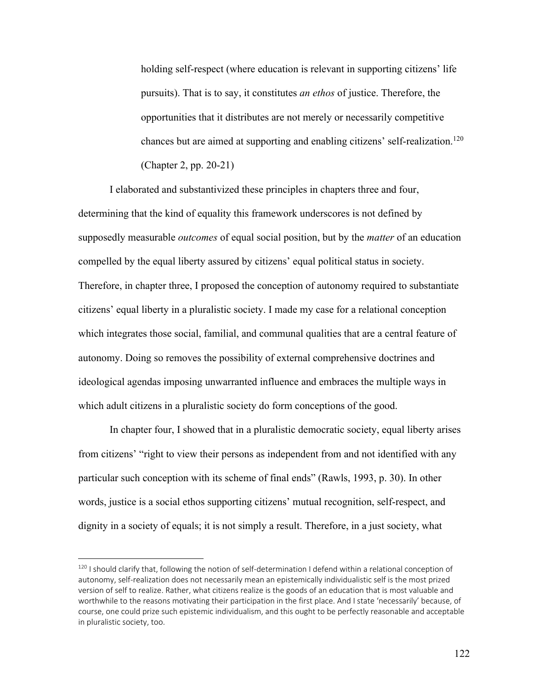holding self-respect (where education is relevant in supporting citizens' life pursuits). That is to say, it constitutes *an ethos* of justice. Therefore, the opportunities that it distributes are not merely or necessarily competitive chances but are aimed at supporting and enabling citizens' self-realization.<sup>120</sup> (Chapter 2, pp. 20-21)

I elaborated and substantivized these principles in chapters three and four, determining that the kind of equality this framework underscores is not defined by supposedly measurable *outcomes* of equal social position, but by the *matter* of an education compelled by the equal liberty assured by citizens' equal political status in society. Therefore, in chapter three, I proposed the conception of autonomy required to substantiate citizens' equal liberty in a pluralistic society. I made my case for a relational conception which integrates those social, familial, and communal qualities that are a central feature of autonomy. Doing so removes the possibility of external comprehensive doctrines and ideological agendas imposing unwarranted influence and embraces the multiple ways in which adult citizens in a pluralistic society do form conceptions of the good.

In chapter four, I showed that in a pluralistic democratic society, equal liberty arises from citizens' "right to view their persons as independent from and not identified with any particular such conception with its scheme of final ends" (Rawls, 1993, p. 30). In other words, justice is a social ethos supporting citizens' mutual recognition, self-respect, and dignity in a society of equals; it is not simply a result. Therefore, in a just society, what

<sup>&</sup>lt;sup>120</sup> I should clarify that, following the notion of self-determination I defend within a relational conception of autonomy, self-realization does not necessarily mean an epistemically individualistic self is the most prized version of self to realize. Rather, what citizens realize is the goods of an education that is most valuable and worthwhile to the reasons motivating their participation in the first place. And I state 'necessarily' because, of course, one could prize such epistemic individualism, and this ought to be perfectly reasonable and acceptable in pluralistic society, too.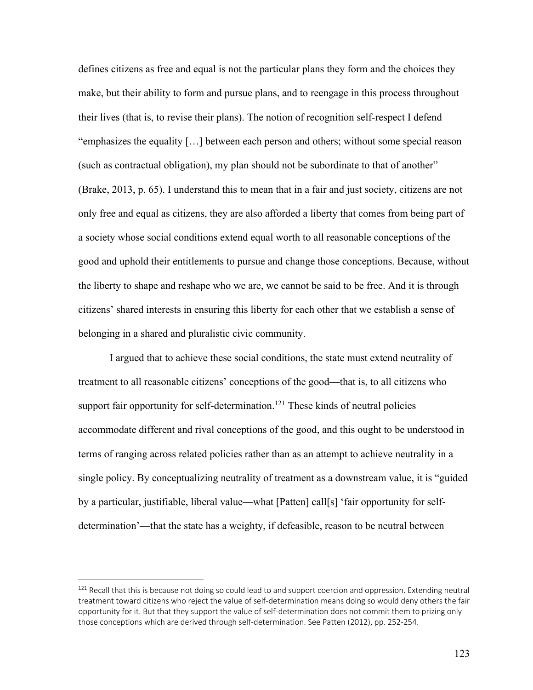defines citizens as free and equal is not the particular plans they form and the choices they make, but their ability to form and pursue plans, and to reengage in this process throughout their lives (that is, to revise their plans). The notion of recognition self-respect I defend "emphasizes the equality […] between each person and others; without some special reason (such as contractual obligation), my plan should not be subordinate to that of another" (Brake, 2013, p. 65). I understand this to mean that in a fair and just society, citizens are not only free and equal as citizens, they are also afforded a liberty that comes from being part of a society whose social conditions extend equal worth to all reasonable conceptions of the good and uphold their entitlements to pursue and change those conceptions. Because, without the liberty to shape and reshape who we are, we cannot be said to be free. And it is through citizens' shared interests in ensuring this liberty for each other that we establish a sense of belonging in a shared and pluralistic civic community.

I argued that to achieve these social conditions, the state must extend neutrality of treatment to all reasonable citizens' conceptions of the good—that is, to all citizens who support fair opportunity for self-determination.<sup>121</sup> These kinds of neutral policies accommodate different and rival conceptions of the good, and this ought to be understood in terms of ranging across related policies rather than as an attempt to achieve neutrality in a single policy. By conceptualizing neutrality of treatment as a downstream value, it is "guided by a particular, justifiable, liberal value—what [Patten] call[s] 'fair opportunity for selfdetermination'—that the state has a weighty, if defeasible, reason to be neutral between

<sup>&</sup>lt;sup>121</sup> Recall that this is because not doing so could lead to and support coercion and oppression. Extending neutral treatment toward citizens who reject the value of self-determination means doing so would deny others the fair opportunity for it. But that they support the value of self-determination does not commit them to prizing only those conceptions which are derived through self-determination. See Patten (2012), pp. 252-254.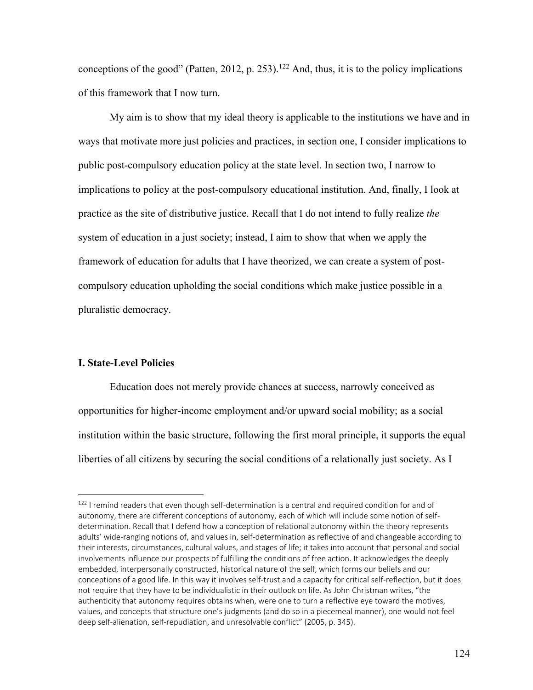conceptions of the good" (Patten, 2012, p. 253).<sup>122</sup> And, thus, it is to the policy implications of this framework that I now turn.

My aim is to show that my ideal theory is applicable to the institutions we have and in ways that motivate more just policies and practices, in section one, I consider implications to public post-compulsory education policy at the state level. In section two, I narrow to implications to policy at the post-compulsory educational institution. And, finally, I look at practice as the site of distributive justice. Recall that I do not intend to fully realize *the* system of education in a just society; instead, I aim to show that when we apply the framework of education for adults that I have theorized, we can create a system of postcompulsory education upholding the social conditions which make justice possible in a pluralistic democracy.

## **I. State-Level Policies**

Education does not merely provide chances at success, narrowly conceived as opportunities for higher-income employment and/or upward social mobility; as a social institution within the basic structure, following the first moral principle, it supports the equal liberties of all citizens by securing the social conditions of a relationally just society. As I

 $122$  I remind readers that even though self-determination is a central and required condition for and of autonomy, there are different conceptions of autonomy, each of which will include some notion of selfdetermination. Recall that I defend how a conception of relational autonomy within the theory represents adults' wide-ranging notions of, and values in, self-determination as reflective of and changeable according to their interests, circumstances, cultural values, and stages of life; it takes into account that personal and social involvements influence our prospects of fulfilling the conditions of free action. It acknowledges the deeply embedded, interpersonally constructed, historical nature of the self, which forms our beliefs and our conceptions of a good life. In this way it involves self-trust and a capacity for critical self-reflection, but it does not require that they have to be individualistic in their outlook on life. As John Christman writes, "the authenticity that autonomy requires obtains when, were one to turn a reflective eye toward the motives, values, and concepts that structure one's judgments (and do so in a piecemeal manner), one would not feel deep self-alienation, self-repudiation, and unresolvable conflict" (2005, p. 345).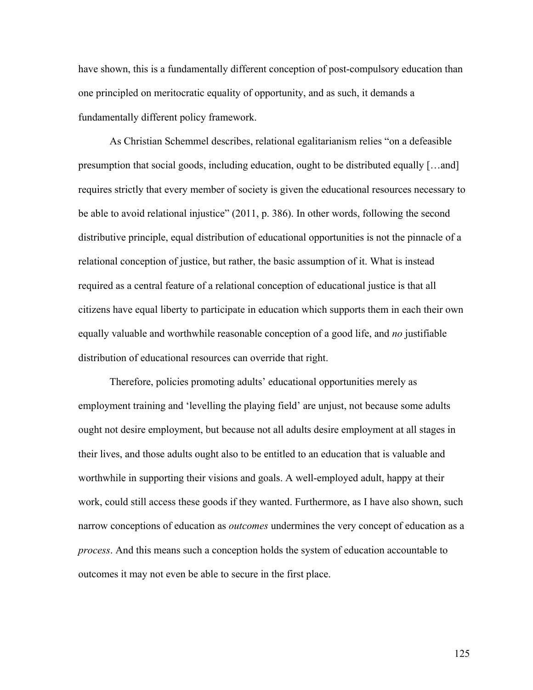have shown, this is a fundamentally different conception of post-compulsory education than one principled on meritocratic equality of opportunity, and as such, it demands a fundamentally different policy framework.

As Christian Schemmel describes, relational egalitarianism relies "on a defeasible presumption that social goods, including education, ought to be distributed equally […and] requires strictly that every member of society is given the educational resources necessary to be able to avoid relational injustice" (2011, p. 386). In other words, following the second distributive principle, equal distribution of educational opportunities is not the pinnacle of a relational conception of justice, but rather, the basic assumption of it. What is instead required as a central feature of a relational conception of educational justice is that all citizens have equal liberty to participate in education which supports them in each their own equally valuable and worthwhile reasonable conception of a good life, and *no* justifiable distribution of educational resources can override that right.

Therefore, policies promoting adults' educational opportunities merely as employment training and 'levelling the playing field' are unjust, not because some adults ought not desire employment, but because not all adults desire employment at all stages in their lives, and those adults ought also to be entitled to an education that is valuable and worthwhile in supporting their visions and goals. A well-employed adult, happy at their work, could still access these goods if they wanted. Furthermore, as I have also shown, such narrow conceptions of education as *outcomes* undermines the very concept of education as a *process*. And this means such a conception holds the system of education accountable to outcomes it may not even be able to secure in the first place.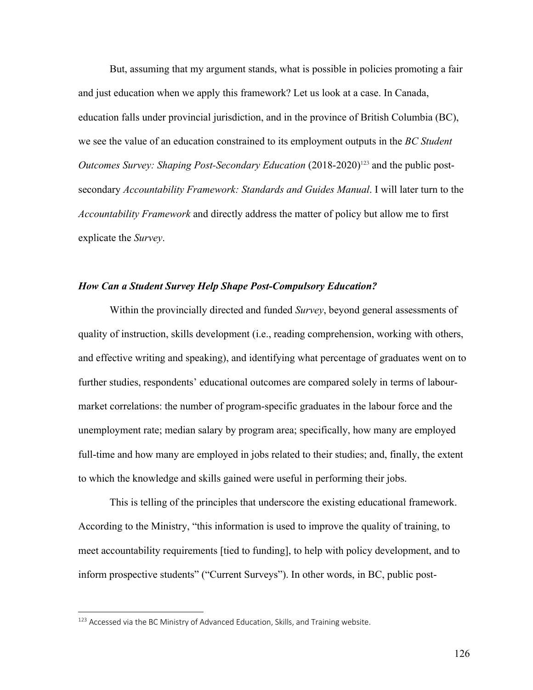But, assuming that my argument stands, what is possible in policies promoting a fair and just education when we apply this framework? Let us look at a case. In Canada, education falls under provincial jurisdiction, and in the province of British Columbia (BC), we see the value of an education constrained to its employment outputs in the *BC Student Outcomes Survey: Shaping Post-Secondary Education* (2018-2020)<sup>123</sup> and the public postsecondary *Accountability Framework: Standards and Guides Manual*. I will later turn to the *Accountability Framework* and directly address the matter of policy but allow me to first explicate the *Survey*.

## *How Can a Student Survey Help Shape Post-Compulsory Education?*

Within the provincially directed and funded *Survey*, beyond general assessments of quality of instruction, skills development (i.e., reading comprehension, working with others, and effective writing and speaking), and identifying what percentage of graduates went on to further studies, respondents' educational outcomes are compared solely in terms of labourmarket correlations: the number of program-specific graduates in the labour force and the unemployment rate; median salary by program area; specifically, how many are employed full-time and how many are employed in jobs related to their studies; and, finally, the extent to which the knowledge and skills gained were useful in performing their jobs.

This is telling of the principles that underscore the existing educational framework. According to the Ministry, "this information is used to improve the quality of training, to meet accountability requirements [tied to funding], to help with policy development, and to inform prospective students" ("Current Surveys"). In other words, in BC, public post-

 $123$  Accessed via the BC Ministry of Advanced Education, Skills, and Training website.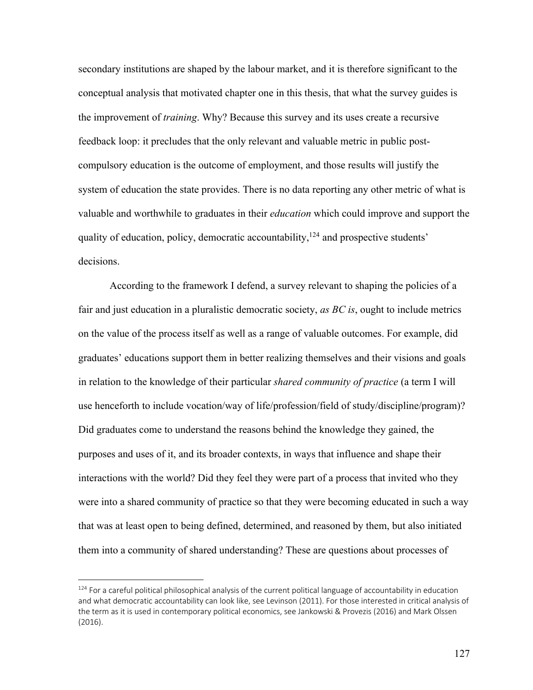secondary institutions are shaped by the labour market, and it is therefore significant to the conceptual analysis that motivated chapter one in this thesis, that what the survey guides is the improvement of *training*. Why? Because this survey and its uses create a recursive feedback loop: it precludes that the only relevant and valuable metric in public postcompulsory education is the outcome of employment, and those results will justify the system of education the state provides. There is no data reporting any other metric of what is valuable and worthwhile to graduates in their *education* which could improve and support the quality of education, policy, democratic accountability,  $124$  and prospective students' decisions.

According to the framework I defend, a survey relevant to shaping the policies of a fair and just education in a pluralistic democratic society, *as BC is*, ought to include metrics on the value of the process itself as well as a range of valuable outcomes. For example, did graduates' educations support them in better realizing themselves and their visions and goals in relation to the knowledge of their particular *shared community of practice* (a term I will use henceforth to include vocation/way of life/profession/field of study/discipline/program)? Did graduates come to understand the reasons behind the knowledge they gained, the purposes and uses of it, and its broader contexts, in ways that influence and shape their interactions with the world? Did they feel they were part of a process that invited who they were into a shared community of practice so that they were becoming educated in such a way that was at least open to being defined, determined, and reasoned by them, but also initiated them into a community of shared understanding? These are questions about processes of

<sup>&</sup>lt;sup>124</sup> For a careful political philosophical analysis of the current political language of accountability in education and what democratic accountability can look like, see Levinson (2011). For those interested in critical analysis of the term as it is used in contemporary political economics, see Jankowski & Provezis (2016) and Mark Olssen (2016).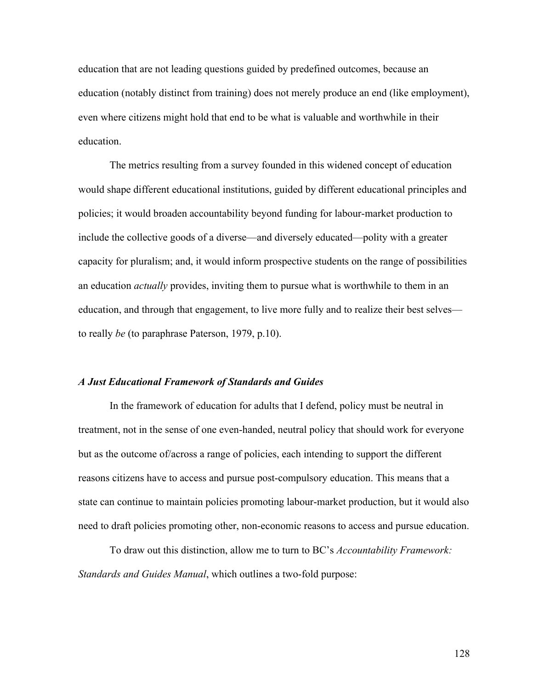education that are not leading questions guided by predefined outcomes, because an education (notably distinct from training) does not merely produce an end (like employment), even where citizens might hold that end to be what is valuable and worthwhile in their education.

The metrics resulting from a survey founded in this widened concept of education would shape different educational institutions, guided by different educational principles and policies; it would broaden accountability beyond funding for labour-market production to include the collective goods of a diverse—and diversely educated—polity with a greater capacity for pluralism; and, it would inform prospective students on the range of possibilities an education *actually* provides, inviting them to pursue what is worthwhile to them in an education, and through that engagement, to live more fully and to realize their best selves to really *be* (to paraphrase Paterson, 1979, p.10).

#### *A Just Educational Framework of Standards and Guides*

In the framework of education for adults that I defend, policy must be neutral in treatment, not in the sense of one even-handed, neutral policy that should work for everyone but as the outcome of/across a range of policies, each intending to support the different reasons citizens have to access and pursue post-compulsory education. This means that a state can continue to maintain policies promoting labour-market production, but it would also need to draft policies promoting other, non-economic reasons to access and pursue education.

To draw out this distinction, allow me to turn to BC's *Accountability Framework: Standards and Guides Manual*, which outlines a two-fold purpose: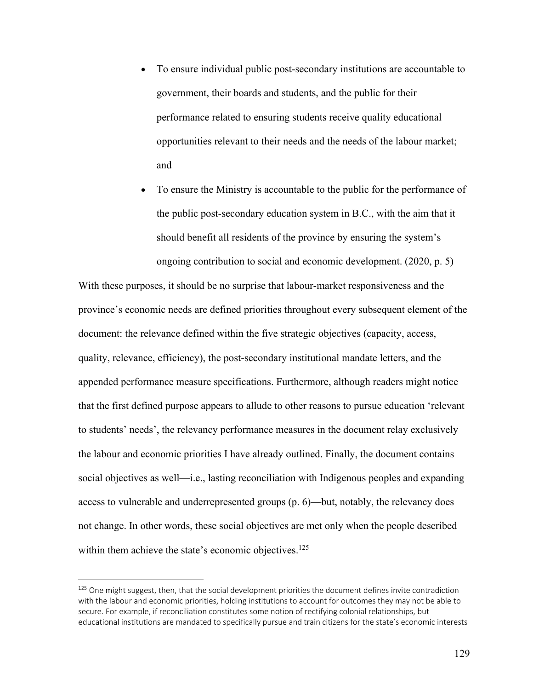- To ensure individual public post-secondary institutions are accountable to government, their boards and students, and the public for their performance related to ensuring students receive quality educational opportunities relevant to their needs and the needs of the labour market; and
- To ensure the Ministry is accountable to the public for the performance of the public post-secondary education system in B.C., with the aim that it should benefit all residents of the province by ensuring the system's ongoing contribution to social and economic development. (2020, p. 5)

With these purposes, it should be no surprise that labour-market responsiveness and the province's economic needs are defined priorities throughout every subsequent element of the document: the relevance defined within the five strategic objectives (capacity, access, quality, relevance, efficiency), the post-secondary institutional mandate letters, and the appended performance measure specifications. Furthermore, although readers might notice that the first defined purpose appears to allude to other reasons to pursue education 'relevant to students' needs', the relevancy performance measures in the document relay exclusively the labour and economic priorities I have already outlined. Finally, the document contains social objectives as well—i.e., lasting reconciliation with Indigenous peoples and expanding access to vulnerable and underrepresented groups (p. 6)—but, notably, the relevancy does not change. In other words, these social objectives are met only when the people described within them achieve the state's economic objectives.<sup>125</sup>

 $125$  One might suggest, then, that the social development priorities the document defines invite contradiction with the labour and economic priorities, holding institutions to account for outcomes they may not be able to secure. For example, if reconciliation constitutes some notion of rectifying colonial relationships, but educational institutions are mandated to specifically pursue and train citizens for the state's economic interests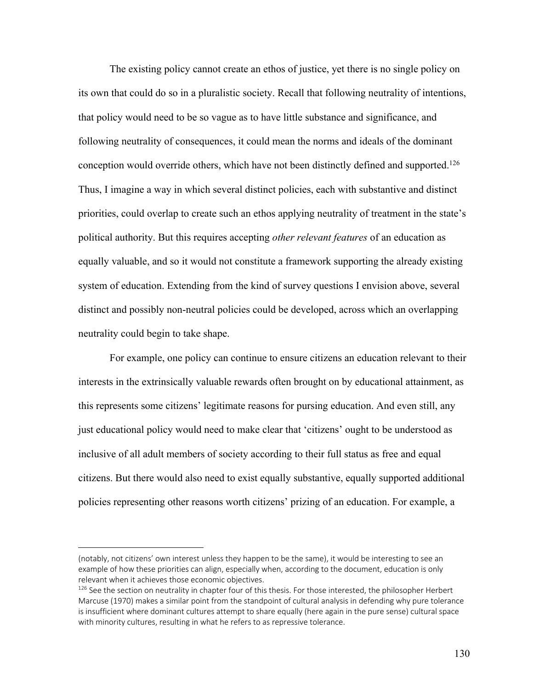The existing policy cannot create an ethos of justice, yet there is no single policy on its own that could do so in a pluralistic society. Recall that following neutrality of intentions, that policy would need to be so vague as to have little substance and significance, and following neutrality of consequences, it could mean the norms and ideals of the dominant conception would override others, which have not been distinctly defined and supported. 126 Thus, I imagine a way in which several distinct policies, each with substantive and distinct priorities, could overlap to create such an ethos applying neutrality of treatment in the state's political authority. But this requires accepting *other relevant features* of an education as equally valuable, and so it would not constitute a framework supporting the already existing system of education. Extending from the kind of survey questions I envision above, several distinct and possibly non-neutral policies could be developed, across which an overlapping neutrality could begin to take shape.

For example, one policy can continue to ensure citizens an education relevant to their interests in the extrinsically valuable rewards often brought on by educational attainment, as this represents some citizens' legitimate reasons for pursing education. And even still, any just educational policy would need to make clear that 'citizens' ought to be understood as inclusive of all adult members of society according to their full status as free and equal citizens. But there would also need to exist equally substantive, equally supported additional policies representing other reasons worth citizens' prizing of an education. For example, a

<sup>(</sup>notably, not citizens' own interest unless they happen to be the same), it would be interesting to see an example of how these priorities can align, especially when, according to the document, education is only relevant when it achieves those economic objectives.

 $126$  See the section on neutrality in chapter four of this thesis. For those interested, the philosopher Herbert Marcuse (1970) makes a similar point from the standpoint of cultural analysis in defending why pure tolerance is insufficient where dominant cultures attempt to share equally (here again in the pure sense) cultural space with minority cultures, resulting in what he refers to as repressive tolerance.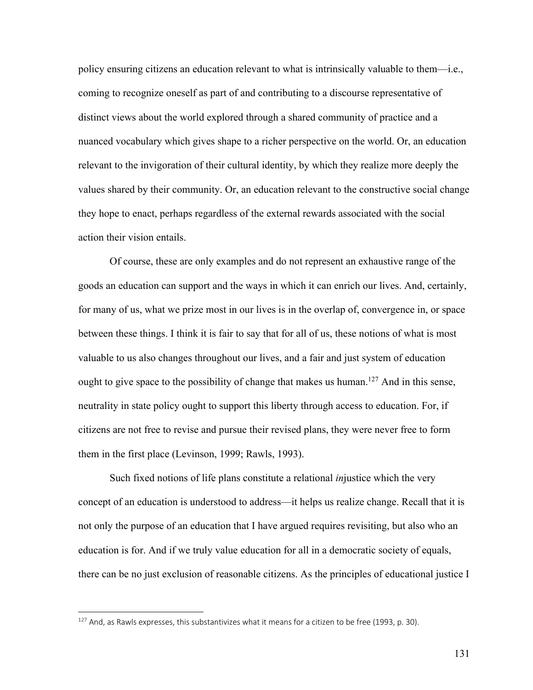policy ensuring citizens an education relevant to what is intrinsically valuable to them—i.e., coming to recognize oneself as part of and contributing to a discourse representative of distinct views about the world explored through a shared community of practice and a nuanced vocabulary which gives shape to a richer perspective on the world. Or, an education relevant to the invigoration of their cultural identity, by which they realize more deeply the values shared by their community. Or, an education relevant to the constructive social change they hope to enact, perhaps regardless of the external rewards associated with the social action their vision entails.

Of course, these are only examples and do not represent an exhaustive range of the goods an education can support and the ways in which it can enrich our lives. And, certainly, for many of us, what we prize most in our lives is in the overlap of, convergence in, or space between these things. I think it is fair to say that for all of us, these notions of what is most valuable to us also changes throughout our lives, and a fair and just system of education ought to give space to the possibility of change that makes us human.<sup>127</sup> And in this sense, neutrality in state policy ought to support this liberty through access to education. For, if citizens are not free to revise and pursue their revised plans, they were never free to form them in the first place (Levinson, 1999; Rawls, 1993).

Such fixed notions of life plans constitute a relational *in*justice which the very concept of an education is understood to address—it helps us realize change. Recall that it is not only the purpose of an education that I have argued requires revisiting, but also who an education is for. And if we truly value education for all in a democratic society of equals, there can be no just exclusion of reasonable citizens. As the principles of educational justice I

 $127$  And, as Rawls expresses, this substantivizes what it means for a citizen to be free (1993, p. 30).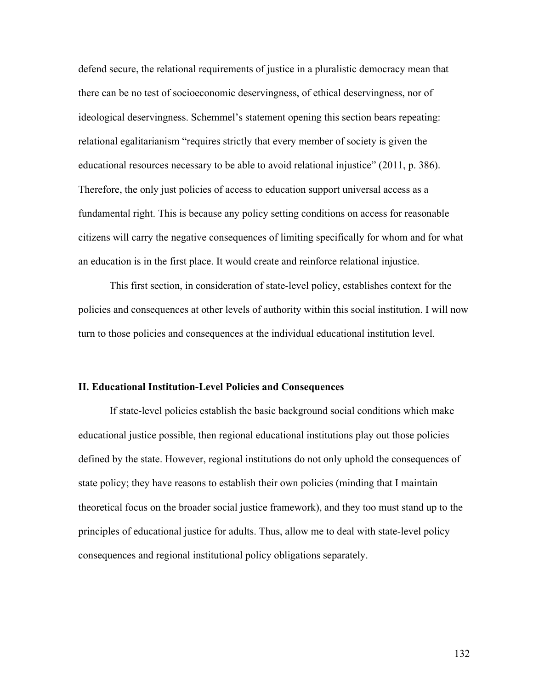defend secure, the relational requirements of justice in a pluralistic democracy mean that there can be no test of socioeconomic deservingness, of ethical deservingness, nor of ideological deservingness. Schemmel's statement opening this section bears repeating: relational egalitarianism "requires strictly that every member of society is given the educational resources necessary to be able to avoid relational injustice" (2011, p. 386). Therefore, the only just policies of access to education support universal access as a fundamental right. This is because any policy setting conditions on access for reasonable citizens will carry the negative consequences of limiting specifically for whom and for what an education is in the first place. It would create and reinforce relational injustice.

This first section, in consideration of state-level policy, establishes context for the policies and consequences at other levels of authority within this social institution. I will now turn to those policies and consequences at the individual educational institution level.

#### **II. Educational Institution-Level Policies and Consequences**

If state-level policies establish the basic background social conditions which make educational justice possible, then regional educational institutions play out those policies defined by the state. However, regional institutions do not only uphold the consequences of state policy; they have reasons to establish their own policies (minding that I maintain theoretical focus on the broader social justice framework), and they too must stand up to the principles of educational justice for adults. Thus, allow me to deal with state-level policy consequences and regional institutional policy obligations separately.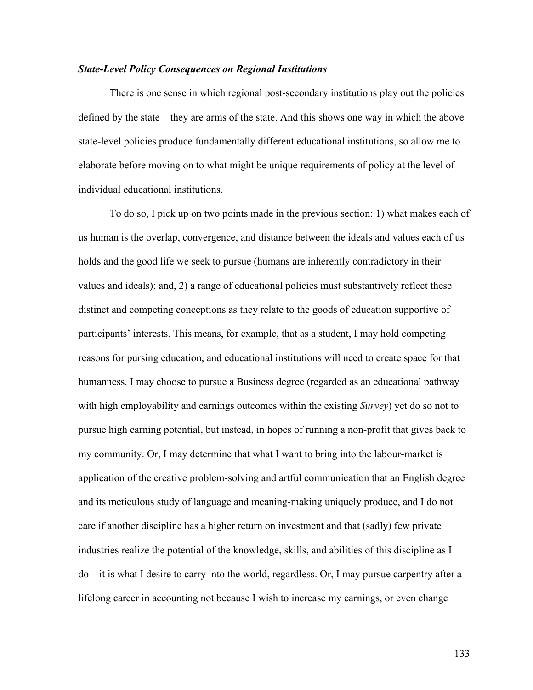## *State-Level Policy Consequences on Regional Institutions*

There is one sense in which regional post-secondary institutions play out the policies defined by the state—they are arms of the state. And this shows one way in which the above state-level policies produce fundamentally different educational institutions, so allow me to elaborate before moving on to what might be unique requirements of policy at the level of individual educational institutions.

To do so, I pick up on two points made in the previous section: 1) what makes each of us human is the overlap, convergence, and distance between the ideals and values each of us holds and the good life we seek to pursue (humans are inherently contradictory in their values and ideals); and, 2) a range of educational policies must substantively reflect these distinct and competing conceptions as they relate to the goods of education supportive of participants' interests. This means, for example, that as a student, I may hold competing reasons for pursing education, and educational institutions will need to create space for that humanness. I may choose to pursue a Business degree (regarded as an educational pathway with high employability and earnings outcomes within the existing *Survey*) yet do so not to pursue high earning potential, but instead, in hopes of running a non-profit that gives back to my community. Or, I may determine that what I want to bring into the labour-market is application of the creative problem-solving and artful communication that an English degree and its meticulous study of language and meaning-making uniquely produce, and I do not care if another discipline has a higher return on investment and that (sadly) few private industries realize the potential of the knowledge, skills, and abilities of this discipline as I do—it is what I desire to carry into the world, regardless. Or, I may pursue carpentry after a lifelong career in accounting not because I wish to increase my earnings, or even change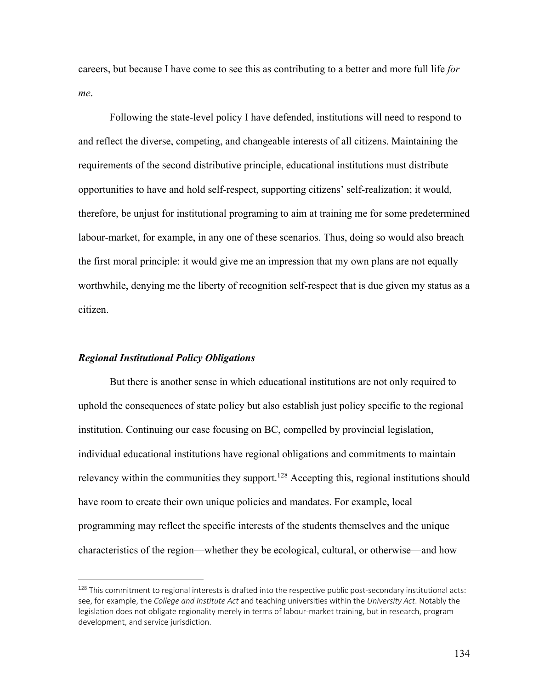careers, but because I have come to see this as contributing to a better and more full life *for me*.

Following the state-level policy I have defended, institutions will need to respond to and reflect the diverse, competing, and changeable interests of all citizens. Maintaining the requirements of the second distributive principle, educational institutions must distribute opportunities to have and hold self-respect, supporting citizens' self-realization; it would, therefore, be unjust for institutional programing to aim at training me for some predetermined labour-market, for example, in any one of these scenarios. Thus, doing so would also breach the first moral principle: it would give me an impression that my own plans are not equally worthwhile, denying me the liberty of recognition self-respect that is due given my status as a citizen.

#### *Regional Institutional Policy Obligations*

But there is another sense in which educational institutions are not only required to uphold the consequences of state policy but also establish just policy specific to the regional institution. Continuing our case focusing on BC, compelled by provincial legislation, individual educational institutions have regional obligations and commitments to maintain relevancy within the communities they support.<sup>128</sup> Accepting this, regional institutions should have room to create their own unique policies and mandates. For example, local programming may reflect the specific interests of the students themselves and the unique characteristics of the region—whether they be ecological, cultural, or otherwise—and how

 $128$  This commitment to regional interests is drafted into the respective public post-secondary institutional acts: see, for example, the *College and Institute Act* and teaching universities within the *University Act*. Notably the legislation does not obligate regionality merely in terms of labour-market training, but in research, program development, and service jurisdiction.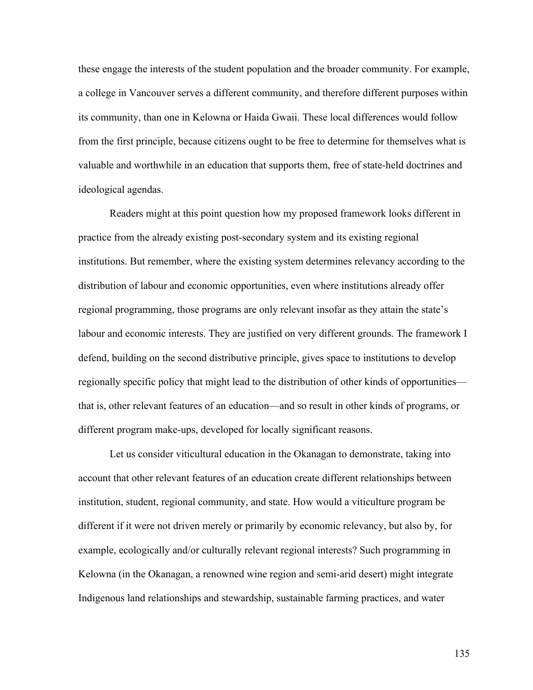these engage the interests of the student population and the broader community. For example, a college in Vancouver serves a different community, and therefore different purposes within its community, than one in Kelowna or Haida Gwaii. These local differences would follow from the first principle, because citizens ought to be free to determine for themselves what is valuable and worthwhile in an education that supports them, free of state-held doctrines and ideological agendas.

Readers might at this point question how my proposed framework looks different in practice from the already existing post-secondary system and its existing regional institutions. But remember, where the existing system determines relevancy according to the distribution of labour and economic opportunities, even where institutions already offer regional programming, those programs are only relevant insofar as they attain the state's labour and economic interests. They are justified on very different grounds. The framework I defend, building on the second distributive principle, gives space to institutions to develop regionally specific policy that might lead to the distribution of other kinds of opportunities that is, other relevant features of an education—and so result in other kinds of programs, or different program make-ups, developed for locally significant reasons.

Let us consider viticultural education in the Okanagan to demonstrate, taking into account that other relevant features of an education create different relationships between institution, student, regional community, and state. How would a viticulture program be different if it were not driven merely or primarily by economic relevancy, but also by, for example, ecologically and/or culturally relevant regional interests? Such programming in Kelowna (in the Okanagan, a renowned wine region and semi-arid desert) might integrate Indigenous land relationships and stewardship, sustainable farming practices, and water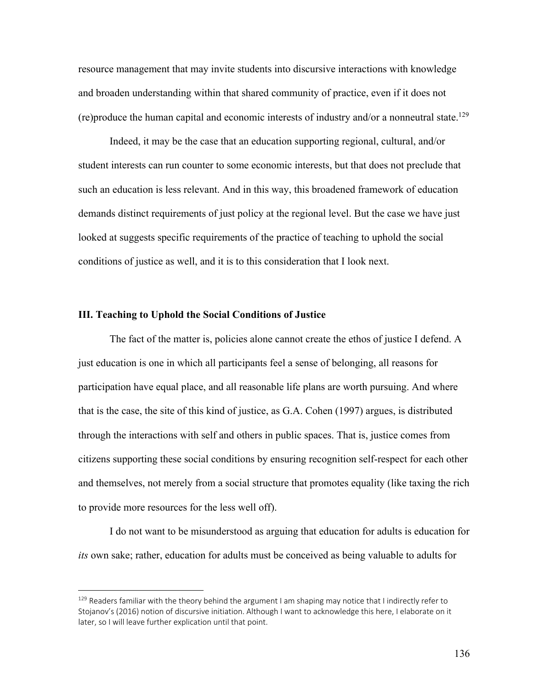resource management that may invite students into discursive interactions with knowledge and broaden understanding within that shared community of practice, even if it does not (re)produce the human capital and economic interests of industry and/or a nonneutral state. 129

Indeed, it may be the case that an education supporting regional, cultural, and/or student interests can run counter to some economic interests, but that does not preclude that such an education is less relevant. And in this way, this broadened framework of education demands distinct requirements of just policy at the regional level. But the case we have just looked at suggests specific requirements of the practice of teaching to uphold the social conditions of justice as well, and it is to this consideration that I look next.

## **III. Teaching to Uphold the Social Conditions of Justice**

The fact of the matter is, policies alone cannot create the ethos of justice I defend. A just education is one in which all participants feel a sense of belonging, all reasons for participation have equal place, and all reasonable life plans are worth pursuing. And where that is the case, the site of this kind of justice, as G.A. Cohen (1997) argues, is distributed through the interactions with self and others in public spaces. That is, justice comes from citizens supporting these social conditions by ensuring recognition self-respect for each other and themselves, not merely from a social structure that promotes equality (like taxing the rich to provide more resources for the less well off).

I do not want to be misunderstood as arguing that education for adults is education for *its* own sake; rather, education for adults must be conceived as being valuable to adults for

<sup>&</sup>lt;sup>129</sup> Readers familiar with the theory behind the argument I am shaping may notice that I indirectly refer to Stojanov's (2016) notion of discursive initiation. Although I want to acknowledge this here, I elaborate on it later, so I will leave further explication until that point.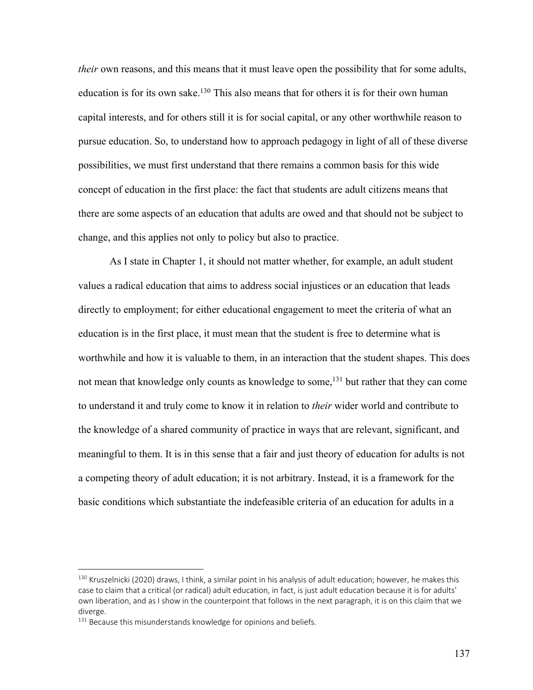*their* own reasons, and this means that it must leave open the possibility that for some adults, education is for its own sake.<sup>130</sup> This also means that for others it is for their own human capital interests, and for others still it is for social capital, or any other worthwhile reason to pursue education. So, to understand how to approach pedagogy in light of all of these diverse possibilities, we must first understand that there remains a common basis for this wide concept of education in the first place: the fact that students are adult citizens means that there are some aspects of an education that adults are owed and that should not be subject to change, and this applies not only to policy but also to practice.

As I state in Chapter 1, it should not matter whether, for example, an adult student values a radical education that aims to address social injustices or an education that leads directly to employment; for either educational engagement to meet the criteria of what an education is in the first place, it must mean that the student is free to determine what is worthwhile and how it is valuable to them, in an interaction that the student shapes. This does not mean that knowledge only counts as knowledge to some,<sup>131</sup> but rather that they can come to understand it and truly come to know it in relation to *their* wider world and contribute to the knowledge of a shared community of practice in ways that are relevant, significant, and meaningful to them. It is in this sense that a fair and just theory of education for adults is not a competing theory of adult education; it is not arbitrary. Instead, it is a framework for the basic conditions which substantiate the indefeasible criteria of an education for adults in a

<sup>&</sup>lt;sup>130</sup> Kruszelnicki (2020) draws, I think, a similar point in his analysis of adult education; however, he makes this case to claim that a critical (or radical) adult education, in fact, is just adult education because it is for adults' own liberation, and as I show in the counterpoint that follows in the next paragraph, it is on this claim that we diverge.

 $131$  Because this misunderstands knowledge for opinions and beliefs.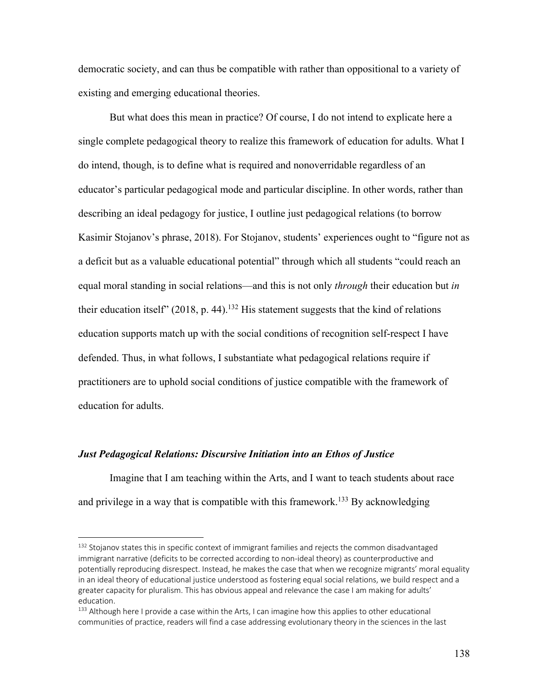democratic society, and can thus be compatible with rather than oppositional to a variety of existing and emerging educational theories.

But what does this mean in practice? Of course, I do not intend to explicate here a single complete pedagogical theory to realize this framework of education for adults. What I do intend, though, is to define what is required and nonoverridable regardless of an educator's particular pedagogical mode and particular discipline. In other words, rather than describing an ideal pedagogy for justice, I outline just pedagogical relations (to borrow Kasimir Stojanov's phrase, 2018). For Stojanov, students' experiences ought to "figure not as a deficit but as a valuable educational potential" through which all students "could reach an equal moral standing in social relations—and this is not only *through* their education but *in* their education itself" (2018, p. 44).<sup>132</sup> His statement suggests that the kind of relations education supports match up with the social conditions of recognition self-respect I have defended. Thus, in what follows, I substantiate what pedagogical relations require if practitioners are to uphold social conditions of justice compatible with the framework of education for adults.

## *Just Pedagogical Relations: Discursive Initiation into an Ethos of Justice*

Imagine that I am teaching within the Arts, and I want to teach students about race and privilege in a way that is compatible with this framework.<sup>133</sup> By acknowledging

<sup>132</sup> Stojanov states this in specific context of immigrant families and rejects the common disadvantaged immigrant narrative (deficits to be corrected according to non-ideal theory) as counterproductive and potentially reproducing disrespect. Instead, he makes the case that when we recognize migrants' moral equality in an ideal theory of educational justice understood as fostering equal social relations, we build respect and a greater capacity for pluralism. This has obvious appeal and relevance the case I am making for adults' education.

<sup>&</sup>lt;sup>133</sup> Although here I provide a case within the Arts, I can imagine how this applies to other educational communities of practice, readers will find a case addressing evolutionary theory in the sciences in the last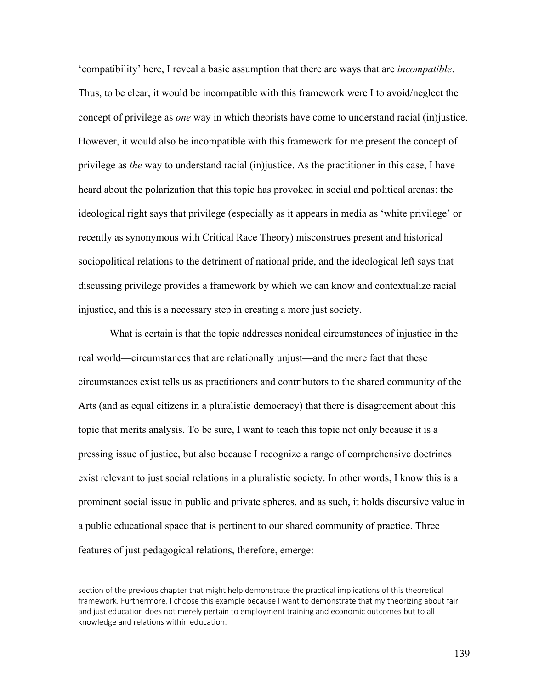'compatibility' here, I reveal a basic assumption that there are ways that are *incompatible*. Thus, to be clear, it would be incompatible with this framework were I to avoid/neglect the concept of privilege as *one* way in which theorists have come to understand racial (in)justice. However, it would also be incompatible with this framework for me present the concept of privilege as *the* way to understand racial (in)justice. As the practitioner in this case, I have heard about the polarization that this topic has provoked in social and political arenas: the ideological right says that privilege (especially as it appears in media as 'white privilege' or recently as synonymous with Critical Race Theory) misconstrues present and historical sociopolitical relations to the detriment of national pride, and the ideological left says that discussing privilege provides a framework by which we can know and contextualize racial injustice, and this is a necessary step in creating a more just society.

What is certain is that the topic addresses nonideal circumstances of injustice in the real world—circumstances that are relationally unjust—and the mere fact that these circumstances exist tells us as practitioners and contributors to the shared community of the Arts (and as equal citizens in a pluralistic democracy) that there is disagreement about this topic that merits analysis. To be sure, I want to teach this topic not only because it is a pressing issue of justice, but also because I recognize a range of comprehensive doctrines exist relevant to just social relations in a pluralistic society. In other words, I know this is a prominent social issue in public and private spheres, and as such, it holds discursive value in a public educational space that is pertinent to our shared community of practice. Three features of just pedagogical relations, therefore, emerge:

section of the previous chapter that might help demonstrate the practical implications of this theoretical framework. Furthermore, I choose this example because I want to demonstrate that my theorizing about fair and just education does not merely pertain to employment training and economic outcomes but to all knowledge and relations within education.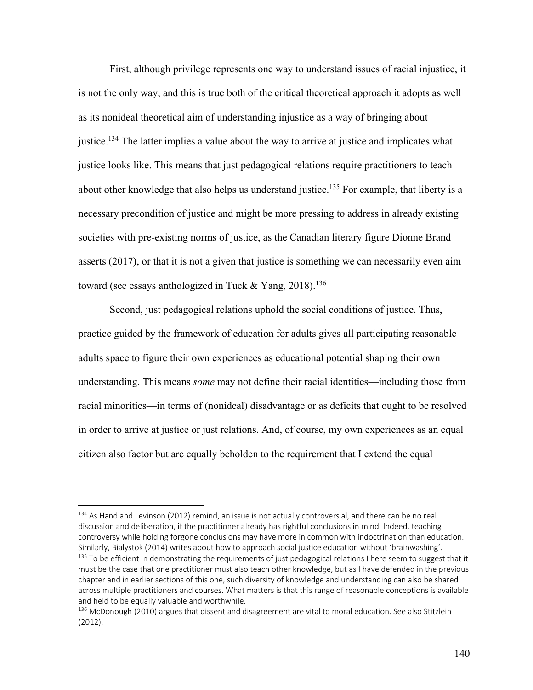First, although privilege represents one way to understand issues of racial injustice, it is not the only way, and this is true both of the critical theoretical approach it adopts as well as its nonideal theoretical aim of understanding injustice as a way of bringing about justice.<sup>134</sup> The latter implies a value about the way to arrive at justice and implicates what justice looks like. This means that just pedagogical relations require practitioners to teach about other knowledge that also helps us understand justice.<sup>135</sup> For example, that liberty is a necessary precondition of justice and might be more pressing to address in already existing societies with pre-existing norms of justice, as the Canadian literary figure Dionne Brand asserts (2017), or that it is not a given that justice is something we can necessarily even aim toward (see essays anthologized in Tuck & Yang,  $2018$ ).<sup>136</sup>

Second, just pedagogical relations uphold the social conditions of justice. Thus, practice guided by the framework of education for adults gives all participating reasonable adults space to figure their own experiences as educational potential shaping their own understanding. This means *some* may not define their racial identities—including those from racial minorities—in terms of (nonideal) disadvantage or as deficits that ought to be resolved in order to arrive at justice or just relations. And, of course, my own experiences as an equal citizen also factor but are equally beholden to the requirement that I extend the equal

<sup>&</sup>lt;sup>134</sup> As Hand and Levinson (2012) remind, an issue is not actually controversial, and there can be no real discussion and deliberation, if the practitioner already has rightful conclusions in mind. Indeed, teaching controversy while holding forgone conclusions may have more in common with indoctrination than education. Similarly, Bialystok (2014) writes about how to approach social justice education without 'brainwashing'.  $135$  To be efficient in demonstrating the requirements of just pedagogical relations I here seem to suggest that it must be the case that one practitioner must also teach other knowledge, but as I have defended in the previous chapter and in earlier sections of this one, such diversity of knowledge and understanding can also be shared across multiple practitioners and courses. What matters is that this range of reasonable conceptions is available and held to be equally valuable and worthwhile.

<sup>&</sup>lt;sup>136</sup> McDonough (2010) argues that dissent and disagreement are vital to moral education. See also Stitzlein (2012).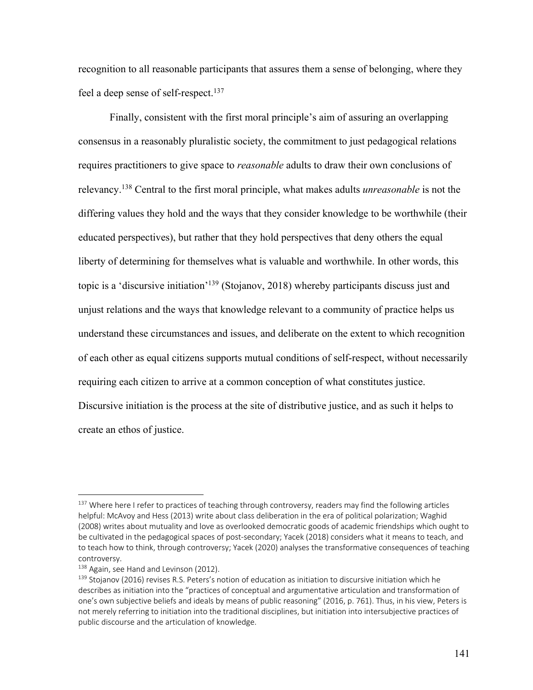recognition to all reasonable participants that assures them a sense of belonging, where they feel a deep sense of self-respect.<sup>137</sup>

Finally, consistent with the first moral principle's aim of assuring an overlapping consensus in a reasonably pluralistic society, the commitment to just pedagogical relations requires practitioners to give space to *reasonable* adults to draw their own conclusions of relevancy.138 Central to the first moral principle, what makes adults *unreasonable* is not the differing values they hold and the ways that they consider knowledge to be worthwhile (their educated perspectives), but rather that they hold perspectives that deny others the equal liberty of determining for themselves what is valuable and worthwhile. In other words, this topic is a 'discursive initiation'139 (Stojanov, 2018) whereby participants discuss just and unjust relations and the ways that knowledge relevant to a community of practice helps us understand these circumstances and issues, and deliberate on the extent to which recognition of each other as equal citizens supports mutual conditions of self-respect, without necessarily requiring each citizen to arrive at a common conception of what constitutes justice. Discursive initiation is the process at the site of distributive justice, and as such it helps to create an ethos of justice.

<sup>&</sup>lt;sup>137</sup> Where here I refer to practices of teaching through controversy, readers may find the following articles helpful: McAvoy and Hess (2013) write about class deliberation in the era of political polarization; Waghid (2008) writes about mutuality and love as overlooked democratic goods of academic friendships which ought to be cultivated in the pedagogical spaces of post-secondary; Yacek (2018) considers what it means to teach, and to teach how to think, through controversy; Yacek (2020) analyses the transformative consequences of teaching controversy.

<sup>138</sup> Again, see Hand and Levinson (2012).

<sup>139</sup> Stojanov (2016) revises R.S. Peters's notion of education as initiation to discursive initiation which he describes as initiation into the "practices of conceptual and argumentative articulation and transformation of one's own subjective beliefs and ideals by means of public reasoning" (2016, p. 761). Thus, in his view, Peters is not merely referring to initiation into the traditional disciplines, but initiation into intersubjective practices of public discourse and the articulation of knowledge.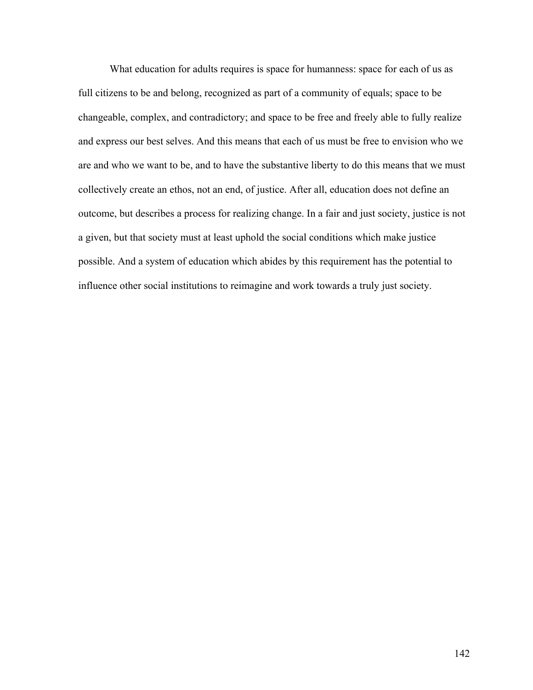What education for adults requires is space for humanness: space for each of us as full citizens to be and belong, recognized as part of a community of equals; space to be changeable, complex, and contradictory; and space to be free and freely able to fully realize and express our best selves. And this means that each of us must be free to envision who we are and who we want to be, and to have the substantive liberty to do this means that we must collectively create an ethos, not an end, of justice. After all, education does not define an outcome, but describes a process for realizing change. In a fair and just society, justice is not a given, but that society must at least uphold the social conditions which make justice possible. And a system of education which abides by this requirement has the potential to influence other social institutions to reimagine and work towards a truly just society.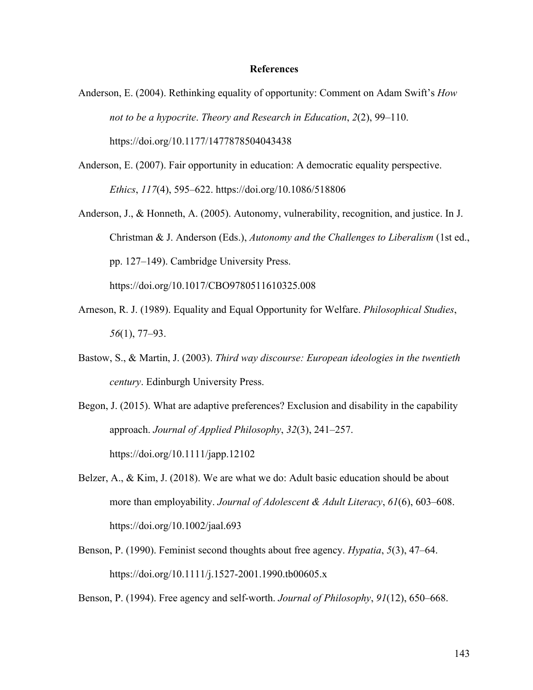## **References**

- Anderson, E. (2004). Rethinking equality of opportunity: Comment on Adam Swift's *How not to be a hypocrite*. *Theory and Research in Education*, *2*(2), 99–110. https://doi.org/10.1177/1477878504043438
- Anderson, E. (2007). Fair opportunity in education: A democratic equality perspective. *Ethics*, *117*(4), 595–622. https://doi.org/10.1086/518806
- Anderson, J., & Honneth, A. (2005). Autonomy, vulnerability, recognition, and justice. In J. Christman & J. Anderson (Eds.), *Autonomy and the Challenges to Liberalism* (1st ed., pp. 127–149). Cambridge University Press. https://doi.org/10.1017/CBO9780511610325.008
- Arneson, R. J. (1989). Equality and Equal Opportunity for Welfare. *Philosophical Studies*, *56*(1), 77–93.
- Bastow, S., & Martin, J. (2003). *Third way discourse: European ideologies in the twentieth century*. Edinburgh University Press.
- Begon, J. (2015). What are adaptive preferences? Exclusion and disability in the capability approach. *Journal of Applied Philosophy*, *32*(3), 241–257. https://doi.org/10.1111/japp.12102
- Belzer, A., & Kim, J. (2018). We are what we do: Adult basic education should be about more than employability. *Journal of Adolescent & Adult Literacy*, *61*(6), 603–608. https://doi.org/10.1002/jaal.693
- Benson, P. (1990). Feminist second thoughts about free agency. *Hypatia*, *5*(3), 47–64. https://doi.org/10.1111/j.1527-2001.1990.tb00605.x

Benson, P. (1994). Free agency and self-worth. *Journal of Philosophy*, *91*(12), 650–668.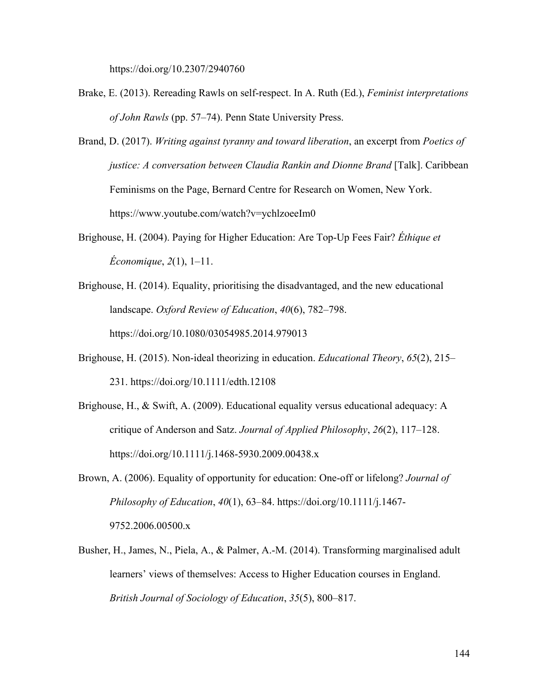https://doi.org/10.2307/2940760

- Brake, E. (2013). Rereading Rawls on self-respect. In A. Ruth (Ed.), *Feminist interpretations of John Rawls* (pp. 57–74). Penn State University Press.
- Brand, D. (2017). *Writing against tyranny and toward liberation*, an excerpt from *Poetics of justice: A conversation between Claudia Rankin and Dionne Brand* [Talk]. Caribbean Feminisms on the Page, Bernard Centre for Research on Women, New York. https://www.youtube.com/watch?v=ychlzoeeIm0
- Brighouse, H. (2004). Paying for Higher Education: Are Top-Up Fees Fair? *Éthique et Économique*, *2*(1), 1–11.
- Brighouse, H. (2014). Equality, prioritising the disadvantaged, and the new educational landscape. *Oxford Review of Education*, *40*(6), 782–798. https://doi.org/10.1080/03054985.2014.979013
- Brighouse, H. (2015). Non-ideal theorizing in education. *Educational Theory*, *65*(2), 215– 231. https://doi.org/10.1111/edth.12108
- Brighouse, H., & Swift, A. (2009). Educational equality versus educational adequacy: A critique of Anderson and Satz. *Journal of Applied Philosophy*, *26*(2), 117–128. https://doi.org/10.1111/j.1468-5930.2009.00438.x
- Brown, A. (2006). Equality of opportunity for education: One-off or lifelong? *Journal of Philosophy of Education*, *40*(1), 63–84. https://doi.org/10.1111/j.1467- 9752.2006.00500.x
- Busher, H., James, N., Piela, A., & Palmer, A.-M. (2014). Transforming marginalised adult learners' views of themselves: Access to Higher Education courses in England. *British Journal of Sociology of Education*, *35*(5), 800–817.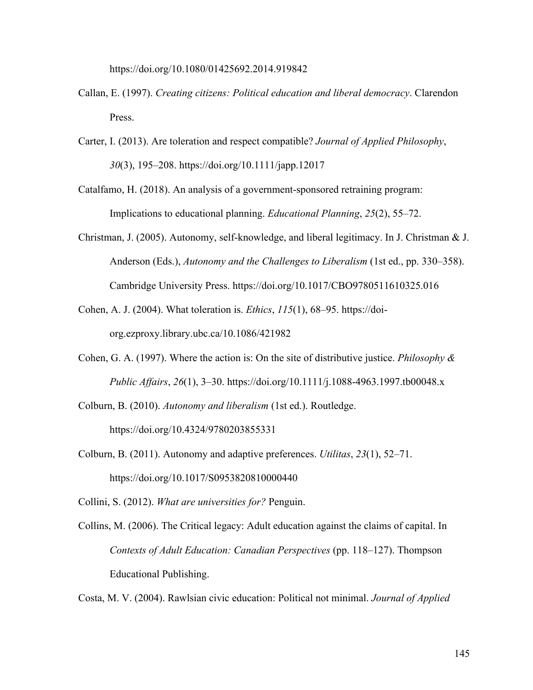https://doi.org/10.1080/01425692.2014.919842

- Callan, E. (1997). *Creating citizens: Political education and liberal democracy*. Clarendon Press.
- Carter, I. (2013). Are toleration and respect compatible? *Journal of Applied Philosophy*, *30*(3), 195–208. https://doi.org/10.1111/japp.12017
- Catalfamo, H. (2018). An analysis of a government-sponsored retraining program: Implications to educational planning. *Educational Planning*, *25*(2), 55–72.
- Christman, J. (2005). Autonomy, self-knowledge, and liberal legitimacy. In J. Christman & J. Anderson (Eds.), *Autonomy and the Challenges to Liberalism* (1st ed., pp. 330–358). Cambridge University Press. https://doi.org/10.1017/CBO9780511610325.016
- Cohen, A. J. (2004). What toleration is. *Ethics*, *115*(1), 68–95. https://doiorg.ezproxy.library.ubc.ca/10.1086/421982
- Cohen, G. A. (1997). Where the action is: On the site of distributive justice. *Philosophy & Public Affairs*, *26*(1), 3–30. https://doi.org/10.1111/j.1088-4963.1997.tb00048.x
- Colburn, B. (2010). *Autonomy and liberalism* (1st ed.). Routledge. https://doi.org/10.4324/9780203855331
- Colburn, B. (2011). Autonomy and adaptive preferences. *Utilitas*, *23*(1), 52–71. https://doi.org/10.1017/S0953820810000440

Collini, S. (2012). *What are universities for?* Penguin.

Collins, M. (2006). The Critical legacy: Adult education against the claims of capital. In *Contexts of Adult Education: Canadian Perspectives* (pp. 118–127). Thompson Educational Publishing.

Costa, M. V. (2004). Rawlsian civic education: Political not minimal. *Journal of Applied*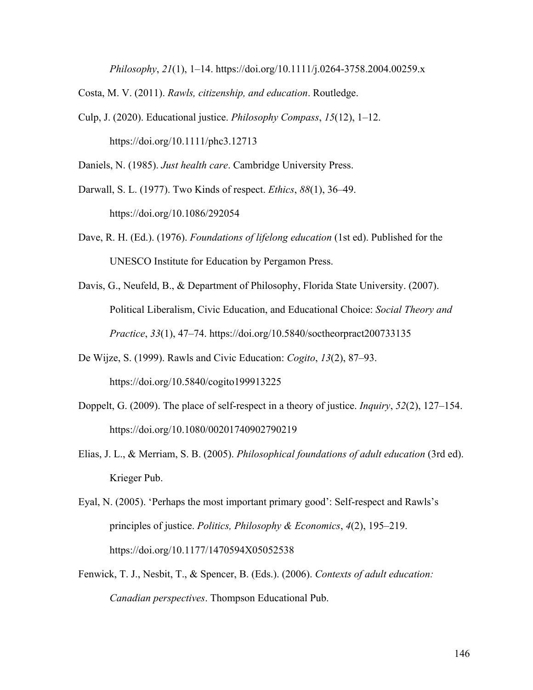*Philosophy*, *21*(1), 1–14. https://doi.org/10.1111/j.0264-3758.2004.00259.x

- Costa, M. V. (2011). *Rawls, citizenship, and education*. Routledge.
- Culp, J. (2020). Educational justice. *Philosophy Compass*, *15*(12), 1–12. https://doi.org/10.1111/phc3.12713

Daniels, N. (1985). *Just health care*. Cambridge University Press.

- Darwall, S. L. (1977). Two Kinds of respect. *Ethics*, *88*(1), 36–49. https://doi.org/10.1086/292054
- Dave, R. H. (Ed.). (1976). *Foundations of lifelong education* (1st ed). Published for the UNESCO Institute for Education by Pergamon Press.
- Davis, G., Neufeld, B., & Department of Philosophy, Florida State University. (2007). Political Liberalism, Civic Education, and Educational Choice: *Social Theory and Practice*, *33*(1), 47–74. https://doi.org/10.5840/soctheorpract200733135
- De Wijze, S. (1999). Rawls and Civic Education: *Cogito*, *13*(2), 87–93. https://doi.org/10.5840/cogito199913225
- Doppelt, G. (2009). The place of self‐respect in a theory of justice. *Inquiry*, *52*(2), 127–154. https://doi.org/10.1080/00201740902790219
- Elias, J. L., & Merriam, S. B. (2005). *Philosophical foundations of adult education* (3rd ed). Krieger Pub.
- Eyal, N. (2005). 'Perhaps the most important primary good': Self-respect and Rawls's principles of justice. *Politics, Philosophy & Economics*, *4*(2), 195–219. https://doi.org/10.1177/1470594X05052538
- Fenwick, T. J., Nesbit, T., & Spencer, B. (Eds.). (2006). *Contexts of adult education: Canadian perspectives*. Thompson Educational Pub.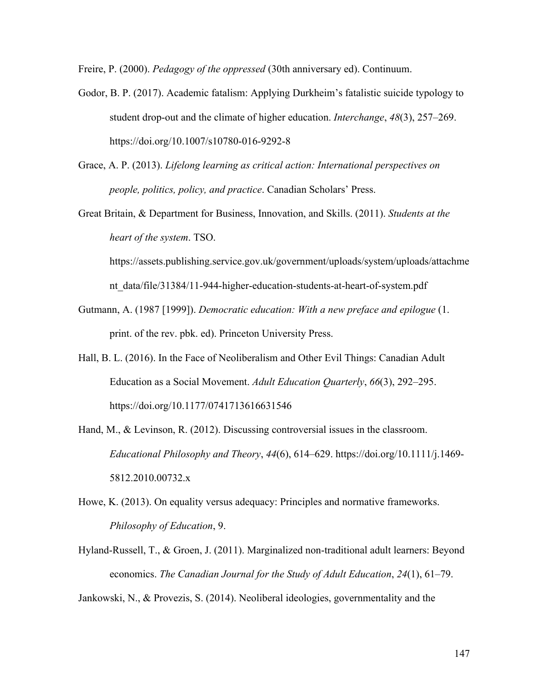Freire, P. (2000). *Pedagogy of the oppressed* (30th anniversary ed). Continuum.

- Godor, B. P. (2017). Academic fatalism: Applying Durkheim's fatalistic suicide typology to student drop-out and the climate of higher education. *Interchange*, *48*(3), 257–269. https://doi.org/10.1007/s10780-016-9292-8
- Grace, A. P. (2013). *Lifelong learning as critical action: International perspectives on people, politics, policy, and practice*. Canadian Scholars' Press.
- Great Britain, & Department for Business, Innovation, and Skills. (2011). *Students at the heart of the system*. TSO.

https://assets.publishing.service.gov.uk/government/uploads/system/uploads/attachme nt\_data/file/31384/11-944-higher-education-students-at-heart-of-system.pdf

- Gutmann, A. (1987 [1999]). *Democratic education: With a new preface and epilogue* (1. print. of the rev. pbk. ed). Princeton University Press.
- Hall, B. L. (2016). In the Face of Neoliberalism and Other Evil Things: Canadian Adult Education as a Social Movement. *Adult Education Quarterly*, *66*(3), 292–295. https://doi.org/10.1177/0741713616631546
- Hand, M., & Levinson, R. (2012). Discussing controversial issues in the classroom. *Educational Philosophy and Theory*, *44*(6), 614–629. https://doi.org/10.1111/j.1469- 5812.2010.00732.x
- Howe, K. (2013). On equality versus adequacy: Principles and normative frameworks. *Philosophy of Education*, 9.
- Hyland-Russell, T., & Groen, J. (2011). Marginalized non-traditional adult learners: Beyond economics. *The Canadian Journal for the Study of Adult Education*, *24*(1), 61–79.

Jankowski, N., & Provezis, S. (2014). Neoliberal ideologies, governmentality and the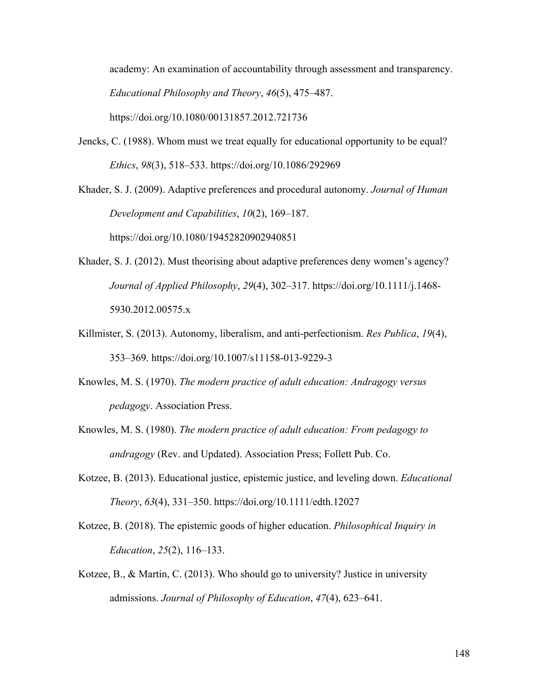academy: An examination of accountability through assessment and transparency. *Educational Philosophy and Theory*, *46*(5), 475–487. https://doi.org/10.1080/00131857.2012.721736

Jencks, C. (1988). Whom must we treat equally for educational opportunity to be equal? *Ethics*, *98*(3), 518–533. https://doi.org/10.1086/292969

Khader, S. J. (2009). Adaptive preferences and procedural autonomy. *Journal of Human Development and Capabilities*, *10*(2), 169–187.

https://doi.org/10.1080/19452820902940851

- Khader, S. J. (2012). Must theorising about adaptive preferences deny women's agency? *Journal of Applied Philosophy*, *29*(4), 302–317. https://doi.org/10.1111/j.1468- 5930.2012.00575.x
- Killmister, S. (2013). Autonomy, liberalism, and anti-perfectionism. *Res Publica*, *19*(4), 353–369. https://doi.org/10.1007/s11158-013-9229-3
- Knowles, M. S. (1970). *The modern practice of adult education: Andragogy versus pedagogy*. Association Press.
- Knowles, M. S. (1980). *The modern practice of adult education: From pedagogy to andragogy* (Rev. and Updated). Association Press; Follett Pub. Co.
- Kotzee, B. (2013). Educational justice, epistemic justice, and leveling down. *Educational Theory*, *63*(4), 331–350. https://doi.org/10.1111/edth.12027
- Kotzee, B. (2018). The epistemic goods of higher education. *Philosophical Inquiry in Education*, *25*(2), 116–133.
- Kotzee, B., & Martin, C. (2013). Who should go to university? Justice in university admissions. *Journal of Philosophy of Education*, *47*(4), 623–641.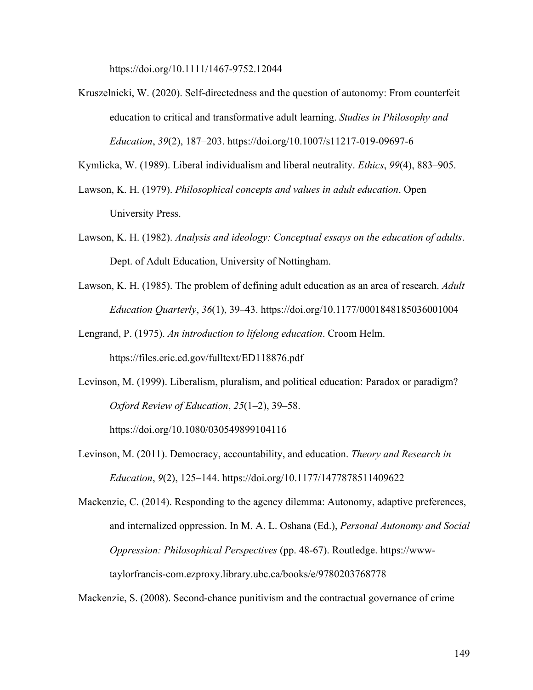https://doi.org/10.1111/1467-9752.12044

Kruszelnicki, W. (2020). Self-directedness and the question of autonomy: From counterfeit education to critical and transformative adult learning. *Studies in Philosophy and Education*, *39*(2), 187–203. https://doi.org/10.1007/s11217-019-09697-6

Kymlicka, W. (1989). Liberal individualism and liberal neutrality. *Ethics*, *99*(4), 883–905.

- Lawson, K. H. (1979). *Philosophical concepts and values in adult education*. Open University Press.
- Lawson, K. H. (1982). *Analysis and ideology: Conceptual essays on the education of adults*. Dept. of Adult Education, University of Nottingham.
- Lawson, K. H. (1985). The problem of defining adult education as an area of research. *Adult Education Quarterly*, *36*(1), 39–43. https://doi.org/10.1177/0001848185036001004

Lengrand, P. (1975). *An introduction to lifelong education*. Croom Helm.

https://files.eric.ed.gov/fulltext/ED118876.pdf

Levinson, M. (1999). Liberalism, pluralism, and political education: Paradox or paradigm? *Oxford Review of Education*, *25*(1–2), 39–58.

https://doi.org/10.1080/030549899104116

Levinson, M. (2011). Democracy, accountability, and education. *Theory and Research in Education*, *9*(2), 125–144. https://doi.org/10.1177/1477878511409622

Mackenzie, C. (2014). Responding to the agency dilemma: Autonomy, adaptive preferences, and internalized oppression. In M. A. L. Oshana (Ed.), *Personal Autonomy and Social Oppression: Philosophical Perspectives* (pp. 48-67). Routledge. https://wwwtaylorfrancis-com.ezproxy.library.ubc.ca/books/e/9780203768778

Mackenzie, S. (2008). Second-chance punitivism and the contractual governance of crime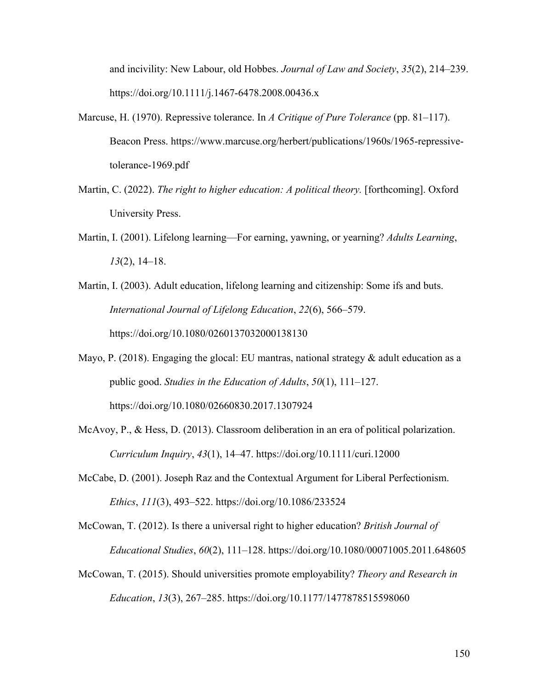and incivility: New Labour, old Hobbes. *Journal of Law and Society*, *35*(2), 214–239. https://doi.org/10.1111/j.1467-6478.2008.00436.x

- Marcuse, H. (1970). Repressive tolerance. In *A Critique of Pure Tolerance* (pp. 81–117). Beacon Press. https://www.marcuse.org/herbert/publications/1960s/1965-repressivetolerance-1969.pdf
- Martin, C. (2022). *The right to higher education: A political theory.* [forthcoming]. Oxford University Press.
- Martin, I. (2001). Lifelong learning—For earning, yawning, or yearning? *Adults Learning*, *13*(2), 14–18.
- Martin, I. (2003). Adult education, lifelong learning and citizenship: Some ifs and buts. *International Journal of Lifelong Education*, *22*(6), 566–579. https://doi.org/10.1080/0260137032000138130
- Mayo, P. (2018). Engaging the glocal: EU mantras, national strategy  $\&$  adult education as a public good. *Studies in the Education of Adults*, *50*(1), 111–127. https://doi.org/10.1080/02660830.2017.1307924
- McAvoy, P., & Hess, D. (2013). Classroom deliberation in an era of political polarization. *Curriculum Inquiry*, *43*(1), 14–47. https://doi.org/10.1111/curi.12000
- McCabe, D. (2001). Joseph Raz and the Contextual Argument for Liberal Perfectionism. *Ethics*, *111*(3), 493–522. https://doi.org/10.1086/233524

McCowan, T. (2012). Is there a universal right to higher education? *British Journal of Educational Studies*, *60*(2), 111–128. https://doi.org/10.1080/00071005.2011.648605

McCowan, T. (2015). Should universities promote employability? *Theory and Research in Education*, *13*(3), 267–285. https://doi.org/10.1177/1477878515598060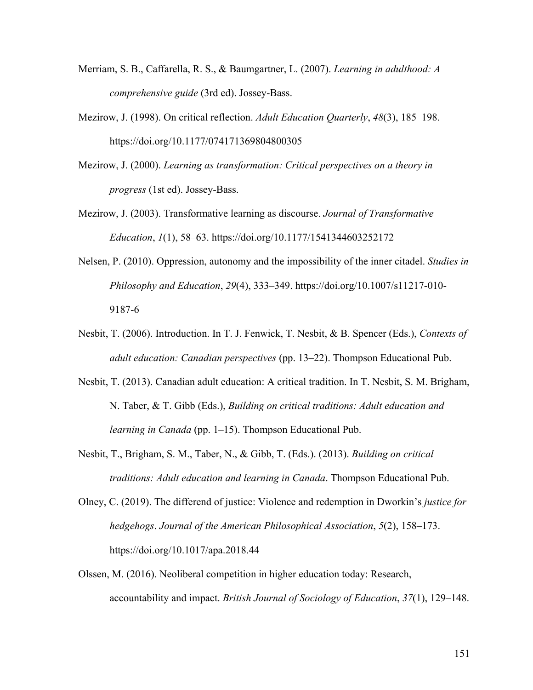- Merriam, S. B., Caffarella, R. S., & Baumgartner, L. (2007). *Learning in adulthood: A comprehensive guide* (3rd ed). Jossey-Bass.
- Mezirow, J. (1998). On critical reflection. *Adult Education Quarterly*, *48*(3), 185–198. https://doi.org/10.1177/074171369804800305
- Mezirow, J. (2000). *Learning as transformation: Critical perspectives on a theory in progress* (1st ed). Jossey-Bass.
- Mezirow, J. (2003). Transformative learning as discourse. *Journal of Transformative Education*, *1*(1), 58–63. https://doi.org/10.1177/1541344603252172
- Nelsen, P. (2010). Oppression, autonomy and the impossibility of the inner citadel. *Studies in Philosophy and Education*, *29*(4), 333–349. https://doi.org/10.1007/s11217-010- 9187-6
- Nesbit, T. (2006). Introduction. In T. J. Fenwick, T. Nesbit, & B. Spencer (Eds.), *Contexts of adult education: Canadian perspectives* (pp. 13–22). Thompson Educational Pub.
- Nesbit, T. (2013). Canadian adult education: A critical tradition. In T. Nesbit, S. M. Brigham, N. Taber, & T. Gibb (Eds.), *Building on critical traditions: Adult education and learning in Canada* (pp. 1–15). Thompson Educational Pub.
- Nesbit, T., Brigham, S. M., Taber, N., & Gibb, T. (Eds.). (2013). *Building on critical traditions: Adult education and learning in Canada*. Thompson Educational Pub.
- Olney, C. (2019). The differend of justice: Violence and redemption in Dworkin's *justice for hedgehogs*. *Journal of the American Philosophical Association*, *5*(2), 158–173. https://doi.org/10.1017/apa.2018.44
- Olssen, M. (2016). Neoliberal competition in higher education today: Research, accountability and impact. *British Journal of Sociology of Education*, *37*(1), 129–148.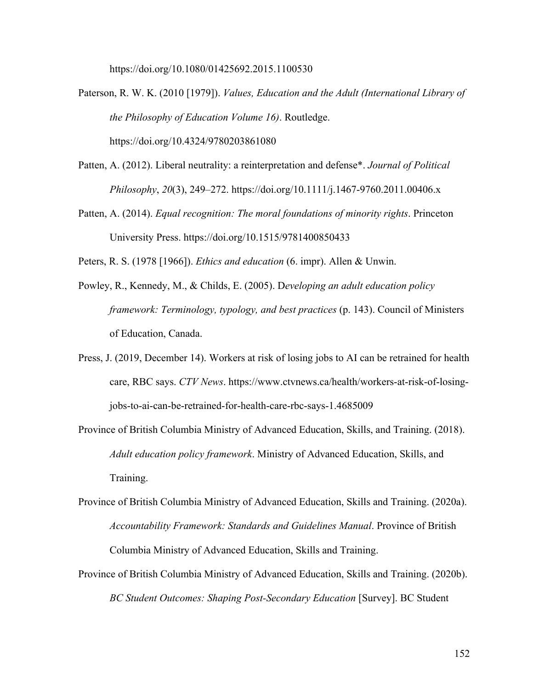https://doi.org/10.1080/01425692.2015.1100530

- Paterson, R. W. K. (2010 [1979]). *Values, Education and the Adult (International Library of the Philosophy of Education Volume 16)*. Routledge. https://doi.org/10.4324/9780203861080
- Patten, A. (2012). Liberal neutrality: a reinterpretation and defense\*. *Journal of Political Philosophy*, *20*(3), 249–272. https://doi.org/10.1111/j.1467-9760.2011.00406.x
- Patten, A. (2014). *Equal recognition: The moral foundations of minority rights*. Princeton University Press. https://doi.org/10.1515/9781400850433

Peters, R. S. (1978 [1966]). *Ethics and education* (6. impr). Allen & Unwin.

- Powley, R., Kennedy, M., & Childs, E. (2005). D*eveloping an adult education policy framework: Terminology, typology, and best practices* (p. 143). Council of Ministers of Education, Canada.
- Press, J. (2019, December 14). Workers at risk of losing jobs to AI can be retrained for health care, RBC says. *CTV News*. https://www.ctvnews.ca/health/workers-at-risk-of-losingjobs-to-ai-can-be-retrained-for-health-care-rbc-says-1.4685009
- Province of British Columbia Ministry of Advanced Education, Skills, and Training. (2018). *Adult education policy framework*. Ministry of Advanced Education, Skills, and Training.
- Province of British Columbia Ministry of Advanced Education, Skills and Training. (2020a). *Accountability Framework: Standards and Guidelines Manual*. Province of British Columbia Ministry of Advanced Education, Skills and Training.
- Province of British Columbia Ministry of Advanced Education, Skills and Training. (2020b). *BC Student Outcomes: Shaping Post-Secondary Education* [Survey]. BC Student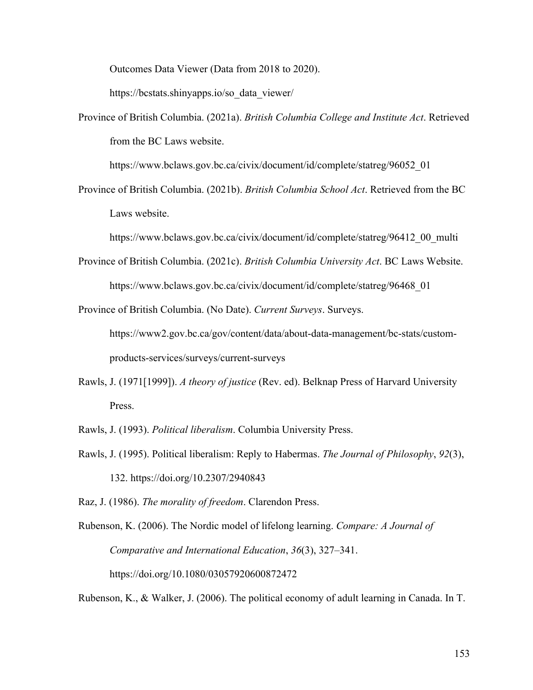Outcomes Data Viewer (Data from 2018 to 2020).

https://bcstats.shinyapps.io/so\_data\_viewer/

Province of British Columbia. (2021a). *British Columbia College and Institute Act*. Retrieved from the BC Laws website.

https://www.bclaws.gov.bc.ca/civix/document/id/complete/statreg/96052\_01

Province of British Columbia. (2021b). *British Columbia School Act*. Retrieved from the BC Laws website.

https://www.bclaws.gov.bc.ca/civix/document/id/complete/statreg/96412\_00\_multi

Province of British Columbia. (2021c). *British Columbia University Act*. BC Laws Website. https://www.bclaws.gov.bc.ca/civix/document/id/complete/statreg/96468\_01

Province of British Columbia. (No Date). *Current Surveys*. Surveys.

https://www2.gov.bc.ca/gov/content/data/about-data-management/bc-stats/custom-

products-services/surveys/current-surveys

Rawls, J. (1971[1999]). *A theory of justice* (Rev. ed). Belknap Press of Harvard University Press.

Rawls, J. (1993). *Political liberalism*. Columbia University Press.

Rawls, J. (1995). Political liberalism: Reply to Habermas. *The Journal of Philosophy*, *92*(3), 132. https://doi.org/10.2307/2940843

Raz, J. (1986). *The morality of freedom*. Clarendon Press.

Rubenson, K. (2006). The Nordic model of lifelong learning. *Compare: A Journal of Comparative and International Education*, *36*(3), 327–341. https://doi.org/10.1080/03057920600872472

Rubenson, K., & Walker, J. (2006). The political economy of adult learning in Canada. In T.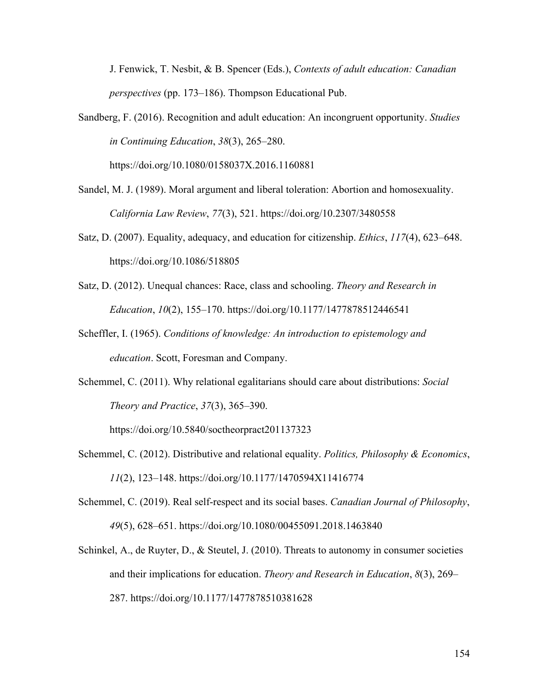J. Fenwick, T. Nesbit, & B. Spencer (Eds.), *Contexts of adult education: Canadian perspectives* (pp. 173–186). Thompson Educational Pub.

Sandberg, F. (2016). Recognition and adult education: An incongruent opportunity. *Studies in Continuing Education*, *38*(3), 265–280.

https://doi.org/10.1080/0158037X.2016.1160881

- Sandel, M. J. (1989). Moral argument and liberal toleration: Abortion and homosexuality. *California Law Review*, *77*(3), 521. https://doi.org/10.2307/3480558
- Satz, D. (2007). Equality, adequacy, and education for citizenship. *Ethics*, *117*(4), 623–648. https://doi.org/10.1086/518805
- Satz, D. (2012). Unequal chances: Race, class and schooling. *Theory and Research in Education*, *10*(2), 155–170. https://doi.org/10.1177/1477878512446541
- Scheffler, I. (1965). *Conditions of knowledge: An introduction to epistemology and education*. Scott, Foresman and Company.
- Schemmel, C. (2011). Why relational egalitarians should care about distributions: *Social Theory and Practice*, *37*(3), 365–390.

https://doi.org/10.5840/soctheorpract201137323

- Schemmel, C. (2012). Distributive and relational equality. *Politics, Philosophy & Economics*, *11*(2), 123–148. https://doi.org/10.1177/1470594X11416774
- Schemmel, C. (2019). Real self-respect and its social bases. *Canadian Journal of Philosophy*, *49*(5), 628–651. https://doi.org/10.1080/00455091.2018.1463840
- Schinkel, A., de Ruyter, D., & Steutel, J. (2010). Threats to autonomy in consumer societies and their implications for education. *Theory and Research in Education*, *8*(3), 269– 287. https://doi.org/10.1177/1477878510381628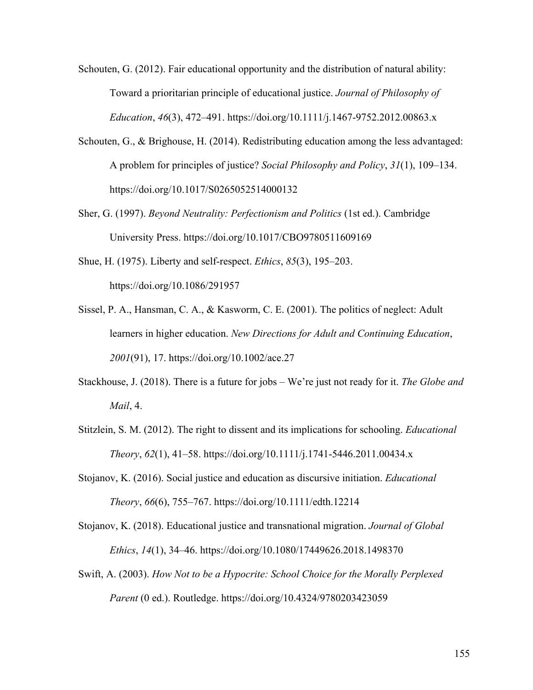Schouten, G. (2012). Fair educational opportunity and the distribution of natural ability: Toward a prioritarian principle of educational justice. *Journal of Philosophy of Education*, *46*(3), 472–491. https://doi.org/10.1111/j.1467-9752.2012.00863.x

- Schouten, G., & Brighouse, H. (2014). Redistributing education among the less advantaged: A problem for principles of justice? *Social Philosophy and Policy*, *31*(1), 109–134. https://doi.org/10.1017/S0265052514000132
- Sher, G. (1997). *Beyond Neutrality: Perfectionism and Politics* (1st ed.). Cambridge University Press. https://doi.org/10.1017/CBO9780511609169
- Shue, H. (1975). Liberty and self-respect. *Ethics*, *85*(3), 195–203. https://doi.org/10.1086/291957
- Sissel, P. A., Hansman, C. A., & Kasworm, C. E. (2001). The politics of neglect: Adult learners in higher education. *New Directions for Adult and Continuing Education*, *2001*(91), 17. https://doi.org/10.1002/ace.27
- Stackhouse, J. (2018). There is a future for jobs We're just not ready for it. *The Globe and Mail*, 4.
- Stitzlein, S. M. (2012). The right to dissent and its implications for schooling. *Educational Theory*, *62*(1), 41–58. https://doi.org/10.1111/j.1741-5446.2011.00434.x
- Stojanov, K. (2016). Social justice and education as discursive initiation. *Educational Theory*, *66*(6), 755–767. https://doi.org/10.1111/edth.12214
- Stojanov, K. (2018). Educational justice and transnational migration. *Journal of Global Ethics*, *14*(1), 34–46. https://doi.org/10.1080/17449626.2018.1498370
- Swift, A. (2003). *How Not to be a Hypocrite: School Choice for the Morally Perplexed Parent* (0 ed.). Routledge. https://doi.org/10.4324/9780203423059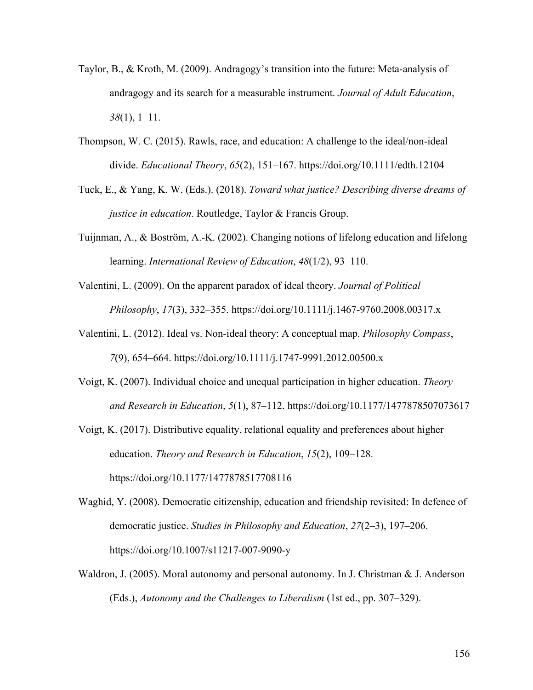- Taylor, B., & Kroth, M. (2009). Andragogy's transition into the future: Meta-analysis of andragogy and its search for a measurable instrument. *Journal of Adult Education*, *38*(1), 1–11.
- Thompson, W. C. (2015). Rawls, race, and education: A challenge to the ideal/non-ideal divide. *Educational Theory*, *65*(2), 151–167. https://doi.org/10.1111/edth.12104
- Tuck, E., & Yang, K. W. (Eds.). (2018). *Toward what justice? Describing diverse dreams of justice in education*. Routledge, Taylor & Francis Group.
- Tuijnman, A., & Boström, A.-K. (2002). Changing notions of lifelong education and lifelong learning. *International Review of Education*, *48*(1/2), 93–110.
- Valentini, L. (2009). On the apparent paradox of ideal theory. *Journal of Political Philosophy*, *17*(3), 332–355. https://doi.org/10.1111/j.1467-9760.2008.00317.x
- Valentini, L. (2012). Ideal vs. Non-ideal theory: A conceptual map. *Philosophy Compass*, *7*(9), 654–664. https://doi.org/10.1111/j.1747-9991.2012.00500.x
- Voigt, K. (2007). Individual choice and unequal participation in higher education. *Theory and Research in Education*, *5*(1), 87–112. https://doi.org/10.1177/1477878507073617
- Voigt, K. (2017). Distributive equality, relational equality and preferences about higher education. *Theory and Research in Education*, *15*(2), 109–128. https://doi.org/10.1177/1477878517708116
- Waghid, Y. (2008). Democratic citizenship, education and friendship revisited: In defence of democratic justice. *Studies in Philosophy and Education*, *27*(2–3), 197–206. https://doi.org/10.1007/s11217-007-9090-y
- Waldron, J. (2005). Moral autonomy and personal autonomy. In J. Christman & J. Anderson (Eds.), *Autonomy and the Challenges to Liberalism* (1st ed., pp. 307–329).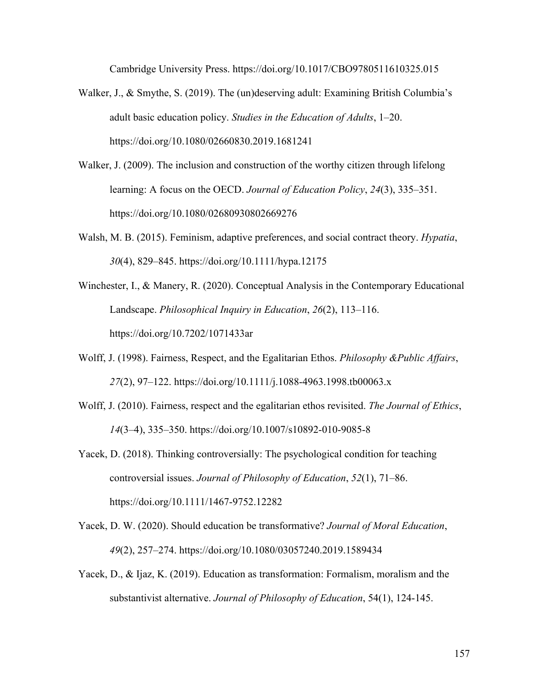Cambridge University Press. https://doi.org/10.1017/CBO9780511610325.015

- Walker, J., & Smythe, S. (2019). The (un)deserving adult: Examining British Columbia's adult basic education policy. *Studies in the Education of Adults*, 1–20. https://doi.org/10.1080/02660830.2019.1681241
- Walker, J. (2009). The inclusion and construction of the worthy citizen through lifelong learning: A focus on the OECD. *Journal of Education Policy*, *24*(3), 335–351. https://doi.org/10.1080/02680930802669276
- Walsh, M. B. (2015). Feminism, adaptive preferences, and social contract theory. *Hypatia*, *30*(4), 829–845. https://doi.org/10.1111/hypa.12175
- Winchester, I., & Manery, R. (2020). Conceptual Analysis in the Contemporary Educational Landscape. *Philosophical Inquiry in Education*, *26*(2), 113–116. https://doi.org/10.7202/1071433ar
- Wolff, J. (1998). Fairness, Respect, and the Egalitarian Ethos. *Philosophy &Public Affairs*, *27*(2), 97–122. https://doi.org/10.1111/j.1088-4963.1998.tb00063.x
- Wolff, J. (2010). Fairness, respect and the egalitarian ethos revisited. *The Journal of Ethics*, *14*(3–4), 335–350. https://doi.org/10.1007/s10892-010-9085-8
- Yacek, D. (2018). Thinking controversially: The psychological condition for teaching controversial issues. *Journal of Philosophy of Education*, *52*(1), 71–86. https://doi.org/10.1111/1467-9752.12282
- Yacek, D. W. (2020). Should education be transformative? *Journal of Moral Education*, *49*(2), 257–274. https://doi.org/10.1080/03057240.2019.1589434
- Yacek, D., & Ijaz, K. (2019). Education as transformation: Formalism, moralism and the substantivist alternative. *Journal of Philosophy of Education*, 54(1), 124-145.